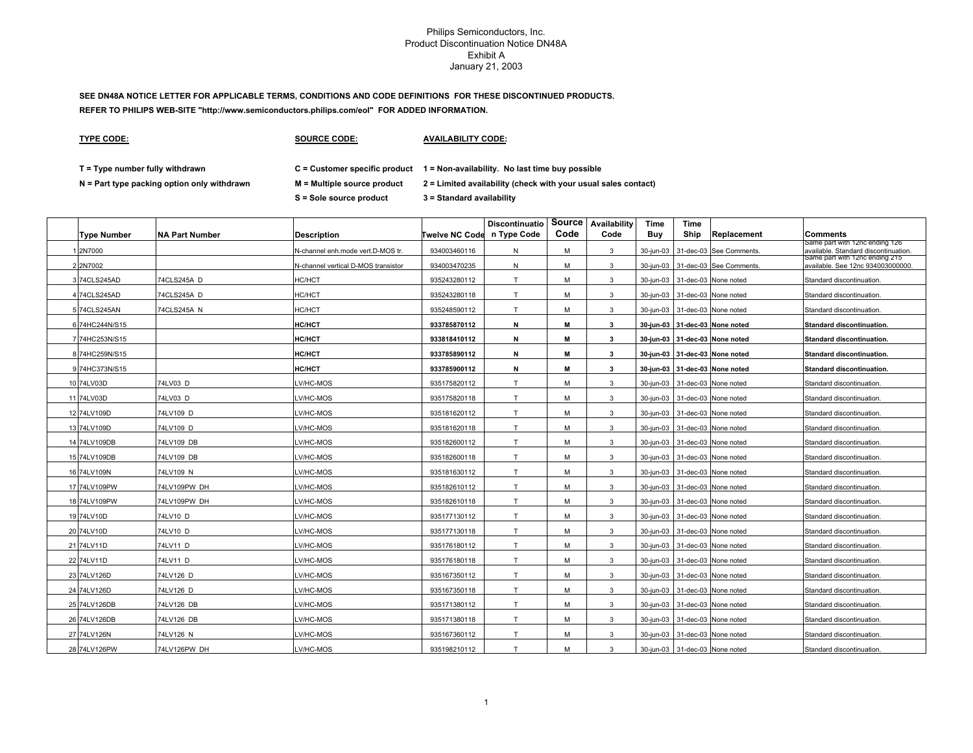# **SEE DN48A NOTICE LETTER FOR APPLICABLE TERMS, CONDITIONS AND CODE DEFINITIONS FOR THESE DISCONTINUED PRODUCTS. REFER TO PHILIPS WEB-SITE "http://www.semiconductors.philips.com/eol" FOR ADDED INFORMATION.**

**TYPE CODE:**

**SOURCE CODE:**

**AVAILABILITY CODE:**

**T = Type number fully withdrawn C = Customer specific product 1 = Non-availability. No last time buy possible**

**N = Part type packing option only withdrawn M = Multiple source product 2 = Limited availability (check with your usual sales contact)**

**S = Sole source product 3 = Standard availability**

| <b>Type Number</b> | <b>NA Part Number</b> | <b>Description</b>                  | Twelve NC Code n Type Code | <b>Discontinuatio</b> | Code | Source Availability<br>Code | Time<br>Buy | Time<br>Ship | Replacement                    | <b>Comments</b>                                                        |
|--------------------|-----------------------|-------------------------------------|----------------------------|-----------------------|------|-----------------------------|-------------|--------------|--------------------------------|------------------------------------------------------------------------|
| 2N7000             |                       | N-channel enh.mode vert.D-MOS tr.   | 934003460116               | N                     | M    | 3                           | 30-jun-03   |              | 31-dec-03 See Comments.        | same part with 12nc ending 126<br>available. Standard discontinuation. |
| 22N7002            |                       | N-channel vertical D-MOS transistor | 934003470235               | Ν                     | м    | 3                           | 30-jun-03   |              | 31-dec-03 See Comments.        | same part with 12nc ending 215<br>available. See 12nc 934003000000.    |
| 3 74CLS245AD       | 74CLS245A D           | HC/HCT                              | 935243280112               | T                     | M    | 3                           | 30-jun-03   |              | 31-dec-03 None noted           | Standard discontinuation.                                              |
| 4 74CLS245AD       | 74CLS245A D           | <b>HC/HCT</b>                       | 935243280118               | T                     | M    | 3                           | 30-jun-03   |              | 31-dec-03 None noted           | Standard discontinuation                                               |
| 5 74CLS245AN       | 74CLS245A N           | HC/HCT                              | 935248590112               | T                     | M    | $\mathbf{3}$                | 30-jun-03   |              | 31-dec-03 None noted           | Standard discontinuation.                                              |
| 6 74HC244N/S15     |                       | <b>HC/HCT</b>                       | 933785870112               | N                     | М    | 3                           | 30-jun-03   |              | 31-dec-03 None noted           | <b>Standard discontinuation.</b>                                       |
| 7 74HC253N/S15     |                       | <b>HC/HCT</b>                       | 933818410112               | N                     | М    | 3                           |             |              | 30-jun-03 31-dec-03 None noted | Standard discontinuation.                                              |
| 8 74HC259N/S15     |                       | <b>HC/HCT</b>                       | 933785890112               | N                     | M    | 3                           |             |              | 30-jun-03 31-dec-03 None noted | Standard discontinuation.                                              |
| 9 74HC373N/S15     |                       | <b>HC/HCT</b>                       | 933785900112               | N                     | М    | $\mathbf{3}$                |             |              | 30-jun-03 31-dec-03 None noted | Standard discontinuation.                                              |
| 10 74LV03D         | 74LV03 D              | LV/HC-MOS                           | 935175820112               | $\mathsf{T}$          | M    | 3                           | 30-jun-03   |              | 31-dec-03 None noted           | Standard discontinuation.                                              |
| 11 74LV03D         | 74LV03 D              | LV/HC-MOS                           | 935175820118               | T                     | M    | 3                           | 30-jun-03   |              | 31-dec-03 None noted           | Standard discontinuation                                               |
| 12 74LV109D        | 74LV109 D             | LV/HC-MOS                           | 935181620112               | T                     | м    | 3                           | 30-jun-03   |              | 31-dec-03 None noted           | Standard discontinuation.                                              |
| 13 74LV109D        | 74LV109 D             | LV/HC-MOS                           | 935181620118               | T                     | м    | 3                           | 30-jun-03   |              | 31-dec-03 None noted           | Standard discontinuation                                               |
| 14 74LV109DB       | 74LV109 DB            | LV/HC-MOS                           | 935182600112               |                       | м    | 3                           | 30-jun-03   |              | 31-dec-03 None noted           | Standard discontinuation.                                              |
| 15 74LV109DB       | 74LV109 DB            | LV/HC-MOS                           | 935182600118               |                       | М    | 3                           | 30-jun-03   |              | 31-dec-03 None noted           | Standard discontinuation                                               |
| 16 74LV109N        | 74LV109 N             | LV/HC-MOS                           | 935181630112               |                       | м    | 3                           | 30-jun-03   |              | 31-dec-03 None noted           | Standard discontinuation                                               |
| 17 74LV109PW       | 74LV109PW DH          | LV/HC-MOS                           | 935182610112               |                       | м    | 3                           | 30-jun-03   |              | 31-dec-03 None noted           | Standard discontinuation.                                              |
| 18 74LV109PW       | 74LV109PW DH          | LV/HC-MOS                           | 935182610118               |                       | M    | 3                           | 30-jun-03   |              | 31-dec-03 None noted           | Standard discontinuation.                                              |
| 19 74LV10D         | 74LV10 D              | LV/HC-MOS                           | 935177130112               |                       | M    | 3                           | 30-jun-03   |              | 31-dec-03 None noted           | Standard discontinuation                                               |
| 20 74LV10D         | 74LV10 D              | LV/HC-MOS                           | 935177130118               | т                     | M    | $\mathbf{3}$                | 30-jun-03   |              | 31-dec-03 None noted           | Standard discontinuation.                                              |
| 21 74LV11D         | 74LV11 D              | LV/HC-MOS                           | 935176180112               | T                     | M    | 3                           | 30-jun-03   |              | 31-dec-03 None noted           | Standard discontinuation.                                              |
| 22 74LV11D         | 74LV11 D              | LV/HC-MOS                           | 935176180118               | т                     | M    | 3                           | 30-jun-03   |              | 31-dec-03 None noted           | Standard discontinuation.                                              |
| 23 74LV126D        | 74LV126 D             | LV/HC-MOS                           | 935167350112               | т                     | М    | 3                           | 30-jun-03   |              | 31-dec-03 None noted           | Standard discontinuation                                               |
| 24 74LV126D        | 74LV126 D             | LV/HC-MOS                           | 935167350118               | т                     | M    | 3                           | 30-jun-03   |              | 31-dec-03 None noted           | Standard discontinuation.                                              |
| 25 74LV126DB       | 74LV126 DB            | LV/HC-MOS                           | 935171380112               | $\mathsf{T}$          | M    | 3                           | 30-jun-03   |              | 31-dec-03 None noted           | Standard discontinuation.                                              |
| 26 74LV126DB       | 74LV126 DB            | LV/HC-MOS                           | 935171380118               | T                     | M    | 3                           | 30-jun-03   |              | 31-dec-03 None noted           | Standard discontinuation                                               |
| 27 74LV126N        | 74LV126 N             | LV/HC-MOS                           | 935167360112               |                       | м    | 3                           | 30-jun-03   |              | 31-dec-03 None noted           | Standard discontinuation                                               |
| 28 74LV126PW       | 74LV126PW DH          | LV/HC-MOS                           | 935198210112               | T.                    | M    | 3                           |             |              | 30-jun-03 31-dec-03 None noted | Standard discontinuation                                               |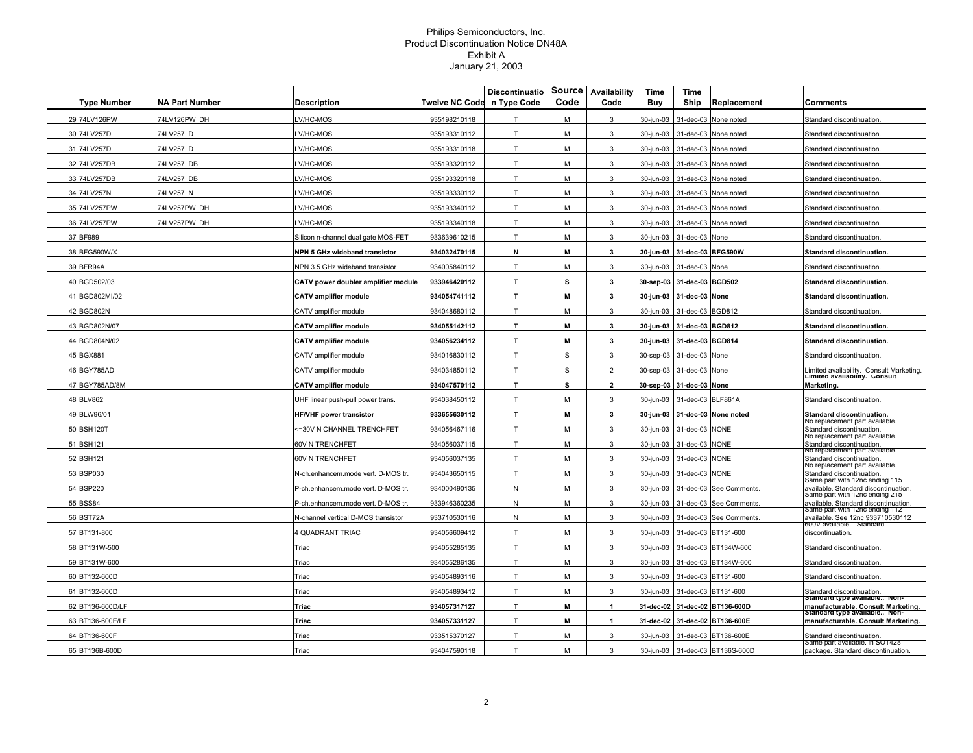| <b>Type Number</b> | <b>NA Part Number</b> | Description                         | Twelve NC Code | <b>Discontinuatio</b><br>n Type Code | Source<br>Code | Availability<br>Code | Time<br>Buy | Time<br>Ship      | Replacement           | Comments                                                                         |
|--------------------|-----------------------|-------------------------------------|----------------|--------------------------------------|----------------|----------------------|-------------|-------------------|-----------------------|----------------------------------------------------------------------------------|
| 29 74LV126PW       | 74LV126PW DH          | V/HC-MOS                            | 935198210118   | $\mathsf{T}$                         | M              | 3                    | 30-jun-03   | 31-dec-03         | None noted            | Standard discontinuation                                                         |
| 30 74LV257D        | 74LV257 D             | V/HC-MOS                            | 935193310112   | T                                    | M              | 3                    | 30-jun-03   | 31-dec-03         | None noted            | Standard discontinuation                                                         |
| 31 74LV257D        | 74LV257 D             | V/HC-MOS                            | 935193310118   | T                                    | M              | 3                    | 30-jun-03   | 31-dec-03         | None noted            | Standard discontinuation                                                         |
| 32 74LV257DB       | 74LV257 DB            | V/HC-MOS                            | 935193320112   | T                                    | M              | 3                    | 30-jun-03   | 31-dec-03         | None noted            | Standard discontinuation                                                         |
| 33 74LV257DB       | 74LV257 DB            | V/HC-MOS                            | 935193320118   | T                                    | M              | 3                    | 30-jun-03   |                   | 31-dec-03 None noted  | Standard discontinuation                                                         |
| 34 74LV257N        | 74LV257 N             | V/HC-MOS                            | 935193330112   | T                                    | M              | 3                    | 30-jun-03   | 31-dec-03         | None noted            | Standard discontinuation                                                         |
| 35 74LV257PW       | 74LV257PW DH          | V/HC-MOS                            | 935193340112   | T                                    | м              | 3                    | 30-jun-03   | 31-dec-03         | None noted            | Standard discontinuation.                                                        |
| 36 74LV257PW       | 74LV257PW DH          | V/HC-MOS                            | 935193340118   | T                                    | М              | 3                    | 30-jun-03   |                   | 31-dec-03 None noted  | Standard discontinuation                                                         |
| 37 BF989           |                       | Silicon n-channel dual gate MOS-FET | 933639610215   | T                                    | м              | 3                    | 30-jun-03   | 31-dec-03 None    |                       | Standard discontinuation                                                         |
| 38 BFG590W/X       |                       | NPN 5 GHz wideband transistor       | 934032470115   | N                                    | м              | 3                    | 30-jun-03   | 31-dec-03 BFG590W |                       | <b>Standard discontinuation.</b>                                                 |
| 39 BFR94A          |                       | NPN 3.5 GHz wideband transistor     | 934005840112   | T                                    | м              | 3                    | 30-jun-03   | 31-dec-03         | None                  | Standard discontinuation                                                         |
| 40 BGD502/03       |                       | CATV power doubler amplifier module | 933946420112   | T                                    | s              | 3                    | 30-sep-03   | 31-dec-03 BGD502  |                       | Standard discontinuation.                                                        |
| 41 BGD802MI/02     |                       | <b>CATV</b> amplifier module        | 934054741112   | T.                                   | M              | 3                    | 30-jun-03   | 31-dec-03 None    |                       | Standard discontinuation.                                                        |
| 42 BGD802N         |                       | CATV amplifier module               | 934048680112   | $\mathsf{T}$                         | м              | 3                    | 30-jun-03   | 31-dec-03         | <b>BGD812</b>         | Standard discontinuation                                                         |
| 43 BGD802N/07      |                       | <b>CATV amplifier module</b>        | 934055142112   | T                                    | M              | $\mathbf{3}$         | 30-jun-03   | 31-dec-03 BGD812  |                       | Standard discontinuation.                                                        |
| 44 BGD804N/02      |                       | <b>CATV</b> amplifier module        | 934056234112   | T.                                   | м              | 3                    | 30-jun-03   | 31-dec-03 BGD814  |                       | Standard discontinuation.                                                        |
| 45 BGX881          |                       | CATV amplifier module               | 934016830112   | T                                    | S              | 3                    | 30-sep-03   | 31-dec-03         | None                  | Standard discontinuation                                                         |
| 46 BGY785AD        |                       | CATV amplifier module               | 934034850112   | T                                    | S              | $\overline{2}$       | 30-sep-03   | 31-dec-03         | None                  | Limited availability. Consult Marketing.<br><b>Limited availability. Consult</b> |
| 47 BGY785AD/8M     |                       | <b>CATV amplifier module</b>        | 934047570112   | T.                                   | s              | $\overline{2}$       | 30-sep-03   | 31-dec-03 None    |                       | <b>Marketing</b>                                                                 |
| 48 BLV862          |                       | JHF linear push-pull power trans    | 934038450112   | T                                    | M              | 3                    | 30-jun-03   | 31-dec-03         | BLF861A               | Standard discontinuation.                                                        |
| 49 BLW96/01        |                       | HF/VHF power transistor             | 933655630112   | T.                                   | M              | 3                    | 30-jun-03   |                   | 31-dec-03 None noted  | Standard discontinuation.                                                        |
| 50 BSH120T         |                       | =30V N CHANNEL TRENCHFET            | 934056467116   | T                                    | М              | 3                    | 30-jun-03   | 31-dec-03         | <b>NONE</b>           | No replacement part available<br>Standard discontinuation.                       |
| 51 BSH121          |                       | 60V N TRENCHFET                     | 934056037115   | T.                                   | M              | 3                    | 30-jun-03   | 31-dec-03 NONE    |                       | no replacement part available.<br>Standard discontinuation.                      |
| 52 BSH121          |                       | 60V N TRENCHFET                     | 934056037135   | T                                    | M              | 3                    | 30-jun-03   | 31-dec-03         | <b>NONE</b>           | vo replacement part available<br>Standard discontinuation.                       |
| 53 BSP030          |                       | N-ch.enhancem.mode vert. D-MOS tr   | 934043650115   | T                                    | M              | 3                    | 30-jun-03   | 31-dec-03         | <b>NONE</b>           | vo replacement part available.<br>Standard discontinuation.                      |
| 54 BSP220          |                       | P-ch.enhancem.mode vert. D-MOS tr.  | 934000490135   | ${\sf N}$                            | м              | 3                    | 30-jun-03   | 31-dec-03         | See Comments          | Same part with 12nc ending 115<br>available. Standard discontinuation.           |
| 55 BSS84           |                       | P-ch.enhancem.mode vert. D-MOS tr.  | 933946360235   | N                                    | м              | 3                    | 30-jun-03   | 31-dec-03         | See Comments.         | Same part with 12nc ending 215<br>available. Standard discontinuation            |
| 56 BST72A          |                       | N-channel vertical D-MOS transistor | 933710530116   | N                                    | м              | 3                    | 30-jun-03   | 31-dec-03         | See Comments.         | same part with 12nc ending 112<br>available. See 12nc 933710530112               |
| 57 BT131-800       |                       | <b>QUADRANT TRIAC</b>               | 934056609412   | T                                    | M              | 3                    | 30-jun-03   | 31-dec-03         | BT131-600             | 600V available Standard<br>discontinuation.                                      |
| 58 BT131W-500      |                       | Triac                               | 934055285135   | T                                    | M              | 3                    | 30-jun-03   | 31-dec-03         | BT134W-600            | Standard discontinuation                                                         |
| 59 BT131W-600      |                       | Triac                               | 934055286135   | T                                    | M              | 3                    | 30-jun-03   | 31-dec-03         | BT134W-600            | Standard discontinuation                                                         |
| 60 BT132-600D      |                       | Triac                               | 934054893116   | T                                    | м              | 3                    | 30-jun-03   | 31-dec-03         | BT131-600             | Standard discontinuation.                                                        |
| 61 BT132-600D      |                       | Triac                               | 934054893412   | T                                    | M              | 3                    | 30-jun-03   |                   | 31-dec-03 BT131-600   | Standard discontinuation.<br>Standard type available Non-                        |
| 62 BT136-600D/LF   |                       | Triac                               | 934057317127   | T.                                   | M              | $\blacktriangleleft$ | 31-dec-02   |                   | 31-dec-02 BT136-600D  | manufacturable. Consult Marketing.<br>Standard type available Non-               |
| 63 BT136-600E/LF   |                       | Triac                               | 934057331127   | T.                                   | M              | $\mathbf{1}$         | 31-dec-02   |                   | 31-dec-02 BT136-600E  | manufacturable. Consult Marketing.                                               |
| 64 BT136-600F      |                       | Triac                               | 933515370127   | T                                    | M              | 3                    | 30-jun-03   |                   | 31-dec-03 BT136-600E  | Standard discontinuation.<br>same part available. In SO1428                      |
| 65 BT136B-600D     |                       | Triac                               | 934047590118   | T                                    | M              | 3                    | 30-jun-03   |                   | 31-dec-03 BT136S-600D | package. Standard discontinuation.                                               |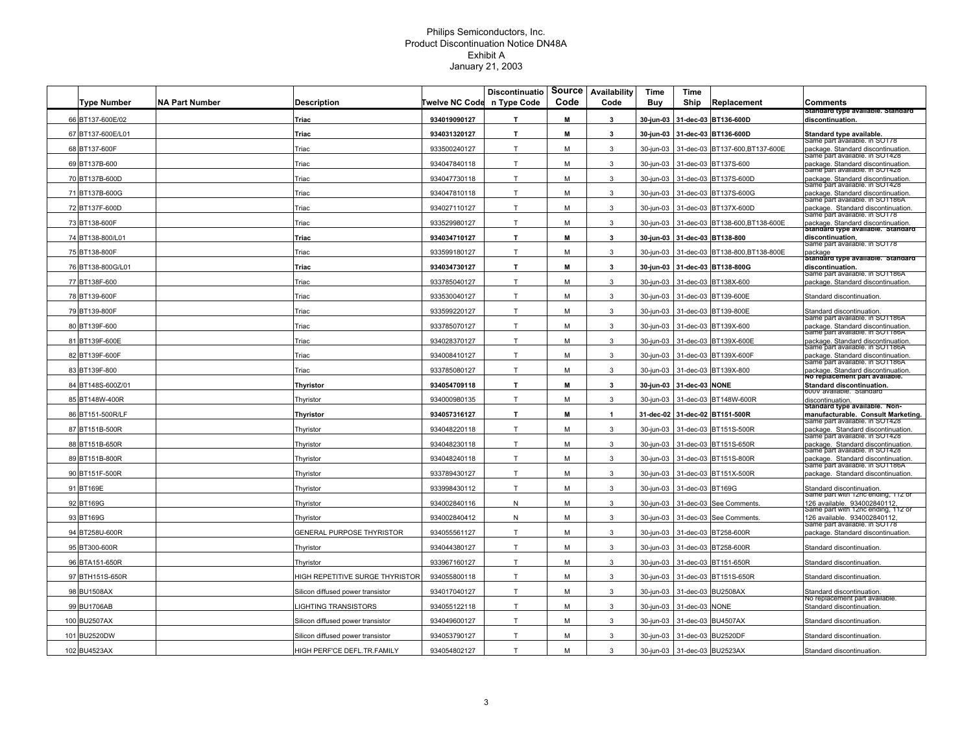|                    |                       |                                   |                       | <b>Discontinuatio</b> | Source | Availability | Time       | Time      |                                |                                                                       |
|--------------------|-----------------------|-----------------------------------|-----------------------|-----------------------|--------|--------------|------------|-----------|--------------------------------|-----------------------------------------------------------------------|
| <b>Type Number</b> | <b>NA Part Number</b> | <b>Description</b>                | <b>Twelve NC Code</b> | n Type Code           | Code   | Code         | <b>Buy</b> | Ship      | Replacement                    | Comments<br>Standard type available. Standard                         |
| 66 BT137-600E/02   |                       | Triac                             | 934019090127          | T.                    | M      | 3            | 30-jun-03  |           | 31-dec-03 BT136-600D           | discontinuation.                                                      |
| 67 BT137-600E/L01  |                       | Triac                             | 934031320127          | $\mathbf{T}$          | M      | 3            | 30-jun-03  |           | 31-dec-03 BT136-600D           | Standard type available.<br>Same part āvaliable. in SOT78             |
| 68 BT137-600F      |                       | Triac                             | 933500240127          | T                     | М      | 3            | 30-jun-03  | 31-dec-03 | BT137-600,BT137-600E           | package. Standard discontinuation.<br>Same part available. In SO1428  |
| 69 BT137B-600      |                       | Triac                             | 934047840118          | T                     | M      | 3            | 30-jun-03  | 31-dec-03 | BT137S-600                     | package. Standard discontinuation.<br>same part available. In SO1428  |
| 70 BT137B-600D     |                       | Triac                             | 934047730118          | T                     | M      | 3            | 30-jun-03  | 31-dec-03 | BT137S-600D                    | package. Standard discontinuation.<br>Same part available. In SO1428  |
| 71 BT137B-600G     |                       | Triac                             | 934047810118          | T                     | M      | 3            | 30-jun-03  | 31-dec-03 | BT137S-600G                    | package. Standard discontinuation.<br>Same part available. In SOT186A |
| 72 BT137F-600D     |                       | Triac                             | 934027110127          | T                     | M      | 3            | 30-jun-03  | 31-dec-03 | BT137X-600D                    | package. Standard discontinuation.<br>same part available. In SOT78   |
| 73 BT138-600F      |                       | Triac                             | 933529980127          | T                     | M      | 3            | 30-jun-03  | 31-dec-03 | BT138-600, BT138-600E          | package. Standard discontinuation.                                    |
| 74 BT138-800/L01   |                       | Triac                             | 934034710127          | $\mathbf{T}$          | M      | 3            | 30-jun-03  |           | 31-dec-03 BT138-800            | Standard type available. Standard<br>discontinuation.                 |
| 75 BT138-800F      |                       | Triac                             | 933599180127          | T                     | M      | 3            | 30-jun-03  |           | 31-dec-03 BT138-800,BT138-800E | same part available. In SOT78<br>package                              |
| 76 BT138-800G/L01  |                       | Triac                             | 934034730127          | T                     | М      | 3            | 30-jun-03  |           | 31-dec-03 BT138-800G           | Standard type available. Standard<br>discontinuation.                 |
| 77 BT138F-600      |                       | Triac                             | 933785040127          | T                     | M      | 3            | 30-jun-03  | 31-dec-03 | BT138X-600                     | Same part available. In SOT186A<br>package. Standard discontinuation. |
| 78 BT139-600F      |                       | Triac                             | 933530040127          | T                     | M      | 3            | 30-jun-03  | 31-dec-03 | BT139-600E                     | Standard discontinuation.                                             |
| 79 BT139-800F      |                       | Triac                             | 933599220127          | T                     | M      | 3            | 30-jun-03  | 31-dec-03 | BT139-800E                     | Standard discontinuation.                                             |
| 80 BT139F-600      |                       | Triac                             | 933785070127          | T                     | M      | 3            | 30-jun-03  | 31-dec-03 | BT139X-600                     | Same part available. In SOT186A<br>package. Standard discontinuation. |
| 81 BT139F-600E     |                       | Triac                             | 934028370127          | T                     | M      | 3            | 30-jun-03  | 31-dec-03 | BT139X-600E                    | Same part available. In SOT186A<br>package. Standard discontinuation. |
| 82 BT139F-600F     |                       | Triac                             | 934008410127          | T                     | М      | 3            | 30-jun-03  | 31-dec-03 | BT139X-600F                    | Same part available. In SOT186A<br>package. Standard discontinuation. |
| 83 BT139F-800      |                       | Triac                             | 933785080127          | T                     | M      | 3            | 30-jun-03  | 31-dec-03 | BT139X-800                     | same part avaliable. In SOT186A<br>package. Standard discontinuation. |
| 84 BT148S-600Z/01  |                       | Thyristor                         | 934054709118          | $\mathbf{T}$          | M      | 3            | 30-jun-03  | 31-dec-03 | <b>NONE</b>                    | No replacement part available.<br>Standard discontinuation.           |
| 85 BT148W-400R     |                       | Thyristor                         | 934000980135          | T                     | M      | 3            | 30-jun-03  | 31-dec-03 | BT148W-600R                    | 600V available. Standard<br>discontinuation.                          |
| 86 BT151-500R/LF   |                       |                                   | 934057316127          | T                     | M      | 1            | 31-dec-02  |           | 31-dec-02 BT151-500R           | Standard type available. Non-                                         |
|                    |                       | Thyristor                         |                       | T                     |        | 3            |            |           |                                | manufacturable. Consult Marketing.<br>same part avaliable. In SO1428  |
| 87 BT151B-500R     |                       | Thyristor                         | 934048220118          |                       | М      |              | 30-jun-03  |           | 31-dec-03 BT151S-500R          | package. Standard discontinuation.<br>Same part available. In SO1428  |
| 88 BT151B-650R     |                       | Thyristor                         | 934048230118          | T                     | М      | 3            | 30-jun-03  |           | 31-dec-03 BT151S-650R          | package. Standard discontinuation.<br>Same part available. In SO1428  |
| 89 BT151B-800R     |                       | Thyristor                         | 934048240118          | T                     | M      | 3            | 30-jun-03  |           | 31-dec-03 BT151S-800R          | package. Standard discontinuation.<br>same part available. In SOT186A |
| 90 BT151F-500R     |                       | Thyristor                         | 933789430127          | T                     | M      | 3            | 30-jun-03  |           | 31-dec-03 BT151X-500R          | package. Standard discontinuation.                                    |
| 91 BT169E          |                       | Thyristor                         | 933998430112          | T                     | M      | 3            | 30-jun-03  | 31-dec-03 | <b>BT169G</b>                  | Standard discontinuation.<br>same part with 12nc ending, 112 or       |
| 92 BT169G          |                       | Thyristor                         | 934002840116          | ${\sf N}$             | M      | 3            | 30-jun-03  | 31-dec-03 | See Comments.                  | 126 available. 934002840112,<br>same part with 12nc ending, 112 or    |
| 93 BT169G          |                       | Thyristor                         | 934002840412          | ${\sf N}$             | M      | 3            | 30-jun-03  | 31-dec-03 | See Comments.                  | 126 available. 934002840112.<br>same part available. In SOT78         |
| 94 BT258U-600R     |                       | <b>GENERAL PURPOSE THYRISTOR</b>  | 934055561127          | T                     | м      | 3            | 30-jun-03  | 31-dec-03 | BT258-600R                     | package. Standard discontinuation.                                    |
| 95 BT300-600R      |                       | Thyristor                         | 934044380127          | T                     | M      | 3            | 30-jun-03  | 31-dec-03 | BT258-600R                     | Standard discontinuation                                              |
| 96 BTA151-650R     |                       | Thyristor                         | 933967160127          | T                     | M      | 3            | 30-jun-03  | 31-dec-03 | BT151-650R                     | Standard discontinuation                                              |
| 97 BTH151S-650R    |                       | HIGH REPETITIVE SURGE THYRISTOR   | 934055800118          | T                     | M      | 3            | 30-jun-03  | 31-dec-03 | BT151S-650R                    | Standard discontinuation.                                             |
| 98 BU1508AX        |                       | Silicon diffused power transistor | 934017040127          | T                     | M      | 3            | 30-jun-03  | 31-dec-03 | <b>BU2508AX</b>                | Standard discontinuation.                                             |
| 99 BU1706AB        |                       | IGHTING TRANSISTORS               | 934055122118          | T                     | M      | 3            | 30-jun-03  | 31-dec-03 | <b>NONE</b>                    | no replacement part available.<br>Standard discontinuation            |
| 100 BU2507AX       |                       | Silicon diffused power transistor | 934049600127          | T                     | M      | 3            | 30-jun-03  | 31-dec-03 | <b>BU4507AX</b>                | Standard discontinuation.                                             |
| 101 BU2520DW       |                       | Silicon diffused power transistor | 934053790127          | T                     | M      | 3            | 30-jun-03  | 31-dec-03 | <b>BU2520DF</b>                | Standard discontinuation                                              |
| 102 BU4523AX       |                       | HIGH PERF'CE DEFL.TR.FAMILY       | 934054802127          | T                     | M      | 3            | 30-jun-03  |           | 31-dec-03 BU2523AX             | Standard discontinuation                                              |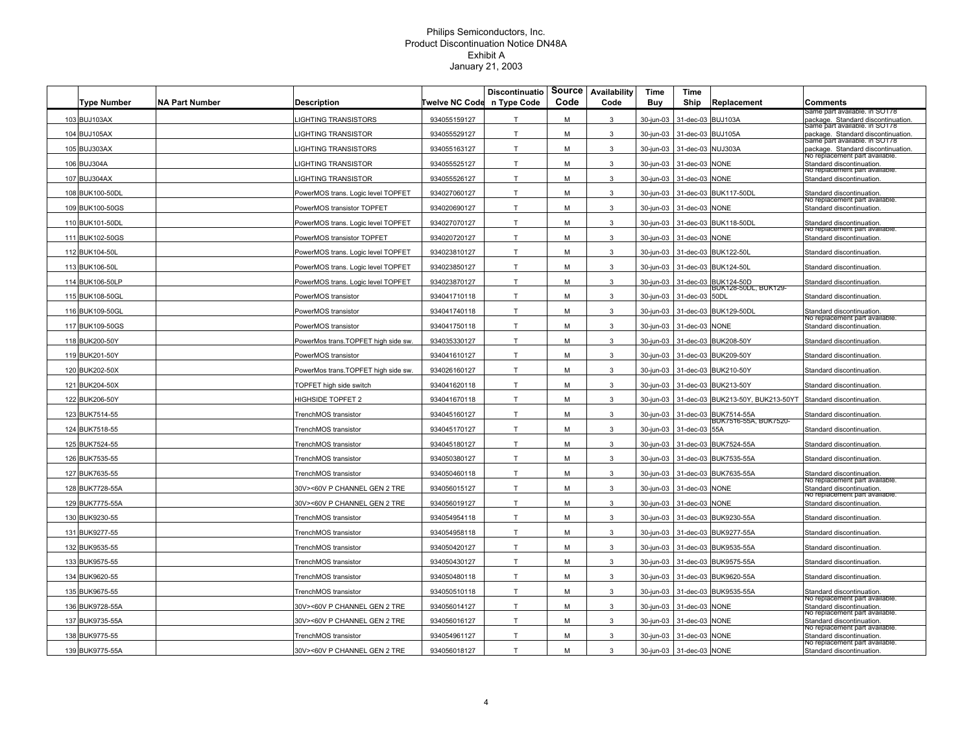| <b>Type Number</b> | <b>NA Part Number</b> | <b>Description</b>                 | Twelve NC Code | <b>Discontinuatio</b><br>n Type Code | Source<br>Code | Availability<br>Code | Time<br>Buy | <b>Time</b><br>Ship | Replacement                                    | <b>Comments</b>                                                     |
|--------------------|-----------------------|------------------------------------|----------------|--------------------------------------|----------------|----------------------|-------------|---------------------|------------------------------------------------|---------------------------------------------------------------------|
| 103 BUJ103AX       |                       | <b>LIGHTING TRANSISTORS</b>        | 934055159127   | T                                    | М              | 3                    | 30-jun-03   | 31-dec-03           | BUJ103A                                        | ame part available. In SOT78<br>package. Standard discontinuation.  |
| 104 BUJ105AX       |                       | <b>IGHTING TRANSISTOR</b>          | 934055529127   | T.                                   | M              | $\mathbf{3}$         | 30-jun-03   | 31-dec-03           | BUJ105A                                        | same part available. In SOT78<br>package. Standard discontinuation. |
| 105 BUJ303AX       |                       | <b>IGHTING TRANSISTORS</b>         | 934055163127   | T.                                   | M              | 3                    | 30-jun-03   | 31-dec-03           | NUJ303A                                        | same part available. In SOT78<br>backage. Standard discontinuation. |
| 106 BUJ304A        |                       | IGHTING TRANSISTOR                 | 934055525127   | T                                    | М              | 3                    | 30-jun-03   | 31-dec-03           | <b>NONE</b>                                    | No replacement part available.<br>Standard discontinuation.         |
| 107 BUJ304AX       |                       | IGHTING TRANSISTOR                 | 934055526127   | T.                                   | М              | 3                    | 30-jun-03   | 31-dec-03 NONE      |                                                | vo replacement part available.<br>Standard discontinuation.         |
| 108 BUK100-50DL    |                       | PowerMOS trans. Logic level TOPFET | 934027060127   | T                                    | M              | 3                    | 30-jun-03   |                     | 31-dec-03 BUK117-50DL                          | Standard discontinuation.                                           |
| 109 BUK100-50GS    |                       | PowerMOS transistor TOPFET         | 934020690127   | T                                    | M              | 3                    | 30-jun-03   | 31-dec-03 NONE      |                                                | vo replacement part available.<br>Standard discontinuation.         |
| 110 BUK101-50DL    |                       | PowerMOS trans. Logic level TOPFET | 934027070127   | T.                                   | М              | 3                    | 30-jun-03   |                     | 31-dec-03 BUK118-50DL                          | Standard discontinuation.                                           |
| 111 BUK102-50GS    |                       | PowerMOS transistor TOPFET         | 934020720127   | T.                                   | M              | $\mathbf{3}$         | 30-jun-03   | 31-dec-03 NONE      |                                                | vo replacement part available.<br>Standard discontinuation.         |
| 112 BUK104-50L     |                       | PowerMOS trans. Logic level TOPFET | 934023810127   | T                                    | M              | $\mathbf{3}$         | 30-jun-03   |                     | 31-dec-03 BUK122-50I                           | Standard discontinuation.                                           |
| 113 BUK106-50L     |                       | PowerMOS trans. Logic level TOPFET | 934023850127   | T                                    | М              | 3                    | 30-jun-03   |                     | 31-dec-03 BUK124-50L                           | Standard discontinuation                                            |
| 114 BUK106-50LP    |                       | PowerMOS trans. Logic level TOPFET | 934023870127   | T                                    | М              | 3                    | 30-jun-03   |                     | 31-dec-03 BUK124-50D<br>BUK128-50DL, BUK129-   | Standard discontinuation                                            |
| 115 BUK108-50GL    |                       | PowerMOS transistor                | 934041710118   | T                                    | M              | 3                    | 30-jun-03   | 31-dec-03           | 50DL                                           | Standard discontinuation.                                           |
| 116 BUK109-50GL    |                       | PowerMOS transistor                | 934041740118   | T                                    | М              | 3                    | 30-jun-03   | 31-dec-03           | <b>BUK129-50DL</b>                             | Standard discontinuation.<br>vo replacement part available.         |
| 117 BUK109-50GS    |                       | PowerMOS transistor                | 934041750118   | T                                    | M              | 3                    | 30-jun-03   | 31-dec-03 NONE      |                                                | Standard discontinuation.                                           |
| 118 BUK200-50Y     |                       | PowerMos trans.TOPFET high side sw | 934035330127   | T.                                   | M              | $\mathbf{3}$         | 30-jun-03   | 31-dec-03           | <b>BUK208-50Y</b>                              | Standard discontinuation.                                           |
| 119 BUK201-50Y     |                       | PowerMOS transistor                | 934041610127   | T                                    | М              | 3                    | 30-jun-03   | 31-dec-03           | BUK209-50Y                                     | Standard discontinuation.                                           |
| 120 BUK202-50X     |                       | PowerMos trans.TOPFET high side sw | 934026160127   | T                                    | М              | 3                    | 30-jun-03   |                     | 31-dec-03 BUK210-50Y                           | Standard discontinuation.                                           |
| 121 BUK204-50X     |                       | <b>TOPFET high side switch</b>     | 934041620118   | T                                    | м              | 3                    | 30-jun-03   |                     | 31-dec-03 BUK213-50Y                           | Standard discontinuation.                                           |
| 122 BUK206-50Y     |                       | <b>IIGHSIDE TOPFET 2</b>           | 934041670118   | T                                    | M              | 3                    | 30-jun-03   |                     | 31-dec-03 BUK213-50Y, BUK213-50YT              | Standard discontinuation.                                           |
| 123 BUK7514-55     |                       | TrenchMOS transistor               | 934045160127   | T                                    | M              | 3                    | 30-jun-03   |                     | 31-dec-03 BUK7514-55A<br>3UK/516-55A, BUK/520- | Standard discontinuation.                                           |
| 124 BUK7518-55     |                       | TrenchMOS transistor               | 934045170127   | T                                    | M              | 3                    | 30-jun-03   | 31-dec-03 55A       |                                                | Standard discontinuation.                                           |
| 125 BUK7524-55     |                       | TrenchMOS transistor               | 934045180127   | T                                    | M              | 3                    | 30-jun-03   |                     | 31-dec-03 BUK7524-55A                          | Standard discontinuation                                            |
| 126 BUK7535-55     |                       | FrenchMOS transistor               | 934050380127   | T.                                   | M              | 3                    | 30-jun-03   |                     | 31-dec-03 BUK7535-55A                          | Standard discontinuation.                                           |
| 127 BUK7635-55     |                       | TrenchMOS transistor               | 934050460118   | T                                    | M              | 3                    | 30-jun-03   |                     | 31-dec-03 BUK7635-55A                          | Standard discontinuation.<br>vo replacement part available.         |
| 128 BUK7728-55A    |                       | 30V><60V P CHANNEL GEN 2 TRE       | 934056015127   | T                                    | м              | 3                    | 30-jun-03   | 31-dec-03 NONE      |                                                | Standard discontinuation.<br>vo replacement part available          |
| 129 BUK7775-55A    |                       | 30V><60V P CHANNEL GEN 2 TRE       | 934056019127   | T                                    | M              | 3                    | 30-jun-03   | 31-dec-03 NONE      |                                                | Standard discontinuation.                                           |
| 130 BUK9230-55     |                       | TrenchMOS transistor               | 934054954118   | T.                                   | М              | 3                    | 30-jun-03   | 31-dec-03           | BUK9230-55A                                    | Standard discontinuation.                                           |
| 131 BUK9277-55     |                       | TrenchMOS transistor               | 934054958118   | T                                    | M              | 3                    | 30-jun-03   |                     | 31-dec-03 BUK9277-55A                          | Standard discontinuation                                            |
| 132 BUK9535-55     |                       | TrenchMOS transistor               | 934050420127   | T                                    | M              | 3                    | 30-jun-03   | 31-dec-03           | BUK9535-55A                                    | Standard discontinuation.                                           |
| 133 BUK9575-55     |                       | FrenchMOS transistor               | 934050430127   | T                                    | м              | 3                    | 30-jun-03   | 31-dec-03           | BUK9575-55A                                    | Standard discontinuation.                                           |
| 134 BUK9620-55     |                       | FrenchMOS transistor               | 934050480118   | T                                    | M              | 3                    | 30-jun-03   |                     | 31-dec-03 BUK9620-55A                          | Standard discontinuation.                                           |
| 135 BUK9675-55     |                       | TrenchMOS transistor               | 934050510118   | T.                                   | м              | $\mathcal{R}$        | 30-jun-03   |                     | 31-dec-03 BUK9535-55A                          | Standard discontinuation.<br>vo replacement part available          |
| 136 BUK9728-55A    |                       | 30V><60V P CHANNEL GEN 2 TRE       | 934056014127   | T                                    | M              | 3                    | 30-jun-03   | 31-dec-03 NONE      |                                                | Standard discontinuation.<br>no replacement part available          |
| 137 BUK9735-55A    |                       | 30V><60V P CHANNEL GEN 2 TRE       | 934056016127   | T                                    | М              | 3                    | 30-jun-03   | 31-dec-03 NONE      |                                                | Standard discontinuation.<br>vo replacement part available          |
| 138 BUK9775-55     |                       | TrenchMOS transistor               | 934054961127   | $\mathsf{T}$                         | М              | 3                    | 30-jun-03   | 31-dec-03 NONE      |                                                | Standard discontinuation.<br>vo replacement part available          |
| 139 BUK9775-55A    |                       | 30V><60V P CHANNEL GEN 2 TRE       | 934056018127   | T.                                   | M              | 3                    | 30-jun-03   | 31-dec-03 NONE      |                                                | Standard discontinuation.                                           |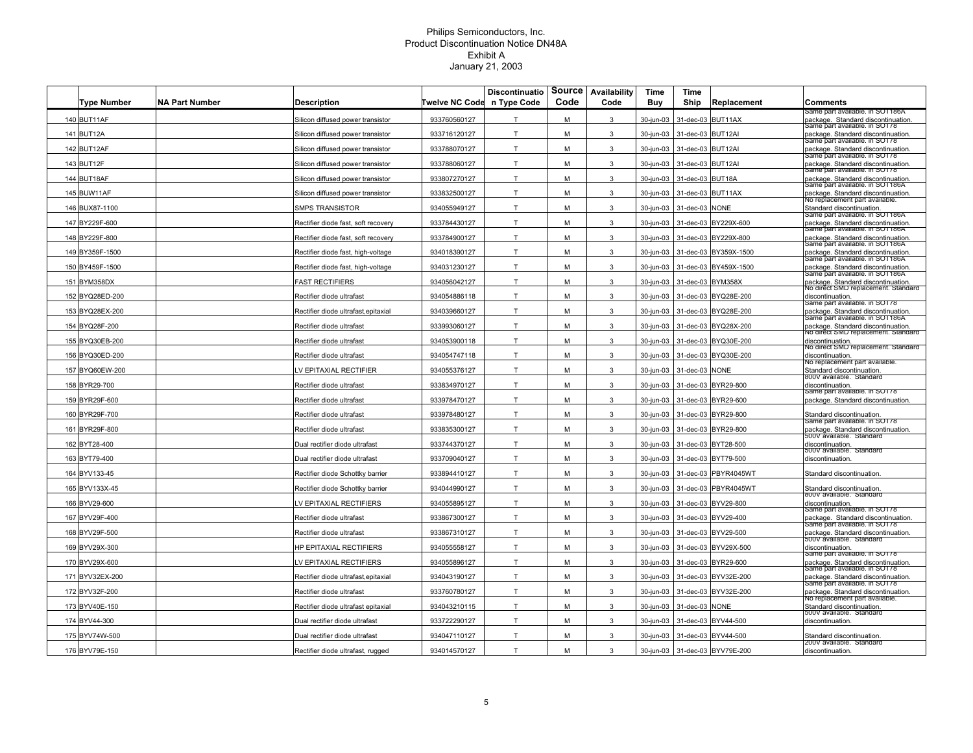| <b>Type Number</b> | <b>NA Part Number</b> | <b>Description</b>                   | <b>Fwelve NC Code</b> | <b>Discontinuatio</b><br>n Type Code | Source<br>Code | Availability<br>Code | Time<br><b>Buy</b> | Time<br>Ship | Replacement           | Comments                                                                                                   |
|--------------------|-----------------------|--------------------------------------|-----------------------|--------------------------------------|----------------|----------------------|--------------------|--------------|-----------------------|------------------------------------------------------------------------------------------------------------|
| 140 BUT11AF        |                       | Silicon diffused power transistor    | 933760560127          | T                                    | м              | 3                    | 30-jun-03          | 31-dec-03    | BUT11AX               | same part available. In SOT186A<br>package. Standard discontinuation.                                      |
| 141 BUT12A         |                       | Silicon diffused power transistor    | 933716120127          | T.                                   | М              | 3                    | 30-jun-03          | 31-dec-03    | BUT12AI               | Same part available. In SOT78<br>package. Standard discontinuation                                         |
| 142 BUT12AF        |                       | Silicon diffused power transistor    | 933788070127          | T.                                   | M              | 3                    | 30-jun-03          | 31-dec-03    | BUT12AI               | Same part available. In SOT78<br>package. Standard discontinuation                                         |
| 143 BUT12F         |                       | Silicon diffused power transistor    | 933788060127          | T.                                   | M              | 3                    | 30-jun-03          | 31-dec-03    | BUT12AI               | same part available. In SOT78<br>package. Standard discontinuation                                         |
| 144 BUT18AF        |                       | Silicon diffused power transistor    | 933807270127          | T                                    | M              | 3                    | 30-jun-03          | 31-dec-03    | BUT18A                | Same part available. In SOT78<br>package. Standard discontinuation                                         |
| 145 BUW11AF        |                       | Silicon diffused power transistor    | 933832500127          | T                                    | M              | 3                    | 30-jun-03          | 31-dec-03    | BUT11AX               | same part avaliable. In SOT186A<br>package. Standard discontinuation.                                      |
| 146 BUX87-1100     |                       | <b>SMPS TRANSISTOR</b>               | 934055949127          | T                                    | M              | 3                    | 30-iun-03          | 31-dec-03    | <b>NONE</b>           | vo replacement part available<br>Standard discontinuation.                                                 |
| 147 BY229F-600     |                       | Rectifier diode fast, soft recovery  | 933784430127          | T                                    | М              | 3                    | 30-jun-03          | 31-dec-03    | BY229X-600            | Same part available. In SOT186A<br>backage. Standard discontinuation                                       |
| 148 BY229F-800     |                       | Rectifier diode fast, soft recovery  | 933784900127          | T                                    | M              | 3                    | 30-jun-03          |              | 31-dec-03 BY229X-800  | same part available. In SOT186A<br>backage. Standard discontinuation                                       |
| 149 BY359F-1500    |                       | Rectifier diode fast, high-voltage   | 934018390127          | T                                    | M              | 3                    | 30-jun-03          |              | 31-dec-03 BY359X-1500 | Same part available. In SOT186A<br>package. Standard discontinuation.                                      |
| 150 BY459F-1500    |                       | Rectifier diode fast, high-voltage   | 934031230127          | T.                                   | M              | 3                    | 30-jun-03          |              | 31-dec-03 BY459X-1500 | same part available. In SOT186A<br>ackage. Standard discontinuation.                                       |
| 151 BYM358DX       |                       | <b>FAST RECTIFIERS</b>               | 934056042127          | T                                    | M              | 3                    | 30-jun-03          | 31-dec-03    | BYM358X               | Same part available. In SOT186A<br>package. Standard discontinuation.                                      |
| 152 BYQ28ED-200    |                       | Rectifier diode ultrafast            | 934054886118          | T                                    | M              | 3                    | 30-jun-03          | 31-dec-03    | BYQ28E-200            | vo direct SMD replacement. Standard<br>discontinuation.                                                    |
| 153 BYQ28EX-200    |                       | Rectifier diode ultrafast, epitaxial | 934039660127          | T                                    | М              | 3                    | 30-jun-03          | 31-dec-03    | BYQ28E-200            | same part available. In SOT78<br>package. Standard discontinuation.                                        |
| 154 BYQ28F-200     |                       | Rectifier diode ultrafast            | 933993060127          | T                                    | М              | 3                    | 30-jun-03          | 31-dec-03    | BYQ28X-200            | Same part available. In SOT186A<br>package. Standard discontinuation                                       |
| 155 BYQ30EB-200    |                       | Rectifier diode ultrafast            | 934053900118          | T                                    | М              | 3                    | 30-jun-03          |              | 31-dec-03 BYQ30E-200  | vo direct SMD replacement. Standard<br>discontinuation.                                                    |
| 156 BYQ30ED-200    |                       | Rectifier diode ultrafast            | 934054747118          | T                                    | M              | 3                    | 30-jun-03          | 31-dec-03    | BYQ30E-200            | vo direct SMD replacement. Standard<br>discontinuation.                                                    |
| 157 BYQ60EW-200    |                       | V EPITAXIAL RECTIFIER                | 934055376127          | T                                    | M              | 3                    | 30-jun-03          | 31-dec-03    | <b>NONE</b>           | no replacement part available.<br>Standard discontinuation.                                                |
| 158 BYR29-700      |                       | Rectifier diode ultrafast            | 933834970127          | T                                    | M              | 3                    | 30-jun-03          | 31-dec-03    | BYR29-800             | 800V available. Standard<br>discontinuation.                                                               |
| 159 BYR29F-600     |                       | Rectifier diode ultrafast            | 933978470127          | T                                    | М              | 3                    | 30-jun-03          | 31-dec-03    | BYR29-600             | same part available. In SOT78<br>package. Standard discontinuation                                         |
| 160 BYR29F-700     |                       | Rectifier diode ultrafast            | 933978480127          | T                                    | M              | 3                    | 30-jun-03          |              | 31-dec-03 BYR29-800   | Standard discontinuation.                                                                                  |
| 161 BYR29F-800     |                       | Rectifier diode ultrafast            | 933835300127          | T                                    | М              | 3                    | 30-jun-03          |              | 31-dec-03 BYR29-800   | same part available. In SOT78<br>backage. Standard discontinuation.<br><del>500V āvallable. Standard</del> |
| 162 BYT28-400      |                       | Dual rectifier diode ultrafast       | 933744370127          | T                                    | м              | 3                    | 30-jun-03          |              | 31-dec-03 BYT28-500   | discontinuation<br>500V available. Standard                                                                |
| 163 BYT79-400      |                       | Dual rectifier diode ultrafast       | 933709040127          | T                                    | M              | 3                    | 30-jun-03          |              | 31-dec-03 BYT79-500   | discontinuation                                                                                            |
| 164 BYV133-45      |                       | Rectifier diode Schottky barrier     | 933894410127          | T                                    | M              | 3                    | 30-jun-03          |              | 31-dec-03 PBYR4045WT  | Standard discontinuation                                                                                   |
| 165 BYV133X-45     |                       | Rectifier diode Schottky barrier     | 934044990127          | T                                    | M              | 3                    | 30-jun-03          | 31-dec-03    | PBYR4045WT            | Standard discontinuation.<br>800V available. Standard                                                      |
| 166 BYV29-600      |                       | V EPITAXIAL RECTIFIERS               | 934055895127          | T                                    | M              | 3                    | 30-jun-03          | 31-dec-03    | BYV29-800             | discontinuation.<br>same part available. In SOT78                                                          |
| 167 BYV29F-400     |                       | Rectifier diode ultrafast            | 933867300127          | T                                    | M              | 3                    | 30-jun-03          | 31-dec-03    | BYV29-400             | package. Standard discontinuation.<br>Same part available. In SOT78                                        |
| 168 BYV29F-500     |                       | Rectifier diode ultrafast            | 933867310127          | T                                    | M              | 3                    | 30-jun-03          | 31-dec-03    | BYV29-500             | package. Standard discontinuation<br><del>buuv ăvaliable.  standard</del>                                  |
| 169 BYV29X-300     |                       | <b>HP EPITAXIAL RECTIFIERS</b>       | 934055558127          | T                                    | м              | 3                    | 30-jun-03          |              | 31-dec-03 BYV29X-500  | discontinuation<br>same part available. In SOT78                                                           |
| 170 BYV29X-600     |                       | V EPITAXIAL RECTIFIERS               | 934055896127          | T                                    | M              | 3                    | 30-jun-03          | 31-dec-03    | BYR29-600             | package. Standard discontinuation.<br>Same part available. In SOT78                                        |
| 171 BYV32EX-200    |                       | Rectifier diode ultrafast,epitaxial  | 934043190127          | T                                    | M              | 3                    | 30-jun-03          | 31-dec-03    | BYV32E-200            | backage. Standard discontinuation<br>same part available. In SOT78                                         |
| 172 BYV32F-200     |                       | Rectifier diode ultrafast            | 933760780127          | T                                    | M              | 3                    | 30-jun-03          | 31-dec-03    | BYV32E-200            | package. Standard discontinuation.<br>No replacement part available                                        |
| 173 BYV40E-150     |                       | Rectifier diode ultrafast epitaxial  | 934043210115          | T                                    | М              | 3                    | 30-jun-03          | 31-dec-03    | <b>NONE</b>           | Standard discontinuation.<br>500V available. Standard                                                      |
| 174 BYV44-300      |                       | Dual rectifier diode ultrafast       | 933722290127          | T                                    | M              | 3                    | 30-jun-03          |              | 31-dec-03 BYV44-500   | discontinuation.                                                                                           |
| 175 BYV74W-500     |                       | Dual rectifier diode ultrafast       | 934047110127          | T                                    | м              | 3                    | 30-jun-03          |              | 31-dec-03 BYV44-500   | Standard discontinuation.<br>zuuv avallable. Standard                                                      |
| 176 BYV79E-150     |                       | Rectifier diode ultrafast, rugged    | 934014570127          | T                                    | M              | 3                    | 30-jun-03          |              | 31-dec-03 BYV79E-200  | discontinuation                                                                                            |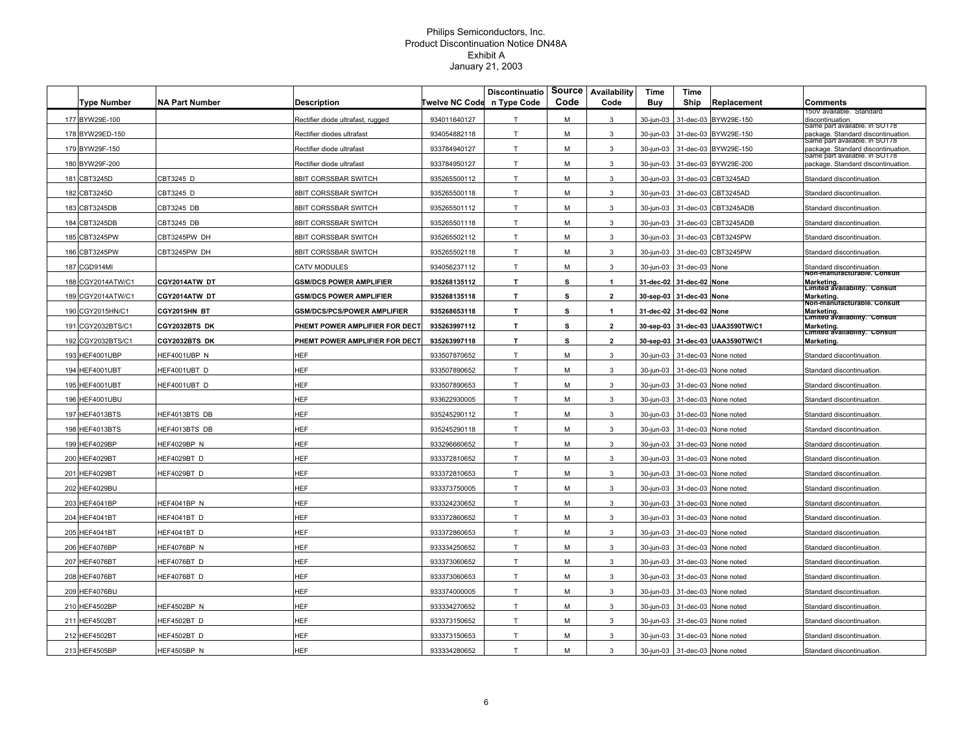|     | <b>Type Number</b> | <b>NA Part Number</b> | Description                        | Twelve NC Code | <b>Discontinuatio</b><br>n Type Code | Source<br>Code | Availability<br>Code | Time<br><b>Buy</b>       | Time<br>Ship             | Replacement            | Comments                                                                   |
|-----|--------------------|-----------------------|------------------------------------|----------------|--------------------------------------|----------------|----------------------|--------------------------|--------------------------|------------------------|----------------------------------------------------------------------------|
|     | 177 BYW29E-100     |                       | Rectifier diode ultrafast, rugged  | 934011640127   | $\mathsf{T}$                         | м              | 3                    | 30-jun-03                | 31-dec-03                | BYW29E-150             | 150V available. Standard<br>discontinuation.                               |
|     | 178 BYW29ED-150    |                       | Rectifier diodes ultrafast         | 934054882118   | T                                    | M              | 3                    | 30-jun-03                |                          | 31-dec-03 BYW29E-150   | same part available. In SOT78<br>package. Standard discontinuation.        |
|     | 179 BYW29F-150     |                       | Rectifier diode ultrafast          | 933784940127   | T                                    | M              | 3                    | 30-jun-03                | 31-dec-03                | BYW29E-150             | same part available. In SOT78<br>package. Standard discontinuation.        |
|     | 180 BYW29F-200     |                       | Rectifier diode ultrafast          | 933784950127   | T                                    | м              | 3                    | 30-jun-03                | 31-dec-03                | BYW29E-200             | Same part available. In SOT78<br>package. Standard discontinuation.        |
|     | 181 CBT3245D       | CBT3245 D             | <b>BBIT CORSSBAR SWITCH</b>        | 935265500112   | T                                    | M              | 3                    | 30-jun-03                | 31-dec-03                | CBT3245AD              | Standard discontinuation                                                   |
|     | 182 CBT3245D       | CBT3245 D             | <b>BBIT CORSSBAR SWITCH</b>        | 935265500118   | T.                                   | M              | 3                    | 30-jun-03                | 31-dec-03                | CBT3245AD              | Standard discontinuation                                                   |
|     | 183 CBT3245DB      | CBT3245 DB            | <b>BBIT CORSSBAR SWITCH</b>        | 935265501112   | $\mathsf{T}$                         | М              | 3                    | 30-jun-03                |                          | 31-dec-03 CBT3245ADB   | Standard discontinuation                                                   |
|     | 184 CBT3245DB      | CBT3245 DB            | 8BIT CORSSBAR SWITCH               | 935265501118   | T                                    | м              | 3                    | 30-jun-03                |                          | 31-dec-03 CBT3245ADB   | Standard discontinuation                                                   |
|     | 185 CBT3245PW      | CBT3245PW DH          | 8BIT CORSSBAR SWITCH               | 935265502112   | T                                    | м              | 3                    | 30-jun-03                |                          | 31-dec-03 CBT3245PW    | Standard discontinuation                                                   |
|     | 186 CBT3245PW      | CBT3245PW DH          | 8BIT CORSSBAR SWITCH               | 935265502118   | $\mathsf T$                          | м              | $\mathbf{3}$         | 30-jun-03                |                          | 31-dec-03 CBT3245PW    | Standard discontinuation                                                   |
|     | 187 CGD914MI       |                       | CATV MODULES                       | 934056237112   | $\top$                               | M              | $\mathbf{3}$         | 30-jun-03                | 31-dec-03                | None                   | Standard discontinuation.<br>Non-manuracturable. Consult                   |
|     | 188 CGY2014ATW/C1  | CGY2014ATW DT         | <b>GSM/DCS POWER AMPLIFIER</b>     | 935268135112   | T.                                   | s              | $\mathbf{1}$         | 31-dec-02                | 31-dec-02 None           |                        | Marketing.                                                                 |
|     | 189 CGY2014ATW/C1  | CGY2014ATW DT         | <b>GSM/DCS POWER AMPLIFIER</b>     | 935268135118   | T.                                   | s              | $\overline{2}$       |                          | 30-sep-03 31-dec-03 None |                        | Limited availability. Consult<br>Marketing.<br>Non-manuracturable. Consult |
|     | 190 CGY2015HN/C1   | CGY2015HN BT          | <b>GSM/DCS/PCS/POWER AMPLIFIER</b> | 935268653118   | T                                    | s              | $\mathbf{1}$         | 31-dec-02 31-dec-02 None |                          |                        | Marketing.<br>Limited availability. Consult                                |
|     | 191 CGY2032BTS/C1  | CGY2032BTS DK         | PHEMT POWER AMPLIFIER FOR DECT     | 935263997112   | T.                                   | s              | $\mathbf{2}$         | 30-sep-03                |                          | 31-dec-03 UAA3590TW/C1 | Marketing.<br>Limited availability. Consult                                |
|     | 192 CGY2032BTS/C1  | CGY2032BTS DK         | PHEMT POWER AMPLIFIER FOR DECT     | 935263997118   | T.                                   | s              | $\overline{2}$       | 30-sep-03                |                          | 31-dec-03 UAA3590TW/C1 | Marketing.                                                                 |
|     | 193 HEF4001UBP     | HEF4001UBP N          | HEF                                | 933507870652   | T                                    | M              | 3                    | 30-jun-03                | 31-dec-03                | None noted             | Standard discontinuation.                                                  |
|     | 194 HEF4001UBT     | HEF4001UBT D          | HEF                                | 933507890652   | T.                                   | M              | 3                    | 30-jun-03                | 31-dec-03                | None noted             | Standard discontinuation                                                   |
|     | 195 HEF4001UBT     | <b>IEF4001UBT D</b>   | <b>IEF</b>                         | 933507890653   | T                                    | м              | 3                    | 30-jun-03                |                          | 31-dec-03 None noted   | Standard discontinuation                                                   |
|     | 196 HEF4001UBU     |                       | <b>HEF</b>                         | 933622930005   | $\mathsf{T}$                         | М              | 3                    | 30-jun-03                |                          | 31-dec-03 None noted   | Standard discontinuation                                                   |
|     | 197 HEF4013BTS     | HEF4013BTS DB         | HEF                                | 935245290112   | T                                    | M              | 3                    | 30-jun-03                |                          | 31-dec-03 None noted   | Standard discontinuation                                                   |
|     | 198 HEF4013BTS     | HEF4013BTS DB         | HEF                                | 935245290118   | T                                    | м              | 3                    | 30-jun-03                |                          | 31-dec-03 None noted   | Standard discontinuation                                                   |
|     | 199 HEF4029BP      | HEF4029BP N           | <b>HEF</b>                         | 933296660652   | T.                                   | м              | 3                    | 30-jun-03                |                          | 31-dec-03 None noted   | Standard discontinuation                                                   |
|     | 200 HEF4029BT      | HEF4029BT D           | <b>HEF</b>                         | 933372810652   | T                                    | M              | 3                    | 30-jun-03                | 31-dec-03                | None noted             | Standard discontinuation                                                   |
|     | 201 HEF4029BT      | HEF4029BT D           | <b>HEF</b>                         | 933372810653   | $\mathsf T$                          | M              | $\mathbf{3}$         | 30-jun-03                | 31-dec-03                | None noted             | Standard discontinuation                                                   |
|     | 202 HEF4029BU      |                       | HEF                                | 933373750005   | T                                    | M              | 3                    | 30-jun-03                | 31-dec-03                | None noted             | Standard discontinuation                                                   |
|     | 203 HEF4041BP      | IEF4041BP N           | <b>HEF</b>                         | 933324230652   | $\mathsf{T}$                         | м              | 3                    | 30-jun-03                | 31-dec-03                | None noted             | Standard discontinuation                                                   |
|     | 204 HEF4041BT      | HEF4041BT D           | HEF                                | 933372860652   | T.                                   | M              | 3                    | 30-jun-03                |                          | 31-dec-03 None noted   | Standard discontinuation                                                   |
|     | 205 HEF4041BT      | HEF4041BT D           | <b>HEF</b>                         | 933372860653   | T                                    | M              | 3                    | 30-jun-03                | 31-dec-03                | None noted             | Standard discontinuation                                                   |
| 206 | IEF4076BP          | HEF4076BP N           | <b>HEF</b>                         | 933334250652   | T                                    | M              | 3                    | 30-jun-03                | 31-dec-03                | None noted             | Standard discontinuation.                                                  |
|     | 207 HEF4076BT      | IEF4076BT D           | <b>HEF</b>                         | 933373060652   | T                                    | M              | 3                    | 30-jun-03                | 31-dec-03                | None noted             | Standard discontinuation                                                   |
|     | 208 HEF4076BT      | HEF4076BT D           | <b>HEF</b>                         | 933373060653   | T                                    | м              | 3                    | 30-jun-03                |                          | 31-dec-03 None noted   | Standard discontinuation                                                   |
| 209 | HEF4076BU          |                       | <b>HEF</b>                         | 933374000005   | $\mathsf{T}$                         | М              | 3                    | 30-jun-03                | 31-dec-03                | None noted             | Standard discontinuation                                                   |
|     | 210 HEF4502BP      | IEF4502BP N           | <b>HEF</b>                         | 933334270652   | T                                    | M              | 3                    | 30-jun-03                |                          | 31-dec-03 None noted   | Standard discontinuation                                                   |
|     | 211 HEF4502BT      | HEF4502BT D           | HEF                                | 933373150652   | T.                                   | M              | 3                    | 30-jun-03                |                          | 31-dec-03 None noted   | Standard discontinuation                                                   |
|     | 212 HEF4502BT      | HEF4502BT D           | <b>HEF</b>                         | 933373150653   | T                                    | M              | 3                    | 30-jun-03                | 31-dec-03                | None noted             | Standard discontinuation                                                   |
|     | 213 HEF4505BP      | HEF4505BP N           | HEF                                | 933334280652   | T.                                   | M              | 3                    | 30-jun-03                |                          | 31-dec-03 None noted   | Standard discontinuation                                                   |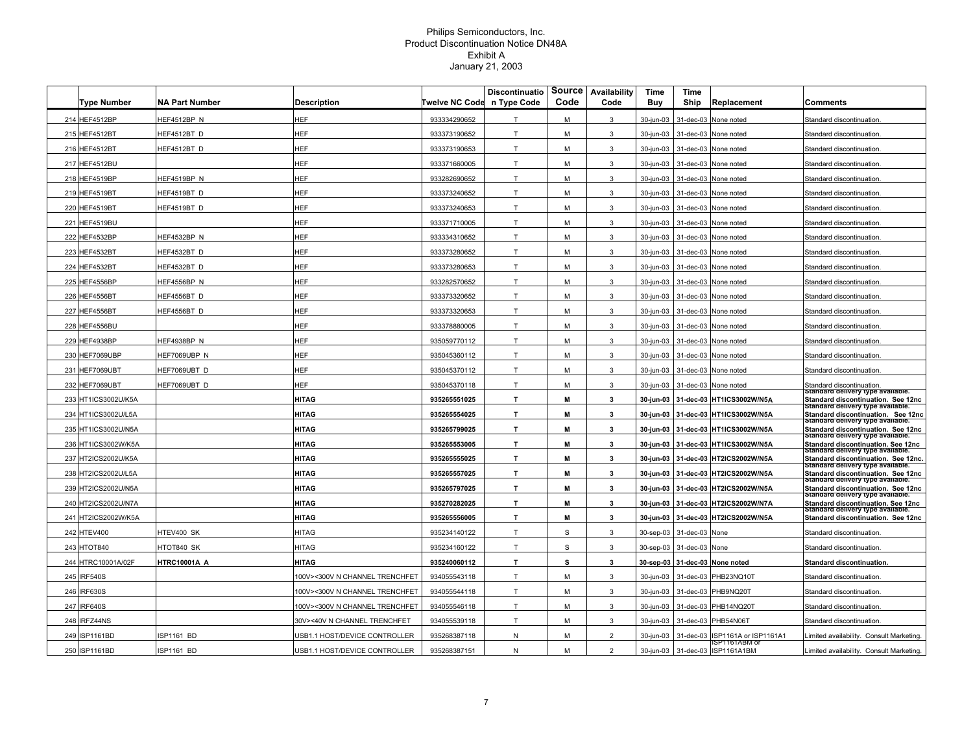|       | <b>Type Number</b>  | <b>NA Part Number</b> | <b>Description</b>            | <b>Twelve NC Code</b> | <b>Discontinuatio</b><br>n Type Code | <b>Source</b><br>Code | Availability<br>Code | Time<br>Buy | Time<br>Ship   | Replacement                             | Comments                                                                                                     |
|-------|---------------------|-----------------------|-------------------------------|-----------------------|--------------------------------------|-----------------------|----------------------|-------------|----------------|-----------------------------------------|--------------------------------------------------------------------------------------------------------------|
|       | 214 HEF4512BP       | HEF4512BP N           | <b>HEF</b>                    | 933334290652          | $\mathsf{T}$                         | м                     | 3                    | 30-jun-03   |                | 31-dec-03 None noted                    | Standard discontinuation                                                                                     |
|       | 215 HEF4512BT       | HEF4512BT D           | HEF                           | 933373190652          | T.                                   | M                     | 3                    | 30-jun-03   |                | 31-dec-03 None noted                    | Standard discontinuation                                                                                     |
|       | 216 HEF4512BT       | HEF4512BT D           | HEF                           | 933373190653          | T.                                   | M                     | 3                    | 30-jun-03   |                | 31-dec-03 None noted                    | Standard discontinuation                                                                                     |
|       | 217 HEF4512BU       |                       | HEF                           | 933371660005          | $\mathsf{T}$                         | м                     | 3                    | 30-jun-03   |                | 31-dec-03 None noted                    | Standard discontinuation                                                                                     |
|       | 218 HEF4519BP       | HEF4519BP N           | HEF                           | 933282690652          | T                                    | м                     | 3                    | 30-jun-03   |                | 31-dec-03 None noted                    | Standard discontinuation                                                                                     |
|       | 219 HEF4519BT       | HEF4519BT D           | <b>HEF</b>                    | 933373240652          | T                                    | M                     | 3                    | 30-jun-03   |                | 31-dec-03 None noted                    | Standard discontinuation                                                                                     |
|       | 220 HEF4519BT       | HEF4519BT D           | <b>HEF</b>                    | 933373240653          | T                                    | M                     | 3                    | 30-jun-03   |                | 31-dec-03 None noted                    | Standard discontinuation                                                                                     |
|       | 221 HEF4519BU       |                       | <b>IEF</b>                    | 933371710005          | T                                    | М                     | 3                    | 30-jun-03   |                | 31-dec-03 None noted                    | Standard discontinuation                                                                                     |
|       | 222 HEF4532BP       | HEF4532BP N           | <b>HEF</b>                    | 933334310652          | T                                    | м                     | 3                    | 30-jun-03   |                | 31-dec-03 None noted                    | Standard discontinuation                                                                                     |
|       | 223 HEF4532BT       | HEF4532BT D           | HEF                           | 933373280652          | T                                    | M                     | 3                    | 30-jun-03   |                | 31-dec-03 None noted                    | Standard discontinuation                                                                                     |
|       | 224 HEF4532BT       | HEF4532BT D           | HEF                           | 933373280653          | T                                    | M                     | 3                    | 30-jun-03   |                | 31-dec-03 None noted                    | Standard discontinuation                                                                                     |
|       | 225 HEF4556BP       | HEF4556BP N           | HEF                           | 933282570652          | T.                                   | М                     | 3                    | 30-jun-03   |                | 31-dec-03 None noted                    | Standard discontinuation                                                                                     |
|       | 226 HEF4556BT       | HEF4556BT D           | HEF                           | 933373320652          | T.                                   | M                     | 3                    | 30-jun-03   | 31-dec-03      | None noted                              | Standard discontinuation                                                                                     |
|       | 227 HEF4556BT       | HEF4556BT D           | HEF                           | 933373320653          | T                                    | м                     | 3                    | 30-jun-03   |                | 31-dec-03 None noted                    | Standard discontinuation                                                                                     |
|       | 228 HEF4556BU       |                       | HEF                           | 933378880005          | T                                    | м                     | 3                    | 30-jun-03   |                | 31-dec-03 None noted                    | Standard discontinuation                                                                                     |
| 229 H | IEF4938BP           | HEF4938BP N           | HEF                           | 935059770112          | T                                    | M                     | 3                    | 30-jun-03   |                | 31-dec-03 None noted                    | Standard discontinuation                                                                                     |
| 230 H | HEF7069UBP          | HEF7069UBP N          | HEF                           | 935045360112          | T                                    | м                     | 3                    | 30-jun-03   |                | 31-dec-03 None noted                    | Standard discontinuation                                                                                     |
|       | 231 HEF7069UBT      | HEF7069UBT D          | HEF                           | 935045370112          | T                                    | M                     | 3                    | 30-jun-03   |                | 31-dec-03 None noted                    | Standard discontinuation.                                                                                    |
|       | 232 HEF7069UBT      | HEF7069UBT D          | HEF                           | 935045370118          | T.                                   | M                     | 3                    | 30-jun-03   |                | 31-dec-03 None noted                    | Standard discontinuation                                                                                     |
|       | 233 HT1ICS3002U/K5A |                       | <b>HITAG</b>                  | 935265551025          | T                                    | M                     | 3                    | 30-jun-03   |                | 31-dec-03 HT1ICS3002W/N5A               | Standard delivery type available.<br>Standard discontinuation. See 12nc                                      |
|       | 234 HT1ICS3002U/L5A |                       | HITAG                         | 935265554025          | T                                    | M                     | 3                    | 30-jun-03   |                | 31-dec-03 HT1ICS3002W/N5A               | Standard delivery type available.<br>Standard discontinuation. See 12nc                                      |
|       | 235 HT1ICS3002U/N5A |                       | HITAG                         | 935265799025          | T                                    | М                     | 3                    | 30-jun-03   |                | 31-dec-03 HT1ICS3002W/N5A               | Standard delivery type available.<br>Standard discontinuation. See 12nc                                      |
|       | 236 HT1ICS3002W/K5A |                       | <b>HITAG</b>                  | 935265553005          | T.                                   | M                     | 3                    | 30-jun-03   |                | 31-dec-03 HT1ICS3002W/N5A               | Standard delivery type available.<br>Standard discontinuation. See 12nc<br>Standard delivery type available. |
|       | 237 HT2ICS2002U/K5A |                       | HITAG                         | 935265555025          | $\mathbf T$                          | M                     | 3                    | 30-jun-03   |                | 31-dec-03 HT2ICS2002W/N5A               | Standard discontinuation. See 12nc.                                                                          |
|       | 238 HT2ICS2002U/L5A |                       | <b>HITAG</b>                  | 935265557025          | $\mathbf T$                          | M                     | 3                    | 30-jun-03   |                | 31-dec-03 HT2ICS2002W/N5A               | Standard delivery type available.<br>Standard discontinuation. See 12nc                                      |
|       | 239 HT2ICS2002U/N5A |                       | HITAG                         | 935265797025          | T.                                   | M                     | 3                    | 30-jun-03   |                | 31-dec-03 HT2ICS2002W/N5A               | Standard delivery type available.<br>Standard discontinuation. See 12nc                                      |
|       | 240 HT2ICS2002U/N7A |                       | HITAG                         | 935270282025          | T.                                   | M                     | 3                    | 30-jun-03   |                | 31-dec-03 HT2ICS2002W/N7A               | Standard delivery type available.<br>Standard discontinuation. See 12nc                                      |
|       | 241 HT2ICS2002W/K5A |                       | <b>HITAG</b>                  | 935265556005          | T                                    | М                     | 3                    | 30-jun-03   |                | 31-dec-03 HT2ICS2002W/N5A               | Standard delivery type available.<br>Standard discontinuation. See 12nc                                      |
|       | 242 HTEV400         | HTEV400 SK            | HITAG                         | 935234140122          | T.                                   | S                     | 3                    | 30-sep-03   | 31-dec-03 None |                                         | Standard discontinuation                                                                                     |
|       | 243 HTOT840         | HTOT840 SK            | <b>HITAG</b>                  | 935234160122          | T                                    | S                     | 3                    | 30-sep-03   | 31-dec-03 None |                                         | Standard discontinuation                                                                                     |
|       | 244 HTRC10001A/02F  | HTRC10001A A          | HITAG                         | 935240060112          | T                                    | s                     | 3                    | 30-sep-03   |                | 31-dec-03 None noted                    | <b>Standard discontinuation.</b>                                                                             |
|       | 245 IRF540S         |                       | 00V><300V N CHANNEL TRENCHFET | 934055543118          | T                                    | м                     | 3                    | 30-jun-03   | 31-dec-03      | PHB23NQ10T                              | Standard discontinuation                                                                                     |
|       | 246 IRF630S         |                       | 00V><300V N CHANNEL TRENCHFET | 934055544118          | T                                    | M                     | 3                    | 30-jun-03   |                | 31-dec-03 PHB9NQ20T                     | Standard discontinuation                                                                                     |
|       | 247 IRF640S         |                       | 00V><300V N CHANNEL TRENCHFET | 934055546118          | T                                    | M                     | 3                    | 30-jun-03   |                | 31-dec-03 PHB14NQ20T                    | Standard discontinuation                                                                                     |
|       | 248 IRFZ44NS        |                       | 30V><40V N CHANNEL TRENCHFET  | 934055539118          | T                                    | М                     | 3                    | 30-jun-03   |                | 31-dec-03 PHB54N06T                     | Standard discontinuation                                                                                     |
|       | 249 ISP1161BD       | SP1161 BD             | JSB1.1 HOST/DEVICE CONTROLLER | 935268387118          | N                                    | M                     | $\overline{2}$       | 30-jun-03   |                | 31-dec-03 ISP1161A or ISP1161A1         | Limited availability. Consult Marketing.                                                                     |
|       | 250 ISP1161BD       | ISP1161 BD            | USB1.1 HOST/DEVICE CONTROLLER | 935268387151          | N                                    | м                     | $\overline{2}$       | 30-jun-03   |                | SP T T6 TABM O<br>31-dec-03 ISP1161A1BM | Limited availability. Consult Marketing.                                                                     |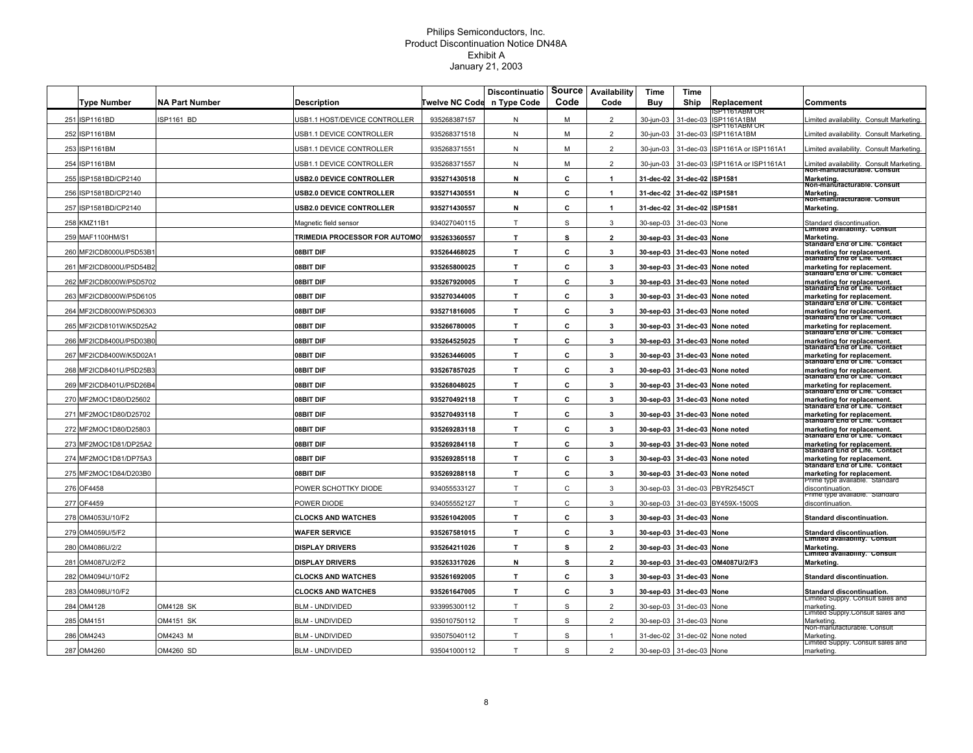|                         |                       |                                      |                | <b>Discontinuatio</b> | Source | Availability         | Time       | Time                     |                                             |                                                                                              |
|-------------------------|-----------------------|--------------------------------------|----------------|-----------------------|--------|----------------------|------------|--------------------------|---------------------------------------------|----------------------------------------------------------------------------------------------|
| <b>Type Number</b>      | <b>NA Part Number</b> | <b>Description</b>                   | Twelve NC Code | n Type Code           | Code   | Code                 | <b>Buy</b> | Ship                     | Replacement                                 | Comments                                                                                     |
| 251 ISP1161BD           | SP1161 BD             | JSB1.1 HOST/DEVICE CONTROLLER        | 935268387157   | N                     | M      | $\overline{2}$       | 30-jun-03  | 31-dec-03                | SP1161ABM OF<br>ISP1161A1BM<br>SP1161ABM OF | imited availability. Consult Marketing                                                       |
| 252 ISP1161BM           |                       | JSB1.1 DEVICE CONTROLLER             | 935268371518   | N                     | M      | $\overline{2}$       | 30-jun-03  | 31-dec-03                | <b>ISP1161A1BM</b>                          | imited availability. Consult Marketing                                                       |
| 253 ISP1161BM           |                       | JSB1.1 DEVICE CONTROLLER             | 935268371551   | N                     | M      | $\overline{2}$       | 30-iun-03  | 31-dec-03                | SP1161A or ISP1161A1                        | imited availability. Consult Marketing.                                                      |
| 254 ISP1161BM           |                       | ISB1.1 DEVICE CONTROLLER             | 935268371557   | ${\sf N}$             | М      | $\overline{2}$       | 30-jun-03  | 31-dec-03                | ISP1161A or ISP1161A1                       | imited availability. Consult Marketing.<br>Non-manuracturable. Consult                       |
| 255 ISP1581BD/CP2140    |                       | <b>JSB2.0 DEVICE CONTROLLER</b>      | 935271430518   | N                     | c      | $\mathbf{1}$         | 31-dec-02  | 31-dec-02 ISP1581        |                                             | Marketing.<br>Non-manuracturable. Consult                                                    |
| 256 ISP1581BD/CP2140    |                       | <b>JSB2.0 DEVICE CONTROLLER</b>      | 935271430551   | N                     | С      | $\blacktriangleleft$ | 31-dec-02  | 31-dec-02                | <b>ISP1581</b>                              | Marketing.<br>Non-manuracturable. Consult                                                    |
| 257 ISP1581BD/CP2140    |                       | <b>JSB2.0 DEVICE CONTROLLER</b>      | 935271430557   | N                     | C      |                      |            | 31-dec-02 31-dec-02      | <b>ISP1581</b>                              | Marketing.                                                                                   |
| 258 KMZ11B1             |                       | Magnetic field sensor                | 934027040115   | T                     | S      | 3                    | 30-sep-03  | 31-dec-03                | None                                        | Standard discontinuation.                                                                    |
| 259 MAF1100HM/S1        |                       | <b>TRIMEDIA PROCESSOR FOR AUTOMO</b> | 935263360557   | $\mathbf{T}$          | s      | $\mathbf{2}$         |            | 30-sep-03 31-dec-03 None |                                             | Limited availability. Consult<br>Marketing.                                                  |
| 260 MF2ICD8000U/P5D53B1 |                       | <b>08BIT DIF</b>                     | 935264468025   | T.                    | С      | 3                    |            |                          | 30-sep-03 31-dec-03 None noted              | Standard End of Life. Contact<br>marketing for replacement.                                  |
| 261 MF2ICD8000U/P5D54B2 |                       | 08BIT DIF                            | 935265800025   | $\mathbf{T}$          | С      | 3                    |            |                          | 30-sep-03 31-dec-03 None noted              | Standard End of Life. Contact<br>marketing for replacement.                                  |
| 262 MF2ICD8000W/P5D5702 |                       | 08BIT DIF                            | 935267920005   | $\mathbf{T}$          | c      | 3                    | 30-sep-03  | 31-dec-03                | None noted                                  | Standard End of Life. Contact<br>marketing for replacement.                                  |
| 263 MF2ICD8000W/P5D6105 |                       | 08BIT DIF                            | 935270344005   | T.                    | C      | $\mathbf{3}$         | 30-sep-03  |                          | 31-dec-03 None noted                        | Standard End of Life. Contact<br>marketing for replacement.                                  |
| 264 MF2ICD8000W/P5D6303 |                       | <b>08BIT DIF</b>                     | 935271816005   | T.                    | С      | 3                    | 30-sep-03  |                          | 31-dec-03 None noted                        | Standard End of Life. Contact<br>marketing for replacement.<br>Standard End of Life. Contact |
| 265 MF2ICD8101W/K5D25A2 |                       | 08BIT DIF                            | 935266780005   | т                     | С      | 3                    | 30-sep-03  |                          | 31-dec-03 None noted                        | marketing for replacement.                                                                   |
| 266 MF2ICD8400U/P5D03B0 |                       | 08BIT DIF                            | 935264525025   | $\mathbf{T}$          | c      | 3                    | 30-sep-03  |                          | 31-dec-03 None noted                        | Standard End of Life. Contact<br>marketing for replacement.                                  |
| 267 MF2ICD8400W/K5D02A1 |                       | 08BIT DIF                            | 935263446005   | $\mathbf{T}$          | c      | $\mathbf{3}$         | 30-sep-03  |                          | 31-dec-03 None noted                        | Standard End of Life. Contact<br>marketing for replacement.                                  |
| 268 MF2ICD8401U/P5D25B3 |                       | 08BIT DIF                            | 935267857025   | $\mathbf{T}$          | С      | 3                    |            |                          | 30-sep-03 31-dec-03 None noted              | Standard End of Life. Contact<br>marketing for replacement.                                  |
| 269 MF2ICD8401U/P5D26B4 |                       | 08BIT DIF                            | 935268048025   | $\mathbf{T}$          | c      | 3                    | 30-sep-03  |                          | 31-dec-03 None noted                        | Standard End of Life. Contact<br>marketing for replacement.                                  |
| 270 MF2MOC1D80/D25602   |                       | 08BIT DIF                            | 935270492118   | T.                    | C      | $\mathbf{3}$         |            |                          | 30-sep-03 31-dec-03 None noted              | Standard End of Life. Contact<br>marketing for replacement.                                  |
| 271 MF2MOC1D80/D25702   |                       | 08BIT DIF                            | 935270493118   | T.                    | С      | 3                    |            |                          | 30-sep-03 31-dec-03 None noted              | Standard End of Life. Contact<br>marketing for replacement.                                  |
| 272 MF2MOC1D80/D25803   |                       | 08BIT DIF                            | 935269283118   | T                     | С      | 3                    |            |                          | 30-sep-03 31-dec-03 None noted              | Standard End of Life. Contact<br>marketing for replacement.                                  |
| 273 MF2MOC1D81/DP25A2   |                       | 08BIT DIF                            | 935269284118   | $\mathbf{T}$          | c      | 3                    |            |                          | 30-sep-03 31-dec-03 None noted              | Standard End of Life. Contact<br>marketing for replacement.                                  |
| 274 MF2MOC1D81/DP75A3   |                       | 08BIT DIF                            | 935269285118   | $\mathbf{T}$          | C      | $\mathbf{3}$         |            |                          | 30-sep-03 31-dec-03 None noted              | Standard End of Life. Contact<br>marketing for replacement.                                  |
|                         |                       | <b>08BIT DIF</b>                     | 935269288118   | $\mathbf{T}$          | C      | 3                    |            |                          |                                             | Standard End of Life. Contact                                                                |
| 275 MF2MOC1D84/D203B0   |                       |                                      |                |                       |        |                      |            |                          | 30-sep-03 31-dec-03 None noted              | marketing for replacement.<br>-rime type available. Standard                                 |
| 276 OF4458              |                       | POWER SCHOTTKY DIODE                 | 934055533127   | T                     | C      | 3                    | 30-sep-03  | 31-dec-03                | PBYR2545CT                                  | discontinuation.<br>-nme type available. Standard                                            |
| 277 OF4459              |                       | POWER DIODE                          | 934055552127   | T                     | C      | 3                    | 30-sep-03  | 31-dec-03                | BY459X-1500S                                | discontinuation.                                                                             |
| 278 OM4053U/10/F2       |                       | <b>CLOCKS AND WATCHES</b>            | 935261042005   | $\mathbf{T}$          | C      | 3                    | 30-sep-03  | 31-dec-03 None           |                                             | Standard discontinuation.                                                                    |
| 279 OM4059U/5/F2        |                       | <b>WAFER SERVICE</b>                 | 935267581015   | $\mathbf{T}$          | C      | 3                    | 30-sep-03  | 31-dec-03 None           |                                             | Standard discontinuation.<br>Limited availability. Consult                                   |
| 280 OM4086U/2/2         |                       | <b>DISPLAY DRIVERS</b>               | 935264211026   | $\mathbf{T}$          | s      | $\mathbf{2}$         | 30-sep-03  | 31-dec-03 None           |                                             | Marketing.<br>Limited availability. Consult                                                  |
| 281 OM4087U/2/F2        |                       | <b>DISPLAY DRIVERS</b>               | 935263317026   | N                     | s      | $\overline{2}$       | 30-sep-03  |                          | 31-dec-03 OM4087U/2/F3                      | <b>Marketing</b>                                                                             |
| 282 OM4094U/10/F2       |                       | <b>CLOCKS AND WATCHES</b>            | 935261692005   | $\mathbf{T}$          | c      | $\mathbf{3}$         | 30-sep-03  | 31-dec-03 None           |                                             | <b>Standard discontinuation.</b>                                                             |
| 283 OM4098U/10/F2       |                       | <b>CLOCKS AND WATCHES</b>            | 935261647005   | $\mathbf{T}$          | c      | 3                    | 30-sep-03  | 31-dec-03                | None                                        | Standard discontinuation.<br>Limited Supply. Consult sales and                               |
| 284 OM4128              | <b>OM4128 SK</b>      | BLM - UNDIVIDED                      | 933995300112   | T                     | S      | $\overline{2}$       | 30-sep-03  | 31-dec-03                | None                                        | marketing<br>Limited Supply.Consult sales and                                                |
| 285 OM4151              | OM4151 SK             | BLM - UNDIVIDED                      | 935010750112   | T                     | S      | $\mathfrak{p}$       | 30-sep-03  | 31-dec-03                | None                                        | Marketing<br>Non-manuracturable. Consult                                                     |
| 286 OM4243              | OM4243 M              | BLM - UNDIVIDED                      | 935075040112   | T                     | S      |                      | 31-dec-02  | 31-dec-02                | None noted                                  | Marketing.                                                                                   |
| 287 OM4260              | OM4260 SD             | <b>BLM - UNDIVIDED</b>               | 935041000112   | T                     | S      | $\overline{2}$       |            | 30-sep-03 31-dec-03 None |                                             | Limited Supply. Consult sales and<br>marketing.                                              |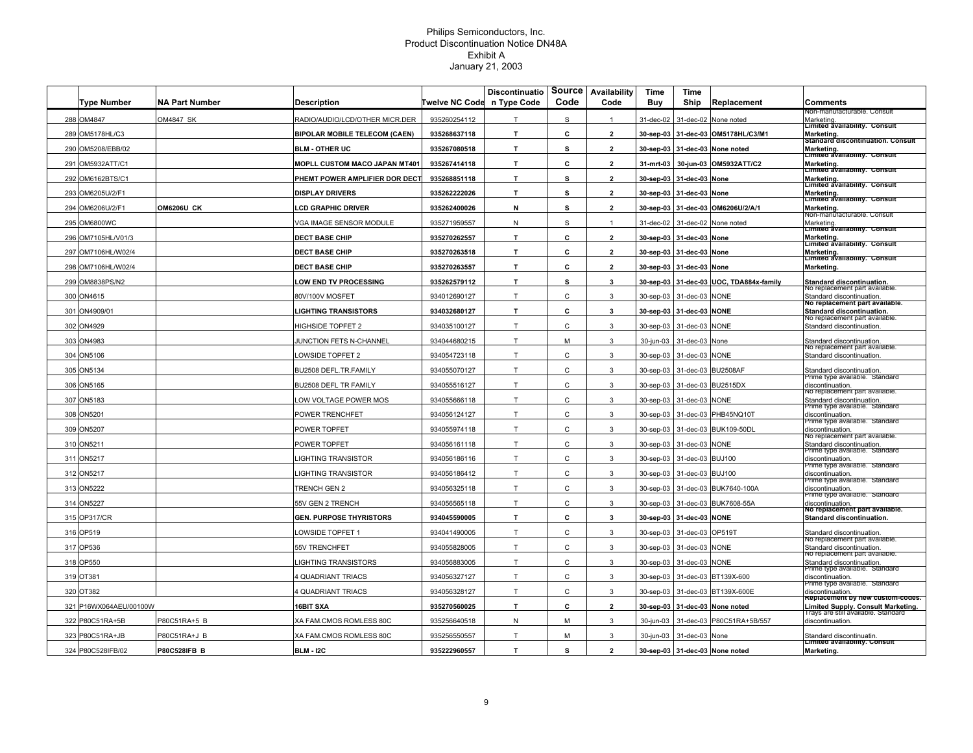|                        |                       |                                      |                | <b>Discontinuatio</b> | Source       | Availability             | Time                   | Time                     |                                         |                                                                                                |
|------------------------|-----------------------|--------------------------------------|----------------|-----------------------|--------------|--------------------------|------------------------|--------------------------|-----------------------------------------|------------------------------------------------------------------------------------------------|
| <b>Type Number</b>     | <b>NA Part Number</b> | Description                          | Twelve NC Code | n Type Code           | Code         | Code                     | Buy                    | Ship                     | Replacement                             | Comments<br>von-manuracturable. Consult                                                        |
| 288 OM4847             | OM4847 SK             | RADIO/AUDIO/LCD/OTHER MICR.DER       | 935260254112   | T                     | S            | $\mathbf{1}$             | 31-dec-02              | 31-dec-02                | None noted                              | Marketing.<br>Limited ăvailability. Consult                                                    |
| 289 OM5178HL/C3        |                       | <b>BIPOLAR MOBILE TELECOM (CAEN)</b> | 935268637118   | T.                    | c            | $\overline{2}$           | 30-sep-03              |                          | 31-dec-03 OM5178HL/C3/M1                | Marketing.<br>Standard discontinuation. Consult                                                |
| 290 OM5208/EBB/02      |                       | <b>BLM - OTHER UC</b>                | 935267080518   | T.                    | s            | $\overline{2}$           | 30-sep-03              | 31-dec-03                | None noted                              | Marketing.<br>Limited availability. Consult                                                    |
| 291 OM5932ATT/C1       |                       | <b>MOPLL CUSTOM MACO JAPAN MT401</b> | 935267414118   | T.                    | C            | $\overline{2}$           | 31-mrt-03              | 30-jun-03                | <b>OM5932ATT/C2</b>                     | Marketing.                                                                                     |
| 292 OM6162BTS/C1       |                       | PHEMT POWER AMPLIFIER DOR DECT       | 935268851118   | T.                    | s            | $\overline{2}$           |                        | 30-sep-03 31-dec-03 None |                                         | Limited availability. Consult<br>Marketing.                                                    |
| 293 OM6205U/2/F1       |                       | <b>DISPLAY DRIVERS</b>               | 935262222026   | T.                    | s            | $\overline{2}$           |                        | 30-sep-03 31-dec-03 None |                                         | Limited availability. Consult<br>Marketing.                                                    |
| 294 OM6206U/2/F1       | <b>OM6206U CK</b>     | <b>CD GRAPHIC DRIVER</b>             | 935262400026   | N                     | s            | $\overline{2}$           |                        |                          | 30-sep-03 31-dec-03 OM6206U/2/A/1       | Limited availability. Consult<br>Marketing.                                                    |
| 295 OM6800WC           |                       | /GA IMAGE SENSOR MODULE              | 935271959557   | N                     | $\mathbb S$  | $\mathbf{1}$             |                        |                          | 31-dec-02 31-dec-02 None noted          | Non-manūracturable. Consult<br>Marketing.                                                      |
| 296 OM7105HL/V01/3     |                       | <b>DECT BASE CHIP</b>                | 935270262557   | T.                    | c            | $\overline{2}$           |                        | 30-sep-03 31-dec-03 None |                                         | Limited ăvailability.  Consult<br>Marketing.                                                   |
| 297 OM7106HL/W02/4     |                       | <b>DECT BASE CHIP</b>                | 935270263518   | T.                    | c            | $\overline{2}$           |                        | 30-sep-03 31-dec-03 None |                                         | Limited availability. Consult<br>Marketing.                                                    |
| 298 OM7106HL/W02/4     |                       | <b>DECT BASE CHIP</b>                | 935270263557   | $\mathbf{T}$          | c            | $\overline{2}$           | 30-sep-03              | 31-dec-03 None           |                                         | Limited availability. Consult<br>Marketing.                                                    |
| 299 OM8838PS/N2        |                       | <b>LOW END TV PROCESSING</b>         | 935262579112   | $\mathbf{T}$          | s            | 3                        |                        |                          | 30-sep-03 31-dec-03 UOC, TDA884x-family | Standard discontinuation.                                                                      |
| 300 ON4615             |                       | 80V/100V MOSFET                      | 934012690127   | T.                    | C            | 3                        | 30-sep-03              | 31-dec-03                | <b>NONE</b>                             | vo replacement part available<br>Standard discontinuation.                                     |
| 301 ON4909/01          |                       | <b>LIGHTING TRANSISTORS</b>          | 934032680127   | T.                    | c            | 3                        |                        | 30-sep-03 31-dec-03 NONE |                                         | no replacement part available.<br>Standard discontinuation.                                    |
| 302 ON4929             |                       | <b>HIGHSIDE TOPFET 2</b>             | 934035100127   | T                     | C            | 3                        | 30-sep-03              | 31-dec-03                | <b>NONE</b>                             | No replacement part available.<br>Standard discontinuation.                                    |
| 303 ON4983             |                       | UNCTION FETS N-CHANNEL               | 934044680215   | T                     | M            | 3                        | 30-jun-03              | 31-dec-03                | None                                    | Standard discontinuation.                                                                      |
| 304 ON5106             |                       | OWSIDE TOPFET 2                      | 934054723118   | T.                    | C            | 3                        | 30-sep-03              | 31-dec-03                | <b>NONE</b>                             | no replacement part available.<br>Standard discontinuation                                     |
| 305 ON5134             |                       | 3U2508 DEFL.TR.FAMILY                | 934055070127   | T                     | $\mathsf{C}$ | 3                        | 30-sep-03              | 31-dec-03                | <b>BU2508AF</b>                         | Standard discontinuation.                                                                      |
| 306 ON5165             |                       | 3U2508 DEFL TR FAMILY                | 934055516127   | T                     | C            | 3                        | 30-sep-03              |                          | 31-dec-03 BU2515DX                      | mme type avallable. Standard<br>discontinuation.                                               |
| 307 ON5183             |                       | OW VOLTAGE POWER MOS                 | 934055666118   | T.                    | C            | 3                        | 30-sep-03              | 31-dec-03 NONE           |                                         | No replacement part available.<br>Standard discontinuation.                                    |
| 308 ON5201             |                       | POWER TRENCHFET                      | 934056124127   | T                     | $\mathsf{C}$ | 3                        | 30-sep-03              |                          | 31-dec-03 PHB45NQ10T                    | -rime type available. Standard<br>discontinuation.                                             |
| 309 ON5207             |                       | POWER TOPFET                         | 934055974118   | T                     | C            | 3                        | 30-sep-03              |                          | 31-dec-03 BUK109-50DL                   | -rime type available. Standard<br>discontinuation.                                             |
| 310 ON5211             |                       | POWER TOPFET                         | 934056161118   | T                     | C            | 3                        |                        | 30-sep-03 31-dec-03 NONE |                                         | vo replacement part available.<br>Standard discontinuation.                                    |
| 311 ON5217             |                       | <b>IGHTING TRANSISTOR</b>            | 934056186116   | T                     | C            | 3                        | 30-sep-03              | 31-dec-03 BUJ100         |                                         | mme type avallable. Standard?<br>discontinuation.                                              |
| 312 ON5217             |                       | <b>IGHTING TRANSISTOR</b>            | 934056186412   | T                     | $\mathsf{C}$ | 3                        | 30-sep-03              | 31-dec-03                | <b>BUJ100</b>                           | mme type avallable. Standard<br>discontinuation.                                               |
| 313 ON5222             |                       | <b>TRENCH GEN 2</b>                  | 934056325118   | T                     | C            | 3                        | 30-sep-03              |                          | 31-dec-03 BUK7640-100A                  | rrime type available. Standard<br>discontinuation.                                             |
| 314 ON5227             |                       | 55V GEN 2 TRENCH                     | 934056565118   | T                     | C            | 3                        | 30-sep-03              |                          | 31-dec-03 BUK7608-55A                   | 'rime type available. Standard<br>discontinuation.                                             |
| 315 OP317/CR           |                       | <b>GEN. PURPOSE THYRISTORS</b>       | 934045590005   | T.                    | C            | 3                        | 30-sep-03              | 31-dec-03 NONE           |                                         | No replacement part available.<br>Standard discontinuation.                                    |
| 316 OP519              |                       | OWSIDE TOPFET 1                      | 934041490005   | T                     | C            | 3                        | 30-sep-03              | 31-dec-03                | OP519T                                  | Standard discontinuation.                                                                      |
| 317 OP536              |                       | 55V TRENCHFET                        | 934055828005   | T.                    | $\mathsf{C}$ | 3                        | 30-sep-03              | 31-dec-03                | <b>NONE</b>                             | vo repiacement part available.<br>Standard discontinuation.                                    |
| 318 OP550              |                       | <b>IGHTING TRANSISTORS</b>           | 934056883005   | T                     | C            | 3                        | 30-sep-03              | 31-dec-03                | <b>NONE</b>                             | vo replacement part available<br>Standard discontinuation.                                     |
| 319 OT381              |                       | <b>QUADRIANT TRIACS</b>              | 934056327127   | T                     | $\mathsf{C}$ | 3                        | 30-sep-03              | 31-dec-03                | BT139X-600                              | Prime type available. Standard<br>discontinuation.                                             |
| 320 OT382              |                       | QUADRIANT TRIACS                     | 934056328127   | T                     | $\mathsf{C}$ | 3                        | 30-sep-03              | 31-dec-03                | BT139X-600E                             | -rime type available. Standard<br>discontinuation.                                             |
| 321 P16WX064AEU/00100W |                       | <b>6BIT SXA</b>                      | 935270560025   | T.                    | C            | $\overline{2}$           |                        |                          | 31-dec-03 None noted                    | Replacement by new custom-codes.                                                               |
| 322 P80C51RA+5B        | P80C51RA+5 B          | XA FAM.CMOS ROMLESS 80C              | 935256640518   | N                     | M            | 3                        | 30-sep-03<br>30-jun-03 |                          | 31-dec-03 P80C51RA+5B/557               | Limited Supply. Consult Marketing.<br>i rays are stiil available. Standard<br>discontinuation. |
|                        |                       |                                      |                | T                     |              |                          |                        |                          |                                         |                                                                                                |
| 323 P80C51RA+JB        | P80C51RA+J B          | XA FAM.CMOS ROMLESS 80C              | 935256550557   |                       | м            | 3                        | 30-jun-03              | 31-dec-03 None           |                                         | Standard discontinuatin.<br>Limited availability. Consult                                      |
| 324 P80C528IFB/02      | <b>P80C528IFB B</b>   | <b>BLM - I2C</b>                     | 935222960557   | T.                    | s            | $\overline{\phantom{a}}$ |                        |                          | 30-sep-03 31-dec-03 None noted          | Marketing.                                                                                     |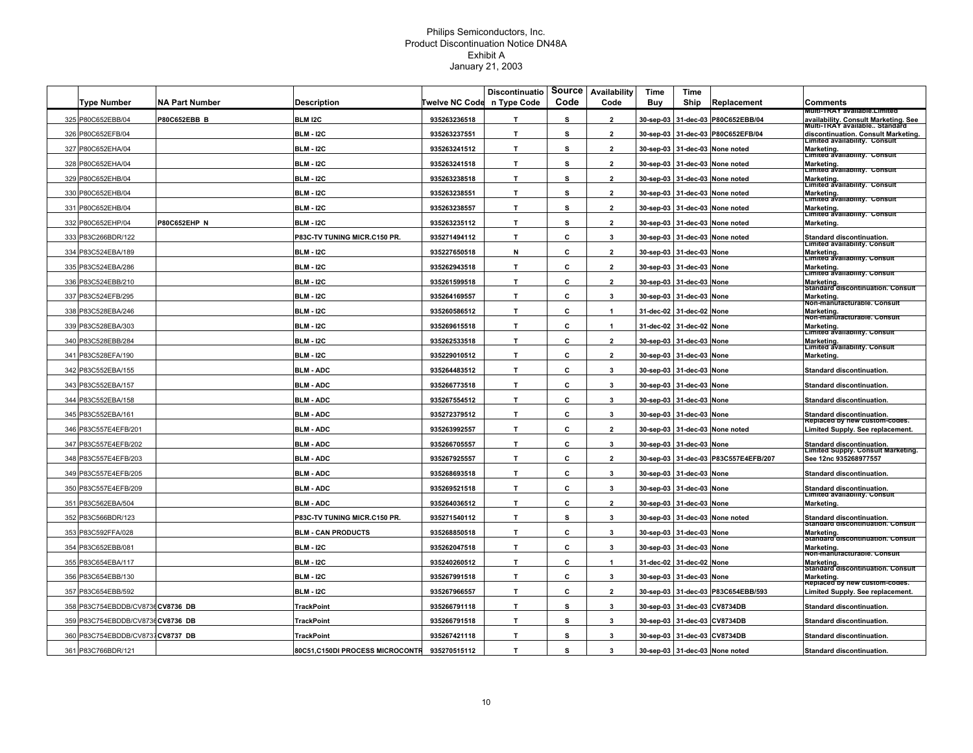|                                   |                       |                                    |                | <b>Discontinuatio</b> | Source | Availability   | Time      | Time                     |                                      |                                                                                  |
|-----------------------------------|-----------------------|------------------------------------|----------------|-----------------------|--------|----------------|-----------|--------------------------|--------------------------------------|----------------------------------------------------------------------------------|
| Type Number                       | <b>NA Part Number</b> | Description                        | Twelve NC Code | n Type Code           | Code   | Code           | Buy       | Ship                     | Replacement                          | Comments<br>VIUItI-TRAY available.Limited                                        |
| 325 P80C652EBB/04                 | P80C652EBB B          | <b>BLM I2C</b>                     | 935263236518   | Т                     | s      | $\overline{2}$ | 30-sep-03 | 31-dec-03                | P80C652EBB/04                        | availability. Consult Marketing. See<br>Multi-TRAY available Standard            |
| 326 P80C652EFB/04                 |                       | <b>BLM - I2C</b>                   | 935263237551   | $\mathbf{T}$          | s      | $\overline{2}$ |           |                          | 30-sep-03 31-dec-03 P80C652EFB/04    | discontinuation. Consult Marketing.<br>Limited availability. Consult             |
| 327 P80C652EHA/04                 |                       | <b>BLM - I2C</b>                   | 935263241512   | T                     | s      | $\overline{2}$ |           |                          | 30-sep-03 31-dec-03 None noted       | Marketing.<br> Limited availability. Consult                                     |
| P80C652EHA/04<br>328              |                       | <b>BLM - I2C</b>                   | 935263241518   | $\mathbf{T}$          | s      | $\overline{2}$ |           | 30-sep-03 31-dec-03      | None noted                           | Marketing.<br>Limited availability. Consult                                      |
| P80C652EHB/04<br>329              |                       | <b>BLM - I2C</b>                   | 935263238518   | $\mathbf{T}$          | s      | $\overline{2}$ | 30-sep-03 |                          | 31-dec-03 None noted                 | Marketing.<br>Limited availability. Consult                                      |
| 330<br>P80C652EHB/04              |                       | <b>BLM - I2C</b>                   | 935263238551   | $\mathbf{T}$          | s      | $\overline{2}$ |           |                          | 30-sep-03 31-dec-03 None noted       | Marketing.<br><b>Limited availability.</b> Consult                               |
| 331 P80C652EHB/04                 |                       | <b>BLM - I2C</b>                   | 935263238557   | $\mathbf{T}$          | s      | $\overline{2}$ |           |                          | 30-sep-03 31-dec-03 None noted       | Marketing.<br>Limited availability. Consult                                      |
| 332 P80C652EHP/04                 | <b>P80C652EHP N</b>   | <b>BLM - I2C</b>                   | 935263235112   | $\mathbf{T}$          | s      | $\overline{2}$ |           |                          | 30-sep-03 31-dec-03 None noted       | Marketing.                                                                       |
| 333 P83C266BDR/122                |                       | <b>P83C-TV TUNING MICR.C150 PR</b> | 935271494112   | $\mathbf{T}$          | c      | 3              |           |                          | 30-sep-03 31-dec-03 None noted       | Standard discontinuation.<br>Limited availability. Consult                       |
| 334 P83C524EBA/189                |                       | <b>BLM - I2C</b>                   | 935227650518   | N                     | C      | $\overline{2}$ |           | 30-sep-03 31-dec-03 None |                                      | Marketing.<br>Limited availability. Consult                                      |
| 335 P83C524EBA/286                |                       | <b>BLM - I2C</b>                   | 935262943518   | $\mathbf{T}$          | C      | $\overline{2}$ |           | 30-sep-03 31-dec-03 None |                                      | Marketing.<br>Limited availability. Consult                                      |
| 336 P83C524EBB/210                |                       | <b>BLM - I2C</b>                   | 935261599518   | T                     | c      | $\overline{2}$ |           | 30-sep-03 31-dec-03 None |                                      | Marketing.<br>Standard discontinuation. Consuit                                  |
| 337 P83C524EFB/295                |                       | <b>BLM - I2C</b>                   | 935264169557   | $\mathbf{T}$          | C      | $\mathbf{3}$   |           | 30-sep-03 31-dec-03 None |                                      | Marketing.<br>Non-manuracturable. Consult                                        |
| 338 P83C528EBA/246                |                       | <b>BLM - I2C</b>                   | 935260586512   | $\mathbf{T}$          | C      | -1             |           | 31-dec-02 31-dec-02 None |                                      | Marketing.<br>Non-manuracturable. Consult                                        |
| P83C528EBA/303<br>3391            |                       | <b>BLM - I2C</b>                   | 935269615518   | T.                    | C      | -1             |           | 31-dec-02 31-dec-02 None |                                      | Marketing.                                                                       |
| 340 P83C528EBB/284                |                       | <b>BLM - I2C</b>                   | 935262533518   | $\mathbf{T}$          | c      | $\overline{2}$ |           | 30-sep-03 31-dec-03 None |                                      | Limited availability. Consult<br>Marketing.<br>Limited availability. Consult     |
| 341 P83C528EFA/190                |                       | <b>BLM - I2C</b>                   | 935229010512   | T.                    | c      | $\overline{2}$ |           | 30-sep-03 31-dec-03 None |                                      | Marketing.                                                                       |
| 342 P83C552EBA/155                |                       | <b>BLM - ADC</b>                   | 935264483512   | $\mathbf{T}$          | C      | 3              |           | 30-sep-03 31-dec-03      | None                                 | <b>Standard discontinuation.</b>                                                 |
| 343 P83C552EBA/157                |                       | <b>BLM - ADC</b>                   | 935266773518   | T                     | c      | $\mathbf{3}$   |           | 30-sep-03 31-dec-03 None |                                      | <b>Standard discontinuation.</b>                                                 |
| 344 P83C552EBA/158                |                       | <b>BLM - ADC</b>                   | 935267554512   | T.                    | C      | 3              |           | 30-sep-03 31-dec-03 None |                                      | Standard discontinuation.                                                        |
| 345 P83C552EBA/161                |                       | <b>BLM - ADC</b>                   | 935272379512   | $\mathbf{T}$          | c      | 3              |           | 30-sep-03 31-dec-03 None |                                      | Standard discontinuation.                                                        |
| 346 P83C557E4EFB/201              |                       | <b>BLM - ADC</b>                   | 935263992557   | $\mathbf{T}$          | c      | $\overline{2}$ |           |                          | 30-sep-03 31-dec-03 None noted       | Replaced by new custom-codes.<br>Limited Supply. See replacement.                |
| 347 P83C557E4EFB/202              |                       | <b>BLM - ADC</b>                   | 935266705557   | $\mathbf{T}$          | C      | $\mathbf{3}$   |           | 30-sep-03 31-dec-03 None |                                      | Standard discontinuation.<br>Limited Supply. Consult Marketing.                  |
| 348 P83C557E4EFB/203              |                       | <b>BLM - ADC</b>                   | 935267925557   | $\mathsf T$           | C      | $\overline{2}$ |           |                          | 30-sep-03 31-dec-03 P83C557E4EFB/207 | See 12nc 935268977557                                                            |
| 349 P83C557E4EFB/205              |                       | <b>BLM - ADC</b>                   | 935268693518   | $\mathbf{T}$          | C      | 3              |           | 30-sep-03 31-dec-03 None |                                      | Standard discontinuation.                                                        |
| P83C557E4EFB/209<br>350           |                       | <b>BLM - ADC</b>                   | 935269521518   | $\mathbf{T}$          | c      | 3              |           | 30-sep-03 31-dec-03 None |                                      | Standard discontinuation.<br>Limited availability. Consult                       |
| 351 P83C562EBA/504                |                       | <b>BLM - ADC</b>                   | 935264036512   | $\mathbf{T}$          | c      | $\overline{2}$ |           | 30-sep-03 31-dec-03 None |                                      | Marketing.                                                                       |
| 352 P83C566BDR/123                |                       | P83C-TV TUNING MICR.C150 PR        | 935271540112   | $\mathbf{T}$          | s      | $\mathbf{3}$   |           |                          | 30-sep-03 31-dec-03 None noted       | Standard discontinuation.<br>Standard discontinuation. Consuit                   |
| P83C592FFA/028<br>353             |                       | <b>BLM - CAN PRODUCTS</b>          | 935268850518   | $\mathbf{T}$          | C      | 3              |           | 30-sep-03 31-dec-03 None |                                      |                                                                                  |
| P83C652EBB/081<br>354             |                       | <b>BLM - I2C</b>                   | 935262047518   | $\mathbf{T}$          | C      | $\mathbf{3}$   |           | 30-sep-03 31-dec-03 None |                                      | Marketing.<br>Standard discontinuation. Consuit<br>Marketing.                    |
| 355 P83C654EBA/117                |                       | BLM - I2C                          | 935240260512   | $\mathbf{T}$          | C      | -1             |           | 31-dec-02 31-dec-02      | None                                 | Non-manuracturable. Consult<br>Marketing.                                        |
| 356 P83C654EBB/130                |                       | <b>BLM - I2C</b>                   | 935267991518   | $\mathbf{T}$          | c      | 3              |           | 30-sep-03 31-dec-03 None |                                      | Standard discontinuation. Consult                                                |
| P83C654EBB/592<br>357             |                       | <b>BLM - I2C</b>                   | 935267966557   | $\mathbf{T}$          | c      | $\overline{2}$ |           |                          | 30-sep-03 31-dec-03 P83C654EBB/593   | Marketing.<br>TReplaced by new custom-codes.<br>Limited Supply. See replacement. |
| 358 P83C754EBDDB/CV8736 CV8736 DB |                       | TrackPoint                         | 935266791118   | T.                    | s      | 3              |           |                          | 30-sep-03 31-dec-03 CV8734DB         | <b>Standard discontinuation.</b>                                                 |
| 359 P83C754EBDDB/CV8736 CV8736 DB |                       | <b>TrackPoint</b>                  | 935266791518   | $\mathbf{T}$          | s      | 3              |           |                          | 30-sep-03 31-dec-03 CV8734DB         | Standard discontinuation.                                                        |
| 360 P83C754EBDDB/CV8737 CV8737 DB |                       | TrackPoint                         | 935267421118   | $\mathbf{T}$          | s      | 3              |           |                          | 30-sep-03 31-dec-03 CV8734DB         | Standard discontinuation.                                                        |
| 361 P83C766BDR/121                |                       | 80C51,C150DI PROCESS MICROCONTR    | 935270515112   | $\mathbf{T}$          | s      | 3              |           |                          |                                      | <b>Standard discontinuation.</b>                                                 |
|                                   |                       |                                    |                |                       |        |                |           |                          | 30-sep-03 31-dec-03 None noted       |                                                                                  |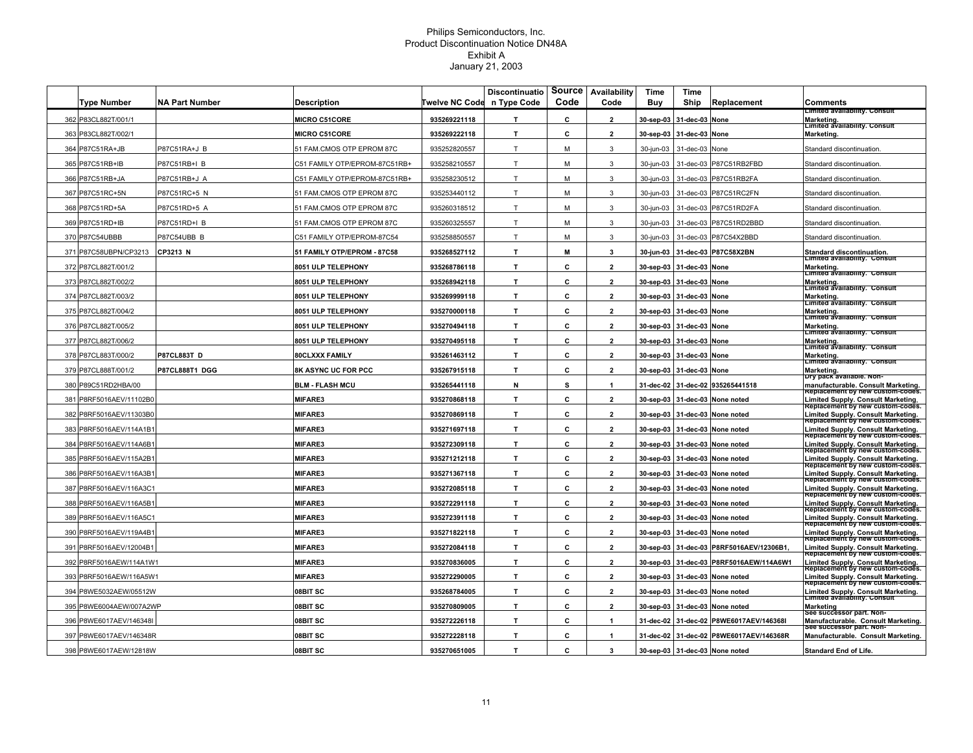|     | Type Number             | NA Part Number     | Description                        | <b>Twelve NC Code</b> | <b>Discontinuatio</b><br>n Type Code | Source<br>Code | Availability<br>Code | Time<br>Buy | Time<br>Ship | Replacement                    | Comments                                                                                           |
|-----|-------------------------|--------------------|------------------------------------|-----------------------|--------------------------------------|----------------|----------------------|-------------|--------------|--------------------------------|----------------------------------------------------------------------------------------------------|
|     | 362 P83CL882T/001/1     |                    | <b>MICRO C51CORE</b>               | 935269221118          | T                                    | c              | $\overline{2}$       | 30-sep-03   | 31-dec-03    | None                           | imited availability. Consult<br><b>Marketing</b>                                                   |
| 363 | P83CL882T/002/1         |                    | <b>MICRO C51CORE</b>               | 935269222118          | T                                    | C.             | $\overline{2}$       | 30-sep-03   | 31-dec-03    | None                           | Limited availability. Consult<br>Marketing                                                         |
| 364 | P87C51RA+JB             | P87C51RA+J B       | 1 FAM.CMOS OTP EPROM 87C           | 935252820557          | T                                    | м              | 3                    | 30-jun-03   | 31-dec-03    | None                           | Standard discontinuation                                                                           |
|     | 365 P87C51RB+IB         | P87C51RB+I B       | C51 FAMILY OTP/EPROM-87C51RB+      | 935258210557          | T                                    | M              | 3                    | 30-jun-03   | 31-dec-03    | P87C51RB2FBD                   | Standard discontinuation                                                                           |
|     | 366 P87C51RB+JA         | P87C51RB+J A       | :51 FAMILY OTP/EPROM-87C51RB+      | 935258230512          | $\mathsf{T}$                         | м              | 3                    | 30-jun-03   | 31-dec-03    | P87C51RB2FA                    | Standard discontinuation                                                                           |
|     | 367 P87C51RC+5N         | P87C51RC+5 N       | 1 FAM.CMOS OTP EPROM 87C           | 935253440112          | т                                    | м              | 3                    | 30-jun-03   | 31-dec-03    | P87C51RC2FN                    | Standard discontinuation                                                                           |
|     | 368 P87C51RD+5A         | P87C51RD+5 A       | 51 FAM.CMOS OTP EPROM 87C          | 935260318512          | T                                    | м              | 3                    | 30-jun-03   |              | 31-dec-03 P87C51RD2FA          | Standard discontinuation                                                                           |
|     | 369 P87C51RD+IB         | P87C51RD+I B       | 51 FAM.CMOS OTP EPROM 87C          | 935260325557          | T                                    | M              | 3                    | 30-jun-03   | 31-dec-03    | P87C51RD2BBD                   | Standard discontinuation                                                                           |
|     | 370 P87C54UBBB          | P87C54UBB B        | C51 FAMILY OTP/EPROM-87C54         | 935258850557          | T                                    | м              | 3                    | 30-jun-03   | 31-dec-03    | P87C54X2BBD                    | Standard discontinuation.                                                                          |
| 371 | P87C58UBPN/CP3213       | CP3213 N           | <b>51 FAMILY OTP/EPROM - 87C58</b> | 935268527112          | T                                    | М              | 3                    | 30-jun-03   | 31-dec-03    | P87C58X2BN                     | Standard discontinuation.<br>Limited availability. Consult                                         |
|     | 372 P87CL882T/001/2     |                    | <b>8051 ULP TELEPHONY</b>          | 935268786118          | T.                                   | c              | $\overline{2}$       | 30-sep-03   | 31-dec-03    | None                           | Marketing                                                                                          |
| 373 | P87CL882T/002/2         |                    | <b>8051 ULP TELEPHONY</b>          | 935268942118          | T.                                   | c              | $\overline{2}$       | 30-sep-03   | 31-dec-03    | None                           | Limited availability. Consul<br>Marketing.                                                         |
| 374 | P87CL882T/003/2         |                    | <b>8051 ULP TELEPHONY</b>          | 935269999118          | т                                    | c              | $\overline{2}$       | 30-sep-03   | 31-dec-03    | None                           | Limited availability. Consult<br><b>Marketing</b>                                                  |
|     | 375 P87CL882T/004/2     |                    | <b>8051 ULP TELEPHONY</b>          | 935270000118          | T                                    | c              | $\mathbf{2}$         | 30-sep-03   | 31-dec-03    | None                           | Limited availability.  Consult<br>Marketing                                                        |
|     | 376 P87CL882T/005/2     |                    | <b>8051 ULP TELEPHONY</b>          | 935270494118          | T.                                   | C.             | $\mathbf{2}$         | 30-sep-03   | 31-dec-03    | None                           | Limited availability.  Consult<br>Marketing                                                        |
|     | 377 P87CL882T/006/2     |                    | 8051 ULP TELEPHONY                 | 935270495118          | T                                    | c              | $\overline{2}$       | 30-sep-03   | 31-dec-03    | None                           | Limited availability. Consult<br>Marketing<br>Limited availability. Consult                        |
| 378 | P87CL883T/000/2         | <b>P87CL883T D</b> | BOCLXXX FAMILY                     | 935261463112          | T                                    | c              | $\overline{2}$       | 30-sep-03   | 31-dec-03    | None                           | Marketing                                                                                          |
|     | 379 P87CL888T/001/2     | P87CL888T1 DGG     | <b>BK ASYNC UC FOR PCC</b>         | 935267915118          | T.                                   | c              | $\overline{2}$       | 30-sep-03   | 31-dec-03    | None                           | Limited availability. Consult<br><b>Marketing</b>                                                  |
| 380 | P89C51RD2HBA/00         |                    | <b>BLM - FLASH MCU</b>             | 935265441118          | N                                    | s              | 1                    | 31-dec-02   | 31-dec-02    | 935265441518                   | Dry pack available. Non-<br>manufacturable. Consult Marketing.<br>Replacement by new custom-codes. |
| 381 | P8RF5016AEV/11102B0     |                    | <b>MIFARE3</b>                     | 935270868118          | T                                    | C              | $\overline{2}$       | 30-sep-03   |              | 31-dec-03 None noted           | Limited Supply. Consult Marketing.<br>Replacement by new custom-codes.                             |
|     | 382 P8RF5016AEV/11303B0 |                    | <b>MIFARE3</b>                     | 935270869118          | T                                    | c              | $\overline{2}$       | 30-sep-03   |              | 31-dec-03 None noted           | Limited Supply. Consult Marketing.<br>Replacement by new custom-codes.                             |
|     | 383 P8RF5016AEV/114A1B1 |                    | <b>MIFARE3</b>                     | 935271697118          | T.                                   | C              | $\overline{2}$       |             |              | 30-sep-03 31-dec-03 None noted | Limited Supply. Consult Marketing.<br>Replacement by new custom-codes.                             |
|     | 384 P8RF5016AEV/114A6B1 |                    | <b>MIFARE3</b>                     | 935272309118          | T.                                   | c              | $\overline{2}$       |             |              | 30-sep-03 31-dec-03 None noted | Limited Supply. Consult Marketing.<br>Replacement by new custom-codes.                             |
| 385 | P8RF5016AEV/115A2B      |                    | <b>MIFARE3</b>                     | 935271212118          | T                                    | c              | $\overline{2}$       | 30-sep-03   | 31-dec-03    | None noted                     | Limited Supply. Consult Marketing.<br>Replacement by new custom-codes.                             |
|     | 386 P8RF5016AEV/116A3B1 |                    | MIFARE3                            | 935271367118          | T                                    | c              | $\mathbf{2}$         | 30-sep-03   | 31-dec-03    | None noted                     | Limited Supply. Consult Marketing.<br>Replacement by new custom-codes.                             |
|     | 387 P8RF5016AEV/116A3C1 |                    | <b>MIFARE3</b>                     | 935272085118          | T.                                   | c              | $\overline{2}$       | 30-sep-03   | 31-dec-03    | None noted                     | Limited Supply. Consult Marketing.<br>Replacement by new custom-codes.                             |
| 388 | P8RF5016AEV/116A5B1     |                    | <b>MIFARE3</b>                     | 935272291118          | T                                    | C              | $\overline{2}$       | 30-sep-03   | 31-dec-03    | None noted                     | Limited Supply. Consult Marketing.<br>Replacement by new custom-codes.                             |
|     | 389 P8RF5016AEV/116A5C1 |                    | <b>MIFARE3</b>                     | 935272391118          | T                                    | c              | $\overline{2}$       | 30-sep-03   | 31-dec-03    | None noted                     | Limited Supply. Consult Marketing.<br>Replacement by new custom-codes.                             |
|     | 390 P8RF5016AEV/119A4B1 |                    | <b>MIFARE3</b>                     | 935271822118          | T.                                   | c              | $\overline{2}$       | 30-sep-03   | 31-dec-03    | None noted                     | Limited Supply. Consult Marketing.<br>Replacement by new custom-codes.                             |
| 391 | P8RF5016AEV/12004B1     |                    | <b>MIFARE3</b>                     | 935272084118          | T                                    | C              | $\overline{2}$       | 30-sep-03   | 31-dec-03    | P8RF5016AEV/12306B1            | Limited Supply. Consult Marketing.<br>Replacement by new custom-codes.                             |
| 392 | P8RF5016AEW/114A1W1     |                    | <b>MIFARE3</b>                     | 935270836005          | T                                    | c              | $\overline{2}$       | 30-sep-03   | 31-dec-03    | P8RF5016AEW/114A6W1            | Limited Supply. Consult Marketing.<br>रеріасетепт by new custom-codes.                             |
| 393 | P8RF5016AEW/116A5W1     |                    | <b>MIFARE3</b>                     | 935272290005          | T.                                   | C              | $\overline{2}$       | 30-sep-03   | 31-dec-03    | None noted                     | Limited Supply. Consult Marketing.<br>Replacement by new custom-codes.                             |
| 394 | P8WE5032AEW/05512W      |                    | 08BIT SC                           | 935268784005          | T.                                   | C              | $\overline{2}$       | 30-sep-03   | 31-dec-03    | None noted                     | Limited Supply. Consult Marketing.<br>Limited availability. Consult                                |
|     | 395 P8WE6004AEW/007A2WP |                    | 08BIT SC                           | 935270809005          | T                                    | C              | $\overline{2}$       | 30-sep-03   | 31-dec-03    | None noted                     | Marketing                                                                                          |
|     | 396 P8WE6017AEV/146348  |                    | 08BIT SC                           | 935272226118          | T                                    | c              | 1                    | 31-dec-02   |              | 31-dec-02 P8WE6017AEV/146368I  | See successor part. Non-<br>Manufacturable. Consult Marketing.<br>see successor part. Non-         |
|     | 397 P8WE6017AEV/146348R |                    | 08BIT SC                           | 935272228118          | T.                                   | c              | 1                    | 31-dec-02   |              | 31-dec-02 P8WE6017AEV/146368R  | Manufacturable. Consult Marketing.                                                                 |
|     | 398 P8WE6017AEW/12818W  |                    | 08BIT SC                           | 935270651005          | T                                    | C.             | 3                    |             |              | 30-sep-03 31-dec-03 None noted | <b>Standard End of Life</b>                                                                        |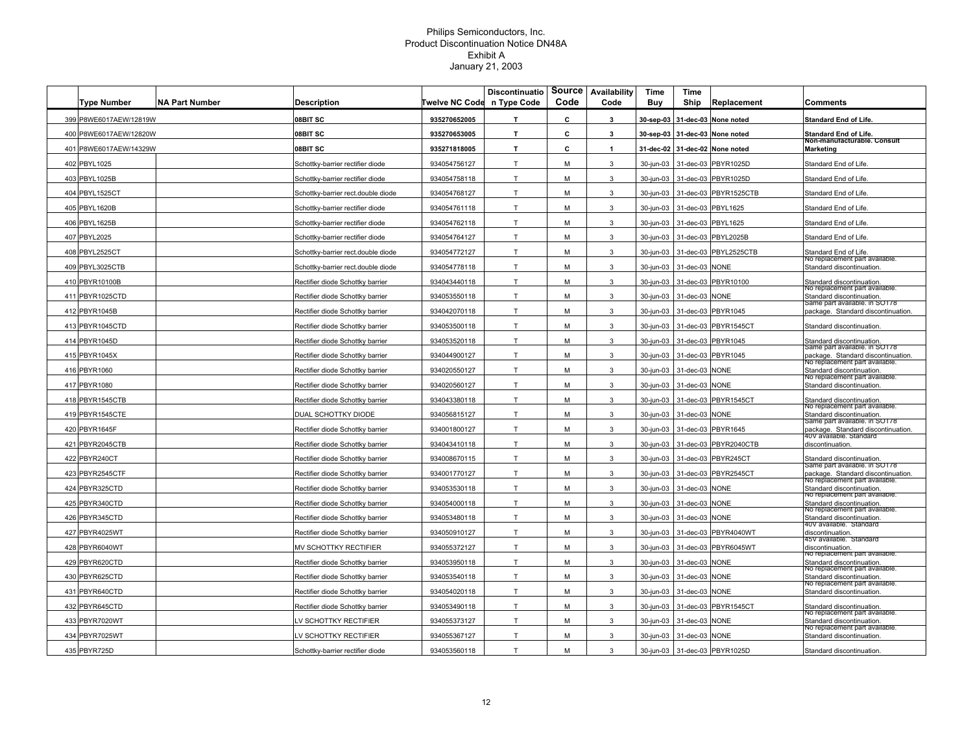|     | <b>Type Number</b>     | <b>NA Part Number</b> | <b>Description</b>                 | Twelve NC Code | <b>Discontinuatio</b><br>n Type Code | <b>Source</b><br>Code | Availability<br>Code | Time<br>Buy | Time<br>Ship   | Replacement           | Comments                                                                                |
|-----|------------------------|-----------------------|------------------------------------|----------------|--------------------------------------|-----------------------|----------------------|-------------|----------------|-----------------------|-----------------------------------------------------------------------------------------|
|     | 399 P8WE6017AEW/12819W |                       | 08BIT SC                           | 935270652005   | T                                    | c                     | $\mathbf{3}$         | 30-sep-03   |                | 31-dec-03 None noted  | <b>Standard End of Life.</b>                                                            |
|     | 400 P8WE6017AEW/12820W |                       | 08BIT SC                           | 935270653005   | T.                                   | c                     | 3                    | 30-sep-03   |                | 31-dec-03 None noted  | <b>Standard End of Life.</b>                                                            |
| 401 | P8WE6017AEW/14329W     |                       | 08BIT SC                           | 935271818005   | T.                                   | c                     | $\mathbf{1}$         | 31-dec-02   |                | 31-dec-02 None noted  | Non-manuracturable. Consult<br>Marketing                                                |
|     | 402 PBYL1025           |                       | Schottky-barrier rectifier diode   | 934054756127   | T                                    | M                     | 3                    | 30-jun-03   | 31-dec-03      | PBYR1025D             | Standard End of Life                                                                    |
|     | 403 PBYL1025B          |                       | Schottky-barrier rectifier diode   | 934054758118   | T                                    | M                     | 3                    | 30-jun-03   |                | 31-dec-03 PBYR1025D   | Standard End of Life                                                                    |
|     | 404 PBYL1525CT         |                       | Schottky-barrier rect.double diode | 934054768127   | T                                    | M                     | 3                    | 30-jun-03   |                | 31-dec-03 PBYR1525CTB | Standard End of Life.                                                                   |
|     | 405 PBYL1620B          |                       | Schottky-barrier rectifier diode   | 934054761118   | $\mathsf{T}$                         | M                     | 3                    | 30-jun-03   |                | 31-dec-03 PBYL1625    | Standard End of Life.                                                                   |
|     | 406 PBYL1625B          |                       | Schottky-barrier rectifier diode   | 934054762118   | T                                    | M                     | 3                    | 30-jun-03   |                | 31-dec-03 PBYL1625    | Standard End of Life                                                                    |
|     | 407 PBYL2025           |                       | Schottky-barrier rectifier diode   | 934054764127   | T                                    | M                     | 3                    | 30-jun-03   |                | 31-dec-03 PBYL2025B   | Standard End of Life                                                                    |
|     | 408 PBYL2525CT         |                       | Schottky-barrier rect.double diode | 934054772127   | $\mathsf{T}$                         | М                     | 3                    | 30-jun-03   |                | 31-dec-03 PBYL2525CTB | Standard End of Life.<br>no replacement part available.                                 |
|     | 409 PBYL3025CTB        |                       | Schottky-barrier rect.double diode | 934054778118   | T                                    | M                     | 3                    | 30-jun-03   | 31-dec-03 NONE |                       | Standard discontinuation.                                                               |
|     | 410 PBYR10100B         |                       | Rectifier diode Schottky barrier   | 934043440118   | T                                    | M                     | 3                    | 30-jun-03   |                | 31-dec-03 PBYR10100   | Standard discontinuation<br>No replacement part available                               |
|     | 411 PBYR1025CTD        |                       | Rectifier diode Schottky barrier   | 934053550118   | T                                    | М                     | 3                    | 30-jun-03   | 31-dec-03 NONE |                       | Standard discontinuation.                                                               |
|     | 412 PBYR1045B          |                       | Rectifier diode Schottky barrier   | 934042070118   | T                                    | M                     | 3                    | 30-jun-03   |                | 31-dec-03 PBYR1045    | same part available. In SO178<br>package. Standard discontinuation                      |
|     | 413 PBYR1045CTD        |                       | Rectifier diode Schottky barrier   | 934053500118   | T                                    | M                     | 3                    | 30-jun-03   |                | 31-dec-03 PBYR1545CT  | Standard discontinuation                                                                |
|     | 414 PBYR1045D          |                       | Rectifier diode Schottky barrier   | 934053520118   | T                                    | M                     | 3                    | 30-jun-03   |                | 31-dec-03 PBYR1045    | Standard discontinuation.                                                               |
|     | 415 PBYR1045X          |                       | Rectifier diode Schottky barrier   | 934044900127   | T.                                   | М                     | 3                    | 30-jun-03   | 31-dec-03      | PBYR1045              | same part available. In SOT78<br>package. Standard discontinuation.                     |
|     | 416 PBYR1060           |                       | Rectifier diode Schottky barrier   | 934020550127   | T.                                   | M                     | 3                    | 30-jun-03   | 31-dec-03      | <b>NONE</b>           | No replacement part available.<br>Standard discontinuation.                             |
|     | 417 PBYR1080           |                       | Rectifier diode Schottky barrier   | 934020560127   | T                                    | M                     | 3                    | 30-jun-03   | 31-dec-03 NONE |                       | vo replacement part available.<br>Standard discontinuation.                             |
|     | 418 PBYR1545CTB        |                       | Rectifier diode Schottky barrier   | 934043380118   | T                                    | M                     | 3                    | 30-jun-03   |                | 31-dec-03 PBYR1545CT  | Standard discontinuation.                                                               |
|     | 419 PBYR1545CTE        |                       | )UAL SCHOTTKY DIODE                | 934056815127   | T                                    | м                     | 3                    | 30-jun-03   | 31-dec-03 NONE |                       | No replacement part available.<br>Standard discontinuation.                             |
|     | 420 PBYR1645F          |                       | Rectifier diode Schottky barrier   | 934001800127   | T                                    | M                     | 3                    | 30-jun-03   |                | 31-dec-03 PBYR1645    | same part available. In SOT78<br>package. Standard discontinuation.                     |
|     | 421 PBYR2045CTB        |                       | Rectifier diode Schottky barrier   | 934043410118   | T                                    | M                     | 3                    | 30-jun-03   |                | 31-dec-03 PBYR2040CTB | ⊧∪∨ a⊽ailable. Standard<br>discontinuation.                                             |
|     | 422 PBYR240CT          |                       | Rectifier diode Schottky barrier   | 934008670115   | T                                    | M                     | 3                    | 30-jun-03   |                | 31-dec-03 PBYR245CT   | Standard discontinuation                                                                |
|     | 423 PBYR2545CTF        |                       | Rectifier diode Schottky barrier   | 934001770127   | T                                    | M                     | 3                    | 30-jun-03   |                | 31-dec-03 PBYR2545CT  | same part available. In SO178<br>package. Standard discontinuation.                     |
|     | 424 PBYR325CTD         |                       | Rectifier diode Schottky barrier   | 934053530118   | T                                    | М                     | 3                    | 30-jun-03   | 31-dec-03      | <b>NONE</b>           | No replacement part available<br>Standard discontinuation.                              |
| 425 | PBYR340CTD             |                       | Rectifier diode Schottky barrier   | 934054000118   | T.                                   | M                     | 3                    | 30-jun-03   | 31-dec-03      | <b>NONE</b>           | No replacement part availab<br>Standard discontinuation.                                |
|     | 426 PBYR345CTD         |                       | Rectifier diode Schottky barrier   | 934053480118   | $\mathsf{T}$                         | м                     | 3                    | 30-jun-03   | 31-dec-03 NONE |                       | ino replacement part available.<br>Standard discontinuation.<br>40V available. Standard |
|     | 427 PBYR4025WT         |                       | Rectifier diode Schottky barrier   | 934050910127   | T                                    | M                     | 3                    | 30-jun-03   |                | 31-dec-03 PBYR4040WT  | discontinuation.                                                                        |
|     | 428 PBYR6040WT         |                       | MV SCHOTTKY RECTIFIER              | 934055372127   | T                                    | M                     | 3                    | 30-jun-03   |                | 31-dec-03 PBYR6045WT  | 45V available. Standard<br>discontinuation.                                             |
|     | 429 PBYR620CTD         |                       | Rectifier diode Schottky barrier   | 934053950118   | T.                                   | M                     | 3                    | 30-jun-03   | 31-dec-03      | <b>NONE</b>           | No replacement part available.<br>Standard discontinuation.                             |
| 430 | PBYR625CTD             |                       | Rectifier diode Schottky barrier   | 934053540118   | T                                    | M                     | 3                    | 30-jun-03   | 31-dec-03      | <b>NONE</b>           | No replacement part available.<br>Standard discontinuation.                             |
|     | 431 PBYR640CTD         |                       | Rectifier diode Schottky barrier   | 934054020118   | T.                                   | М                     | 3                    | 30-jun-03   | 31-dec-03 NONE |                       | No replacement part available.<br>Standard discontinuation.                             |
|     | 432 PBYR645CTD         |                       | Rectifier diode Schottky barrier   | 934053490118   | T                                    | M                     | 3                    | 30-jun-03   | 31-dec-03      | PBYR1545CT            | Standard discontinuation.                                                               |
|     | 433 PBYR7020WT         |                       | V SCHOTTKY RECTIFIER               | 934055373127   | T                                    | M                     | 3                    | 30-jun-03   | 31-dec-03 NONE |                       | No replacement part available.<br>Standard discontinuation.                             |
|     | 434 PBYR7025WT         |                       | V SCHOTTKY RECTIFIER               | 934055367127   | T                                    | М                     | 3                    | 30-jun-03   | 31-dec-03 NONE |                       | vo replacement part available.<br>Standard discontinuation.                             |
|     | 435 PBYR725D           |                       | Schottky-barrier rectifier diode   | 934053560118   | T                                    | M                     | 3                    | 30-jun-03   |                | 31-dec-03 PBYR1025D   | Standard discontinuation.                                                               |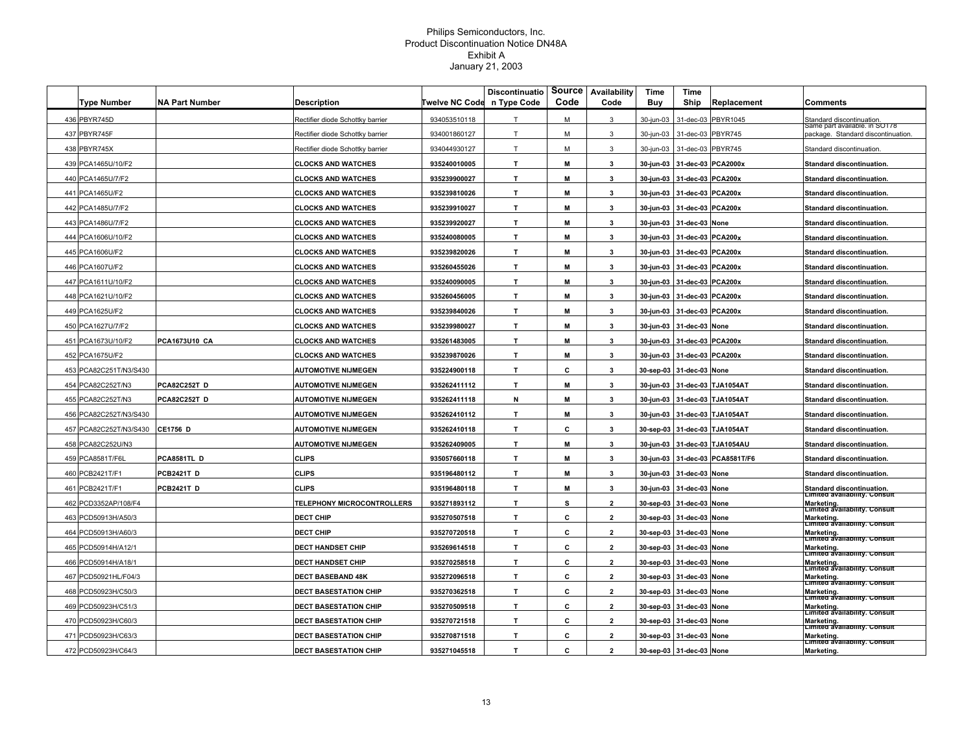| <b>Type Number</b>     | <b>NA Part Number</b> | Description                       | <b>Twelve NC Code</b> | <b>Discontinuatio</b><br>n Type Code | Source<br>Code | Availability<br>Code | Time<br>Buy | Time<br>Ship             | Replacement                   | Comments                                                            |
|------------------------|-----------------------|-----------------------------------|-----------------------|--------------------------------------|----------------|----------------------|-------------|--------------------------|-------------------------------|---------------------------------------------------------------------|
| 436 PBYR745D           |                       | Rectifier diode Schottky barrier  | 934053510118          | T                                    | M              | 3                    | 30-jun-03   | 31-dec-03                | PBYR1045                      | Standard discontinuation                                            |
| 437 PBYR745F           |                       | Rectifier diode Schottky barrier  | 934001860127          | T                                    | м              | 3                    | 30-jun-03   | 31-dec-03                | PBYR745                       | same part available. In SOT78<br>package. Standard discontinuation. |
| 438 PBYR745X           |                       | Rectifier diode Schottky barrier  | 934044930127          | T                                    | M              | 3                    | 30-jun-03   | 31-dec-03 PBYR745        |                               | Standard discontinuation                                            |
| 439 PCA1465U/10/F2     |                       | <b>CLOCKS AND WATCHES</b>         | 935240010005          | T.                                   | M              | 3                    | 30-jun-03   | 31-dec-03 PCA2000x       |                               | Standard discontinuation.                                           |
| 440 PCA1465U/7/F2      |                       | <b>CLOCKS AND WATCHES</b>         | 935239900027          | T.                                   | M              | $\mathbf{3}$         | 30-jun-03   | 31-dec-03 PCA200x        |                               | <b>Standard discontinuation.</b>                                    |
| 441 PCA1465U/F2        |                       | <b>CLOCKS AND WATCHES</b>         | 935239810026          | T.                                   | M              | 3                    | 30-jun-03   | 31-dec-03 PCA200x        |                               | <b>Standard discontinuation.</b>                                    |
| 442 PCA1485U/7/F2      |                       | <b>CLOCKS AND WATCHES</b>         | 935239910027          | T                                    | М              | 3                    | 30-jun-03   | 31-dec-03 PCA200x        |                               | Standard discontinuation.                                           |
| 443 PCA1486U/7/F2      |                       | <b>CLOCKS AND WATCHES</b>         | 935239920027          | T.                                   | M              | 3                    | 30-jun-03   | 31-dec-03 None           |                               | Standard discontinuation.                                           |
| 444 PCA1606U/10/F2     |                       | <b>CLOCKS AND WATCHES</b>         | 935240080005          | T.                                   | M              | 3                    | 30-jun-03   | 31-dec-03 PCA200x        |                               | Standard discontinuation.                                           |
| 445 PCA1606U/F2        |                       | <b>CLOCKS AND WATCHES</b>         | 935239820026          | $\mathbf T$                          | M              | 3                    | 30-jun-03   | 31-dec-03 PCA200x        |                               | Standard discontinuation.                                           |
| 446 PCA1607U/F2        |                       | <b>CLOCKS AND WATCHES</b>         | 935260455026          | T.                                   | M              | 3                    | 30-jun-03   | 31-dec-03 PCA200x        |                               | <b>Standard discontinuation.</b>                                    |
| 447 PCA1611U/10/F2     |                       | <b>CLOCKS AND WATCHES</b>         | 935240090005          | T.                                   | M              | 3                    | 30-jun-03   | 31-dec-03 PCA200x        |                               | Standard discontinuation.                                           |
| 448 PCA1621U/10/F2     |                       | <b>CLOCKS AND WATCHES</b>         | 935260456005          | т                                    | M              | 3                    | 30-jun-03   | 31-dec-03 PCA200x        |                               | Standard discontinuation.                                           |
| 449 PCA1625U/F2        |                       | <b>CLOCKS AND WATCHES</b>         | 935239840026          | T                                    | М              | 3                    | 30-jun-03   | 31-dec-03 PCA200x        |                               | Standard discontinuation.                                           |
| 450 PCA1627U/7/F2      |                       | <b>CLOCKS AND WATCHES</b>         | 935239980027          | T.                                   | M              | 3                    | 30-jun-03   | 31-dec-03 None           |                               | Standard discontinuation.                                           |
| 451 PCA1673U/10/F2     | <b>PCA1673U10 CA</b>  | <b>CLOCKS AND WATCHES</b>         | 935261483005          | T.                                   | M              | 3                    | 30-jun-03   | 31-dec-03 PCA200x        |                               | <b>Standard discontinuation.</b>                                    |
| 452 PCA1675U/F2        |                       | <b>CLOCKS AND WATCHES</b>         | 935239870026          | T                                    | M              | 3                    | 30-jun-03   | 31-dec-03 PCA200x        |                               | <b>Standard discontinuation.</b>                                    |
| 453 PCA82C251T/N3/S430 |                       | <b>AUTOMOTIVE NIJMEGEN</b>        | 935224900118          | T.                                   | c              | 3                    |             | 30-sep-03 31-dec-03 None |                               | <b>Standard discontinuation.</b>                                    |
| 454 PCA82C252T/N3      | <b>PCA82C252T D</b>   | <b>AUTOMOTIVE NIJMEGEN</b>        | 935262411112          | T.                                   | M              | 3                    | 30-jun-03   |                          | 31-dec-03 TJA1054AT           | Standard discontinuation.                                           |
| 455 PCA82C252T/N3      | <b>PCA82C252T D</b>   | <b>AUTOMOTIVE NIJMEGEN</b>        | 935262411118          | N                                    | M              | 3                    | 30-jun-03   |                          | 31-dec-03 TJA1054AT           | Standard discontinuation.                                           |
| 456 PCA82C252T/N3/S430 |                       | <b>AUTOMOTIVE NIJMEGEN</b>        | 935262410112          | T                                    | М              | 3                    | 30-jun-03   |                          | 31-dec-03 TJA1054AT           | Standard discontinuation.                                           |
| 457 PCA82C252T/N3/S430 | <b>CE1756 D</b>       | <b>AUTOMOTIVE NIJMEGEN</b>        | 935262410118          | T.                                   | c              | 3                    |             |                          | 30-sep-03 31-dec-03 TJA1054AT | Standard discontinuation.                                           |
| 458 PCA82C252U/N3      |                       | <b>AUTOMOTIVE NIJMEGEN</b>        | 935262409005          | T.                                   | м              | 3                    | 30-jun-03   |                          | 31-dec-03 TJA1054AU           | <b>Standard discontinuation.</b>                                    |
| 459 PCA8581T/F6L       | PCA8581TL D           | <b>CLIPS</b>                      | 935057660118          | T.                                   | M              | 3                    | 30-jun-03   |                          | 31-dec-03 PCA8581T/F6         | Standard discontinuation.                                           |
| 460 PCB2421T/F1        | <b>PCB2421T D</b>     | <b>CLIPS</b>                      | 935196480112          | T.                                   | M              | $\mathbf{3}$         | 30-jun-03   | 31-dec-03 None           |                               | Standard discontinuation.                                           |
| 461 PCB2421T/F1        | <b>PCB2421T D</b>     | <b>CLIPS</b>                      | 935196480118          | $\mathbf{T}$                         | M              | 3                    | 30-jun-03   | 31-dec-03 None           |                               | Standard discontinuation.<br>Limited availability. Consult          |
| 462 PCD3352AP/108/F4   |                       | <b>TELEPHONY MICROCONTROLLERS</b> | 935271893112          | T.                                   | s              | $\mathbf{2}$         | 30-sep-03   | 31-dec-03 None           |                               | Marketing.<br>Limited availability. Consult                         |
| 463 PCD50913H/A50/3    |                       | <b>DECT CHIP</b>                  | 935270507518          | T.                                   | c              | $\mathbf{2}$         |             | 30-sep-03 31-dec-03 None |                               | Marketing.<br>Limited availability. Consult                         |
| 464 PCD50913H/A60/3    |                       | <b>DECT CHIP</b>                  | 935270720518          | T.                                   | c              | $\mathbf{2}$         |             | 30-sep-03 31-dec-03 None |                               | Marketing.<br>Eimited availability. Consult                         |
| 465 PCD50914H/A12/1    |                       | <b>DECT HANDSET CHIP</b>          | 935269614518          | T.                                   | c              | $\overline{2}$       |             | 30-sep-03 31-dec-03 None |                               | Marketing.<br> Limited availability. Consult                        |
| 466 PCD50914H/A18/1    |                       | <b>DECT HANDSET CHIP</b>          | 935270258518          | T                                    | c              | $\overline{2}$       |             | 30-sep-03 31-dec-03 None |                               | Marketing.<br> Limited availability. Consult                        |
| 467 PCD50921HL/F04/3   |                       | <b>DECT BASEBAND 48K</b>          | 935272096518          | T.                                   | c              | $\overline{2}$       |             | 30-sep-03 31-dec-03 None |                               | Marketing.<br><b>Limited availability. Consult</b>                  |
| 468 PCD50923H/C50/3    |                       | <b>DECT BASESTATION CHIP</b>      | 935270362518          | T.                                   | c              | $\overline{2}$       |             | 30-sep-03 31-dec-03 None |                               | Marketing.<br>Limited availability. Consult                         |
| 469 PCD50923H/C51/3    |                       | <b>DECT BASESTATION CHIP</b>      | 935270509518          | T.                                   | C              | $\overline{2}$       |             | 30-sep-03 31-dec-03 None |                               | Marketing.<br> Limited availability. Consult                        |
| 470 PCD50923H/C60/3    |                       | <b>DECT BASESTATION CHIP</b>      | 935270721518          | T                                    | c              | $\mathbf{2}$         |             | 30-sep-03 31-dec-03 None |                               | Marketing.<br>Limited availability. Consult                         |
| 471 PCD50923H/C63/3    |                       | <b>DECT BASESTATION CHIP</b>      | 935270871518          | T.                                   | c              | $\overline{2}$       |             | 30-sep-03 31-dec-03 None |                               | Marketing.<br>Limited availability. Consult                         |
| 472 PCD50923H/C64/3    |                       | <b>DECT BASESTATION CHIP</b>      | 935271045518          | T.                                   | C              | $\overline{2}$       |             | 30-sep-03 31-dec-03 None |                               | Marketing.                                                          |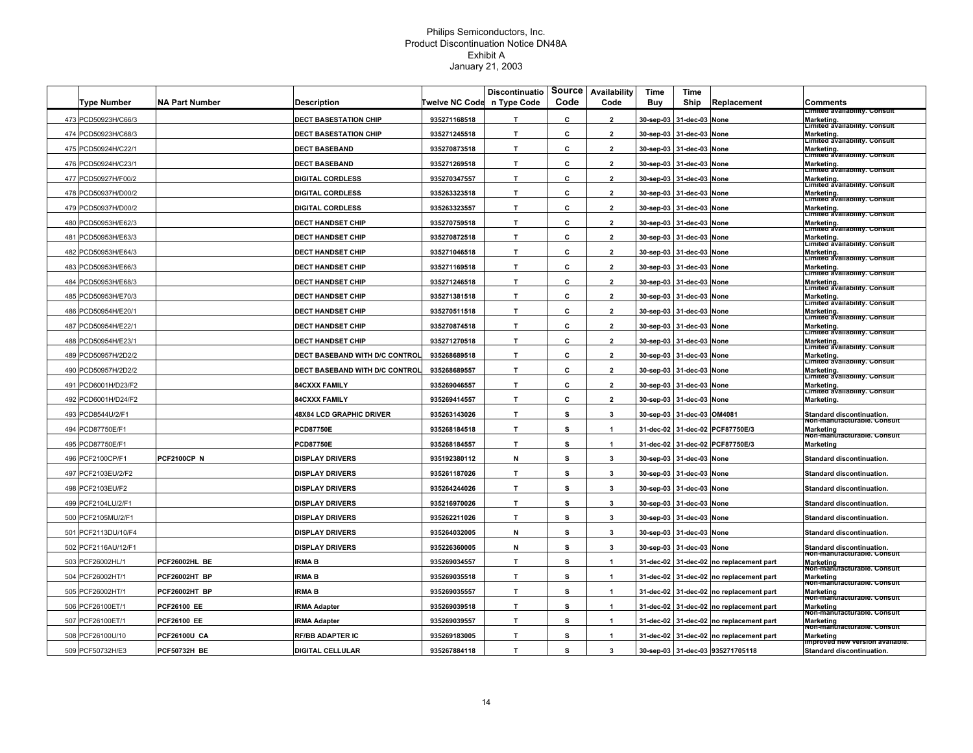|                     |                       |                                       |                | <b>Discontinuatio</b> | Source | Availability         | Time      | Time                       |                                  |                                                                               |
|---------------------|-----------------------|---------------------------------------|----------------|-----------------------|--------|----------------------|-----------|----------------------------|----------------------------------|-------------------------------------------------------------------------------|
| <b>Type Number</b>  | <b>NA Part Number</b> | <b>Description</b>                    | Twelve NC Code | n Type Code           | Code   | Code                 | Buy       | Ship                       | Replacement                      | Comments                                                                      |
| 473 PCD50923H/C66/3 |                       | <b>DECT BASESTATION CHIP</b>          | 935271168518   | T.                    | c      | $\overline{2}$       | 30-sep-03 | 31-dec-03                  | None                             | Limited availability. Consult<br>Marketing.<br>Limited availability. Consult  |
| 474 PCD50923H/C68/3 |                       | <b>DECT BASESTATION CHIP</b>          | 935271245518   | T.                    | С      | $\mathbf{2}$         | 30-sep-03 | 31-dec-03                  | None                             | Marketing.<br>Limited availability. Consult                                   |
| 475 PCD50924H/C22/1 |                       | <b>DECT BASEBAND</b>                  | 935270873518   | T.                    | c      | $\mathbf{2}$         | 30-sep-03 | 31-dec-03                  | None                             | Marketing.<br>Limited availability. Consult                                   |
| 476 PCD50924H/C23/1 |                       | <b>DECT BASEBAND</b>                  | 935271269518   | T                     | c      | $\overline{2}$       | 30-sep-03 | 31-dec-03                  | None                             | Marketing.<br> Limited availability. Consult                                  |
| 477 PCD50927H/F00/2 |                       | <b>DIGITAL CORDLESS</b>               | 935270347557   | T                     | c      | $\overline{2}$       | 30-sep-03 | 31-dec-03 None             |                                  | Marketing.                                                                    |
| 478 PCD50937H/D00/2 |                       | DIGITAL CORDLESS                      | 935263323518   | T.                    | c      | $\overline{2}$       | 30-sep-03 | 31-dec-03 None             |                                  | Limited availability. Consult<br>Marketing.<br>Limited availability. Consult  |
| 479 PCD50937H/D00/2 |                       | <b>DIGITAL CORDLESS</b>               | 935263323557   | T                     | c      | $\overline{2}$       |           | 30-sep-03 31-dec-03 None   |                                  | Marketing.                                                                    |
| 480 PCD50953H/E62/3 |                       | <b>DECT HANDSET CHIP</b>              | 935270759518   | T                     | C      | $\overline{2}$       |           | 30-sep-03 31-dec-03 None   |                                  | Limited availability. Consult<br>Marketing.                                   |
| 481 PCD50953H/E63/3 |                       | <b>DECT HANDSET CHIP</b>              | 935270872518   | T.                    | c      | $\overline{2}$       |           | 30-sep-03 31-dec-03 None   |                                  | Limited availability. Consult<br>Marketing.<br> Limited availability. Consult |
| 482 PCD50953H/E64/3 |                       | <b>DECT HANDSET CHIP</b>              | 935271046518   | T                     | c      | $\overline{2}$       | 30-sep-03 | 31-dec-03 None             |                                  | Marketing.<br> Limited availability. Consult                                  |
| 483 PCD50953H/E66/3 |                       | <b>DECT HANDSET CHIP</b>              | 935271169518   | T                     | С      | $\overline{2}$       | 30-sep-03 | 31-dec-03 None             |                                  | Marketing.<br> Limited availability. Consult                                  |
| 484 PCD50953H/E68/3 |                       | <b>DECT HANDSET CHIP</b>              | 935271246518   | T                     | c      | $\overline{2}$       | 30-sep-03 | 31-dec-03 None             |                                  | Marketing.                                                                    |
| 485 PCD50953H/E70/3 |                       | <b>DECT HANDSET CHIP</b>              | 935271381518   | T.                    | c      | $\overline{2}$       | 30-sep-03 | 31-dec-03 None             |                                  | Limited availability. Consult<br>Marketing.<br>Limited availability. Consult  |
| 486 PCD50954H/E20/1 |                       | <b>DECT HANDSET CHIP</b>              | 935270511518   | T.                    | c      | $\overline{2}$       | 30-sep-03 | 31-dec-03 None             |                                  | Marketing.<br>Limited availability. Consult                                   |
| 487 PCD50954H/E22/1 |                       | <b>DECT HANDSET CHIP</b>              | 935270874518   | T                     | c      | $\overline{2}$       | 30-sep-03 | 31-dec-03 None             |                                  | Marketing.<br>Limited availability. Consult                                   |
| 488 PCD50954H/E23/1 |                       | <b>DECT HANDSET CHIP</b>              | 935271270518   | T.                    | c      | $\overline{2}$       | 30-sep-03 | 31-dec-03                  | <b>None</b>                      | Marketing.<br>Limited availability. Consult                                   |
| 489 PCD50957H/2D2/2 |                       | DECT BASEBAND WITH D/C CONTROL        | 935268689518   | $\mathbf{T}$          | c      | $\overline{2}$       | 30-sep-03 | 31-dec-03                  | None                             | Marketing.<br>Limited availability. Consult                                   |
| 490 PCD50957H/2D2/2 |                       | <b>DECT BASEBAND WITH D/C CONTROL</b> | 935268689557   | T.                    | c      | $\overline{2}$       | 30-sep-03 | 31-dec-03 None             |                                  | Marketing.<br> Limited availability. Consult                                  |
| 491 PCD6001H/D23/F2 |                       | <b>B4CXXX FAMILY</b>                  | 935269046557   | T                     | c      | $\overline{2}$       | 30-sep-03 | 31-dec-03 None             |                                  | Marketing.                                                                    |
| 492 PCD6001H/D24/F2 |                       | <b>84CXXX FAMILY</b>                  | 935269414557   | T.                    | c      | $\overline{2}$       | 30-sep-03 | 31-dec-03 None             |                                  | Limited availability. Consult<br>Marketing.                                   |
| 493 PCD8544U/2/F1   |                       | <b>48X84 LCD GRAPHIC DRIVER</b>       | 935263143026   | $\mathbf{T}$          | s      | 3                    |           | 30-sep-03 31-dec-03 OM4081 |                                  | Standard discontinuation.                                                     |
| 494 PCD87750E/F1    |                       | <b>PCD87750E</b>                      | 935268184518   | T                     | s      | $\mathbf{1}$         | 31-dec-02 |                            | 31-dec-02 PCF87750E/3            | Non-manuracturable. Consul<br><b>Marketing</b>                                |
| 495 PCD87750E/F1    |                       | <b>PCD87750E</b>                      | 935268184557   | T.                    | s      | $\mathbf{1}$         | 31-dec-02 |                            | 31-dec-02 PCF87750E/3            | Non-manuracturable. Consult<br><b>Marketing</b>                               |
| 496 PCF2100CP/F1    | <b>PCF2100CP N</b>    | <b>DISPLAY DRIVERS</b>                | 935192380112   | N                     | s      | $\mathbf{3}$         | 30-sep-03 | 31-dec-03 None             |                                  | <b>Standard discontinuation</b>                                               |
| 497 PCF2103EU/2/F2  |                       | <b>DISPLAY DRIVERS</b>                | 935261187026   | T.                    | s      | 3                    | 30-sep-03 | 31-dec-03 None             |                                  | <b>Standard discontinuation</b>                                               |
| 498 PCF2103EU/F2    |                       | <b>DISPLAY DRIVERS</b>                | 935264244026   | T.                    | s      | $\mathbf{3}$         | 30-sep-03 | 31-dec-03 None             |                                  | Standard discontinuation.                                                     |
| 499 PCF2104LU/2/F1  |                       | <b>DISPLAY DRIVERS</b>                | 935216970026   | $\mathbf{T}$          | s      | 3                    | 30-sep-03 | 31-dec-03 None             |                                  | <b>Standard discontinuation</b>                                               |
| 500 PCF2105MU/2/F1  |                       | <b>DISPLAY DRIVERS</b>                | 935262211026   | $\mathbf{T}$          | s      | 3                    | 30-sep-03 | 31-dec-03 None             |                                  | Standard discontinuation.                                                     |
| 501 PCF2113DU/10/F4 |                       | <b>DISPLAY DRIVERS</b>                | 935264032005   | N                     | s      | 3                    | 30-sep-03 | 31-dec-03 None             |                                  | Standard discontinuation.                                                     |
| 502 PCF2116AU/12/F1 |                       | <b>DISPLAY DRIVERS</b>                | 935226360005   | N                     | s      | $\mathbf{3}$         | 30-sep-03 | 31-dec-03 None             |                                  | Standard discontinuation.                                                     |
| 503 PCF26002HL/1    | PCF26002HL BE         | IRMA B                                | 935269034557   | $\mathbf{T}$          | s      | $\mathbf{1}$         | 31-dec-02 | 31-dec-02                  | no replacement part              | Non-manuracturable, Consult<br>Marketing                                      |
| 504 PCF26002HT/1    | PCF26002HT BP         | <b>IRMA B</b>                         | 935269035518   | $\mathbf{T}$          | s      | $\blacktriangleleft$ | 31-dec-02 |                            | 31-dec-02 no replacement part    | Non-manuracturable. Consult<br><b>Marketing</b>                               |
| 505 PCF26002HT/1    | <b>PCF26002HT BP</b>  | <b>IRMA B</b>                         | 935269035557   | T.                    | s      | $\mathbf{1}$         | 31-dec-02 | 31-dec-02                  | no replacement part              | Non-manufacturable. Consult<br><b>Marketing</b>                               |
| 506 PCF26100ET/1    | <b>PCF26100 EE</b>    | <b>RMA Adapter</b>                    | 935269039518   | $\mathbf{T}$          | s      | $\mathbf{1}$         | 31-dec-02 |                            | 31-dec-02 no replacement part    | von-manŭracturable. Consult<br><b>Marketing</b>                               |
| 507 PCF26100ET/1    | <b>PCF26100 EE</b>    | <b>IRMA Adapter</b>                   | 935269039557   | $\mathbf{T}$          | s      | $\mathbf{1}$         | 31-dec-02 |                            | 31-dec-02 no replacement part    | von-manŭracturable. Consult<br><b>Marketing</b>                               |
| 508 PCF26100U/10    | <b>PCF26100U CA</b>   | <b>RF/BB ADAPTER IC</b>               | 935269183005   | T                     | s      | $\blacktriangleleft$ | 31-dec-02 |                            | 31-dec-02 no replacement part    | Non-manūracturable. Consult<br><b>Marketing</b>                               |
| 509 PCF50732H/E3    | <b>PCF50732H BE</b>   | <b>DIGITAL CELLULAR</b>               | 935267884118   | T.                    | s      | 3                    |           |                            | 30-sep-03 31-dec-03 935271705118 | improveđ new version available.<br><b>Standard discontinuation.</b>           |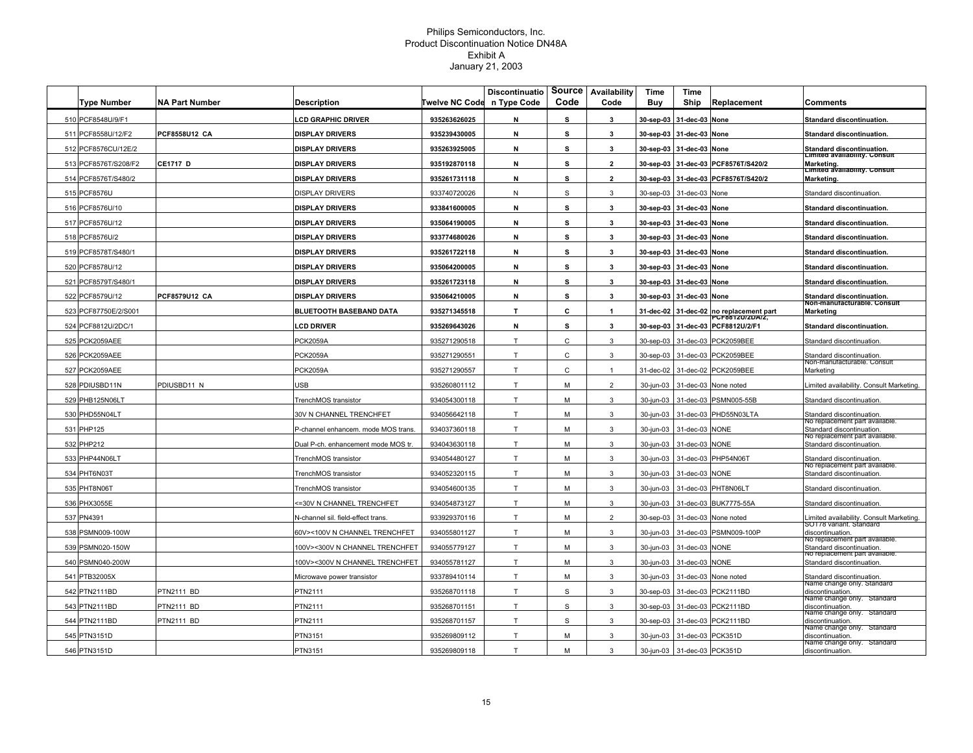|                      |                       |                                    |                       | <b>Discontinuatio</b> | Source | Availability             | Time      | Time                        |                                                  |                                                             |
|----------------------|-----------------------|------------------------------------|-----------------------|-----------------------|--------|--------------------------|-----------|-----------------------------|--------------------------------------------------|-------------------------------------------------------------|
| <b>Type Number</b>   | <b>NA Part Number</b> | <b>Description</b>                 | <b>Twelve NC Code</b> | n Type Code           | Code   | Code                     | Buv       | Ship                        | Replacement                                      | Comments                                                    |
| 510 PCF8548U/9/F1    |                       | <b>LCD GRAPHIC DRIVER</b>          | 935263626025          | N                     | s      | 3                        | 30-sep-03 | 31-dec-03                   | None                                             | <b>Standard discontinuation</b>                             |
| 511 PCF8558U/12/F2   | PCF8558U12 CA         | <b>DISPLAY DRIVERS</b>             | 935239430005          | N                     | s      | 3                        | 30-sep-03 | 31-dec-03                   | None                                             | <b>Standard discontinuation.</b>                            |
| 512 PCF8576CU/12E/2  |                       | DISPLAY DRIVERS                    | 935263925005          | N                     | s      | 3                        | 30-sep-03 | 31-dec-03                   | None                                             | Standard discontinuation.<br>Limited availability. Consult  |
| 513 PCF8576T/S208/F2 | <b>CE1717 D</b>       | <b>DISPLAY DRIVERS</b>             | 935192870118          | N                     | s      | $\overline{\phantom{a}}$ | 30-sep-03 | 31-dec-03                   | PCF8576T/S420/2                                  | Marketing.                                                  |
| 514 PCF8576T/S480/2  |                       | <b>DISPLAY DRIVERS</b>             | 935261731118          | N                     | s      | $\overline{\phantom{a}}$ | 30-sep-03 | 31-dec-03                   | PCF8576T/S420/2                                  | Limited availability. Consult<br>Marketing.                 |
| 515 PCF8576U         |                       | <b>DISPLAY DRIVERS</b>             | 933740720026          | N                     | S      | 3                        | 30-sep-03 | 31-dec-03 None              |                                                  | Standard discontinuation.                                   |
| 516 PCF8576U/10      |                       | <b>DISPLAY DRIVERS</b>             | 933841600005          | N                     | s      | 3                        |           | 30-sep-03 31-dec-03 None    |                                                  | <b>Standard discontinuation</b>                             |
| 517 PCF8576U/12      |                       | <b>DISPLAY DRIVERS</b>             | 935064190005          | N                     | s      | $\mathbf{3}$             |           | 30-sep-03 31-dec-03 None    |                                                  | Standard discontinuation.                                   |
| 518 PCF8576U/2       |                       | <b>DISPLAY DRIVERS</b>             | 933774680026          | N                     | s      | 3                        | 30-sep-03 | 31-dec-03 None              |                                                  | Standard discontinuation.                                   |
| 519 PCF8578T/S480/1  |                       | <b>DISPLAY DRIVERS</b>             | 935261722118          | N                     | s      | 3                        | 30-sep-03 | 31-dec-03                   | None                                             | <b>Standard discontinuation</b>                             |
| 520 PCF8578U/12      |                       | <b>DISPLAY DRIVERS</b>             | 935064200005          | N                     | s      | $\mathbf{3}$             | 30-sep-03 | 31-dec-03 None              |                                                  | <b>Standard discontinuation</b>                             |
| 521 PCF8579T/S480/1  |                       | DISPLAY DRIVERS                    | 935261723118          | N                     | s      | 3                        | 30-sep-03 | 31-dec-03 None              |                                                  | Standard discontinuation.                                   |
| 522 PCF8579U/12      | PCF8579U12 CA         | <b>DISPLAY DRIVERS</b>             | 935064210005          | N                     | s      | 3                        | 30-sep-03 | 31-dec-03                   | None                                             | Standard discontinuation.<br>Non-manuracturable. Consult    |
| 523 PCF87750E/2/S001 |                       | <b>BLUETOOTH BASEBAND DATA</b>     | 935271345518          | $\mathbf{T}$          | C      | $\mathbf{1}$             | 31-dec-02 | 31-dec-02                   | no replacement part                              | <b>Marketing</b>                                            |
| 524 PCF8812U/2DC/1   |                       | <b>LCD DRIVER</b>                  | 935269643026          | N                     | s      | $\mathbf{3}$             | 30-sep-03 |                             | <b>CF8812U/2DA/2,</b><br>31-dec-03 PCF8812U/2/F1 | <b>Standard discontinuation.</b>                            |
| 525 PCK2059AEE       |                       | <b>PCK2059A</b>                    | 935271290518          | T                     | C      | 3                        | 30-sep-03 | 31-dec-03                   | PCK2059BEE                                       | Standard discontinuation.                                   |
| 526 PCK2059AEE       |                       | <b>PCK2059A</b>                    | 935271290551          | T                     | C      | 3                        | 30-sep-03 | 31-dec-03                   | PCK2059BEE                                       | Standard discontinuation.                                   |
| 527 PCK2059AEE       |                       | <b>PCK2059A</b>                    | 935271290557          | T                     | C      | $\mathbf{1}$             | 31-dec-02 |                             | 31-dec-02 PCK2059BEE                             | von-manuracturable. Consult<br>Marketing                    |
| 528 PDIUSBD11N       | PDIUSBD11 N           | <b>JSB</b>                         | 935260801112          | T                     | M      | $\overline{2}$           | 30-jun-03 |                             | 31-dec-03 None noted                             | imited availability. Consult Marketing.                     |
| 529 PHB125N06LT      |                       | FrenchMOS transistor               | 934054300118          | T                     | M      | 3                        | 30-jun-03 |                             | 31-dec-03 PSMN005-55B                            | Standard discontinuation.                                   |
| 530 PHD55N04LT       |                       | 30V N CHANNEL TRENCHFET            | 934056642118          | T                     | M      | 3                        | 30-jun-03 |                             | 31-dec-03 PHD55N03LTA                            | Standard discontinuation.                                   |
| 531 PHP125           |                       | P-channel enhancem. mode MOS trans | 934037360118          | T                     | M      | 3                        | 30-jun-03 | 31-dec-03 NONE              |                                                  | vo replacement part availat<br>Standard discontinuation.    |
| 532 PHP212           |                       | Dual P-ch. enhancement mode MOS tr | 934043630118          | T                     | M      | 3                        | 30-jun-03 | 31-dec-03 NONE              |                                                  | vo replacement part available<br>Standard discontinuation.  |
| 533 PHP44N06LT       |                       | TrenchMOS transistor               | 934054480127          | T                     | M      | 3                        | 30-jun-03 |                             | 31-dec-03 PHP54N06T                              | itandard discontinuation.                                   |
| 534 PHT6N03T         |                       | TrenchMOS transistor               | 934052320115          | T                     | M      | 3                        | 30-jun-03 | 31-dec-03 NONE              |                                                  | vo replacement part available<br>Standard discontinuation.  |
| 535 PHT8N06T         |                       | <b>TrenchMOS</b> transistor        | 934054600135          | T                     | м      | 3                        | 30-jun-03 |                             | 31-dec-03 PHT8N06LT                              | Standard discontinuation.                                   |
| 536 PHX3055E         |                       | <=30V N CHANNEL TRENCHFET          | 934054873127          | T                     | м      | 3                        | 30-iun-03 |                             | 31-dec-03 BUK7775-55A                            | Standard discontinuation.                                   |
| 537 PN4391           |                       | N-channel sil, field-effect trans  | 933929370116          | T                     | M      | $\overline{2}$           | 30-sep-03 | 31-dec-03                   | None noted                                       | imited availability. Consult Marketing.                     |
| 538 PSMN009-100W     |                       | 60V><100V N CHANNEL TRENCHFET      | 934055801127          | T                     | М      | 3                        | 30-jun-03 |                             | 31-dec-03 PSMN009-100P                           | so i 78 variant. Standard<br>discontinuation.               |
| 539 PSMN020-150W     |                       | 100V><300V N CHANNEL TRENCHFET     | 934055779127          | T                     | M      | 3                        | 30-jun-03 | 31-dec-03                   | <b>NONE</b>                                      | vo replacement part available.<br>Standard discontinuation. |
| 540 PSMN040-200W     |                       | 100V><300V N CHANNEL TRENCHFET     | 934055781127          | T                     | М      | 3                        | 30-jun-03 | 31-dec-03                   | <b>JONE</b>                                      | No replacement part available.<br>Standard discontinuation. |
| 541 PTB32005X        |                       | Microwave power transistor         | 933789410114          | T                     | M      | 3                        | 30-jun-03 | 31-dec-03                   | None noted                                       | Standard discontinuation.                                   |
| 542 PTN2111BD        | PTN2111 BD            | PTN2111                            | 935268701118          | T                     | S      | 3                        | 30-sep-03 |                             | 31-dec-03 PCK2111BD                              | vame cnange only. Standard<br>discontinuation.              |
| 543 PTN2111BD        | PTN2111 BD            | PTN2111                            | 935268701151          | T                     | S      | 3                        | 30-sep-03 |                             | 31-dec-03 PCK2111BD                              | vame cnange only.<br><b>Standard</b><br>discontinuation.    |
| 544 PTN2111BD        | PTN2111 BD            | PTN2111                            | 935268701157          | T                     | S      | 3                        | 30-sep-03 | 31-dec-03                   | PCK2111BD                                        | vame cnange only. Standard<br>discontinuation.              |
| 545 PTN3151D         |                       | PTN3151                            | 935269809112          | T                     | M      | 3                        | 30-jun-03 | 31-dec-03 PCK351D           |                                                  | vame change only. Standard<br>discontinuation.              |
| 546 PTN3151D         |                       | PTN3151                            | 935269809118          | T                     | м      | $\mathcal{R}$            |           | 30-jun-03 31-dec-03 PCK351D |                                                  | vame cnange only. Standard<br>discontinuation.              |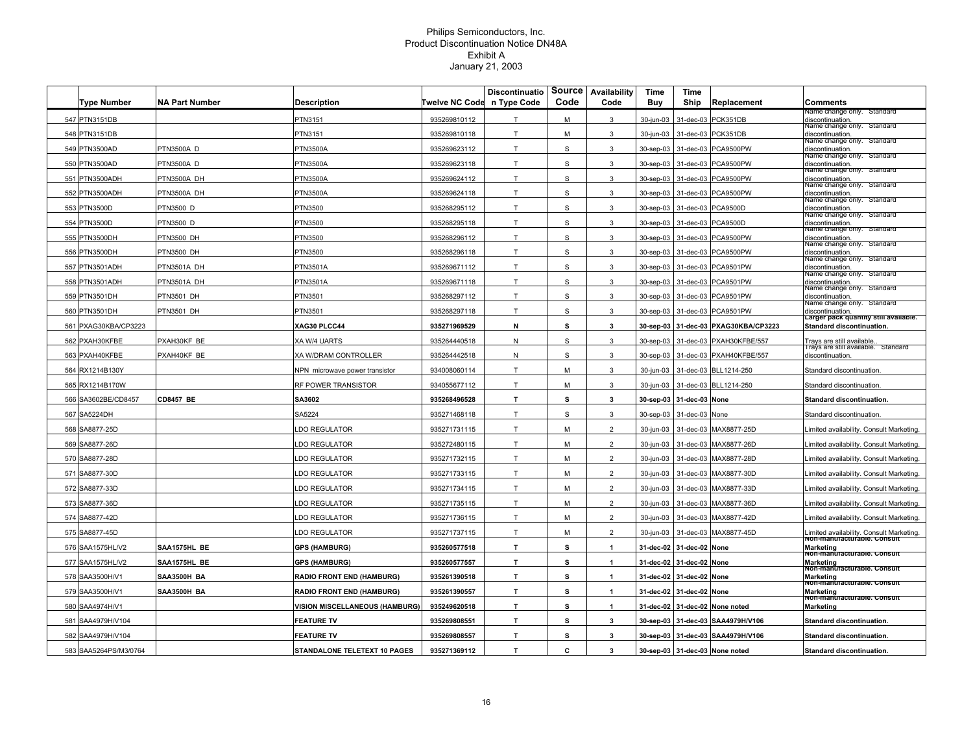| <b>Type Number</b>    | <b>NA Part Number</b> | Description                           | <b>Twelve NC Code</b> | <b>Discontinuatio</b><br>n Type Code | Source<br>Code | Availability<br>Code | Time<br>Buy | Time<br>Ship             | Replacement                          | Comments                                                               |
|-----------------------|-----------------------|---------------------------------------|-----------------------|--------------------------------------|----------------|----------------------|-------------|--------------------------|--------------------------------------|------------------------------------------------------------------------|
| 547 PTN3151DB         |                       | PTN3151                               | 935269810112          | $\mathsf{T}$                         | М              | 3                    | 30-jun-03   | 31-dec-03                | PCK351DB                             | vame change only. Standard<br>discontinuation.                         |
| 548 PTN3151DB         |                       | PTN3151                               | 935269810118          | T.                                   | М              | 3                    | 30-jun-03   |                          | 31-dec-03 PCK351DB                   | vame cnange only. Standard<br>discontinuation                          |
| 549 PTN3500AD         | PTN3500A D            | <b>TN3500A</b>                        | 935269623112          | T.                                   | S              | 3                    | 30-sep-03   | 31-dec-03                | PCA9500PW                            | vame cnange only. Standard<br>discontinuation.                         |
| 550 PTN3500AD         | PTN3500A D            | <b>TN3500A</b>                        | 935269623118          | T.                                   | S              | 3                    | 30-sep-03   | 31-dec-03                | PCA9500PW                            | name cnange only. Standard<br>discontinuation.                         |
| 551 PTN3500ADH        | PTN3500A DH           | <b>TN3500A</b>                        | 935269624112          | T                                    | S              | 3                    | 30-sep-03   | 31-dec-03                | PCA9500PW                            | Name change only. Standard<br>discontinuation.                         |
| 552 PTN3500ADH        | PTN3500A DH           | <b>TN3500A</b>                        | 935269624118          | T                                    | S              | 3                    | 30-sep-03   | 31-dec-03                | PCA9500PW                            | vame cnange only. Standard<br>discontinuation.                         |
| 553 PTN3500D          | PTN3500 D             | PTN3500                               | 935268295112          | T.                                   | S              | 3                    | 30-sep-03   |                          | 31-dec-03 PCA9500D                   | Name change only. Standard<br>discontinuation.                         |
| 554 PTN3500D          | PTN3500 D             | PTN3500                               | 935268295118          | T                                    | $\mathbb S$    | 3                    | 30-sep-03   |                          | 31-dec-03 PCA9500D                   | Name change only. Standard<br>discontinuation.                         |
| 555 PTN3500DH         | PTN3500 DH            | PTN3500                               | 935268296112          | T                                    | S              | 3                    |             |                          | 30-sep-03 31-dec-03 PCA9500PW        | vame cnange only. Standard<br>discontinuation.                         |
| 556 PTN3500DH         | PTN3500 DH            | <b>TN3500</b>                         | 935268296118          | T.                                   | S              | 3                    | 30-sep-03   |                          | 31-dec-03 PCA9500PW                  | vame cnange only. Standard<br>discontinuation.                         |
| 557 PTN3501ADH        | PTN3501A DH           | <b>PTN3501A</b>                       | 935269671112          | T                                    | S              | 3                    | 30-sep-03   | 31-dec-03                | PCA9501PW                            | name cnange only. Standard<br>discontinuation.                         |
| 558 PTN3501ADH        | PTN3501A DH           | PTN3501A                              | 935269671118          | T                                    | $\mathbb S$    | $\mathbf{3}$         | 30-sep-03   | 31-dec-03                | PCA9501PW                            | Name change only. Standard<br>discontinuation.                         |
| 559 PTN3501DH         | PTN3501 DH            | PTN3501                               | 935268297112          | T                                    | $\mathbb S$    | 3                    | 30-sep-03   |                          | 31-dec-03 PCA9501PW                  | vame cnange only. Standard<br>discontinuation.                         |
| 560 PTN3501DH         | PTN3501 DH            | PTN3501                               | 935268297118          | T.                                   | $\mathbb S$    | 3                    | 30-sep-03   |                          | 31-dec-03 PCA9501PW                  | Name change only. Standard<br>discontinuation.                         |
| 561 PXAG30KBA/CP3223  |                       | <b>XAG30 PLCC44</b>                   | 935271969529          | N                                    | s              | 3                    |             |                          | 30-sep-03 31-dec-03 PXAG30KBA/CP3223 | Larger pack quantity still available.<br>Standard discontinuation.     |
| 562 PXAH30KFBE        | PXAH30KF BE           | XA W/4 UARTS                          | 935264440518          | N                                    | S              | 3                    | 30-sep-03   |                          | 31-dec-03 PXAH30KFBE/557             | Trays are still available                                              |
| 563 PXAH40KFBE        | PXAH40KF BE           | XA W/DRAM CONTROLLER                  | 935264442518          | N                                    | S              | 3                    | 30-sep-03   | 31-dec-03                | PXAH40KFBE/557                       | rays are still available. Standard<br>discontinuation                  |
| 564 RX1214B130Y       |                       | VPN microwave power transistor        | 934008060114          | T                                    | М              | 3                    | 30-jun-03   |                          | 31-dec-03 BLL1214-250                | Standard discontinuation.                                              |
| 565 RX1214B170W       |                       | RF POWER TRANSISTOR                   | 934055677112          | T.                                   | М              | 3                    | 30-jun-03   |                          | 31-dec-03 BLL1214-250                | Standard discontinuation                                               |
| 566 SA3602BE/CD8457   | <b>CD8457 BE</b>      | SA3602                                | 935268496528          | T.                                   | s              | 3                    |             | 30-sep-03 31-dec-03 None |                                      | Standard discontinuation.                                              |
| 567 SA5224DH          |                       | SA5224                                | 935271468118          | T.                                   | S              | 3                    |             | 30-sep-03 31-dec-03 None |                                      | Standard discontinuation                                               |
| 568 SA8877-25D        |                       | <b>LDO REGULATOR</b>                  | 935271731115          | T                                    | М              | $\overline{2}$       |             |                          | 30-jun-03 31-dec-03 MAX8877-25D      | imited availability. Consult Marketing.                                |
| 569 SA8877-26D        |                       | <b>LDO REGULATOR</b>                  | 935272480115          | T                                    | M              | $\overline{2}$       | 30-jun-03   |                          | 31-dec-03 MAX8877-26D                | imited availability. Consult Marketing.                                |
| 570 SA8877-28D        |                       | <b>LDO REGULATOR</b>                  | 935271732115          | $\mathsf{T}$                         | М              | $\overline{2}$       | 30-jun-03   |                          | 31-dec-03 MAX8877-28D                | imited availability. Consult Marketing.                                |
| 571 SA8877-30D        |                       | <b>LDO REGULATOR</b>                  | 935271733115          | T                                    | М              | $\overline{2}$       | 30-jun-03   |                          | 31-dec-03 MAX8877-30D                | imited availability. Consult Marketing.                                |
| 572 SA8877-33D        |                       | <b>LDO REGULATOR</b>                  | 935271734115          | T.                                   | м              | $\overline{2}$       | 30-jun-03   |                          | 31-dec-03 MAX8877-33D                | imited availability. Consult Marketing.                                |
| 573 SA8877-36D        |                       | LDO REGULATOR                         | 935271735115          | T.                                   | M              | $\overline{2}$       | 30-iun-03   | 31-dec-03                | MAX8877-36D                          | imited availability. Consult Marketing.                                |
| 574 SA8877-42D        |                       | LDO REGULATOR                         | 935271736115          | T.                                   | M              | $\overline{2}$       | 30-iun-03   |                          | 31-dec-03 MAX8877-42D                | imited availability. Consult Marketing.                                |
| 575 SA8877-45D        |                       | <b>LDO REGULATOR</b>                  | 935271737115          | T.                                   | М              | $\overline{2}$       | 30-jun-03   |                          | 31-dec-03 MAX8877-45D                | imited availability. Consult Marketing.<br>Non-manuracturable. Consult |
| 576 SAA1575HL/V2      | SAA1575HL BE          | <b>GPS (HAMBURG)</b>                  | 935260577518          | $\mathsf{T}$                         | s              | $\mathbf{1}$         | 31-dec-02   | 31-dec-02 None           |                                      | <b>Marketing</b><br>Non-manuracturable. Consult                        |
| 577 SAA1575HL/V2      | SAA1575HL BE          | <b>GPS (HAMBURG)</b>                  | 935260577557          | T.                                   | s              | 1                    | 31-dec-02   | 31-dec-02 None           |                                      | <b>Marketing</b><br>Non-manuracturable. Consult                        |
| 578 SAA3500H/V1       | SAA3500H BA           | RADIO FRONT END (HAMBURG)             | 935261390518          | T.                                   | s              | $\mathbf{1}$         | 31-dec-02   | 31-dec-02 None           |                                      | <b>Marketing</b><br>Non-manuracturable. Consult                        |
| 579 SAA3500H/V1       | SAA3500H BA           | <b>RADIO FRONT END (HAMBURG)</b>      | 935261390557          | T.                                   | s              | $\mathbf{1}$         |             | 31-dec-02 31-dec-02 None |                                      | <b>Marketing</b><br>Non-manufacturable. Consult                        |
| 580 SAA4974H/V1       |                       | <b>VISION MISCELLANEOUS (HAMBURG)</b> | 935249620518          | T.                                   | s              | $\mathbf{1}$         |             |                          | 31-dec-02 31-dec-02 None noted       | <b>Marketing</b>                                                       |
| 581 SAA4979H/V104     |                       | <b>FEATURE TV</b>                     | 935269808551          | $\mathsf{T}$                         | s              | 3                    |             |                          | 30-sep-03 31-dec-03 SAA4979H/V106    | Standard discontinuation.                                              |
| 582 SAA4979H/V104     |                       | <b>FEATURE TV</b>                     | 935269808557          | $\mathsf{T}$                         | s              | 3                    |             |                          | 30-sep-03 31-dec-03 SAA4979H/V106    | Standard discontinuation.                                              |
| 583 SAA5264PS/M3/0764 |                       | <b>STANDALONE TELETEXT 10 PAGES</b>   | 935271369112          | T.                                   | c              | 3                    |             |                          | 30-sep-03 31-dec-03 None noted       | Standard discontinuation.                                              |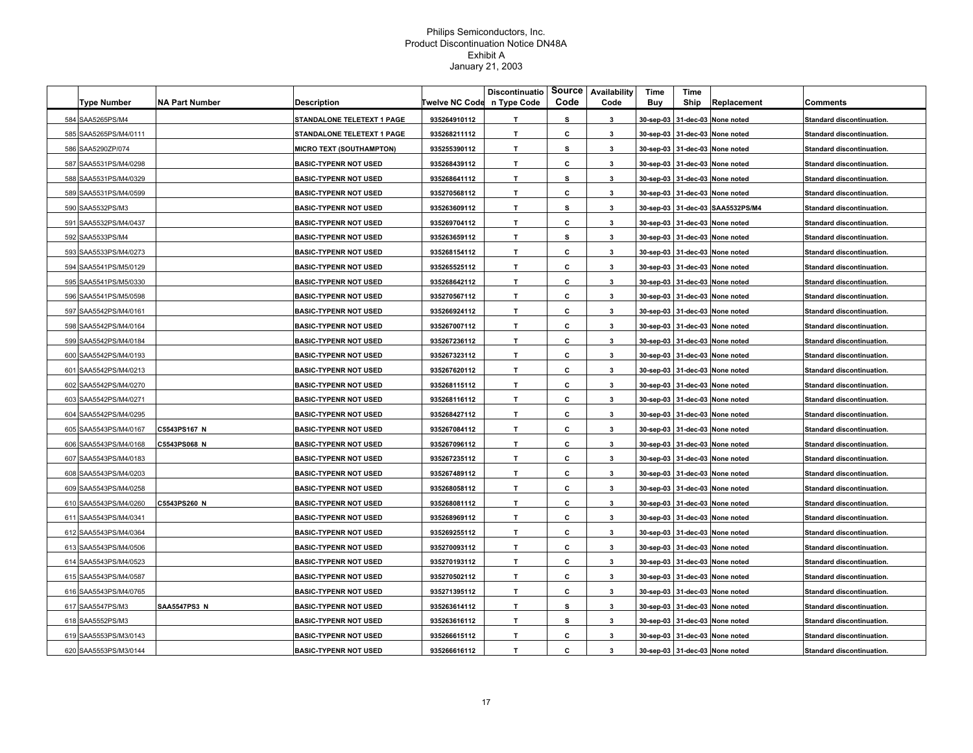| <b>Type Number</b>    | <b>NA Part Number</b> | Description                     | <b>Twelve NC Code</b> | <b>Discontinuatio</b><br>n Type Code | Code | Source   Availability<br>Code | Time<br>Buy | Time<br>Ship | Replacement                      | Comments                         |
|-----------------------|-----------------------|---------------------------------|-----------------------|--------------------------------------|------|-------------------------------|-------------|--------------|----------------------------------|----------------------------------|
| 584 SAA5265PS/M4      |                       | STANDALONE TELETEXT 1 PAGE      | 935264910112          | T.                                   | s    | $\mathbf{3}$                  |             |              | 30-sep-03 31-dec-03 None noted   | <b>Standard discontinuation.</b> |
| 585 SAA5265PS/M4/0111 |                       | STANDALONE TELETEXT 1 PAGE      | 935268211112          | T                                    | c    | 3                             |             |              | 30-sep-03 31-dec-03 None noted   | Standard discontinuation.        |
| 586 SAA5290ZP/074     |                       | <b>MICRO TEXT (SOUTHAMPTON)</b> | 935255390112          | T                                    | s    | 3                             |             |              | 30-sep-03 31-dec-03 None noted   |                                  |
|                       |                       |                                 |                       | T.                                   |      |                               |             |              |                                  | Standard discontinuation.        |
| 587 SAA5531PS/M4/0298 |                       | <b>BASIC-TYPENR NOT USED</b>    | 935268439112          |                                      | c    | 3<br>$\mathbf{3}$             |             |              | 30-sep-03 31-dec-03 None noted   | Standard discontinuation.        |
| 588 SAA5531PS/M4/0329 |                       | <b>BASIC-TYPENR NOT USED</b>    | 935268641112          | T.                                   | s    |                               |             |              | 30-sep-03 31-dec-03 None noted   | Standard discontinuation.        |
| 589 SAA5531PS/M4/0599 |                       | <b>BASIC-TYPENR NOT USED</b>    | 935270568112          | T                                    | c    | 3                             |             |              | 30-sep-03 31-dec-03 None noted   | Standard discontinuation.        |
| 590 SAA5532PS/M3      |                       | <b>BASIC-TYPENR NOT USED</b>    | 935263609112          | T.                                   | s    | 3                             |             |              | 30-sep-03 31-dec-03 SAA5532PS/M4 | Standard discontinuation.        |
| 591 SAA5532PS/M4/0437 |                       | <b>BASIC-TYPENR NOT USED</b>    | 935269704112          | T                                    | c    | 3                             |             |              | 30-sep-03 31-dec-03 None noted   | Standard discontinuation.        |
| 592 SAA5533PS/M4      |                       | <b>BASIC-TYPENR NOT USED</b>    | 935263659112          | T                                    | s    | $\mathbf{3}$                  |             |              | 30-sep-03 31-dec-03 None noted   | Standard discontinuation.        |
| 593 SAA5533PS/M4/0273 |                       | <b>BASIC-TYPENR NOT USED</b>    | 935268154112          | T                                    | c    | $\mathbf{3}$                  |             |              | 30-sep-03 31-dec-03 None noted   | Standard discontinuation.        |
| 594 SAA5541PS/M5/0129 |                       | <b>BASIC-TYPENR NOT USED</b>    | 935265525112          | T                                    | c    | $\mathbf{3}$                  |             |              | 30-sep-03 31-dec-03 None noted   | Standard discontinuation.        |
| 595 SAA5541PS/M5/0330 |                       | <b>BASIC-TYPENR NOT USED</b>    | 935268642112          | T.                                   | c    | $\mathbf{3}$                  |             |              | 30-sep-03 31-dec-03 None noted   | Standard discontinuation.        |
| 596 SAA5541PS/M5/0598 |                       | <b>BASIC-TYPENR NOT USED</b>    | 935270567112          | т                                    | С    | 3                             |             |              | 30-sep-03 31-dec-03 None noted   | Standard discontinuation.        |
| 597 SAA5542PS/M4/0161 |                       | <b>BASIC-TYPENR NOT USED</b>    | 935266924112          | T.                                   | c    | 3                             |             |              | 30-sep-03 31-dec-03 None noted   | Standard discontinuation.        |
| 598 SAA5542PS/M4/0164 |                       | <b>BASIC-TYPENR NOT USED</b>    | 935267007112          | T.                                   | c    | $\mathbf{3}$                  |             |              | 30-sep-03 31-dec-03 None noted   | Standard discontinuation.        |
| 599 SAA5542PS/M4/0184 |                       | <b>BASIC-TYPENR NOT USED</b>    | 935267236112          | T.                                   | c    | $\mathbf{3}$                  |             |              | 30-sep-03 31-dec-03 None noted   | Standard discontinuation.        |
| 600 SAA5542PS/M4/0193 |                       | <b>BASIC-TYPENR NOT USED</b>    | 935267323112          | T                                    | c    | 3                             |             |              | 30-sep-03 31-dec-03 None noted   | Standard discontinuation.        |
| 601 SAA5542PS/M4/0213 |                       | <b>BASIC-TYPENR NOT USED</b>    | 935267620112          | T.                                   | c    | 3                             |             |              | 30-sep-03 31-dec-03 None noted   | Standard discontinuation.        |
| 602 SAA5542PS/M4/0270 |                       | <b>BASIC-TYPENR NOT USED</b>    | 935268115112          | T.                                   | С    | 3                             |             |              | 30-sep-03 31-dec-03 None noted   | Standard discontinuation.        |
| 603 SAA5542PS/M4/0271 |                       | <b>BASIC-TYPENR NOT USED</b>    | 935268116112          | T.                                   | c    | 3                             |             |              | 30-sep-03 31-dec-03 None noted   | Standard discontinuation.        |
| 604 SAA5542PS/M4/0295 |                       | <b>BASIC-TYPENR NOT USED</b>    | 935268427112          | T.                                   | c    | 3                             |             |              | 30-sep-03 31-dec-03 None noted   | Standard discontinuation.        |
| 605 SAA5543PS/M4/0167 | C5543PS167 N          | <b>BASIC-TYPENR NOT USED</b>    | 935267084112          | T                                    | c    | $\mathbf{3}$                  |             |              | 30-sep-03 31-dec-03 None noted   | Standard discontinuation.        |
| 606 SAA5543PS/M4/0168 | C5543PS068 N          | <b>BASIC-TYPENR NOT USED</b>    | 935267096112          | T                                    | c    | 3                             |             |              | 30-sep-03 31-dec-03 None noted   | Standard discontinuation.        |
| 607 SAA5543PS/M4/0183 |                       | <b>BASIC-TYPENR NOT USED</b>    | 935267235112          | T                                    | c    | $\mathbf{3}$                  |             |              | 30-sep-03 31-dec-03 None noted   | Standard discontinuation.        |
| 608 SAA5543PS/M4/0203 |                       | <b>BASIC-TYPENR NOT USED</b>    | 935267489112          | T                                    | c    | $\mathbf{3}$                  |             |              | 30-sep-03 31-dec-03 None noted   | Standard discontinuation.        |
| 609 SAA5543PS/M4/0258 |                       | <b>BASIC-TYPENR NOT USED</b>    | 935268058112          | T                                    | c    | $\mathbf{3}$                  |             |              | 30-sep-03 31-dec-03 None noted   | Standard discontinuation.        |
| 610 SAA5543PS/M4/0260 | C5543PS260 N          | <b>BASIC-TYPENR NOT USED</b>    | 935268081112          | т                                    | c    | 3                             |             |              | 30-sep-03 31-dec-03 None noted   | Standard discontinuation.        |
| 611 SAA5543PS/M4/0341 |                       | <b>BASIC-TYPENR NOT USED</b>    | 935268969112          | Т.                                   | c    | 3                             |             |              | 30-sep-03 31-dec-03 None noted   | Standard discontinuation.        |
| 612 SAA5543PS/M4/0364 |                       | <b>BASIC-TYPENR NOT USED</b>    | 935269255112          | T.                                   | c    | $\mathbf{3}$                  |             |              | 30-sep-03 31-dec-03 None noted   | Standard discontinuation.        |
| 613 SAA5543PS/M4/0506 |                       | <b>BASIC-TYPENR NOT USED</b>    | 935270093112          | T.                                   | c    | 3                             |             |              | 30-sep-03 31-dec-03 None noted   | Standard discontinuation.        |
| 614 SAA5543PS/M4/0523 |                       | <b>BASIC-TYPENR NOT USED</b>    | 935270193112          | T.                                   | c    | 3                             |             |              | 30-sep-03 31-dec-03 None noted   | Standard discontinuation.        |
| 615 SAA5543PS/M4/0587 |                       | <b>BASIC-TYPENR NOT USED</b>    | 935270502112          | T                                    | c    | 3                             |             |              | 30-sep-03 31-dec-03 None noted   | Standard discontinuation.        |
| 616 SAA5543PS/M4/0765 |                       | <b>BASIC-TYPENR NOT USED</b>    | 935271395112          | T.                                   | С    | 3                             |             |              | 30-sep-03 31-dec-03 None noted   | Standard discontinuation.        |
| 617 SAA5547PS/M3      | <b>SAA5547PS3 N</b>   | <b>BASIC-TYPENR NOT USED</b>    | 935263614112          | T.                                   | s    | 3                             |             |              | 30-sep-03 31-dec-03 None noted   | Standard discontinuation.        |
| 618 SAA5552PS/M3      |                       | <b>BASIC-TYPENR NOT USED</b>    | 935263616112          | T.                                   | s    | 3                             |             |              | 30-sep-03 31-dec-03 None noted   | Standard discontinuation.        |
| 619 SAA5553PS/M3/0143 |                       | <b>BASIC-TYPENR NOT USED</b>    | 935266615112          | $\mathbf{T}$                         | c    | 3                             |             |              | 30-sep-03 31-dec-03 None noted   | Standard discontinuation.        |
| 620 SAA5553PS/M3/0144 |                       | <b>BASIC-TYPENR NOT USED</b>    | 935266616112          | T.                                   | c    | 3                             |             |              |                                  | <b>Standard discontinuation.</b> |
|                       |                       |                                 |                       |                                      |      |                               |             |              | 30-sep-03 31-dec-03 None noted   |                                  |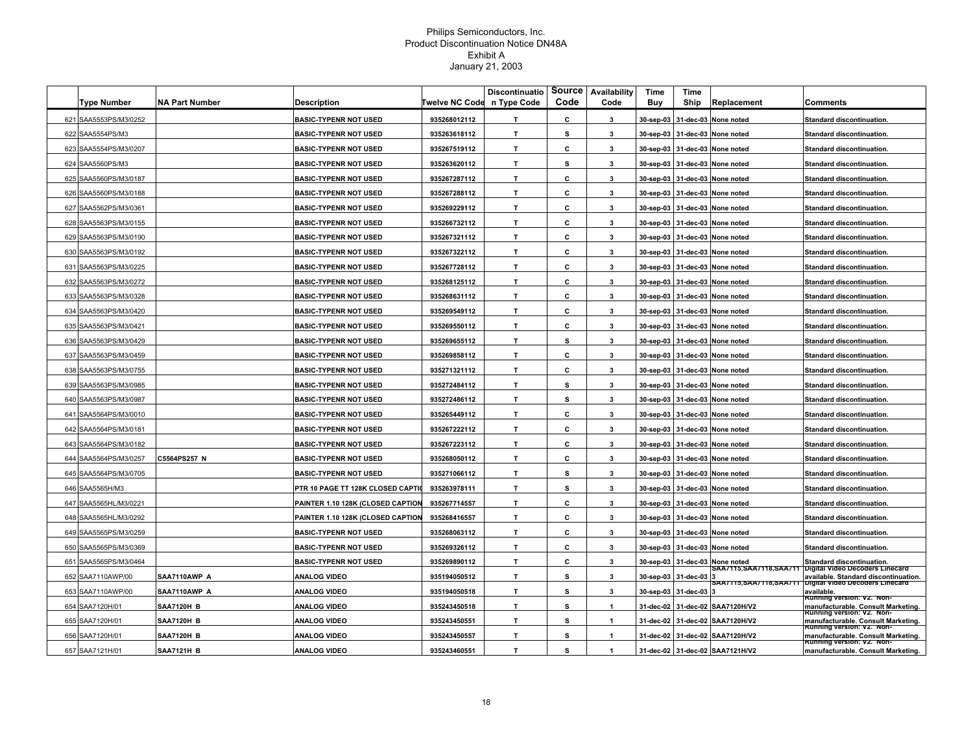|                       |                       |                                   |                | <b>Discontinuatio</b> | <b>Source</b> | Availability | Time      | Time      |                                 |                                                                                                |
|-----------------------|-----------------------|-----------------------------------|----------------|-----------------------|---------------|--------------|-----------|-----------|---------------------------------|------------------------------------------------------------------------------------------------|
| <b>Type Number</b>    | <b>NA Part Number</b> | <b>Description</b>                | Twelve NC Code | n Type Code           | Code          | Code         | Buy       | Ship      | Replacement                     | Comments                                                                                       |
| 621 SAA5553PS/M3/0252 |                       | <b>BASIC-TYPENR NOT USED</b>      | 935268012112   | $\mathbf{T}$          | С             | $\mathbf{3}$ | 30-sep-03 |           | 31-dec-03 None noted            | <b>Standard discontinuation.</b>                                                               |
| 622 SAA5554PS/M3      |                       | <b>BASIC-TYPENR NOT USED</b>      | 935263618112   | $\mathbf{T}$          | s             | 3            |           |           | 30-sep-03 31-dec-03 None noted  | <b>Standard discontinuation.</b>                                                               |
| 623 SAA5554PS/M3/0207 |                       | <b>BASIC-TYPENR NOT USED</b>      | 935267519112   | $\mathbf{T}$          | С             | 3            |           |           | 30-sep-03 31-dec-03 None noted  | Standard discontinuation.                                                                      |
| 624 SAA5560PS/M3      |                       | <b>BASIC-TYPENR NOT USED</b>      | 935263620112   | T.                    | s             | 3            |           |           | 30-sep-03 31-dec-03 None noted  | Standard discontinuation.                                                                      |
| 625 SAA5560PS/M3/0187 |                       | <b>BASIC-TYPENR NOT USED</b>      | 935267287112   | T                     | С             | 3            |           |           | 30-sep-03 31-dec-03 None noted  | Standard discontinuation.                                                                      |
| 626 SAA5560PS/M3/0188 |                       | <b>BASIC-TYPENR NOT USED</b>      | 935267288112   | $\mathbf{T}$          | C             | 3            |           |           | 30-sep-03 31-dec-03 None noted  | Standard discontinuation.                                                                      |
| 627 SAA5562PS/M3/0361 |                       | <b>BASIC-TYPENR NOT USED</b>      | 935269229112   | $\mathbf{r}$          | c             | 3            |           |           | 30-sep-03 31-dec-03 None noted  | Standard discontinuation.                                                                      |
| 628 SAA5563PS/M3/0155 |                       | <b>BASIC-TYPENR NOT USED</b>      | 935266732112   | T.                    | c             | 3            |           |           | 30-sep-03 31-dec-03 None noted  | Standard discontinuation.                                                                      |
| 629 SAA5563PS/M3/0190 |                       | <b>BASIC-TYPENR NOT USED</b>      | 935267321112   | T                     | c             | $\mathbf{3}$ |           |           | 30-sep-03 31-dec-03 None noted  | Standard discontinuation.                                                                      |
| 630 SAA5563PS/M3/0192 |                       | <b>BASIC-TYPENR NOT USED</b>      | 935267322112   | $\mathbf{T}$          | C             | 3            |           |           | 30-sep-03 31-dec-03 None noted  | Standard discontinuation.                                                                      |
| 631 SAA5563PS/M3/0225 |                       | <b>BASIC-TYPENR NOT USED</b>      | 935267728112   | $\mathbf{T}$          | c             | 3            | 30-sep-03 |           | 31-dec-03 None noted            | Standard discontinuation.                                                                      |
| 632 SAA5563PS/M3/0272 |                       | <b>BASIC-TYPENR NOT USED</b>      | 935268125112   | T.                    | С             | $\mathbf{3}$ |           |           | 30-sep-03 31-dec-03 None noted  | Standard discontinuation.                                                                      |
| 633 SAA5563PS/M3/0328 |                       | <b>BASIC-TYPENR NOT USED</b>      | 935268631112   | T.                    | С             | 3            |           |           | 30-sep-03 31-dec-03 None noted  | <b>Standard discontinuation.</b>                                                               |
| 634 SAA5563PS/M3/0420 |                       | <b>BASIC-TYPENR NOT USED</b>      | 935269549112   | $\mathbf{T}$          | С             | 3            |           |           | 30-sep-03 31-dec-03 None noted  | Standard discontinuation.                                                                      |
| 635 SAA5563PS/M3/0421 |                       | <b>BASIC-TYPENR NOT USED</b>      | 935269550112   | $\mathbf{T}$          | c             | 3            | 30-sep-03 |           | 31-dec-03 None noted            | Standard discontinuation.                                                                      |
| 636 SAA5563PS/M3/0429 |                       | <b>BASIC-TYPENR NOT USED</b>      | 935269655112   | T.                    | s             | 3            |           |           | 30-sep-03 31-dec-03 None noted  | Standard discontinuation.                                                                      |
| 637 SAA5563PS/M3/0459 |                       | <b>BASIC-TYPENR NOT USED</b>      | 935269858112   | $\mathbf{T}$          | c             | 3            |           |           | 30-sep-03 31-dec-03 None noted  | Standard discontinuation.                                                                      |
| 638 SAA5563PS/M3/0755 |                       | <b>BASIC-TYPENR NOT USED</b>      | 935271321112   | $\mathbf{T}$          | С             | 3            | 30-sep-03 |           | 31-dec-03 None noted            | Standard discontinuation.                                                                      |
| 639 SAA5563PS/M3/0985 |                       | <b>BASIC-TYPENR NOT USED</b>      | 935272484112   | $\mathbf{T}$          | s             | 3            |           |           | 30-sep-03 31-dec-03 None noted  | Standard discontinuation.                                                                      |
| 640 SAA5563PS/M3/0987 |                       | <b>BASIC-TYPENR NOT USED</b>      | 935272486112   | $\mathbf{T}$          | s             | 3            |           |           | 30-sep-03 31-dec-03 None noted  | Standard discontinuation.                                                                      |
| 641 SAA5564PS/M3/0010 |                       | <b>BASIC-TYPENR NOT USED</b>      | 935265449112   | т                     | c             | 3            |           |           | 30-sep-03 31-dec-03 None noted  | Standard discontinuation.                                                                      |
| 642 SAA5564PS/M3/0181 |                       | <b>BASIC-TYPENR NOT USED</b>      | 935267222112   | $\mathbf{T}$          | С             | 3            |           |           | 30-sep-03 31-dec-03 None noted  | Standard discontinuation.                                                                      |
| 643 SAA5564PS/M3/0182 |                       | <b>BASIC-TYPENR NOT USED</b>      | 935267223112   | $\mathbf{T}$          | C             | $\mathbf{3}$ |           |           | 30-sep-03 31-dec-03 None noted  | Standard discontinuation.                                                                      |
| 644 SAA5564PS/M3/0257 | C5564PS257 N          | <b>BASIC-TYPENR NOT USED</b>      | 935268050112   | T.                    | С             | $\mathbf{3}$ |           |           | 30-sep-03 31-dec-03 None noted  | <b>Standard discontinuation.</b>                                                               |
| 645 SAA5564PS/M3/0705 |                       | <b>BASIC-TYPENR NOT USED</b>      | 935271066112   | $\mathbf{T}$          | s             | 3            |           |           | 30-sep-03 31-dec-03 None noted  | Standard discontinuation.                                                                      |
| 646 SAA5565H/M3       |                       | PTR 10 PAGE TT 128K CLOSED CAPTIO | 935263978111   | $\mathbf{T}$          | s             | 3            | 30-sep-03 |           | 31-dec-03 None noted            | Standard discontinuation.                                                                      |
| 647 SAA5565HL/M3/0221 |                       | PAINTER 1.10 128K (CLOSED CAPTION | 935267714557   | T                     | C             | $\mathbf{3}$ |           |           | 30-sep-03 31-dec-03 None noted  | Standard discontinuation.                                                                      |
| 648 SAA5565HL/M3/0292 |                       | PAINTER 1.10 128K (CLOSED CAPTION | 935268416557   | T.                    | С             | 3            | 30-sep-03 |           | 31-dec-03 None noted            | <b>Standard discontinuation.</b>                                                               |
| 649 SAA5565PS/M3/0259 |                       | <b>BASIC-TYPENR NOT USED</b>      | 935268063112   | $\mathbf{T}$          | С             | 3            | 30-sep-03 |           | 31-dec-03 None noted            | Standard discontinuation.                                                                      |
| 650 SAA5565PS/M3/0369 |                       | <b>BASIC-TYPENR NOT USED</b>      | 935269326112   | T                     | c             | 3            |           |           | 30-sep-03 31-dec-03 None noted  | Standard discontinuation.                                                                      |
| 651 SAA5565PS/M3/0464 |                       | <b>BASIC-TYPENR NOT USED</b>      | 935269890112   | T                     | c             | $\mathbf{3}$ |           |           | 30-sep-03 31-dec-03 None noted  | Standard discontinuation.                                                                      |
| 652 SAA7110AWP/00     | SAA7110AWP A          | <b>ANALOG VIDEO</b>               | 935194050512   | $\mathbf{T}$          | s             | 3            | 30-sep-03 | 31-dec-03 |                                 | SAA7115,SAA7118,SAA711 Digital Video Decoders Linecard<br>available. Standard discontinuation. |
| 653 SAA7110AWP/00     | SAA7110AWP A          | <b>ANALOG VIDEO</b>               | 935194050518   | $\mathbf{T}$          | s             | 3            | 30-sep-03 | 31-dec-03 |                                 | SAA/115,SAA/118,SAA/11   Digital Video Decoders Linecard<br>available.                         |
| 654 SAA7120H/01       | <b>SAA7120H B</b>     | ANALOG VIDEO                      | 935243450518   | T.                    | s             | 1            |           |           | 31-dec-02 31-dec-02 SAA7120H/V2 | Running version: V2. Non-<br>manufacturable. Consult Marketing.                                |
| 655 SAA7120H/01       | <b>SAA7120H B</b>     | ANALOG VIDEO                      | 935243450551   | T.                    | s             | 1            |           |           | 31-dec-02 31-dec-02 SAA7120H/V2 | Running version: V2.  Non-<br>manufacturable. Consult Marketing.                               |
| 656 SAA7120H/01       | <b>SAA7120H B</b>     | ANALOG VIDEO                      | 935243450557   | $\mathbf{T}$          | s             | 1            |           |           | 31-dec-02 31-dec-02 SAA7120H/V2 | Running version: V2. Non-<br>manufacturable. Consult Marketing.                                |
| 657 SAA7121H/01       | <b>SAA7121H B</b>     | <b>ANALOG VIDEO</b>               | 935243460551   | $\mathbf{T}$          | s             | 1            |           |           | 31-dec-02 31-dec-02 SAA7121H/V2 | Running version: V2. Non-<br>manufacturable. Consult Marketing.                                |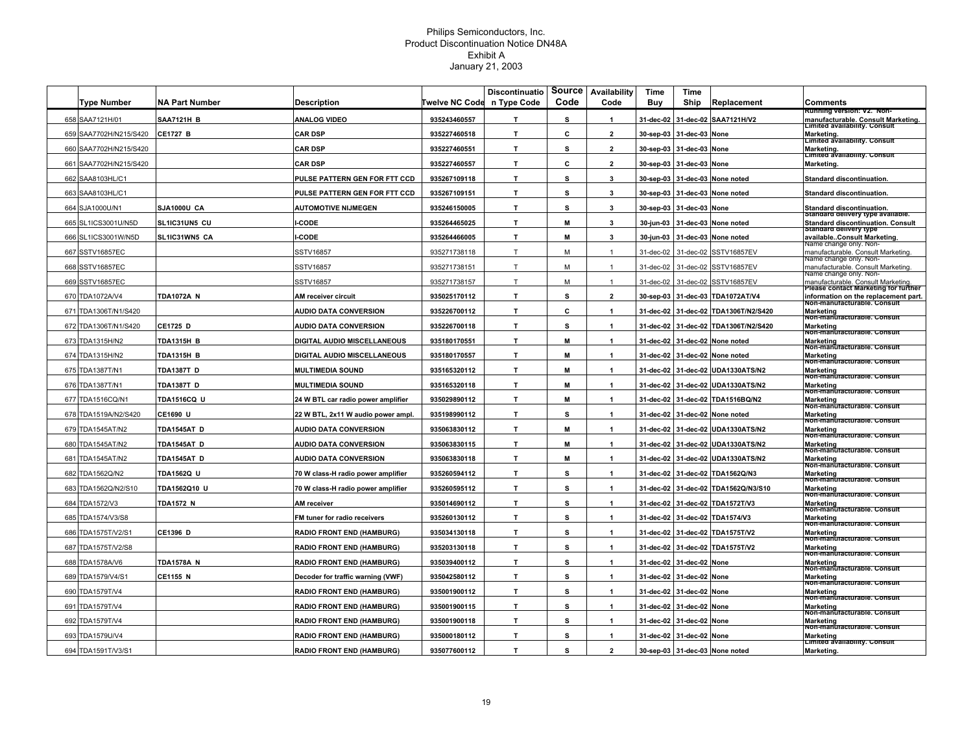|                        |                       |                                    |                | <b>Discontinuatio</b> | Source | Availability         | Time      | <b>Time</b>    |                                   |                                                                                                 |
|------------------------|-----------------------|------------------------------------|----------------|-----------------------|--------|----------------------|-----------|----------------|-----------------------------------|-------------------------------------------------------------------------------------------------|
| <b>Type Number</b>     | <b>NA Part Number</b> | Description                        | Twelve NC Code | n Type Code           | Code   | Code                 | Buy       | Ship           | Replacement                       | Comments                                                                                        |
| 658 SAA7121H/01        | <b>SAA7121H B</b>     | <b>ANALOG VIDEO</b>                | 935243460557   | $\mathbf{T}$          | s      | $\blacktriangleleft$ | 31-dec-02 |                | 31-dec-02 SAA7121H/V2             | unning version: vz. Non-<br>manufacturable. Consult Marketing.<br>imited availability. Consult. |
| 659 SAA7702H/N215/S420 | <b>CE1727 B</b>       | <b>CAR DSP</b>                     | 935227460518   | $\mathbf{T}$          | C      | $\overline{2}$       | 30-sep-03 | 31-dec-03 None |                                   | Marketing.<br>Limited availability. Consult                                                     |
| 660 SAA7702H/N215/S420 |                       | <b>CAR DSP</b>                     | 935227460551   | $\mathbf{T}$          | s      | $\mathbf{2}$         | 30-sep-03 | 31-dec-03      | None                              | Marketing.<br> Limiteα availability. Consult                                                    |
| 661 SAA7702H/N215/S420 |                       | <b>CAR DSP</b>                     | 935227460557   | $\mathbf{T}$          | С      | $\mathbf{2}$         | 30-sep-03 | 31-dec-03      | None                              | Marketing.                                                                                      |
| 662 SAA8103HL/C1       |                       | PULSE PATTERN GEN FOR FTT CCD      | 935267109118   | $\mathbf{T}$          | s      | $\mathbf{3}$         | 30-sep-03 |                | 31-dec-03 None noted              | Standard discontinuation.                                                                       |
| 663 SAA8103HL/C1       |                       | PULSE PATTERN GEN FOR FTT CCD      | 935267109151   | T                     | s      | 3                    | 30-sep-03 | 31-dec-03      | None noted                        | Standard discontinuation.                                                                       |
| 664 SJA1000U/N1        | SJA1000U CA           | <b>AUTOMOTIVE NIJMEGEN</b>         | 935246150005   | $\mathbf{T}$          | s      | 3                    | 30-sep-03 | 31-dec-03 None |                                   | Standard discontinuation.                                                                       |
| 665 SL1ICS3001U/N5D    | SL1IC31UN5 CU         | CODE-                              | 935264465025   | $\mathbf{T}$          | М      | 3                    | 30-jun-03 |                | 31-dec-03 None noted              | Standard delivery type available.<br><b>Standard discontinuation. Consult</b>                   |
| 666 SL1ICS3001W/N5D    | SL1IC31WN5 CA         | -CODE                              | 935264466005   | T.                    | M      | $\mathbf{3}$         | 30-jun-03 |                | 31-dec-03 None noted              | Standard delivery type<br>availableConsult Marketing.                                           |
| 667 SSTV16857EC        |                       | <b>SSTV16857</b>                   | 935271738118   | T                     | M      | $\mathbf{1}$         | 31-dec-02 |                | 31-dec-02 SSTV16857EV             | vame cnange only. Non-<br>manufacturable, Consult Marketing,                                    |
| 668 SSTV16857EC        |                       | SSTV16857                          | 935271738151   | T                     | M      | $\mathbf{1}$         | 31-dec-02 |                | 31-dec-02 SSTV16857EV             | Name change only. Non-<br>manufacturable. Consult Marketing.                                    |
| 669 SSTV16857EC        |                       | SSTV16857                          | 935271738157   | T                     | M      | $\mathbf{1}$         | 31-dec-02 |                | 31-dec-02 SSTV16857EV             | vame cnange only. Non-<br>manufacturable. Consult Marketing                                     |
| 670 TDA1072A/V4        | <b>TDA1072A N</b>     | AM receiver circuit                | 935025170112   | T                     | s      | $\overline{2}$       | 30-sep-03 |                | 31-dec-03 TDA1072AT/V4            | lease contact Marketing for further<br>information on the replacement part.                     |
| 671 TDA1306T/N1/S420   |                       | <b>AUDIO DATA CONVERSION</b>       | 935226700112   | $\mathbf{T}$          | С      | $\mathbf{1}$         | 31-dec-02 |                | 31-dec-02 TDA1306T/N2/S420        | Non-manuracturable. Consult<br>Marketing                                                        |
| 672 TDA1306T/N1/S420   | CE1725 D              | <b>AUDIO DATA CONVERSION</b>       | 935226700118   | $\mathbf{T}$          | s      | $\mathbf{1}$         | 31-dec-02 |                | 31-dec-02 TDA1306T/N2/S420        | Non-manŭracturapie. Consuit<br><b>Marketing</b>                                                 |
| 673 TDA1315H/N2        | <b>TDA1315H B</b>     | DIGITAL AUDIO MISCELLANEOUS        | 935180170551   | $\mathbf{T}$          | м      | $\mathbf{1}$         | 31-dec-02 |                | 31-dec-02 None noted              | von-manŭracturable. Consult<br>Marketing                                                        |
| 674 TDA1315H/N2        | <b>TDA1315H B</b>     | DIGITAL AUDIO MISCELLANEOUS        | 935180170557   | T.                    | м      | $\mathbf{1}$         | 31-dec-02 |                | 31-dec-02 None noted              | Non-manufacturable. Consult<br><b>Marketing</b>                                                 |
| 675 TDA1387T/N1        | <b>TDA1387T D</b>     | <b>MULTIMEDIA SOUND</b>            | 935165320112   | $\mathbf{T}$          | м      | $\mathbf{1}$         | 31-dec-02 | 31-dec-02      | <b>UDA1330ATS/N2</b>              | Non-manuracturable. Consult<br><b>Marketing</b>                                                 |
| 676 TDA1387T/N1        | <b>TDA1387T D</b>     | <b>MULTIMEDIA SOUND</b>            | 935165320118   | $\mathbf{T}$          | M      | $\blacktriangleleft$ | 31-dec-02 |                | 31-dec-02 UDA1330ATS/N2           | Non-manūracturable. Consult<br><b>Marketing</b>                                                 |
| 677 TDA1516CQ/N1       | <b>TDA1516CQ U</b>    | 24 W BTL car radio power amplifier | 935029890112   | T.                    | М      | $\blacktriangleleft$ | 31-dec-02 |                | 31-dec-02 TDA1516BQ/N2            | von-manŭracturable. Consult<br><b>Marketing</b>                                                 |
| 678 TDA1519A/N2/S420   | CE1690 U              | 22 W BTL, 2x11 W audio power ampl  | 935198990112   | $\mathbf{T}$          | s      |                      | 31-dec-02 |                | 31-dec-02 None noted              | Non-manūracturable. Consult<br>Marketing                                                        |
| 679 TDA1545AT/N2       | TDA1545AT D           | <b>AUDIO DATA CONVERSION</b>       | 935063830112   | $\mathbf{T}$          | M      | $\mathbf{1}$         | 31-dec-02 |                | 31-dec-02 UDA1330ATS/N2           | von-manŭracturable. Consult<br>Marketing                                                        |
| 680 TDA1545AT/N2       | <b>TDA1545AT D</b>    | <b>AUDIO DATA CONVERSION</b>       | 935063830115   | T                     | M      | $\mathbf{1}$         |           |                | 31-dec-02 31-dec-02 UDA1330ATS/N2 | von-manŭracturable. Consult<br>Marketing                                                        |
| 681 TDA1545AT/N2       | <b>TDA1545AT D</b>    | <b>AUDIO DATA CONVERSION</b>       | 935063830118   | T                     | M      | $\mathbf{1}$         | 31-dec-02 |                | 31-dec-02 UDA1330ATS/N2           | Non-manufacturable. Consult<br>Marketing                                                        |
| 682 TDA1562Q/N2        | <b>TDA1562Q U</b>     | 70 W class-H radio power amplifier | 935260594112   | $\mathbf{T}$          | s      | $\mathbf{1}$         | 31-dec-02 |                | 31-dec-02 TDA1562Q/N3             | Non-manuracturable. Consult<br><b>Marketing</b>                                                 |
| 683 TDA1562Q/N2/S10    | TDA1562Q10 U          | 70 W class-H radio power amplifier | 935260595112   | $\mathbf{T}$          | s      | $\mathbf{1}$         | 31-dec-02 |                | 31-dec-02 TDA1562Q/N3/S10         | Non-manuracturable. Consult<br><b>Marketing</b>                                                 |
| 684 TDA1572/V3         | <b>TDA1572 N</b>      | AM receiver                        | 935014690112   | T.                    | s      | $\mathbf{1}$         | 31-dec-02 |                | 31-dec-02 TDA1572T/V3             | Non-manūracturable. Consult<br><b>Marketing</b>                                                 |
| 685 TDA1574/V3/S8      |                       | FM tuner for radio receivers       | 935260130112   | T.                    | s      | $\mathbf{1}$         | 31-dec-02 |                | 31-dec-02 TDA1574/V3              | Non-manufacturable. Consult<br>Marketing                                                        |
| 686 TDA1575T/V2/S1     | CE1396 D              | <b>RADIO FRONT END (HAMBURG)</b>   | 935034130118   | $\mathbf{T}$          | s      | $\mathbf{1}$         | 31-dec-02 |                | 31-dec-02 TDA1575T/V2             | Non-manuracturable. Consult<br><b>Marketing</b>                                                 |
| 687 TDA1575T/V2/S8     |                       | <b>RADIO FRONT END (HAMBURG)</b>   | 935203130118   | $\mathbf{T}$          | s      | $\mathbf{1}$         | 31-dec-02 |                | 31-dec-02 TDA1575T/V2             | Non-manuracturable. Consult<br>Marketing                                                        |
| 688 TDA1578AV6         | <b>TDA1578A N</b>     | <b>RADIO FRONT END (HAMBURG)</b>   | 935039400112   | T                     | s      | $\mathbf{1}$         | 31-dec-02 | 31-dec-02 None |                                   | Non-manufacturable. Consult<br>Marketing                                                        |
| 689 TDA1579/V4/S1      | CE1155 N              | Decoder for traffic warning (VWF)  | 935042580112   | $\mathbf{T}$          | s      | $\mathbf{1}$         | 31-dec-02 | 31-dec-02 None |                                   | Non-manuracturable. Consult<br>Marketing                                                        |
|                        |                       |                                    |                |                       |        |                      |           |                |                                   | Non-manuracturable. Consult                                                                     |
| 690 TDA1579T/V4        |                       | <b>RADIO FRONT END (HAMBURG)</b>   | 935001900112   | $\mathbf{T}$          | s      | $\mathbf{1}$         | 31-dec-02 | 31-dec-02      | None                              | <b>Marketing</b><br>Non-manūracturable. Consult                                                 |
| 691 TDA1579T/V4        |                       | <b>RADIO FRONT END (HAMBURG)</b>   | 935001900115   | T.                    | s      | $\blacktriangleleft$ | 31-dec-02 | 31-dec-02 None |                                   | <b>Marketing</b><br>Non-manufacturable. Consult                                                 |
| 692 TDA1579T/V4        |                       | <b>RADIO FRONT END (HAMBURG)</b>   | 935001900118   | T.                    | s      | $\mathbf{1}$         | 31-dec-02 | 31-dec-02 None |                                   | Marketing<br>von-manŭracturable. Consult                                                        |
| 693 TDA1579U/V4        |                       | <b>RADIO FRONT END (HAMBURG)</b>   | 935000180112   | T.                    | s      | $\mathbf{1}$         | 31-dec-02 | 31-dec-02 None |                                   | <b>Marketing</b><br>∟imited availability. Consult                                               |
| 694 TDA1591T/V3/S1     |                       | <b>RADIO FRONT END (HAMBURG)</b>   | 935077600112   | $\mathbf{T}$          | s      | $\overline{2}$       |           |                | 30-sep-03 31-dec-03 None noted    | Marketing.                                                                                      |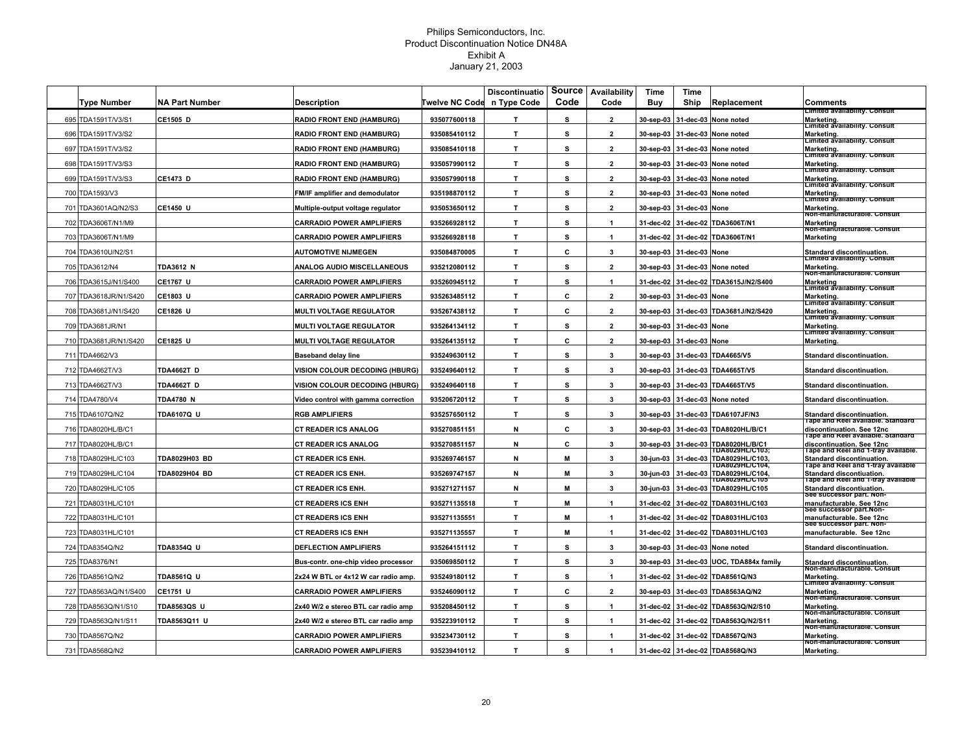|     |                       |                       |                                       |                       | <b>Discontinuatio</b> | Source | Availability         | Time      | Time                     |                                             |                                                                  |
|-----|-----------------------|-----------------------|---------------------------------------|-----------------------|-----------------------|--------|----------------------|-----------|--------------------------|---------------------------------------------|------------------------------------------------------------------|
|     | Type Number           | <b>NA Part Number</b> | <b>Description</b>                    | <b>Twelve NC Code</b> | n Type Code           | Code   | Code                 | Buy       | Ship                     | Replacement                                 | Comments<br>Limited availability. Consult                        |
|     | 695 TDA1591T/V3/S1    | <b>CE1505 D</b>       | <b>RADIO FRONT END (HAMBURG)</b>      | 935077600118          | т                     | s      | $\overline{2}$       | 30-sep-03 |                          | 31-dec-03 None noted                        | Marketing.<br>Limited availability. Consult                      |
|     | 696 TDA1591T/V3/S2    |                       | <b>RADIO FRONT END (HAMBURG)</b>      | 935085410112          | T                     | s      | $\overline{2}$       | 30-sep-03 |                          | 31-dec-03 None noted                        | Marketing.<br>Limited availability. Consult                      |
|     | 697 TDA1591T/V3/S2    |                       | <b>RADIO FRONT END (HAMBURG)</b>      | 935085410118          | T.                    | s      | $\mathbf{2}$         | 30-sep-03 |                          | 31-dec-03 None noted                        | Marketing.<br><b>Limited availability. Consult</b>               |
| 698 | TDA1591T/V3/S3        |                       | <b>RADIO FRONT END (HAMBURG)</b>      | 935057990112          | T                     | s      | $\overline{2}$       | 30-sep-03 |                          | 31-dec-03 None noted                        | Marketing.                                                       |
|     | 699 TDA1591T/V3/S3    | <b>CE1473 D</b>       | <b>RADIO FRONT END (HAMBURG)</b>      | 935057990118          | т                     | s      | $\overline{2}$       |           |                          | 30-sep-03 31-dec-03 None noted              | Limited availability. Consult<br>Marketing.                      |
|     | 700 TDA1593/V3        |                       | FM/IF amplifier and demodulator       | 935198870112          | $\mathbf{r}$          | s      | $\overline{2}$       | 30-sep-03 |                          | 31-dec-03 None noted                        | Limited availability. Consult<br>Marketing.                      |
|     | 701 TDA3601AQ/N2/S3   | CE1450 U              | Multiple-output voltage regulator     | 935053650112          | T.                    | s      | $\overline{2}$       |           | 30-sep-03 31-dec-03 None |                                             | Limited availability. Consult<br>Marketing.                      |
|     | 702 TDA3606T/N1/M9    |                       | <b>CARRADIO POWER AMPLIFIERS</b>      | 935266928112          | T                     | s      | $\mathbf{1}$         | 31-dec-02 |                          | 31-dec-02 TDA3606T/N1                       | Non-manufacturable. Consult<br>Marketing                         |
|     | 703 TDA3606T/N1/M9    |                       | CARRADIO POWER AMPLIFIERS             | 935266928118          | T                     | s      | $\mathbf{1}$         |           |                          | 31-dec-02 31-dec-02 TDA3606T/N1             | Non-manuracturable. Consult<br>Marketing                         |
|     | 704 TDA3610U/N2/S1    |                       | <b>AUTOMOTIVE NIJMEGEN</b>            | 935084870005          | $\mathbf{T}$          | c      | 3                    | 30-sep-03 | 31-dec-03 None           |                                             | <b>Standard discontinuation.</b>                                 |
|     | 705 TDA3612/N4        | <b>TDA3612 N</b>      | <b>ANALOG AUDIO MISCELLANEOUS</b>     | 935212080112          | $\mathbf{T}$          | s      | $\overline{2}$       | 30-sep-03 |                          | 31-dec-03 None noted                        | Limited availability. Consult<br>Marketing.                      |
|     | 706 TDA3615J/N1/S400  | <b>CE1767 U</b>       | <b>CARRADIO POWER AMPLIFIERS</b>      | 935260945112          | T                     | s      | $\mathbf{1}$         | 31-dec-02 |                          | 31-dec-02 TDA3615J/N2/S400                  | Non-manuracturable. Consult<br>Marketing                         |
|     | 707 TDA3618JR/N1/S420 | <b>CE1803 U</b>       | CARRADIO POWER AMPLIFIERS             | 935263485112          | т                     | C      | $\mathbf{2}$         | 30-sep-03 | 31-dec-03 None           |                                             | Limited availability. Consult<br>Marketing.                      |
|     | 708 TDA3681J/N1/S420  | <b>CE1826 U</b>       | <b>MULTI VOLTAGE REGULATOR</b>        | 935267438112          | $\mathbf{r}$          | c      | $\mathbf{2}$         | 30-sep-03 |                          | 31-dec-03 TDA3681J/N2/S420                  | Limited availability. Consult<br>Marketing.                      |
|     | 709 TDA3681JR/N1      |                       | <b>MULTI VOLTAGE REGULATOR</b>        | 935264134112          | T                     | s      | $\mathbf{2}$         | 30-sep-03 | 31-dec-03 None           |                                             | Limited availability. Consult<br>Marketing.                      |
|     | 710 TDA3681JR/N1/S420 | CE1825 U              | <b>MULTI VOLTAGE REGULATOR</b>        | 935264135112          | T.                    | c      | $\mathbf{2}$         | 30-sep-03 | 31-dec-03 None           |                                             | Limited availability. Consult<br>Marketing.                      |
|     | 711 TDA4662/V3        |                       | <b>Baseband delay line</b>            | 935249630112          | T                     | s      | 3                    | 30-sep-03 |                          | 31-dec-03 TDA4665/V5                        | Standard discontinuation.                                        |
|     | 712 TDA4662T/V3       | <b>TDA4662T D</b>     | <b>VISION COLOUR DECODING (HBURG)</b> | 935249640112          | T.                    | s      | 3                    |           |                          | 30-sep-03 31-dec-03 TDA4665T/V5             | <b>Standard discontinuation.</b>                                 |
|     | 713 TDA4662T/V3       | <b>TDA4662T D</b>     | VISION COLOUR DECODING (HBURG)        | 935249640118          | т                     | s      | 3                    |           |                          | 30-sep-03 31-dec-03 TDA4665T/V5             | Standard discontinuation.                                        |
|     | 714 TDA4780/V4        | <b>TDA4780 N</b>      | Video control with gamma correction   | 935206720112          | т                     | S      | 3                    |           |                          | 30-sep-03 31-dec-03 None noted              | Standard discontinuation.                                        |
|     | 715 TDA6107Q/N2       | TDA6107Q U            | <b>RGB AMPLIFIERS</b>                 | 935257650112          | T                     | s      | 3                    |           |                          | 30-sep-03 31-dec-03 TDA6107JF/N3            | Standard discontinuation.                                        |
|     | 716 TDA8020HL/B/C1    |                       | <b>CT READER ICS ANALOG</b>           | 935270851151          | N                     | c      | $\mathbf{3}$         |           |                          | 30-sep-03 31-dec-03 TDA8020HL/B/C1          | i ape and Reel available. Standard<br>discontinuation. See 12nc  |
|     | 717 TDA8020HL/B/C1    |                       | <b>CT READER ICS ANALOG</b>           | 935270851157          | N                     | c      | 3                    |           |                          | 30-sep-03 31-dec-03 TDA8020HL/B/C1          | Tape and Reel available. Standard<br>discontinuation. See 12nc   |
| 718 | TDA8029HL/C103        | TDA8029H03 BD         | <b>CT READER ICS ENH.</b>             | 935269746157          | N                     | M      | 3                    | 30-jun-03 | 31-dec-03                | DA8029HL/C103:<br>TDA8029HL/C103,           | Tape and Reel and 1-tray available.<br>Standard discontinuation. |
|     | 719 TDA8029HL/C104    | TDA8029H04 BD         | CT READER ICS ENH.                    | 935269747157          | N                     | M      | 3                    | 30-jun-03 |                          | DA8029HL/C104,<br>31-dec-03 TDA8029HL/C104, | i ape and Reel and 1-tray available<br>Standard discontiuation.  |
|     | 720 TDA8029HL/C105    |                       | <b>CT READER ICS ENH.</b>             | 935271271157          | N                     | М      | 3                    | 30-jun-03 | 31-dec-03                | <b>DA8029HL/C105</b><br>TDA8029HL/C105      | Tape and Reel and 1-tray available<br>Standard discontiuation.   |
|     | 721 TDA8031HL/C101    |                       | <b>CT READERS ICS ENH</b>             | 935271135518          | т                     | М      | $\mathbf{1}$         | 31-dec-02 |                          | 31-dec-02 TDA8031HL/C103                    | See successor part. Non-<br>manufacturable. See 12nc             |
|     | 722 TDA8031HL/C101    |                       | <b>CT READERS ICS ENH</b>             | 935271135551          | т                     | M      | $\mathbf{1}$         | 31-dec-02 |                          | 31-dec-02 TDA8031HL/C103                    | see successor part.non-<br>manufacturable. See 12nc              |
| 723 | TDA8031HL/C101        |                       | <b>CT READERS ICS ENH</b>             | 935271135557          | T                     | M      | $\mathbf{1}$         | 31-dec-02 |                          | 31-dec-02 TDA8031HL/C103                    | See successor part. Non-<br>manufacturable. See 12nc             |
| 724 | TDA8354Q/N2           | <b>TDA8354Q U</b>     | <b>DEFLECTION AMPLIFIERS</b>          | 935264151112          | T                     | s      | 3                    | 30-sep-03 |                          | 31-dec-03 None noted                        | Standard discontinuation.                                        |
|     | 725 TDA8376/N1        |                       | Bus-contr. one-chip video processor   | 935069850112          | T                     | s      | 3                    | 30-sep-03 |                          | 31-dec-03 UOC, TDA884x family               | Standard discontinuation.                                        |
|     | 726 TDA8561Q/N2       | TDA8561Q U            | 2x24 W BTL or 4x12 W car radio amp.   | 935249180112          | T.                    | s      | $\blacktriangleleft$ | 31-dec-02 |                          | 31-dec-02 TDA8561Q/N3                       | Non-manuracturable. Consult<br>Marketing.                        |
| 727 | TDA8563AQ/N1/S400     | <b>CE1751 U</b>       | <b>CARRADIO POWER AMPLIFIERS</b>      | 935246090112          | $\mathbf{r}$          | C      | $\overline{2}$       | 30-sep-03 |                          | 31-dec-03 TDA8563AQ/N2                      | Limited availability. Consult<br>Marketing.                      |
|     | 728 TDA8563Q/N1/S10   | <b>TDA8563QS U</b>    | 2x40 W/2 e stereo BTL car radio amp   | 935208450112          | T                     | S      | 1                    |           |                          | 31-dec-02 31-dec-02 TDA8563Q/N2/S10         | Non-manuracturable. Consult<br>Marketing.                        |
|     | 729 TDA8563Q/N1/S11   | TDA8563Q11 U          | 2x40 W/2 e stereo BTL car radio amp   | 935223910112          | T.                    | s      | -1                   | 31-dec-02 |                          | 31-dec-02 TDA8563Q/N2/S11                   | Non-manufacturable. Consult<br>Marketing.                        |
|     | 730 TDA8567Q/N2       |                       | <b>CARRADIO POWER AMPLIFIERS</b>      | 935234730112          | T.                    | s      | $\blacktriangleleft$ | 31-dec-02 |                          | 31-dec-02 TDA8567Q/N3                       | Non-manufacturable. Consult<br>Marketing.                        |
|     | 731 TDA8568Q/N2       |                       | <b>CARRADIO POWER AMPLIFIERS</b>      | 935239410112          | T.                    | s      | 1                    |           |                          | 31-dec-02 31-dec-02 TDA8568Q/N3             | Non-manufacturable. Consult<br>Marketing.                        |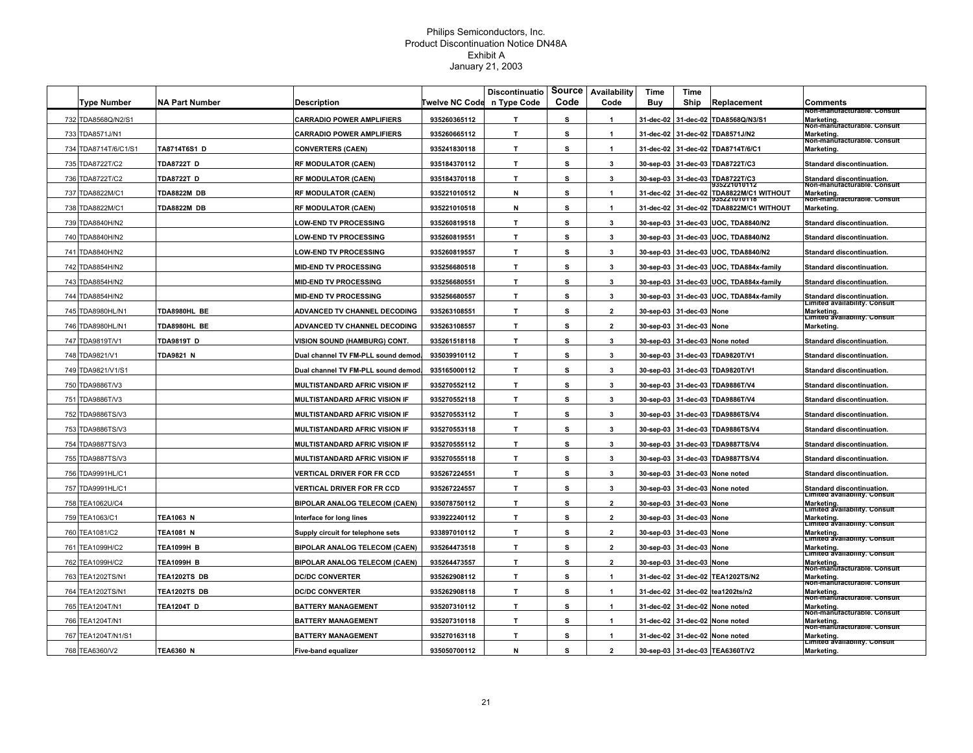|                      |                       |                                      |                       | <b>Discontinuatio</b> | Source | Availability            | Time      | Time                     |                                                     |                                                                                      |
|----------------------|-----------------------|--------------------------------------|-----------------------|-----------------------|--------|-------------------------|-----------|--------------------------|-----------------------------------------------------|--------------------------------------------------------------------------------------|
| <b>Type Number</b>   | <b>NA Part Number</b> | Description                          | <b>Twelve NC Code</b> | n Type Code           | Code   | Code                    | Buy       | Ship                     | Replacement                                         | Comments                                                                             |
| 732 TDA8568Q/N2/S1   |                       | <b>CARRADIO POWER AMPLIFIERS</b>     | 935260365112          | T                     | s      | $\overline{1}$          | 31-dec-02 |                          | 31-dec-02 TDA8568Q/N3/S1                            | von-manuracturable. Consult<br>Marketing.<br>Non-manuracturable. Consult             |
| 733 TDA8571J/N1      |                       | <b>CARRADIO POWER AMPLIFIERS</b>     | 935260665112          | T                     | s      | $\mathbf{1}$            | 31-dec-02 |                          | 31-dec-02 TDA8571J/N2                               | Marketing.<br>Non-manuracturable. Consult                                            |
| 734 TDA8714T/6/C1/S1 | TA8714T6S1 D          | <b>CONVERTERS (CAEN)</b>             | 935241830118          | T                     | s      | $\mathbf{1}$            | 31-dec-02 | 31-dec-02                | TDA8714T/6/C1                                       | <b>Marketing</b>                                                                     |
| 735 TDA8722T/C2      | <b>TDA8722T D</b>     | <b>RF MODULATOR (CAEN)</b>           | 935184370112          | T                     | s      | 3                       | 30-sep-03 |                          | 31-dec-03 TDA8722T/C3                               | Standard discontinuation.                                                            |
| 736 TDA8722T/C2      | <b>TDA8722T D</b>     | <b>RF MODULATOR (CAEN)</b>           | 935184370118          | T.                    | s      | $\mathbf{3}$            | 30-sep-03 |                          | 31-dec-03 TDA8722T/C3                               | Standard discontinuation.                                                            |
| 737 TDA8822M/C1      | <b>TDA8822M DB</b>    | <b>RF MODULATOR (CAEN)</b>           | 935221010512          | N                     | S      | $\blacktriangleleft$    | 31-dec-02 | 31-dec-02                | 135221010112<br>TDA8822M/C1 WITHOUT<br>135221010118 | Non-manuracturable. Consult<br>Marketing.<br>Non-manuracturable. Consult             |
| 738 TDA8822M/C1      | TDA8822M DB           | <b>RF MODULATOR (CAEN)</b>           | 935221010518          | N                     | s      | 1                       |           |                          | 31-dec-02 31-dec-02 TDA8822M/C1 WITHOUT             | Marketing.                                                                           |
| 739 TDA8840H/N2      |                       | <b>LOW-END TV PROCESSING</b>         | 935260819518          | T                     | s      | 3                       |           |                          | 30-sep-03 31-dec-03 UOC, TDA8840/N2                 | Standard discontinuation.                                                            |
| 740 TDA8840H/N2      |                       | <b>LOW-END TV PROCESSING</b>         | 935260819551          | T.                    | s      | 3                       |           |                          | 30-sep-03 31-dec-03 UOC, TDA8840/N2                 | Standard discontinuation.                                                            |
| 741 TDA8840H/N2      |                       | <b>LOW-END TV PROCESSING</b>         | 935260819557          | T.                    | s      | 3                       |           |                          | 30-sep-03 31-dec-03 UOC, TDA8840/N2                 | <b>Standard discontinuation.</b>                                                     |
| 742 TDA8854H/N2      |                       | <b>MID-END TV PROCESSING</b>         | 935256680518          | T                     | s      | $\mathbf{3}$            |           |                          | 30-sep-03 31-dec-03 UOC, TDA884x-family             | Standard discontinuation.                                                            |
| 743 TDA8854H/N2      |                       | <b>MID-END TV PROCESSING</b>         | 935256680551          | $\mathbf{T}$          | s      | 3                       | 30-sep-03 |                          | 31-dec-03 UOC, TDA884x-family                       | Standard discontinuation.                                                            |
| 744 TDA8854H/N2      |                       | <b>MID-END TV PROCESSING</b>         | 935256680557          | T.                    | s      | 3                       |           | 30-sep-03 31-dec-03      | UOC, TDA884x-family                                 | Standard discontinuation.<br>Limited availability. Consult                           |
| 745 TDA8980HL/N1     | TDA8980HL BE          | ADVANCED TV CHANNEL DECODING         | 935263108551          | T                     | s      | $\overline{\mathbf{2}}$ |           | 30-sep-03 31-dec-03 None |                                                     | Marketing.                                                                           |
| 746 TDA8980HL/N1     | TDA8980HL BE          | ADVANCED TV CHANNEL DECODING         | 935263108557          | T                     | s      | $\overline{2}$          | 30-sep-03 | 31-dec-03 None           |                                                     | Limited availability. Consult<br>Marketing.                                          |
| 747 TDA9819T/V1      | <b>TDA9819T D</b>     | VISION SOUND (HAMBURG) CONT          | 935261518118          | T.                    | s      | 3                       |           |                          | 30-sep-03 31-dec-03 None noted                      | Standard discontinuation.                                                            |
| 748 TDA9821/V1       | <b>TDA9821 N</b>      | Dual channel TV FM-PLL sound demod.  | 935039910112          | T.                    | s      | 3                       | 30-sep-03 |                          | 31-dec-03 TDA9820T/V1                               | <b>Standard discontinuation.</b>                                                     |
| 749 TDA9821/V1/S1    |                       | Dual channel TV FM-PLL sound demod.  | 935165000112          | T.                    | s      | 3                       |           |                          | 30-sep-03 31-dec-03 TDA9820T/V1                     | Standard discontinuation.                                                            |
| 750 TDA9886T/V3      |                       | <b>MULTISTANDARD AFRIC VISION IF</b> | 935270552112          | T.                    | s      | $\mathbf{3}$            | 30-sep-03 |                          | 31-dec-03 TDA9886T/V4                               | Standard discontinuation.                                                            |
| 751 TDA9886T/V3      |                       | MULTISTANDARD AFRIC VISION IF        | 935270552118          | T.                    | s      | 3                       |           |                          | 30-sep-03 31-dec-03 TDA9886T/V4                     | Standard discontinuation.                                                            |
| 752 TDA9886TS/V3     |                       | MULTISTANDARD AFRIC VISION IF        | 935270553112          | T.                    | s      | 3                       |           |                          | 30-sep-03 31-dec-03 TDA9886TS/V4                    | Standard discontinuation.                                                            |
| 753 TDA9886TS/V3     |                       | MULTISTANDARD AFRIC VISION IF        | 935270553118          | T                     | s      | 3                       |           |                          | 30-sep-03 31-dec-03 TDA9886TS/V4                    | Standard discontinuation.                                                            |
| 754 TDA9887TS/V3     |                       | MULTISTANDARD AFRIC VISION IF        | 935270555112          | T.                    | s      | $\mathbf{3}$            |           |                          | 30-sep-03 31-dec-03 TDA9887TS/V4                    | Standard discontinuation.                                                            |
| 755 TDA9887TS/V3     |                       | MULTISTANDARD AFRIC VISION IF        | 935270555118          | T.                    | s      | $\mathbf{3}$            |           |                          | 30-sep-03 31-dec-03 TDA9887TS/V4                    | Standard discontinuation.                                                            |
| 756 TDA9991HL/C1     |                       | VERTICAL DRIVER FOR FR CCD           | 935267224551          | T.                    | s      | $\mathbf{3}$            |           |                          | 30-sep-03 31-dec-03 None noted                      | Standard discontinuation.                                                            |
| 757 TDA9991HL/C1     |                       | <b>VERTICAL DRIVER FOR FR CCD</b>    | 935267224557          | T.                    | s      | 3                       |           |                          | 30-sep-03 31-dec-03 None noted                      | Standard discontinuation.                                                            |
| 758 TEA1062U/C4      |                       | <b>BIPOLAR ANALOG TELECOM (CAEN)</b> | 935078750112          | T.                    | s      | $\overline{2}$          |           | 30-sep-03 31-dec-03 None |                                                     | Limited availability. Consult<br>Marketing.                                          |
| 759 TEA1063/C1       | <b>TEA1063 N</b>      | Interface for long lines             | 933922240112          | T.                    | s      | $\overline{2}$          |           | 30-sep-03 31-dec-03 None |                                                     | Limited availability. Consult<br>Marketing.<br><b>Limited availability</b> . Consult |
| 760 TEA1081/C2       | <b>TEA1081 N</b>      | Supply circuit for telephone sets    | 933897010112          | T                     | s      | $\overline{2}$          |           | 30-sep-03 31-dec-03 None |                                                     | Marketing.<br>Limited availability. Consult                                          |
| 761 TEA1099H/C2      | <b>TEA1099H B</b>     | <b>BIPOLAR ANALOG TELECOM (CAEN)</b> | 935264473518          | T.                    | s      | $\mathbf{2}$            | 30-sep-03 | 31-dec-03 None           |                                                     | Marketing.<br>Limited availability. Consult                                          |
| 762 TEA1099H/C2      | <b>TEA1099H B</b>     | <b>BIPOLAR ANALOG TELECOM (CAEN)</b> | 935264473557          | T.                    | s      | $\overline{2}$          |           | 30-sep-03 31-dec-03 None |                                                     | Marketing.                                                                           |
| 763 TEA1202TS/N1     | TEA1202TS DB          | <b>DC/DC CONVERTER</b>               | 935262908112          | T.                    | s      | $\mathbf{1}$            | 31-dec-02 |                          | 31-dec-02 TEA1202TS/N2                              | Non-manuracturable. Consult<br>Marketing.<br>Non-manuracturable. Consult             |
| 764 TEA1202TS/N1     | TEA1202TS DB          | <b>DC/DC CONVERTER</b>               | 935262908118          | T.                    | s      | $\mathbf{1}$            | 31-dec-02 |                          | 31-dec-02 tea1202ts/n2                              |                                                                                      |
| 765 TEA1204T/N1      | <b>TEA1204T D</b>     | <b>BATTERY MANAGEMENT</b>            | 935207310112          | T.                    | s      | $\blacktriangleleft$    |           |                          | 31-dec-02 31-dec-02 None noted                      | Marketing.<br>Non-manuracturable. Consult<br>Marketing.                              |
| 766 TEA1204T/N1      |                       | <b>BATTERY MANAGEMENT</b>            | 935207310118          | T.                    | s      | $\mathbf{1}$            |           |                          | 31-dec-02 31-dec-02 None noted                      | Non-manufacturable. Consult<br>Marketing.                                            |
| 767 TEA1204T/N1/S1   |                       | <b>BATTERY MANAGEMENT</b>            | 935270163118          | T.                    | s      | $\mathbf{1}$            |           |                          | 31-dec-02 31-dec-02 None noted                      | Non-manuracturable. Consult<br>Marketing.                                            |
| 768 TEA6360/V2       | <b>TEA6360 N</b>      | <b>Five-band equalizer</b>           | 935050700112          | N                     | S      | $\overline{2}$          |           |                          | 30-sep-03 31-dec-03 TEA6360T/V2                     | Limited availability. Consult<br>Marketing.                                          |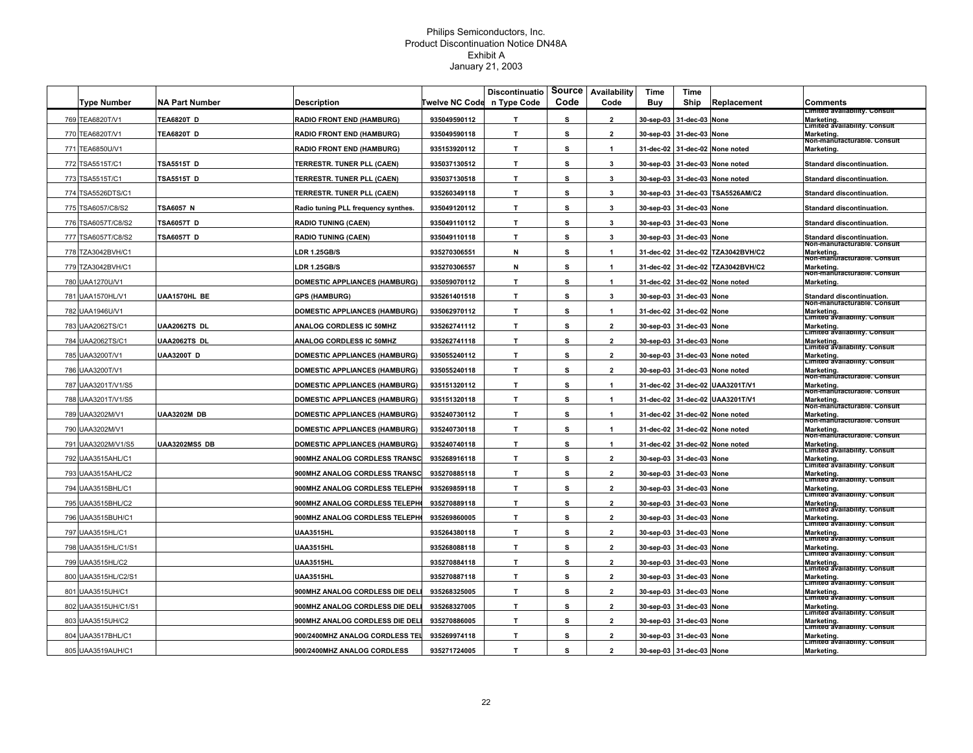|                     |                       |                                      |                       | <b>Discontinuatio</b> | Source | Availability   | Time      | Time           |                         |                                                                              |
|---------------------|-----------------------|--------------------------------------|-----------------------|-----------------------|--------|----------------|-----------|----------------|-------------------------|------------------------------------------------------------------------------|
| <b>Type Number</b>  | <b>NA Part Number</b> | <b>Description</b>                   | <b>Twelve NC Code</b> | n Type Code           | Code   | Code           | Buy       | Ship           | Replacement             | <b>Comments</b><br>Limited availability. Consult                             |
| 769 TEA6820T/V1     | <b>TEA6820T D</b>     | <b>RADIO FRONT END (HAMBURG)</b>     | 935049590112          | T                     | s      | $\mathbf{2}$   | 30-sep-03 | 31-dec-03      | None                    | Marketing.<br>Limited availability. Consult                                  |
| 770 TEA6820T/V1     | <b>TEA6820T D</b>     | <b>RADIO FRONT END (HAMBURG)</b>     | 935049590118          | T.                    | s      | $\mathbf{2}$   | 30-sep-03 | 31-dec-03      | None                    | Marketing.<br>Non-manuracturable. Consult                                    |
| 771 TEA6850U/V1     |                       | <b>RADIO FRONT END (HAMBURG)</b>     | 935153920112          | $\mathbf{T}$          | s      | $\mathbf{1}$   | 31-dec-02 | 31-dec-02      | None noted              | Marketing.                                                                   |
| 772 TSA5515T/C1     | <b>TSA5515T D</b>     | <b>TERRESTR. TUNER PLL (CAEN)</b>    | 935037130512          | T.                    | s      | 3              | 30-sep-03 | 31-dec-03      | None noted              | Standard discontinuation.                                                    |
| 773 TSA5515T/C1     | <b>TSA5515T D</b>     | TERRESTR. TUNER PLL (CAEN)           | 935037130518          | T                     | s      | 3              | 30-sep-03 | 31-dec-03      | None noted              | Standard discontinuation.                                                    |
| 774 TSA5526DTS/C1   |                       | TERRESTR. TUNER PLL (CAEN)           | 935260349118          | T.                    | s      | 3              | 30-sep-03 |                | 31-dec-03 TSA5526AM/C2  | <b>Standard discontinuation.</b>                                             |
| 775 TSA6057/C8/S2   | <b>TSA6057 N</b>      | Radio tuning PLL frequency synthes.  | 935049120112          | T.                    | s      | $\mathbf{3}$   | 30-sep-03 | 31-dec-03 None |                         | Standard discontinuation.                                                    |
| 776 TSA6057T/C8/S2  | <b>TSA6057T D</b>     | <b>RADIO TUNING (CAEN)</b>           | 935049110112          | T.                    | s      | $\mathbf{3}$   | 30-sep-03 | 31-dec-03 None |                         | Standard discontinuation.                                                    |
| 777 TSA6057T/C8/S2  | <b>TSA6057T D</b>     | <b>RADIO TUNING (CAEN)</b>           | 935049110118          | $\mathbf{T}$          | s      | $\mathbf{3}$   | 30-sep-03 | 31-dec-03 None |                         | Standard discontinuation.<br>Non-manuracturable. Consult                     |
| 778 TZA3042BVH/C1   |                       | <b>LDR 1.25GB/S</b>                  | 935270306551          | N                     | s      | $\mathbf{1}$   | 31-dec-02 |                | 31-dec-02 TZA3042BVH/C2 | Marketing.<br>Non-manuracturable. Consult                                    |
| 779 TZA3042BVH/C1   |                       | <b>LDR 1.25GB/S</b>                  | 935270306557          | N                     | s      | $\overline{1}$ | 31-dec-02 |                | 31-dec-02 TZA3042BVH/C2 | Marketing.<br>Non-manuracturable. Consult                                    |
| 780 UAA1270U/V1     |                       | <b>DOMESTIC APPLIANCES (HAMBURG)</b> | 935059070112          | T                     | s      | $\mathbf{1}$   | 31-dec-02 |                | 31-dec-02 None noted    | Marketing.                                                                   |
| 781 UAA1570HL/V1    | UAA1570HL BE          | <b>GPS (HAMBURG)</b>                 | 935261401518          | T.                    | s      | $\mathbf{3}$   | 30-sep-03 | 31-dec-03      | None                    | <b>Standard discontinuation.</b><br>Non-manuracturable. Consult              |
| 782 UAA1946U/V1     |                       | <b>DOMESTIC APPLIANCES (HAMBURG)</b> | 935062970112          | T.                    | s      | $\mathbf{1}$   | 31-dec-02 | 31-dec-02      | None                    | Marketing.<br>Limited availability. Consult                                  |
| 783 UAA2062TS/C1    | <b>UAA2062TS DL</b>   | ANALOG CORDLESS IC 50MHZ             | 935262741112          | T.                    | s      | $\overline{2}$ | 30-sep-03 | 31-dec-03      | <b>None</b>             | Marketing.<br>Limited availability. Consult                                  |
| 784 UAA2062TS/C1    | <b>UAA2062TS DL</b>   | ANALOG CORDLESS IC 50MHZ             | 935262741118          | T.                    | s      | $\overline{2}$ | 30-sep-03 | 31-dec-03      | None                    | Marketing.<br>Limited availability. Consult                                  |
| 785 UAA3200T/V1     | <b>UAA3200T D</b>     | <b>DOMESTIC APPLIANCES (HAMBURG)</b> | 935055240112          | T.                    | s      | $\overline{2}$ | 30-sep-03 | 31-dec-03      | None noted              | Marketing.<br>Limited availability. Consult                                  |
| 786 UAA3200T/V1     |                       | <b>DOMESTIC APPLIANCES (HAMBURG)</b> | 935055240118          | T.                    | s      | $\overline{2}$ | 30-sep-03 | 31-dec-03      | None noted              | Marketing.                                                                   |
| 787 UAA3201T/V1/S5  |                       | <b>DOMESTIC APPLIANCES (HAMBURG)</b> | 935151320112          | $\mathbf{T}$          | s      |                | 31-dec-02 |                | 31-dec-02 UAA3201T/V1   | Non-manuracturable. Consult<br>Marketing.                                    |
| 788 UAA3201T/V1/S5  |                       | <b>DOMESTIC APPLIANCES (HAMBURG)</b> | 935151320118          | $\mathbf{T}$          | s      | 1              | 31-dec-02 |                | 31-dec-02 UAA3201T/V1   | Non-manuracturable. Consult<br>Marketing.                                    |
| 789 UAA3202M/V1     | <b>UAA3202M DB</b>    | <b>DOMESTIC APPLIANCES (HAMBURG)</b> | 935240730112          | T.                    | s      | $\overline{1}$ | 31-dec-02 |                | 31-dec-02 None noted    | Non-manuracturable. Consult<br>Marketing                                     |
| 790 UAA3202M/V1     |                       | <b>DOMESTIC APPLIANCES (HAMBURG)</b> | 935240730118          | $\mathbf{T}$          | s      | $\overline{1}$ | 31-dec-02 |                | 31-dec-02 None noted    | Non-manufacturable. Consult<br>Marketing.<br>Non-manuracturable. Consult     |
| 791 UAA3202M/V1/S5  | <b>UAA3202MS5 DB</b>  | <b>DOMESTIC APPLIANCES (HAMBURG)</b> | 935240740118          | $\mathbf T$           | s      | $\mathbf{1}$   | 31-dec-02 |                | 31-dec-02 None noted    | Marketing.<br>Limited availability. Consult                                  |
| 792 UAA3515AHL/C1   |                       | 900MHZ ANALOG CORDLESS TRANSC        | 935268916118          | T.                    | s      | $\mathbf{2}$   | 30-sep-03 | 31-dec-03      | <b>None</b>             | Marketing.<br>Limited availability. Consult                                  |
| 793 UAA3515AHL/C2   |                       | 900MHZ ANALOG CORDLESS TRANSC        | 935270885118          | T.                    | s      | $\overline{2}$ | 30-sep-03 | 31-dec-03      | None                    | Marketing.<br>Limited availability. Consult                                  |
| 794 UAA3515BHL/C1   |                       | 900MHZ ANALOG CORDLESS TELEPH        | 935269859118          | T                     | s      | $\mathbf{2}$   | 30-sep-03 | 31-dec-03      | None                    | Marketing.<br>Limited availability. Consult                                  |
| 795 UAA3515BHL/C2   |                       | 900MHZ ANALOG CORDLESS TELEPH        | 935270889118          | T.                    | s      | $\overline{2}$ | 30-sep-03 | 31-dec-03      | None                    | Marketing.<br>Limited availability. Consult                                  |
| 796 UAA3515BUH/C1   |                       | 900MHZ ANALOG CORDLESS TELEPH        | 935269860005          | T.                    | s      | $\overline{2}$ | 30-sep-03 | 31-dec-03      | None                    | Marketing.<br>Limited availability. Consult                                  |
| 797 UAA3515HL/C1    |                       | UAA3515HL                            | 935264380118          | T.                    | s      | $\mathbf{2}$   | 30-sep-03 | 31-dec-03      | None                    | Marketing.<br>Limited availability. Consult                                  |
| 798 UAA3515HL/C1/S1 |                       | <b>UAA3515HL</b>                     | 935268088118          | $\mathbf{T}$          | s      | $\overline{2}$ | 30-sep-03 | 31-dec-03      | None                    | Marketing.<br>Limited availability. Consult                                  |
| 799 UAA3515HL/C2    |                       | UAA3515HL                            | 935270884118          | T.                    | s      | $\mathbf{2}$   | 30-sep-03 | 31-dec-03      | None                    | Marketing.<br>Limited availability. Consult                                  |
| 800 UAA3515HL/C2/S1 |                       | UAA3515HL                            | 935270887118          | T                     | s      | $\overline{2}$ | 30-sep-03 | 31-dec-03      | None                    | Marketing.<br>Limited availability. Consult                                  |
| 801 UAA3515UH/C1    |                       | 900MHZ ANALOG CORDLESS DIE DELI      | 935268325005          | T.                    | s      | $\overline{2}$ | 30-sep-03 | 31-dec-03 None |                         | Marketing.<br>Limited availability. Consult                                  |
| 802 UAA3515UH/C1/S1 |                       | 900MHZ ANALOG CORDLESS DIE DELI      | 935268327005          | T.                    | s      | $\mathbf{2}$   | 30-sep-03 | 31-dec-03 None |                         | Marketing.                                                                   |
| 803 UAA3515UH/C2    |                       | 900MHZ ANALOG CORDLESS DIE DELI      | 935270886005          | T.                    | s      | $\overline{2}$ | 30-sep-03 | 31-dec-03 None |                         | Limited availability. Consult<br>Marketing.<br>Limited availability. Consult |
| 804 UAA3517BHL/C1   |                       | 900/2400MHZ ANALOG CORDLESS TEL      | 935269974118          | $\mathbf T$           | s      | $\mathbf{2}$   | 30-sep-03 | 31-dec-03 None |                         | Marketing.<br>Limited availability. Consult                                  |
| 805 UAA3519AUH/C1   |                       | 900/2400MHZ ANALOG CORDLESS          | 935271724005          | T.                    | s      | $\overline{2}$ | 30-sep-03 | 31-dec-03      | None                    | Marketing.                                                                   |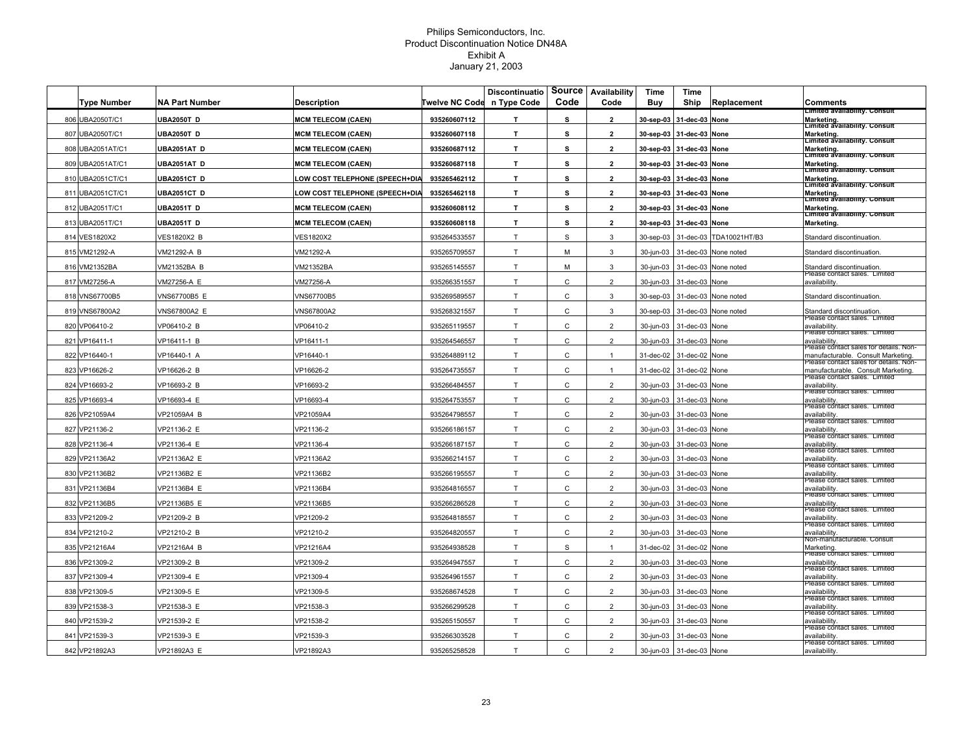|                    |                       |                                       |                       | <b>Discontinuatio</b> |              | Source Availability | Time      | Time                     |                         |                                                                             |
|--------------------|-----------------------|---------------------------------------|-----------------------|-----------------------|--------------|---------------------|-----------|--------------------------|-------------------------|-----------------------------------------------------------------------------|
| <b>Type Number</b> | <b>NA Part Number</b> | <b>Description</b>                    | <b>Twelve NC Code</b> | n Type Code           | Code         | Code                | Buy       | Ship                     | Replacement             | Comments<br>Limited availability. Consult                                   |
| 806 UBA2050T/C1    | <b>UBA2050T D</b>     | <b>MCM TELECOM (CAEN)</b>             | 935260607112          | T.                    | s            | $\overline{2}$      | 30-sep-03 | 31-dec-03                | None                    | Marketing.<br>Limited availability. Consult                                 |
| 807 UBA2050T/C1    | <b>UBA2050T D</b>     | <b>MCM TELECOM (CAEN)</b>             | 935260607118          | T.                    | s            | $\overline{2}$      |           | 30-sep-03 31-dec-03      | None                    | Marketing.<br>Limited availability. Consult                                 |
| 808 UBA2051AT/C1   | JBA2051AT D           | <b>MCM TELECOM (CAEN)</b>             | 935260687112          | T.                    | s            | $\overline{2}$      | 30-sep-03 | 31-dec-03                | None                    | Marketing.<br>Limited availability. Consult                                 |
| 809 UBA2051AT/C1   | JBA2051AT D           | <b>MCM TELECOM (CAEN)</b>             | 935260687118          | T.                    | s            | $\overline{2}$      |           | 30-sep-03 31-dec-03      | None                    | Marketing.<br>Limited availability. Consult                                 |
| 810 UBA2051CT/C1   | JBA2051CT D           | OW COST TELEPHONE (SPEECH+DIA         | 935265462112          | T.                    | s            | $\overline{2}$      |           | 30-sep-03 31-dec-03 None |                         | Marketing.<br>Limited availability. Consult                                 |
| 811 UBA2051CT/C1   | UBA2051CT D           | <b>LOW COST TELEPHONE (SPEECH+DIA</b> | 935265462118          | т                     | s            | $\overline{2}$      |           | 30-sep-03 31-dec-03 None |                         | Marketing.<br>Limited availability. Consult                                 |
| 812 UBA2051T/C1    | <b>UBA2051T D</b>     | <b>MCM TELECOM (CAEN)</b>             | 935260608112          | T.                    | s            | $\overline{2}$      |           | 30-sep-03 31-dec-03 None |                         | Marketing.                                                                  |
| 813 UBA2051T/C1    | <b>UBA2051T D</b>     | <b>MCM TELECOM (CAEN)</b>             | 935260608118          | T.                    | s            | $\overline{2}$      |           | 30-sep-03 31-dec-03 None |                         | ∟imiteα availability. Consult<br>Marketing.                                 |
| 814 VES1820X2      | <b>VES1820X2 B</b>    | VES1820X2                             | 935264533557          | T.                    | S            | 3                   | 30-sep-03 |                          | 31-dec-03 TDA10021HT/B3 | Standard discontinuation.                                                   |
| 815 VM21292-A      | VM21292-A B           | VM21292-A                             | 935265709557          | $\mathsf{T}$          | M            | $\mathbf{3}$        | 30-jun-03 | 31-dec-03                | None noted              | Standard discontinuation                                                    |
| 816 VM21352BA      | VM21352BA B           | VM21352BA                             | 935265145557          | T.                    | M            | 3                   | 30-jun-03 | 31-dec-03                | None noted              | Standard discontinuation.                                                   |
| 817 VM27256-A      | VM27256-A E           | /M27256-A                             | 935266351557          | $\mathsf T$           | C            | $\overline{2}$      | 30-jun-03 | 31-dec-03 None           |                         | ease contact sales. Limited?<br>availability                                |
| 818 VNS67700B5     | VNS67700B5 E          | VNS67700B5                            | 935269589557          | $\mathsf{T}$          | C            | 3                   | 30-sep-03 |                          | 31-dec-03 None noted    | Standard discontinuation.                                                   |
| 819 VNS67800A2     | VNS67800A2 E          | VNS67800A2                            | 935268321557          | T                     | C            | 3                   | 30-sep-03 |                          | 31-dec-03 None noted    | Standard discontinuation.                                                   |
| 820 VP06410-2      | VP06410-2 B           | VP06410-2                             | 935265119557          | T                     | C            | $\overline{2}$      | 30-jun-03 | 31-dec-03                | None                    | rease contact sales. Limited<br>availability                                |
| 821 VP16411-1      | VP16411-1 B           | VP16411-1                             | 935264546557          | T                     | C            | $\overline{2}$      | 30-jun-03 | 31-dec-03                | None                    | riease contact saies. Limited<br>availability.                              |
| 822 VP16440-1      | VP16440-1 A           | VP16440-1                             | 935264889112          | T                     | $\mathsf C$  | $\mathbf{1}$        | 31-dec-02 | 31-dec-02                | None                    | -lease contact sales for details. Non-<br>nanufacturable. Consult Marketing |
| 823 VP16626-2      | /P16626-2 B           | VP16626-2                             | 935264735557          | T.                    | C            | $\mathbf{1}$        | 31-dec-02 | 31-dec-02                | None                    | lease contact sales for details. Non-<br>manufacturable. Consult Marketing  |
| 824 VP16693-2      | VP16693-2 B           | VP16693-2                             | 935266484557          | T.                    | C            | $\overline{2}$      | 30-jun-03 | 31-dec-03                | None                    | lease contact sales. Limited<br>availability                                |
| 825 VP16693-4      | /P16693-4 E           | VP16693-4                             | 935264753557          | $\mathsf{T}$          | C            | $\overline{2}$      | 30-jun-03 | 31-dec-03 None           |                         | riease contact saies. Limited<br>availability                               |
| 826 VP21059A4      | VP21059A4 B           | VP21059A4                             | 935264798557          | T                     | C            | $\overline{2}$      | 30-jun-03 | 31-dec-03 None           |                         | riease contact sales. Limited<br>availability                               |
| 827 VP21136-2      | VP21136-2 E           | VP21136-2                             | 935266186157          | T                     | C            | $\overline{2}$      | 30-jun-03 | 31-dec-03 None           |                         | lease cóntact sales. Limited<br>availability                                |
| 828 VP21136-4      | VP21136-4 E           | VP21136-4                             | 935266187157          | T                     | C            | $\overline{2}$      | 30-jun-03 | 31-dec-03                | None                    | riease contact saies.<br>availability.                                      |
| 829 VP21136A2      | VP21136A2 E           | VP21136A2                             | 935266214157          | T                     | $\mathsf{C}$ | $\overline{2}$      | 30-jun-03 | 31-dec-03                | None                    | Please contact sales. Limited<br>availability                               |
| 830 VP21136B2      | VP21136B2 E           | VP21136B2                             | 935266195557          | $\mathsf T$           | С            | $\overline{2}$      | 30-jun-03 | 31-dec-03                | None                    | Piease contact sales. Limited<br>availability                               |
| 831 VP21136B4      | VP21136B4 E           | VP21136B4                             | 935264816557          | T.                    | C            | $\overline{2}$      | 30-jun-03 | 31-dec-03                | None                    | -lease contact sales.<br>availability                                       |
| 832 VP21136B5      | VP21136B5 E           | VP21136B5                             | 935266286528          | $\mathsf{T}$          | C            | $\overline{2}$      | 30-jun-03 | 31-dec-03                | None                    | Please contact sales. Limited<br>availability                               |
| 833 VP21209-2      | VP21209-2 B           | VP21209-2                             | 935264818557          | T                     | C            | $\overline{2}$      | 30-jun-03 | 31-dec-03 None           |                         | -lease contact sales. Limited<br>availability                               |
| 834 VP21210-2      | VP21210-2 B           | VP21210-2                             | 935264820557          | T                     | C            | $\overline{2}$      | 30-jun-03 | 31-dec-03                | None                    | ease contact sales. Limited?<br>availability                                |
| 835 VP21216A4      | VP21216A4 B           | VP21216A4                             | 935264938528          | T                     | S            | $\mathbf{1}$        | 31-dec-02 | 31-dec-02                | None                    | Non-manuracturable. Consult<br>Marketing.                                   |
| 836 VP21309-2      | VP21309-2 B           | VP21309-2                             | 935264947557          | T                     | $\mathsf{C}$ | $\overline{2}$      | 30-jun-03 | 31-dec-03                | None                    | Please contact sales. Limited<br>availability                               |
| 837 VP21309-4      | /P21309-4 E           | VP21309-4                             | 935264961557          | T                     | C            | $\overline{2}$      | 30-jun-03 | 31-dec-03                | None                    | riease cóntact saies. Limited<br>availability                               |
| 838 VP21309-5      | VP21309-5 E           | VP21309-5                             | 935268674528          | T.                    | C            | $\overline{2}$      | 30-jun-03 | 31-dec-03                | None                    | ease contact sales. Limited?<br>availability                                |
| 839 VP21538-3      | /P21538-3 E           | /P21538-3                             | 935266299528          | T                     | C            | $\overline{2}$      | 30-jun-03 | 31-dec-03 None           |                         | Please contact sales. Limited<br>availability                               |
| 840 VP21539-2      | VP21539-2 E           | VP21538-2                             | 935265150557          | T                     | $\mathsf{C}$ | $\overline{2}$      | 30-jun-03 | 31-dec-03 None           |                         | ease contact sales. Limited?<br>availability                                |
| 841 VP21539-3      | VP21539-3 E           | VP21539-3                             | 935266303528          | T                     | C            | $\overline{2}$      | 30-jun-03 | 31-dec-03 None           |                         | lease contact sales. Limited<br>availability                                |
| 842 VP21892A3      | VP21892A3 E           | VP21892A3                             | 935265258528          | T                     | $\mathsf{C}$ | $\overline{2}$      | 30-jun-03 | 31-dec-03 None           |                         | Piease contact sales. Limited<br>availability                               |
|                    |                       |                                       |                       |                       |              |                     |           |                          |                         |                                                                             |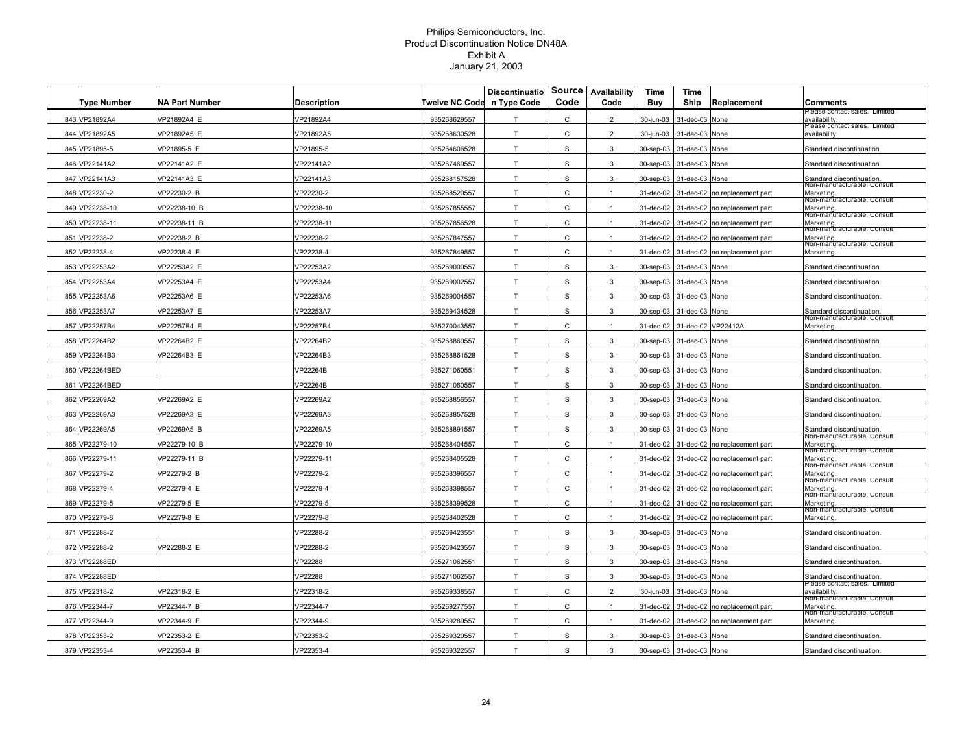| <b>Type Number</b> | <b>NA Part Number</b> | <b>Description</b> | Twelve NC Code | Discontinuatio<br>n Type Code | <b>Source</b><br>Code | Availability<br>Code | Time<br>Buy | Time<br>Ship             | Replacement                             | <b>Comments</b>                                            |
|--------------------|-----------------------|--------------------|----------------|-------------------------------|-----------------------|----------------------|-------------|--------------------------|-----------------------------------------|------------------------------------------------------------|
| 843 VP21892A4      | /P21892A4 E           | /P21892A4          | 935268629557   | T                             | С                     | $\overline{2}$       | 30-jun-03   | 31-dec-03                | None                                    | lease contact sales. Limited<br>availability               |
| 844 VP21892A5      | /P21892A5 E           | VP21892A5          | 935268630528   | T                             | C                     | $\overline{2}$       | 30-jun-03   | 31-dec-03                | None                                    | lease contact sales. Limited<br>availability.              |
| 845 VP21895-5      | VP21895-5 E           | /P21895-5          | 935264606528   | T                             | S                     | 3                    | 30-sep-03   | 31-dec-03                | None                                    | Standard discontinuation                                   |
| 846 VP22141A2      | VP22141A2 E           | /P22141A2          | 935267469557   | T                             | S                     | 3                    | 30-sep-03   | 31-dec-03                | None                                    | Standard discontinuation                                   |
| 847 VP22141A3      | /P22141A3 E           | P22141A3           | 935268157528   | T                             | S                     | 3                    | 30-sep-03   | 31-dec-03                | None                                    | Standard discontinuation.                                  |
| 848 VP22230-2      | /P22230-2 B           | /P22230-2          | 935268520557   | T                             | C                     |                      | 31-dec-02   | 31-dec-02                | no replacement part                     | Non-manuracturable. Consul<br>Marketing.                   |
| 849 VP22238-10     | VP22238-10 B          | /P22238-10         | 935267855557   | T                             | C                     | $\mathbf{1}$         | 31-dec-02   | 31-dec-02                | no replacement part                     | Non-manuracturable. Consult<br>Marketing.                  |
| 850 VP22238-11     | VP22238-11 B          | /P22238-11         | 935267856528   | T                             | C                     | $\mathbf{1}$         |             |                          | 31-dec-02 31-dec-02 no replacement part | Non-manuracturable. Consult<br>Marketing.                  |
| 851 VP22238-2      | VP22238-2 B           | /P22238-2          | 935267847557   | T                             | C                     | $\mathbf{1}$         | 31-dec-02   |                          | 31-dec-02 no replacement part           | Non-manuracturable. Consult<br>Marketing.                  |
| 852 VP22238-4      | VP22238-4 E           | /P22238-4          | 935267849557   | T                             | C                     | $\mathbf{1}$         | 31-dec-02   |                          | 31-dec-02 no replacement part           | Non-manuracturable. Consult<br>Marketing.                  |
| 853 VP22253A2      | VP22253A2 E           | /P22253A2          | 935269000557   | T                             | S                     | 3                    | 30-sep-03   | 31-dec-03                | None                                    | Standard discontinuation                                   |
| 854 VP22253A4      | /P22253A4 E           | /P22253A4          | 935269002557   | T                             | S                     | 3                    | 30-sep-03   | 31-dec-03                | None                                    | Standard discontinuation                                   |
| 855 VP22253A6      | /P22253A6 E           | /P22253A6          | 935269004557   | T                             | s                     | 3                    | 30-sep-03   | 31-dec-03                | None                                    | Standard discontinuation                                   |
| 856 VP22253A7      | VP22253A7 E           | VP22253A7          | 935269434528   | T                             | S                     | $\mathbf{3}$         | 30-sep-03   | 31-dec-03                | None                                    | Standard discontinuation.                                  |
| 857 VP22257B4      | VP22257B4 E           | /P22257B4          | 935270043557   | T                             | C                     | $\mathbf{1}$         | 31-dec-02   | 31-dec-02                | VP22412A                                | Non-manuracturable. Consult<br>Marketing.                  |
| 858 VP22264B2      | VP22264B2 E           | /P22264B2          | 935268860557   | T                             | s                     | 3                    | 30-sep-03   | 31-dec-03                | None                                    | Standard discontinuation                                   |
| 859 VP22264B3      | VP22264B3 E           | /P22264B3          | 935268861528   | T                             | S                     | 3                    | 30-sep-03   | 31-dec-03                | None                                    | Standard discontinuation                                   |
| 860 VP22264BED     |                       | /P22264B           | 935271060551   | T                             | S                     | 3                    | 30-sep-03   | 31-dec-03                | None                                    | Standard discontinuation                                   |
| 861 VP22264BED     |                       | /P22264B           | 935271060557   | T                             | S                     | 3                    |             | 30-sep-03 31-dec-03      | None                                    | Standard discontinuation                                   |
| 862 VP22269A2      | /P22269A2 E           | /P22269A2          | 935268856557   | T                             | S                     | 3                    | 30-sep-03   | 31-dec-03                | None                                    | Standard discontinuation                                   |
| 863 VP22269A3      | VP22269A3 E           | /P22269A3          | 935268857528   | T                             | S                     | 3                    |             | 30-sep-03 31-dec-03 None |                                         | Standard discontinuation                                   |
| 864 VP22269A5      | VP22269A5 B           | /P22269A5          | 935268891557   | T                             | S                     | 3                    |             | 30-sep-03 31-dec-03 None |                                         | Standard discontinuation<br>von-manuracturable. Consul     |
| 865 VP22279-10     | VP22279-10 B          | /P22279-10         | 935268404557   | T                             | C                     | $\mathbf{1}$         |             |                          | 31-dec-02 31-dec-02 no replacement part | Marketing.<br>Non-manuracturable. Consult                  |
| 866 VP22279-11     | VP22279-11 B          | /P22279-11         | 935268405528   | T                             | C                     | $\mathbf{1}$         | 31-dec-02   | 31-dec-02                | no replacement part                     | Marketing.<br>Non-mañuracturable. Consult                  |
| 867 VP22279-2      | VP22279-2 B           | /P22279-2          | 935268396557   | T                             | C                     | $\mathbf{1}$         | 31-dec-02   | 31-dec-02                | no replacement part                     | Marketing.<br>Non-manuracturable. Consult                  |
| 868 VP22279-4      | VP22279-4 E           | /P22279-4          | 935268398557   | T                             | C                     | $\mathbf{1}$         | 31-dec-02   | 31-dec-02                | no replacement part                     | Marketing.<br>Non-manuracturable. Consult                  |
| 869 VP22279-5      | /P22279-5 E           | /P22279-5          | 935268399528   | T                             | C                     | $\mathbf{1}$         | 31-dec-02   | 31-dec-02                | no replacement part                     | Marketing.<br>Non-manuracturable. Consult                  |
| 870 VP22279-8      | VP22279-8 E           | VP22279-8          | 935268402528   | T                             | C                     | $\mathbf{1}$         | 31-dec-02   |                          | 31-dec-02 no replacement part           | Marketing.                                                 |
| 871 VP22288-2      |                       | /P22288-2          | 935269423551   | T                             | S                     | 3                    | 30-sep-03   | 31-dec-03                | None                                    | Standard discontinuation                                   |
| 872 VP22288-2      | VP22288-2 E           | /P22288-2          | 935269423557   | T                             | S                     | 3                    | 30-sep-03   | 31-dec-03                | None                                    | Standard discontinuation                                   |
| 873 VP22288ED      |                       | /P22288            | 935271062551   | T                             | S                     | 3                    | 30-sep-03   | 31-dec-03                | None                                    | Standard discontinuation                                   |
| 874 VP22288ED      |                       | /P22288            | 935271062557   | T                             | S                     | 3                    | 30-sep-03   | 31-dec-03                | None                                    | Standard discontinuation.<br>riease contact saies. Limited |
| 875 VP22318-2      | /P22318-2 E           | /P22318-2          | 935269338557   | T                             | C                     | $\mathfrak{p}$       | 30-jun-03   | 31-dec-03                | None                                    | availability.<br>Non-manuracturable. Consul                |
| 876 VP22344-7      | /P22344-7 B           | /P22344-7          | 935269277557   | T                             | C                     | $\mathbf{1}$         | 31-dec-02   | 31-dec-02                | no replacement part                     | Marketing.<br>Non-manuracturable. Consult                  |
| 877 VP22344-9      | VP22344-9 E           | /P22344-9          | 935269289557   | T                             | C                     | $\mathbf{1}$         | 31-dec-02   |                          | 31-dec-02 no replacement part           | Marketing.                                                 |
| 878 VP22353-2      | /P22353-2 E           | /P22353-2          | 935269320557   | T                             | S                     | 3                    |             | 30-sep-03 31-dec-03      | None                                    | Standard discontinuation                                   |
| 879 VP22353-4      | VP22353-4 B           | VP22353-4          | 935269322557   | T                             | S                     | 3                    |             | 30-sep-03 31-dec-03 None |                                         | Standard discontinuation                                   |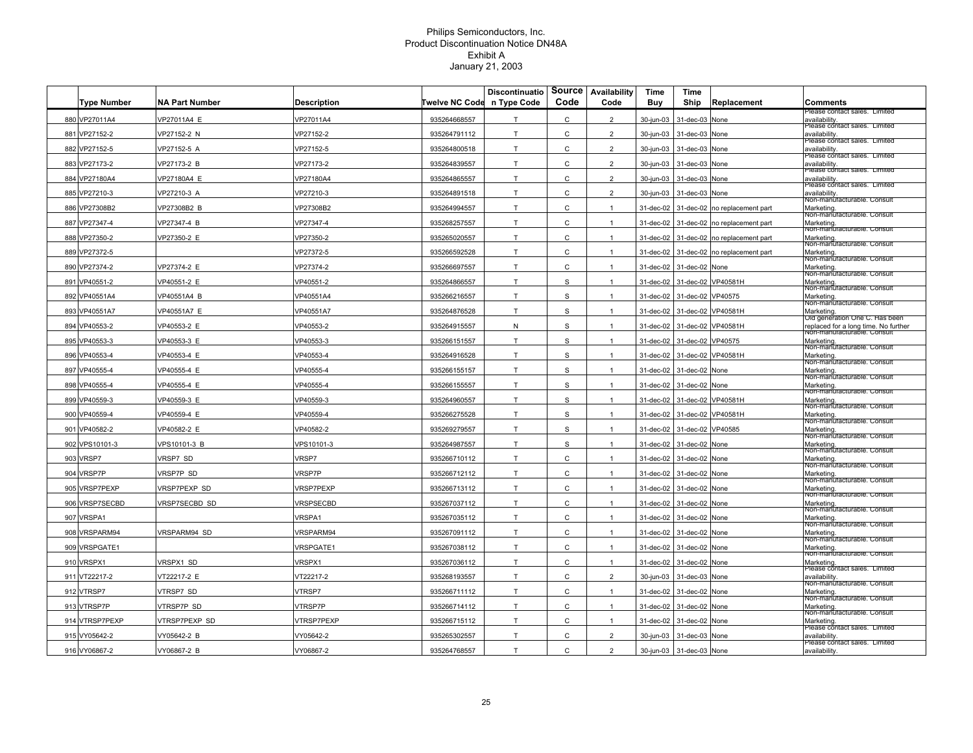|                    |                       |                    | Twelve NC Code n Type Code | Discontinuatio | Code          | Source Availability<br>Code | Time<br>Buy | Time<br>Ship                | Replacement                             | <b>Comments</b>                                                        |
|--------------------|-----------------------|--------------------|----------------------------|----------------|---------------|-----------------------------|-------------|-----------------------------|-----------------------------------------|------------------------------------------------------------------------|
| <b>Type Number</b> | <b>NA Part Number</b> | <b>Description</b> |                            |                |               |                             |             |                             |                                         | lease contact sales. Limited                                           |
| 880 VP27011A4      | /P27011A4 E           | /P27011A4          | 935264668557               | T              | С             | $\overline{2}$              | 30-jun-03   | 31-dec-03                   | None                                    | availability<br>lease contact sales. Limited                           |
| 881 VP27152-2      | VP27152-2 N           | /P27152-2          | 935264791112               | T              | C             | $\overline{2}$              | 30-jun-03   | 31-dec-03                   | None                                    | availability.<br>Piease contact saies. Limited                         |
| 882 VP27152-5      | VP27152-5 A           | /P27152-5          | 935264800518               | T              | C             | $\overline{2}$              | 30-jun-03   | 31-dec-03                   | None                                    | availability.<br>Please contact sales. Limited                         |
| 883 VP27173-2      | VP27173-2 B           | /P27173-2          | 935264839557               | T              | C             | $\overline{2}$              | 30-jun-03   | 31-dec-03                   | None                                    | availability<br>riease contact saies. Limitec                          |
| 884 VP27180A4      | /P27180A4 E           | /P27180A4          | 935264865557               | T              | C             | $\overline{2}$              | 30-jun-03   | 31-dec-03                   | None                                    | availability.<br>Piease contact saies. Limite                          |
| 885 VP27210-3      | /P27210-3 A           | /P27210-3          | 935264891518               | T              | C             | $\overline{2}$              | 30-jun-03   | 31-dec-03                   | None                                    | availability.<br>Non-manuracturable. Consult                           |
| 886 VP27308B2      | VP27308B2 B           | /P27308B2          | 935264994557               | T              | $\mathsf{C}$  | $\mathbf{1}$                | 31-dec-02   | 31-dec-02                   | no replacement part                     | Marketing.<br>Non-manuracturable. Consult                              |
| 887 VP27347-4      | VP27347-4 B           | /P27347-4          | 935268257557               | T              | C             | $\overline{1}$              |             |                             | 31-dec-02 31-dec-02 no replacement part | Marketing.<br>von-manuracturable. Consult                              |
| 888 VP27350-2      | VP27350-2 E           | /P27350-2          | 935265020557               | T              | C             | $\mathbf{1}$                | 31-dec-02   |                             | 31-dec-02 no replacement part           | Marketing.                                                             |
| 889 VP27372-5      |                       | /P27372-5          | 935266592528               | T              | C             | $\mathbf{1}$                | 31-dec-02   | 31-dec-02                   | no replacement part                     | Non-manuracturable. Consult<br>Marketing.                              |
| 890 VP27374-2      | VP27374-2 E           | VP27374-2          | 935266697557               | T              | С             | $\mathbf{1}$                | 31-dec-02   | 31-dec-02                   | None                                    | Non-manuracturable. Consult<br>Marketing.                              |
| 891 VP40551-2      | /P40551-2 E           | /P40551-2          | 935264866557               | T              | S             | $\mathbf{1}$                | 31-dec-02   | 31-dec-02                   | VP40581H                                | Non-manuracturable. Consult<br>Marketing.                              |
| 892 VP40551A4      | VP40551A4 B           | VP40551A4          | 935266216557               | T              | s             | $\mathbf{1}$                | 31-dec-02   | 31-dec-02                   | VP40575                                 | Non-manuracturable. Consul<br>Marketing.                               |
| 893 VP40551A7      | VP40551A7 E           | VP40551A7          | 935264876528               | T              | S             | $\mathbf{1}$                | 31-dec-02   | 31-dec-02                   | VP40581H                                | Non-manuracturable. Consult<br>Marketing.                              |
| 894 VP40553-2      | VP40553-2 E           | VP40553-2          | 935264915557               | ${\sf N}$      | S             | $\mathbf{1}$                | 31-dec-02   | 31-dec-02                   | VP40581H                                | ∪id generation One C. Has been<br>replaced for a long time. No further |
| 895 VP40553-3      | VP40553-3 E           | VP40553-3          | 935266151557               | T              | ${\mathsf S}$ | $\mathbf{1}$                | 31-dec-02   | 31-dec-02                   | VP40575                                 | Nón-manuracturable. Consult<br>Marketing.                              |
| 896 VP40553-4      | VP40553-4 E           | VP40553-4          | 935264916528               | T              | S             | $\mathbf{1}$                | 31-dec-02   | 31-dec-02                   | VP40581H                                | Non-manuracturable. Consult<br>Marketing.                              |
| 897 VP40555-4      | VP40555-4 E           | /P40555-4          | 935266155157               | T              | S             | $\overline{1}$              | 31-dec-02   | 31-dec-02                   | None                                    | Non-manuracturable. Consult<br>Marketing.                              |
| 898 VP40555-4      | /P40555-4 E           | /P40555-4          | 935266155557               | T              | S             | $\mathbf{1}$                | 31-dec-02   | 31-dec-02                   | None                                    | Non-manuracturable. Consult<br>Marketing                               |
| 899 VP40559-3      | /P40559-3 E           | /P40559-3          | 935264960557               | T              | S             |                             | 31-dec-02   | 31-dec-02                   | VP40581H                                | Non-manuracturable. Consul<br>Marketing.                               |
| 900 VP40559-4      | VP40559-4 E           | /P40559-4          | 935266275528               | T              | S             | $\mathbf{1}$                | 31-dec-02   | 31-dec-02 VP40581H          |                                         | Non-manuracturable. Consult<br>Marketing.                              |
| 901 VP40582-2      | VP40582-2 E           | /P40582-2          | 935269279557               | T              | S             | $\mathbf{1}$                |             | 31-dec-02 31-dec-02 VP40585 |                                         | Non-manuracturable. Consult<br>Marketing.                              |
| 902 VPS10101-3     | VPS10101-3 B          | VPS10101-3         | 935264987557               | T              | S             | $\mathbf{1}$                | 31-dec-02   | 31-dec-02                   | None                                    | von-manuracturable. Consult<br>Marketing.                              |
| 903 VRSP7          | VRSP7 SD              | <b>VRSP7</b>       | 935266710112               | T              | $\mathsf{C}$  | $\mathbf{1}$                | 31-dec-02   | 31-dec-02                   | None                                    | Non-manuracturable. Consult<br>Marketing.                              |
| 904 VRSP7P         | VRSP7P SD             | <b>VRSP7P</b>      | 935266712112               | T              | C             | $\mathbf{1}$                | 31-dec-02   | 31-dec-02                   | None                                    | Non-mañuracturable. Consult<br>Marketing.                              |
| 905 VRSP7PEXP      | VRSP7PEXP SD          | <b>VRSP7PEXP</b>   | 935266713112               | T              | C             | $\mathbf{1}$                | 31-dec-02   | 31-dec-02                   | None                                    | Non-manuracturable. Consult<br>Marketing.                              |
| 906 VRSP7SECBD     | /RSP7SECBD SD         | VRSPSECBD          | 935267037112               | T              | С             | $\mathbf{1}$                | 31-dec-02   | 31-dec-02                   | None                                    | Non-manuracturable. Consul<br>Marketing.                               |
| 907 VRSPA1         |                       | <b>VRSPA1</b>      | 935267035112               | T              | C             | $\mathbf{1}$                | 31-dec-02   | 31-dec-02                   | None                                    | Non-manuracturable. Consult<br>Marketing.                              |
| 908 VRSPARM94      | <b>/RSPARM94 SD</b>   | /RSPARM94          | 935267091112               | T              | C             | $\mathbf{1}$                | 31-dec-02   | 31-dec-02                   | None                                    | Non-manuracturable. Consult<br>Marketing.                              |
| 909 VRSPGATE1      |                       |                    |                            | T              | C             | $\mathbf{1}$                |             |                             | None                                    | Non-manuracturable. Consult<br>Marketing.                              |
|                    |                       | <b>VRSPGATE1</b>   | 935267038112               |                |               |                             | 31-dec-02   | 31-dec-02                   |                                         | Non-manuracturable. Consult                                            |
| 910 VRSPX1         | VRSPX1 SD             | /RSPX1             | 935267036112               | T              | C             | $\mathbf{1}$                | 31-dec-02   | 31-dec-02                   | None                                    | Marketing.<br>Piease cŏntact saies. Limitec                            |
| 911 VT22217-2      | /T22217-2 E           | /T22217-2          | 935268193557               | T              | C             | $\overline{2}$              | 30-jun-03   | 31-dec-03                   | None                                    | availability.<br>Non-manuracturable. Consult                           |
| 912 VTRSP7         | <b>/TRSP7 SD</b>      | /TRSP7             | 935266711112               | T              | C             | $\mathbf{1}$                | 31-dec-02   | 31-dec-02                   | None                                    | Marketing.<br>Non-manuracturable. Consul                               |
| 913 VTRSP7P        | <b>/TRSP7P SD</b>     | /TRSP7P            | 935266714112               | T              | $\mathsf{C}$  | $\mathbf{1}$                | 31-dec-02   | 31-dec-02                   | None                                    | Marketing.<br>Non-manuracturable. Consul                               |
| 914 VTRSP7PEXP     | VTRSP7PEXP SD         | <b>/TRSP7PEXP</b>  | 935266715112               | T              | C             | $\mathbf{1}$                | 31-dec-02   | 31-dec-02                   | None                                    | Marketing.<br>ease contact sales. Limited?                             |
| 915 VY05642-2      | /Y05642-2 B           | /Y05642-2          | 935265302557               | T              | C             | $\overline{2}$              | 30-jun-03   | 31-dec-03                   | None                                    | availability<br>riease contact saies. Lim                              |
| 916 VY06867-2      | VY06867-2 B           | VY06867-2          | 935264768557               | T              | $\mathsf{C}$  | $\overline{2}$              | 30-jun-03   | 31-dec-03                   | None                                    | availability.                                                          |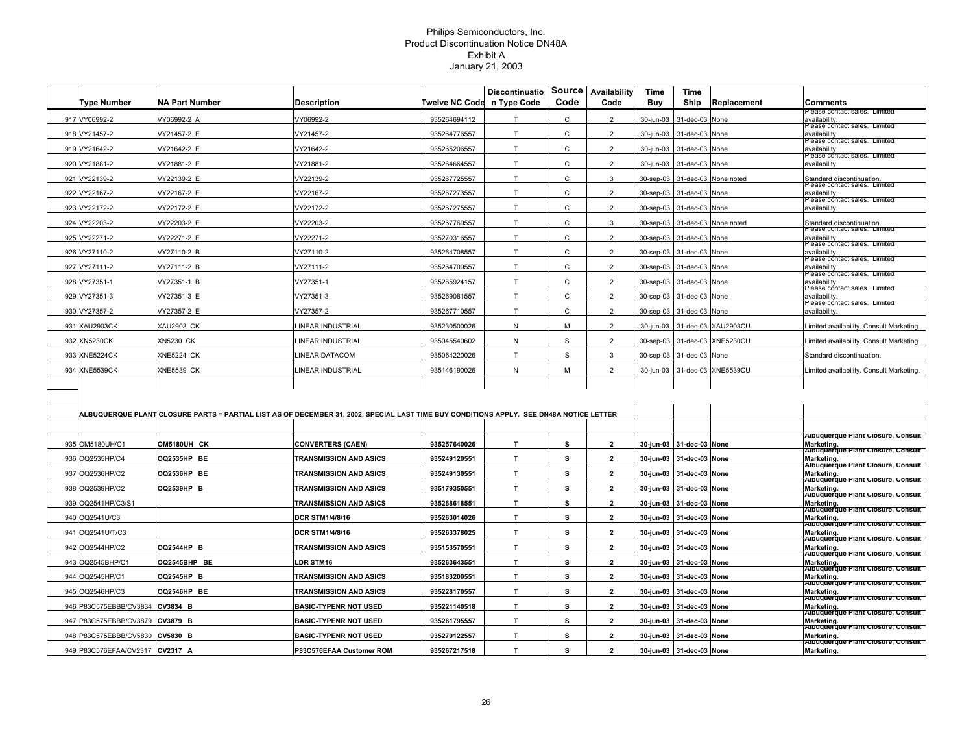| riease contact saies. Limitei<br>917 VY06992-2<br>/Y06992-2 A<br>/Y06992-2<br>935264694112<br>T.<br>C<br>$\overline{2}$<br>30-jun-03<br>31-dec-03 None<br>availability<br>rease contact sales. Limited<br>T<br>$\mathsf{C}$<br>$\overline{2}$<br>918 VY21457-2<br>VY21457-2 E<br>VY21457-2<br>935264776557<br>30-jun-03<br>31-dec-03 None<br>availability<br>riease contact sales. Limited<br>T.<br>C<br>$\overline{2}$<br>919 VY21642-2<br>/Y21642-2 E<br>VY21642-2<br>935265206557<br>30-jun-03<br>31-dec-03 None<br>availability<br>riease contact saies. Limited<br>920 VY21881-2<br>T<br>C<br>$\overline{2}$<br>/Y21881-2 E<br>Y21881-2<br>935264664557<br>30-jun-03<br>31-dec-03 None<br>availability<br>921 VY22139-2<br>T<br>C<br>3<br>/Y22139-2 E<br>/Y22139-2<br>935267725557<br>30-sep-03<br>31-dec-03 None noted<br>Standard discontinuation<br>riease contact sales. Limited<br>T.<br>C<br>2<br>922 VY22167-2<br>/Y22167-2 E<br>VY22167-2<br>935267273557<br>30-sep-03<br>31-dec-03 None<br>availability<br>riease contact sales. Limited<br>C<br>923 VY22172-2<br>VY22172-2 E<br>VY22172-2<br>T.<br>$\overline{2}$<br>935267275557<br>30-sep-03<br>31-dec-03 None<br>availability<br>VY22203-2 E<br>Y22203-2<br>T<br>C<br>$\mathbf{3}$<br>924 VY22203-2<br>935267769557<br>30-sep-03<br>31-dec-03 None noted<br>Standard discontinuation<br>rease contact sales. Limited<br>T<br>$\mathsf{C}$<br>$\overline{2}$<br>925 VY22271-2<br>VY22271-2 E<br>/Y22271-2<br>935270316557<br>30-sep-03<br>31-dec-03 None<br>availabilitv<br>riease contact saies. Limited<br>T<br>$\mathsf{C}$<br>$\overline{2}$<br>926 VY27110-2<br>VY27110-2 B<br>VY27110-2<br>935264708557<br>30-sep-03<br>31-dec-03 None<br>availability<br>riease contact saies. Limited<br>T<br>$\overline{2}$<br>927 VY27111-2<br>VY27111-2 B<br>VY27111-2<br>935264709557<br>C<br>30-sep-03<br>31-dec-03 None<br>availability<br>rease contact sales. Limited<br>T<br>$\overline{2}$<br>928 VY27351-1<br>VY27351-1 B<br>VY27351-1<br>935265924157<br>С<br>30-sep-03<br>31-dec-03 None<br>availability<br>riease contact sales. Limited<br>T.<br>C<br>2<br>929 VY27351-3<br>VY27351-3 E<br>VY27351-3<br>935269081557<br>30-sep-03<br>31-dec-03 None<br>availability<br>riease contact saies. Limited<br>930 VY27357-2<br>/Y27357-2 E<br>VY27357-2<br>T.<br>C<br>2<br>935267710557<br>30-sep-03<br>31-dec-03 None<br>availability<br>931 XAU2903CK<br><b>XAU2903 CK</b><br>INEAR INDUSTRIAL<br>935230500026<br>$\mathsf{N}$<br>M<br>$\overline{2}$<br>31-dec-03 XAU2903CU<br>30-jun-03<br>imited availability. Consult Marketing<br>$\mathbb S$<br>$\overline{2}$<br>932 XN5230CK<br>N<br>31-dec-03 XNE5230CU<br>XN5230 CK<br>INEAR INDUSTRIAL<br>935045540602<br>30-sep-03<br>imited availability. Consult Marketing.<br>T.<br>S<br>$\mathbf{3}$<br>933 XNE5224CK<br><b>XNE5224 CK</b><br><b>INEAR DATACOM</b><br>31-dec-03 None<br>935064220026<br>30-sep-03<br>Standard discontinuation<br>2<br>934 XNE5539CK<br><b>XNE5539 CK</b><br>INEAR INDUSTRIAL<br>935146190026<br>N<br>M<br>30-jun-03<br>31-dec-03 XNE5539CU<br>imited availability. Consult Marketing.<br>ALBUQUERQUE PLANT CLOSURE PARTS = PARTIAL LIST AS OF DECEMBER 31, 2002. SPECIAL LAST TIME BUY CONDITIONS APPLY. SEE DN48A NOTICE LETTER<br>T.<br>s<br>$\overline{2}$<br>935 OM5180UH/C1<br>OM5180UH CK<br><b>CONVERTERS (CAEN)</b><br>935257640026<br>30-jun-03 31-dec-03 None<br>T<br>s<br>$\overline{2}$<br>936 OQ2535HP/C4<br>OQ2535HP BE<br><b>TRANSMISSION AND ASICS</b><br>935249120551<br>30-jun-03<br>31-dec-03 None<br>T<br>$\mathbf{2}$<br>937 OQ2536HP/C2<br>OQ2536HP BE<br><b>TRANSMISSION AND ASICS</b><br>935249130551<br>s<br>30-jun-03<br>31-dec-03 None<br>Marketing.<br>$\overline{2}$<br>T.<br>s<br>938 OQ2539HP/C2<br>OQ2539HP B<br><b>TRANSMISSION AND ASICS</b><br>935179350551<br>30-jun-03<br>31-dec-03 None<br>$\mathbf T$<br>s<br>$\overline{2}$<br>939 OQ2541HP/C3/S1<br><b>TRANSMISSION AND ASICS</b><br>935268618551<br>30-jun-03<br>31-dec-03 None<br>T<br>s<br>$\overline{2}$<br>940 OQ2541U/C3<br><b>DCR STM1/4/8/16</b><br>935263014026<br>30-jun-03<br>Marketing.<br>31-dec-03 None<br>T<br>s<br>$\overline{2}$<br>941 OQ2541U/T/C3<br><b>DCR STM1/4/8/16</b><br>935263378025<br>30-jun-03<br>31-dec-03 None<br>$\mathbf T$<br>942 OQ2544HP/C2<br>s<br>$\overline{2}$<br><b>OQ2544HP B</b><br><b>TRANSMISSION AND ASICS</b><br>935153570551<br>30-jun-03<br>31-dec-03 None<br>943 OQ2545BHP/C1<br>OQ2545BHP BE<br>935263643551<br>T<br>s<br>$\overline{2}$<br>LDR STM16<br>30-jun-03<br>31-dec-03 None<br>944 OQ2545HP/C1<br>OQ2545HP B<br><b>TRANSMISSION AND ASICS</b><br>935183200551<br>T.<br>s<br>$\overline{2}$<br>30-jun-03<br>31-dec-03 None<br>Marketing.<br>$\mathbf{T}$<br>945 OQ2546HP/C3<br><b>OQ2546HP BE</b><br>935228170557<br>s<br>$\overline{2}$<br>TRANSMISSION AND ASICS<br>30-jun-03 31-dec-03 None<br>Marketing.<br>946 P83C575EBBB/CV3834 CV3834 B<br>935221140518<br>$\mathbf{T}$<br>s<br>$\overline{2}$<br><b>BASIC-TYPENR NOT USED</b><br>30-jun-03 31-dec-03 None |                    |                       |                              |                | <b>Discontinuatio</b> | Source | Availability            | Time      | Time |             |            |
|-----------------------------------------------------------------------------------------------------------------------------------------------------------------------------------------------------------------------------------------------------------------------------------------------------------------------------------------------------------------------------------------------------------------------------------------------------------------------------------------------------------------------------------------------------------------------------------------------------------------------------------------------------------------------------------------------------------------------------------------------------------------------------------------------------------------------------------------------------------------------------------------------------------------------------------------------------------------------------------------------------------------------------------------------------------------------------------------------------------------------------------------------------------------------------------------------------------------------------------------------------------------------------------------------------------------------------------------------------------------------------------------------------------------------------------------------------------------------------------------------------------------------------------------------------------------------------------------------------------------------------------------------------------------------------------------------------------------------------------------------------------------------------------------------------------------------------------------------------------------------------------------------------------------------------------------------------------------------------------------------------------------------------------------------------------------------------------------------------------------------------------------------------------------------------------------------------------------------------------------------------------------------------------------------------------------------------------------------------------------------------------------------------------------------------------------------------------------------------------------------------------------------------------------------------------------------------------------------------------------------------------------------------------------------------------------------------------------------------------------------------------------------------------------------------------------------------------------------------------------------------------------------------------------------------------------------------------------------------------------------------------------------------------------------------------------------------------------------------------------------------------------------------------------------------------------------------------------------------------------------------------------------------------------------------------------------------------------------------------------------------------------------------------------------------------------------------------------------------------------------------------------------------------------------------------------------------------------------------------------------------------------------------------------------------------------------------------------------------------------------------------------------------------------------------------------------------------------------------------------------------------------------------------------------------------------------------------------------------------------------------------------------------------------------------------------------------------------------------------------------------------------------------------------------------------------------------------------------------------------------------------------------------------------------------------------------------------------------------------------------------------------------------------------------------------------------------------------------------------------------------------------------------------------------------------------------------------------------------------------------------------------------------------------------------------------------------------------------------------------------------------------------------------------------------------------------------------------------------------------------------------------------------------------------------------------------------------------------------------------------------------------------------------------------------------------------------|--------------------|-----------------------|------------------------------|----------------|-----------------------|--------|-------------------------|-----------|------|-------------|------------|
|                                                                                                                                                                                                                                                                                                                                                                                                                                                                                                                                                                                                                                                                                                                                                                                                                                                                                                                                                                                                                                                                                                                                                                                                                                                                                                                                                                                                                                                                                                                                                                                                                                                                                                                                                                                                                                                                                                                                                                                                                                                                                                                                                                                                                                                                                                                                                                                                                                                                                                                                                                                                                                                                                                                                                                                                                                                                                                                                                                                                                                                                                                                                                                                                                                                                                                                                                                                                                                                                                                                                                                                                                                                                                                                                                                                                                                                                                                                                                                                                                                                                                                                                                                                                                                                                                                                                                                                                                                                                                                                                                                                                                                                                                                                                                                                                                                                                                                                                                                                                                                                                             | <b>Type Number</b> | <b>NA Part Number</b> | <b>Description</b>           | Twelve NC Code | n Type Code           | Code   | Code                    | Buy       | Ship | Replacement | Comments   |
|                                                                                                                                                                                                                                                                                                                                                                                                                                                                                                                                                                                                                                                                                                                                                                                                                                                                                                                                                                                                                                                                                                                                                                                                                                                                                                                                                                                                                                                                                                                                                                                                                                                                                                                                                                                                                                                                                                                                                                                                                                                                                                                                                                                                                                                                                                                                                                                                                                                                                                                                                                                                                                                                                                                                                                                                                                                                                                                                                                                                                                                                                                                                                                                                                                                                                                                                                                                                                                                                                                                                                                                                                                                                                                                                                                                                                                                                                                                                                                                                                                                                                                                                                                                                                                                                                                                                                                                                                                                                                                                                                                                                                                                                                                                                                                                                                                                                                                                                                                                                                                                                             |                    |                       |                              |                |                       |        |                         |           |      |             |            |
|                                                                                                                                                                                                                                                                                                                                                                                                                                                                                                                                                                                                                                                                                                                                                                                                                                                                                                                                                                                                                                                                                                                                                                                                                                                                                                                                                                                                                                                                                                                                                                                                                                                                                                                                                                                                                                                                                                                                                                                                                                                                                                                                                                                                                                                                                                                                                                                                                                                                                                                                                                                                                                                                                                                                                                                                                                                                                                                                                                                                                                                                                                                                                                                                                                                                                                                                                                                                                                                                                                                                                                                                                                                                                                                                                                                                                                                                                                                                                                                                                                                                                                                                                                                                                                                                                                                                                                                                                                                                                                                                                                                                                                                                                                                                                                                                                                                                                                                                                                                                                                                                             |                    |                       |                              |                |                       |        |                         |           |      |             |            |
|                                                                                                                                                                                                                                                                                                                                                                                                                                                                                                                                                                                                                                                                                                                                                                                                                                                                                                                                                                                                                                                                                                                                                                                                                                                                                                                                                                                                                                                                                                                                                                                                                                                                                                                                                                                                                                                                                                                                                                                                                                                                                                                                                                                                                                                                                                                                                                                                                                                                                                                                                                                                                                                                                                                                                                                                                                                                                                                                                                                                                                                                                                                                                                                                                                                                                                                                                                                                                                                                                                                                                                                                                                                                                                                                                                                                                                                                                                                                                                                                                                                                                                                                                                                                                                                                                                                                                                                                                                                                                                                                                                                                                                                                                                                                                                                                                                                                                                                                                                                                                                                                             |                    |                       |                              |                |                       |        |                         |           |      |             |            |
|                                                                                                                                                                                                                                                                                                                                                                                                                                                                                                                                                                                                                                                                                                                                                                                                                                                                                                                                                                                                                                                                                                                                                                                                                                                                                                                                                                                                                                                                                                                                                                                                                                                                                                                                                                                                                                                                                                                                                                                                                                                                                                                                                                                                                                                                                                                                                                                                                                                                                                                                                                                                                                                                                                                                                                                                                                                                                                                                                                                                                                                                                                                                                                                                                                                                                                                                                                                                                                                                                                                                                                                                                                                                                                                                                                                                                                                                                                                                                                                                                                                                                                                                                                                                                                                                                                                                                                                                                                                                                                                                                                                                                                                                                                                                                                                                                                                                                                                                                                                                                                                                             |                    |                       |                              |                |                       |        |                         |           |      |             |            |
|                                                                                                                                                                                                                                                                                                                                                                                                                                                                                                                                                                                                                                                                                                                                                                                                                                                                                                                                                                                                                                                                                                                                                                                                                                                                                                                                                                                                                                                                                                                                                                                                                                                                                                                                                                                                                                                                                                                                                                                                                                                                                                                                                                                                                                                                                                                                                                                                                                                                                                                                                                                                                                                                                                                                                                                                                                                                                                                                                                                                                                                                                                                                                                                                                                                                                                                                                                                                                                                                                                                                                                                                                                                                                                                                                                                                                                                                                                                                                                                                                                                                                                                                                                                                                                                                                                                                                                                                                                                                                                                                                                                                                                                                                                                                                                                                                                                                                                                                                                                                                                                                             |                    |                       |                              |                |                       |        |                         |           |      |             |            |
| Albuquerque Plant Closure, Consult<br>Marketing.<br>Albuquerque Plant Closure, Consult<br>Marketing.<br>Albuquerque Plant Closure, Consult<br>Albuquerque Plant Closure, Consult<br>Marketing.<br>Albuquerque Plant Closure, Consult<br><sub> </sub> Marketing.<br> Albuquerque Plant Closure, Consult<br>Albuquerque Plant Closure, Consult<br>Marketing.<br>Albuquerque Plant Closure, Consult<br>Marketing.<br>Albuquerque Plant Closure, Consult<br>Marketing.<br>Albuquerque Plant Closure, Consult<br>Albuquerque Plant Closure, Consult<br>Albuquerque Plant Closure, Consult<br>Marketing.<br>Albuquerque Plant Closure, Consult                                                                                                                                                                                                                                                                                                                                                                                                                                                                                                                                                                                                                                                                                                                                                                                                                                                                                                                                                                                                                                                                                                                                                                                                                                                                                                                                                                                                                                                                                                                                                                                                                                                                                                                                                                                                                                                                                                                                                                                                                                                                                                                                                                                                                                                                                                                                                                                                                                                                                                                                                                                                                                                                                                                                                                                                                                                                                                                                                                                                                                                                                                                                                                                                                                                                                                                                                                                                                                                                                                                                                                                                                                                                                                                                                                                                                                                                                                                                                                                                                                                                                                                                                                                                                                                                                                                                                                                                                                    |                    |                       |                              |                |                       |        |                         |           |      |             |            |
|                                                                                                                                                                                                                                                                                                                                                                                                                                                                                                                                                                                                                                                                                                                                                                                                                                                                                                                                                                                                                                                                                                                                                                                                                                                                                                                                                                                                                                                                                                                                                                                                                                                                                                                                                                                                                                                                                                                                                                                                                                                                                                                                                                                                                                                                                                                                                                                                                                                                                                                                                                                                                                                                                                                                                                                                                                                                                                                                                                                                                                                                                                                                                                                                                                                                                                                                                                                                                                                                                                                                                                                                                                                                                                                                                                                                                                                                                                                                                                                                                                                                                                                                                                                                                                                                                                                                                                                                                                                                                                                                                                                                                                                                                                                                                                                                                                                                                                                                                                                                                                                                             |                    |                       |                              |                |                       |        |                         |           |      |             |            |
|                                                                                                                                                                                                                                                                                                                                                                                                                                                                                                                                                                                                                                                                                                                                                                                                                                                                                                                                                                                                                                                                                                                                                                                                                                                                                                                                                                                                                                                                                                                                                                                                                                                                                                                                                                                                                                                                                                                                                                                                                                                                                                                                                                                                                                                                                                                                                                                                                                                                                                                                                                                                                                                                                                                                                                                                                                                                                                                                                                                                                                                                                                                                                                                                                                                                                                                                                                                                                                                                                                                                                                                                                                                                                                                                                                                                                                                                                                                                                                                                                                                                                                                                                                                                                                                                                                                                                                                                                                                                                                                                                                                                                                                                                                                                                                                                                                                                                                                                                                                                                                                                             |                    |                       |                              |                |                       |        |                         |           |      |             |            |
|                                                                                                                                                                                                                                                                                                                                                                                                                                                                                                                                                                                                                                                                                                                                                                                                                                                                                                                                                                                                                                                                                                                                                                                                                                                                                                                                                                                                                                                                                                                                                                                                                                                                                                                                                                                                                                                                                                                                                                                                                                                                                                                                                                                                                                                                                                                                                                                                                                                                                                                                                                                                                                                                                                                                                                                                                                                                                                                                                                                                                                                                                                                                                                                                                                                                                                                                                                                                                                                                                                                                                                                                                                                                                                                                                                                                                                                                                                                                                                                                                                                                                                                                                                                                                                                                                                                                                                                                                                                                                                                                                                                                                                                                                                                                                                                                                                                                                                                                                                                                                                                                             |                    |                       |                              |                |                       |        |                         |           |      |             |            |
|                                                                                                                                                                                                                                                                                                                                                                                                                                                                                                                                                                                                                                                                                                                                                                                                                                                                                                                                                                                                                                                                                                                                                                                                                                                                                                                                                                                                                                                                                                                                                                                                                                                                                                                                                                                                                                                                                                                                                                                                                                                                                                                                                                                                                                                                                                                                                                                                                                                                                                                                                                                                                                                                                                                                                                                                                                                                                                                                                                                                                                                                                                                                                                                                                                                                                                                                                                                                                                                                                                                                                                                                                                                                                                                                                                                                                                                                                                                                                                                                                                                                                                                                                                                                                                                                                                                                                                                                                                                                                                                                                                                                                                                                                                                                                                                                                                                                                                                                                                                                                                                                             |                    |                       |                              |                |                       |        |                         |           |      |             |            |
|                                                                                                                                                                                                                                                                                                                                                                                                                                                                                                                                                                                                                                                                                                                                                                                                                                                                                                                                                                                                                                                                                                                                                                                                                                                                                                                                                                                                                                                                                                                                                                                                                                                                                                                                                                                                                                                                                                                                                                                                                                                                                                                                                                                                                                                                                                                                                                                                                                                                                                                                                                                                                                                                                                                                                                                                                                                                                                                                                                                                                                                                                                                                                                                                                                                                                                                                                                                                                                                                                                                                                                                                                                                                                                                                                                                                                                                                                                                                                                                                                                                                                                                                                                                                                                                                                                                                                                                                                                                                                                                                                                                                                                                                                                                                                                                                                                                                                                                                                                                                                                                                             |                    |                       |                              |                |                       |        |                         |           |      |             |            |
|                                                                                                                                                                                                                                                                                                                                                                                                                                                                                                                                                                                                                                                                                                                                                                                                                                                                                                                                                                                                                                                                                                                                                                                                                                                                                                                                                                                                                                                                                                                                                                                                                                                                                                                                                                                                                                                                                                                                                                                                                                                                                                                                                                                                                                                                                                                                                                                                                                                                                                                                                                                                                                                                                                                                                                                                                                                                                                                                                                                                                                                                                                                                                                                                                                                                                                                                                                                                                                                                                                                                                                                                                                                                                                                                                                                                                                                                                                                                                                                                                                                                                                                                                                                                                                                                                                                                                                                                                                                                                                                                                                                                                                                                                                                                                                                                                                                                                                                                                                                                                                                                             |                    |                       |                              |                |                       |        |                         |           |      |             |            |
|                                                                                                                                                                                                                                                                                                                                                                                                                                                                                                                                                                                                                                                                                                                                                                                                                                                                                                                                                                                                                                                                                                                                                                                                                                                                                                                                                                                                                                                                                                                                                                                                                                                                                                                                                                                                                                                                                                                                                                                                                                                                                                                                                                                                                                                                                                                                                                                                                                                                                                                                                                                                                                                                                                                                                                                                                                                                                                                                                                                                                                                                                                                                                                                                                                                                                                                                                                                                                                                                                                                                                                                                                                                                                                                                                                                                                                                                                                                                                                                                                                                                                                                                                                                                                                                                                                                                                                                                                                                                                                                                                                                                                                                                                                                                                                                                                                                                                                                                                                                                                                                                             |                    |                       |                              |                |                       |        |                         |           |      |             |            |
|                                                                                                                                                                                                                                                                                                                                                                                                                                                                                                                                                                                                                                                                                                                                                                                                                                                                                                                                                                                                                                                                                                                                                                                                                                                                                                                                                                                                                                                                                                                                                                                                                                                                                                                                                                                                                                                                                                                                                                                                                                                                                                                                                                                                                                                                                                                                                                                                                                                                                                                                                                                                                                                                                                                                                                                                                                                                                                                                                                                                                                                                                                                                                                                                                                                                                                                                                                                                                                                                                                                                                                                                                                                                                                                                                                                                                                                                                                                                                                                                                                                                                                                                                                                                                                                                                                                                                                                                                                                                                                                                                                                                                                                                                                                                                                                                                                                                                                                                                                                                                                                                             |                    |                       |                              |                |                       |        |                         |           |      |             |            |
|                                                                                                                                                                                                                                                                                                                                                                                                                                                                                                                                                                                                                                                                                                                                                                                                                                                                                                                                                                                                                                                                                                                                                                                                                                                                                                                                                                                                                                                                                                                                                                                                                                                                                                                                                                                                                                                                                                                                                                                                                                                                                                                                                                                                                                                                                                                                                                                                                                                                                                                                                                                                                                                                                                                                                                                                                                                                                                                                                                                                                                                                                                                                                                                                                                                                                                                                                                                                                                                                                                                                                                                                                                                                                                                                                                                                                                                                                                                                                                                                                                                                                                                                                                                                                                                                                                                                                                                                                                                                                                                                                                                                                                                                                                                                                                                                                                                                                                                                                                                                                                                                             |                    |                       |                              |                |                       |        |                         |           |      |             |            |
|                                                                                                                                                                                                                                                                                                                                                                                                                                                                                                                                                                                                                                                                                                                                                                                                                                                                                                                                                                                                                                                                                                                                                                                                                                                                                                                                                                                                                                                                                                                                                                                                                                                                                                                                                                                                                                                                                                                                                                                                                                                                                                                                                                                                                                                                                                                                                                                                                                                                                                                                                                                                                                                                                                                                                                                                                                                                                                                                                                                                                                                                                                                                                                                                                                                                                                                                                                                                                                                                                                                                                                                                                                                                                                                                                                                                                                                                                                                                                                                                                                                                                                                                                                                                                                                                                                                                                                                                                                                                                                                                                                                                                                                                                                                                                                                                                                                                                                                                                                                                                                                                             |                    |                       |                              |                |                       |        |                         |           |      |             |            |
|                                                                                                                                                                                                                                                                                                                                                                                                                                                                                                                                                                                                                                                                                                                                                                                                                                                                                                                                                                                                                                                                                                                                                                                                                                                                                                                                                                                                                                                                                                                                                                                                                                                                                                                                                                                                                                                                                                                                                                                                                                                                                                                                                                                                                                                                                                                                                                                                                                                                                                                                                                                                                                                                                                                                                                                                                                                                                                                                                                                                                                                                                                                                                                                                                                                                                                                                                                                                                                                                                                                                                                                                                                                                                                                                                                                                                                                                                                                                                                                                                                                                                                                                                                                                                                                                                                                                                                                                                                                                                                                                                                                                                                                                                                                                                                                                                                                                                                                                                                                                                                                                             |                    |                       |                              |                |                       |        |                         |           |      |             |            |
|                                                                                                                                                                                                                                                                                                                                                                                                                                                                                                                                                                                                                                                                                                                                                                                                                                                                                                                                                                                                                                                                                                                                                                                                                                                                                                                                                                                                                                                                                                                                                                                                                                                                                                                                                                                                                                                                                                                                                                                                                                                                                                                                                                                                                                                                                                                                                                                                                                                                                                                                                                                                                                                                                                                                                                                                                                                                                                                                                                                                                                                                                                                                                                                                                                                                                                                                                                                                                                                                                                                                                                                                                                                                                                                                                                                                                                                                                                                                                                                                                                                                                                                                                                                                                                                                                                                                                                                                                                                                                                                                                                                                                                                                                                                                                                                                                                                                                                                                                                                                                                                                             |                    |                       |                              |                |                       |        |                         |           |      |             |            |
|                                                                                                                                                                                                                                                                                                                                                                                                                                                                                                                                                                                                                                                                                                                                                                                                                                                                                                                                                                                                                                                                                                                                                                                                                                                                                                                                                                                                                                                                                                                                                                                                                                                                                                                                                                                                                                                                                                                                                                                                                                                                                                                                                                                                                                                                                                                                                                                                                                                                                                                                                                                                                                                                                                                                                                                                                                                                                                                                                                                                                                                                                                                                                                                                                                                                                                                                                                                                                                                                                                                                                                                                                                                                                                                                                                                                                                                                                                                                                                                                                                                                                                                                                                                                                                                                                                                                                                                                                                                                                                                                                                                                                                                                                                                                                                                                                                                                                                                                                                                                                                                                             |                    |                       |                              |                |                       |        |                         |           |      |             |            |
|                                                                                                                                                                                                                                                                                                                                                                                                                                                                                                                                                                                                                                                                                                                                                                                                                                                                                                                                                                                                                                                                                                                                                                                                                                                                                                                                                                                                                                                                                                                                                                                                                                                                                                                                                                                                                                                                                                                                                                                                                                                                                                                                                                                                                                                                                                                                                                                                                                                                                                                                                                                                                                                                                                                                                                                                                                                                                                                                                                                                                                                                                                                                                                                                                                                                                                                                                                                                                                                                                                                                                                                                                                                                                                                                                                                                                                                                                                                                                                                                                                                                                                                                                                                                                                                                                                                                                                                                                                                                                                                                                                                                                                                                                                                                                                                                                                                                                                                                                                                                                                                                             |                    |                       |                              |                |                       |        |                         |           |      |             |            |
|                                                                                                                                                                                                                                                                                                                                                                                                                                                                                                                                                                                                                                                                                                                                                                                                                                                                                                                                                                                                                                                                                                                                                                                                                                                                                                                                                                                                                                                                                                                                                                                                                                                                                                                                                                                                                                                                                                                                                                                                                                                                                                                                                                                                                                                                                                                                                                                                                                                                                                                                                                                                                                                                                                                                                                                                                                                                                                                                                                                                                                                                                                                                                                                                                                                                                                                                                                                                                                                                                                                                                                                                                                                                                                                                                                                                                                                                                                                                                                                                                                                                                                                                                                                                                                                                                                                                                                                                                                                                                                                                                                                                                                                                                                                                                                                                                                                                                                                                                                                                                                                                             |                    |                       |                              |                |                       |        |                         |           |      |             |            |
|                                                                                                                                                                                                                                                                                                                                                                                                                                                                                                                                                                                                                                                                                                                                                                                                                                                                                                                                                                                                                                                                                                                                                                                                                                                                                                                                                                                                                                                                                                                                                                                                                                                                                                                                                                                                                                                                                                                                                                                                                                                                                                                                                                                                                                                                                                                                                                                                                                                                                                                                                                                                                                                                                                                                                                                                                                                                                                                                                                                                                                                                                                                                                                                                                                                                                                                                                                                                                                                                                                                                                                                                                                                                                                                                                                                                                                                                                                                                                                                                                                                                                                                                                                                                                                                                                                                                                                                                                                                                                                                                                                                                                                                                                                                                                                                                                                                                                                                                                                                                                                                                             |                    |                       |                              |                |                       |        |                         |           |      |             |            |
|                                                                                                                                                                                                                                                                                                                                                                                                                                                                                                                                                                                                                                                                                                                                                                                                                                                                                                                                                                                                                                                                                                                                                                                                                                                                                                                                                                                                                                                                                                                                                                                                                                                                                                                                                                                                                                                                                                                                                                                                                                                                                                                                                                                                                                                                                                                                                                                                                                                                                                                                                                                                                                                                                                                                                                                                                                                                                                                                                                                                                                                                                                                                                                                                                                                                                                                                                                                                                                                                                                                                                                                                                                                                                                                                                                                                                                                                                                                                                                                                                                                                                                                                                                                                                                                                                                                                                                                                                                                                                                                                                                                                                                                                                                                                                                                                                                                                                                                                                                                                                                                                             |                    |                       |                              |                |                       |        |                         |           |      |             |            |
|                                                                                                                                                                                                                                                                                                                                                                                                                                                                                                                                                                                                                                                                                                                                                                                                                                                                                                                                                                                                                                                                                                                                                                                                                                                                                                                                                                                                                                                                                                                                                                                                                                                                                                                                                                                                                                                                                                                                                                                                                                                                                                                                                                                                                                                                                                                                                                                                                                                                                                                                                                                                                                                                                                                                                                                                                                                                                                                                                                                                                                                                                                                                                                                                                                                                                                                                                                                                                                                                                                                                                                                                                                                                                                                                                                                                                                                                                                                                                                                                                                                                                                                                                                                                                                                                                                                                                                                                                                                                                                                                                                                                                                                                                                                                                                                                                                                                                                                                                                                                                                                                             |                    |                       |                              |                |                       |        |                         |           |      |             |            |
|                                                                                                                                                                                                                                                                                                                                                                                                                                                                                                                                                                                                                                                                                                                                                                                                                                                                                                                                                                                                                                                                                                                                                                                                                                                                                                                                                                                                                                                                                                                                                                                                                                                                                                                                                                                                                                                                                                                                                                                                                                                                                                                                                                                                                                                                                                                                                                                                                                                                                                                                                                                                                                                                                                                                                                                                                                                                                                                                                                                                                                                                                                                                                                                                                                                                                                                                                                                                                                                                                                                                                                                                                                                                                                                                                                                                                                                                                                                                                                                                                                                                                                                                                                                                                                                                                                                                                                                                                                                                                                                                                                                                                                                                                                                                                                                                                                                                                                                                                                                                                                                                             |                    |                       |                              |                |                       |        |                         |           |      |             |            |
|                                                                                                                                                                                                                                                                                                                                                                                                                                                                                                                                                                                                                                                                                                                                                                                                                                                                                                                                                                                                                                                                                                                                                                                                                                                                                                                                                                                                                                                                                                                                                                                                                                                                                                                                                                                                                                                                                                                                                                                                                                                                                                                                                                                                                                                                                                                                                                                                                                                                                                                                                                                                                                                                                                                                                                                                                                                                                                                                                                                                                                                                                                                                                                                                                                                                                                                                                                                                                                                                                                                                                                                                                                                                                                                                                                                                                                                                                                                                                                                                                                                                                                                                                                                                                                                                                                                                                                                                                                                                                                                                                                                                                                                                                                                                                                                                                                                                                                                                                                                                                                                                             |                    |                       |                              |                |                       |        |                         |           |      |             |            |
|                                                                                                                                                                                                                                                                                                                                                                                                                                                                                                                                                                                                                                                                                                                                                                                                                                                                                                                                                                                                                                                                                                                                                                                                                                                                                                                                                                                                                                                                                                                                                                                                                                                                                                                                                                                                                                                                                                                                                                                                                                                                                                                                                                                                                                                                                                                                                                                                                                                                                                                                                                                                                                                                                                                                                                                                                                                                                                                                                                                                                                                                                                                                                                                                                                                                                                                                                                                                                                                                                                                                                                                                                                                                                                                                                                                                                                                                                                                                                                                                                                                                                                                                                                                                                                                                                                                                                                                                                                                                                                                                                                                                                                                                                                                                                                                                                                                                                                                                                                                                                                                                             |                    |                       |                              |                |                       |        |                         |           |      |             |            |
|                                                                                                                                                                                                                                                                                                                                                                                                                                                                                                                                                                                                                                                                                                                                                                                                                                                                                                                                                                                                                                                                                                                                                                                                                                                                                                                                                                                                                                                                                                                                                                                                                                                                                                                                                                                                                                                                                                                                                                                                                                                                                                                                                                                                                                                                                                                                                                                                                                                                                                                                                                                                                                                                                                                                                                                                                                                                                                                                                                                                                                                                                                                                                                                                                                                                                                                                                                                                                                                                                                                                                                                                                                                                                                                                                                                                                                                                                                                                                                                                                                                                                                                                                                                                                                                                                                                                                                                                                                                                                                                                                                                                                                                                                                                                                                                                                                                                                                                                                                                                                                                                             |                    |                       |                              |                |                       |        |                         |           |      |             |            |
|                                                                                                                                                                                                                                                                                                                                                                                                                                                                                                                                                                                                                                                                                                                                                                                                                                                                                                                                                                                                                                                                                                                                                                                                                                                                                                                                                                                                                                                                                                                                                                                                                                                                                                                                                                                                                                                                                                                                                                                                                                                                                                                                                                                                                                                                                                                                                                                                                                                                                                                                                                                                                                                                                                                                                                                                                                                                                                                                                                                                                                                                                                                                                                                                                                                                                                                                                                                                                                                                                                                                                                                                                                                                                                                                                                                                                                                                                                                                                                                                                                                                                                                                                                                                                                                                                                                                                                                                                                                                                                                                                                                                                                                                                                                                                                                                                                                                                                                                                                                                                                                                             |                    |                       |                              |                |                       |        |                         |           |      |             |            |
|                                                                                                                                                                                                                                                                                                                                                                                                                                                                                                                                                                                                                                                                                                                                                                                                                                                                                                                                                                                                                                                                                                                                                                                                                                                                                                                                                                                                                                                                                                                                                                                                                                                                                                                                                                                                                                                                                                                                                                                                                                                                                                                                                                                                                                                                                                                                                                                                                                                                                                                                                                                                                                                                                                                                                                                                                                                                                                                                                                                                                                                                                                                                                                                                                                                                                                                                                                                                                                                                                                                                                                                                                                                                                                                                                                                                                                                                                                                                                                                                                                                                                                                                                                                                                                                                                                                                                                                                                                                                                                                                                                                                                                                                                                                                                                                                                                                                                                                                                                                                                                                                             |                    |                       |                              |                |                       |        |                         |           |      |             |            |
|                                                                                                                                                                                                                                                                                                                                                                                                                                                                                                                                                                                                                                                                                                                                                                                                                                                                                                                                                                                                                                                                                                                                                                                                                                                                                                                                                                                                                                                                                                                                                                                                                                                                                                                                                                                                                                                                                                                                                                                                                                                                                                                                                                                                                                                                                                                                                                                                                                                                                                                                                                                                                                                                                                                                                                                                                                                                                                                                                                                                                                                                                                                                                                                                                                                                                                                                                                                                                                                                                                                                                                                                                                                                                                                                                                                                                                                                                                                                                                                                                                                                                                                                                                                                                                                                                                                                                                                                                                                                                                                                                                                                                                                                                                                                                                                                                                                                                                                                                                                                                                                                             |                    |                       |                              |                |                       |        |                         |           |      |             |            |
|                                                                                                                                                                                                                                                                                                                                                                                                                                                                                                                                                                                                                                                                                                                                                                                                                                                                                                                                                                                                                                                                                                                                                                                                                                                                                                                                                                                                                                                                                                                                                                                                                                                                                                                                                                                                                                                                                                                                                                                                                                                                                                                                                                                                                                                                                                                                                                                                                                                                                                                                                                                                                                                                                                                                                                                                                                                                                                                                                                                                                                                                                                                                                                                                                                                                                                                                                                                                                                                                                                                                                                                                                                                                                                                                                                                                                                                                                                                                                                                                                                                                                                                                                                                                                                                                                                                                                                                                                                                                                                                                                                                                                                                                                                                                                                                                                                                                                                                                                                                                                                                                             |                    |                       |                              |                |                       |        |                         |           |      |             |            |
|                                                                                                                                                                                                                                                                                                                                                                                                                                                                                                                                                                                                                                                                                                                                                                                                                                                                                                                                                                                                                                                                                                                                                                                                                                                                                                                                                                                                                                                                                                                                                                                                                                                                                                                                                                                                                                                                                                                                                                                                                                                                                                                                                                                                                                                                                                                                                                                                                                                                                                                                                                                                                                                                                                                                                                                                                                                                                                                                                                                                                                                                                                                                                                                                                                                                                                                                                                                                                                                                                                                                                                                                                                                                                                                                                                                                                                                                                                                                                                                                                                                                                                                                                                                                                                                                                                                                                                                                                                                                                                                                                                                                                                                                                                                                                                                                                                                                                                                                                                                                                                                                             |                    |                       |                              |                |                       |        |                         |           |      |             |            |
|                                                                                                                                                                                                                                                                                                                                                                                                                                                                                                                                                                                                                                                                                                                                                                                                                                                                                                                                                                                                                                                                                                                                                                                                                                                                                                                                                                                                                                                                                                                                                                                                                                                                                                                                                                                                                                                                                                                                                                                                                                                                                                                                                                                                                                                                                                                                                                                                                                                                                                                                                                                                                                                                                                                                                                                                                                                                                                                                                                                                                                                                                                                                                                                                                                                                                                                                                                                                                                                                                                                                                                                                                                                                                                                                                                                                                                                                                                                                                                                                                                                                                                                                                                                                                                                                                                                                                                                                                                                                                                                                                                                                                                                                                                                                                                                                                                                                                                                                                                                                                                                                             |                    |                       |                              |                |                       |        |                         |           |      |             |            |
|                                                                                                                                                                                                                                                                                                                                                                                                                                                                                                                                                                                                                                                                                                                                                                                                                                                                                                                                                                                                                                                                                                                                                                                                                                                                                                                                                                                                                                                                                                                                                                                                                                                                                                                                                                                                                                                                                                                                                                                                                                                                                                                                                                                                                                                                                                                                                                                                                                                                                                                                                                                                                                                                                                                                                                                                                                                                                                                                                                                                                                                                                                                                                                                                                                                                                                                                                                                                                                                                                                                                                                                                                                                                                                                                                                                                                                                                                                                                                                                                                                                                                                                                                                                                                                                                                                                                                                                                                                                                                                                                                                                                                                                                                                                                                                                                                                                                                                                                                                                                                                                                             |                    |                       |                              |                |                       |        |                         |           |      |             |            |
| 947 P83C575EBBB/CV3879<br>31-dec-03 None                                                                                                                                                                                                                                                                                                                                                                                                                                                                                                                                                                                                                                                                                                                                                                                                                                                                                                                                                                                                                                                                                                                                                                                                                                                                                                                                                                                                                                                                                                                                                                                                                                                                                                                                                                                                                                                                                                                                                                                                                                                                                                                                                                                                                                                                                                                                                                                                                                                                                                                                                                                                                                                                                                                                                                                                                                                                                                                                                                                                                                                                                                                                                                                                                                                                                                                                                                                                                                                                                                                                                                                                                                                                                                                                                                                                                                                                                                                                                                                                                                                                                                                                                                                                                                                                                                                                                                                                                                                                                                                                                                                                                                                                                                                                                                                                                                                                                                                                                                                                                                    |                    | CV3879 B              | <b>BASIC-TYPENR NOT USED</b> | 935261795557   | T                     | s      | $\overline{\mathbf{2}}$ | 30-jun-03 |      |             | Marketing. |
| Albuquerque Plant Closure, Consult<br>$\mathbf T$<br>$\overline{2}$<br>CV5830 B<br>s<br>948 P83C575EBBB/CV5830<br><b>BASIC-TYPENR NOT USED</b><br>935270122557<br>30-jun-03<br>31-dec-03 None                                                                                                                                                                                                                                                                                                                                                                                                                                                                                                                                                                                                                                                                                                                                                                                                                                                                                                                                                                                                                                                                                                                                                                                                                                                                                                                                                                                                                                                                                                                                                                                                                                                                                                                                                                                                                                                                                                                                                                                                                                                                                                                                                                                                                                                                                                                                                                                                                                                                                                                                                                                                                                                                                                                                                                                                                                                                                                                                                                                                                                                                                                                                                                                                                                                                                                                                                                                                                                                                                                                                                                                                                                                                                                                                                                                                                                                                                                                                                                                                                                                                                                                                                                                                                                                                                                                                                                                                                                                                                                                                                                                                                                                                                                                                                                                                                                                                               |                    |                       |                              |                |                       |        |                         |           |      |             |            |
| Marketing.<br>Albuquerque Plant Closure, Consult<br>949 P83C576EFAA/CV2317 CV2317 A<br>$\mathbf{T}$<br>s<br>$\overline{2}$<br>P83C576EFAA Customer ROM<br>935267217518<br>30-jun-03 31-dec-03 None<br>Marketing.                                                                                                                                                                                                                                                                                                                                                                                                                                                                                                                                                                                                                                                                                                                                                                                                                                                                                                                                                                                                                                                                                                                                                                                                                                                                                                                                                                                                                                                                                                                                                                                                                                                                                                                                                                                                                                                                                                                                                                                                                                                                                                                                                                                                                                                                                                                                                                                                                                                                                                                                                                                                                                                                                                                                                                                                                                                                                                                                                                                                                                                                                                                                                                                                                                                                                                                                                                                                                                                                                                                                                                                                                                                                                                                                                                                                                                                                                                                                                                                                                                                                                                                                                                                                                                                                                                                                                                                                                                                                                                                                                                                                                                                                                                                                                                                                                                                            |                    |                       |                              |                |                       |        |                         |           |      |             |            |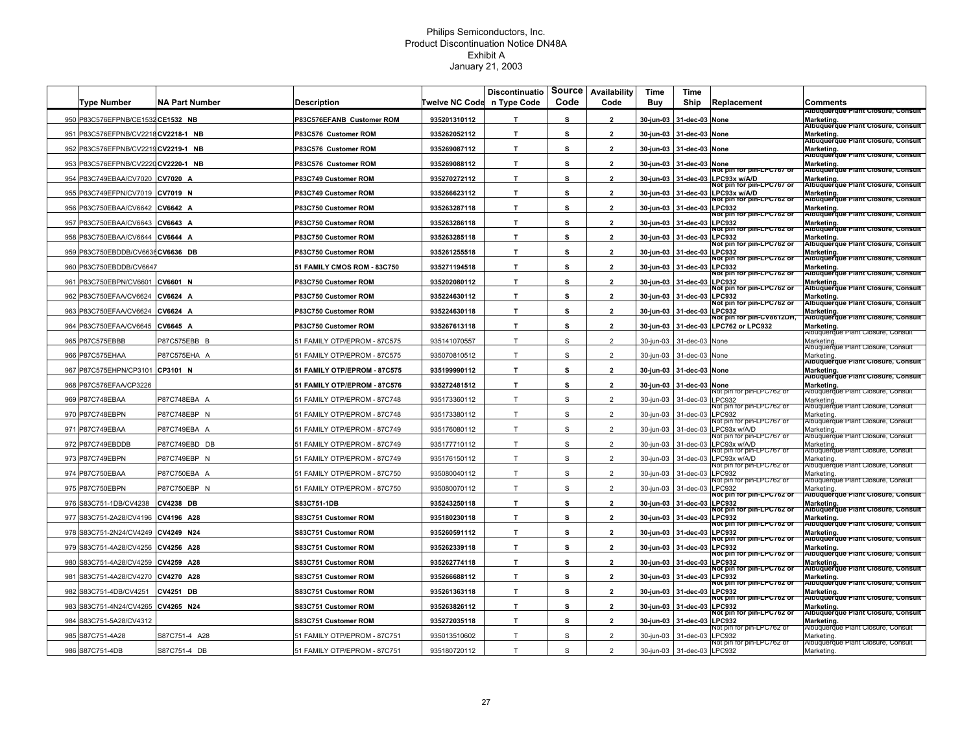|     |                                     |                       |                              |                                    | <b>Discontinuatio</b> |           | Source Availability | Time      | Time             |                                                         |                                                                                                         |
|-----|-------------------------------------|-----------------------|------------------------------|------------------------------------|-----------------------|-----------|---------------------|-----------|------------------|---------------------------------------------------------|---------------------------------------------------------------------------------------------------------|
|     | <b>Type Number</b>                  | <b>NA Part Number</b> | Description                  | <b>Twelve NC Code in Type Code</b> |                       | Code      | Code                | Buy       | Ship             | Replacement                                             | Comments                                                                                                |
|     | 950 P83C576EFPNB/CE1532 CE1532 NB   |                       | P83C576EFANB Customer ROM    | 935201310112                       | T.                    | s         | $\overline{2}$      | 30-jun-03 | 31-dec-03 None   |                                                         | Albuquerque Plant Closure, Consult<br>Marketing.                                                        |
| 951 | P83C576EFPNB/CV2218                 | CV2218-1 NB           | P83C576 Customer ROM         | 935262052112                       | T.                    | s         | $\overline{2}$      | 30-jun-03 | 31-dec-03 None   |                                                         | Albuquerque Plant Closure, Consult<br>Marketing.<br>Albuquerque Plant Closure, Consult                  |
| 952 | P83C576EFPNB/CV2219CV2219-1 NB      |                       | P83C576 Customer ROM         | 935269087112                       | $\mathbf{T}$          | s         | $\overline{2}$      | 30-jun-03 | 31-dec-03        | None                                                    | Marketing.<br>Albuquerque Plant Closure, Consult                                                        |
|     | 953 P83C576EFPNB/CV2220 CV2220-1 NB |                       | P83C576 Customer ROM         | 935269088112                       | $\mathbf{T}$          | s         | $\overline{2}$      | 30-jun-03 | 31-dec-03 None   |                                                         |                                                                                                         |
|     | 954 P83C749EBAA/CV7020              | CV7020 A              | P83C749 Customer ROM         | 935270272112                       | T.                    | s         | $\overline{2}$      | 30-jun-03 |                  | vot pin for pin-LPC767 or<br>31-dec-03 LPC93x w/A/D     | Marketing.<br> Albuquerque Plant Closure, Consult<br>Marketing.                                         |
|     | 955 P83C749EFPN/CV7019              | CV7019 N              | P83C749 Customer ROM         | 935266623112                       | T.                    | s         | $\overline{2}$      | 30-jun-03 |                  | Not pin for pin-LPC767 or<br>31-dec-03 LPC93x w/A/D     | Albuquerque Plant Closure, Consult<br>Marketing.                                                        |
|     | 956 P83C750EBAA/CV6642              | CV6642 A              | P83C750 Customer ROM         | 935263287118                       | $\mathbf{T}$          | s         | $\overline{2}$      | 30-jun-03 | 31-dec-03 LPC932 | NOT DIN TOP DIN-LPC /62 OI                              | Albuquerque Plant Closure, Consult<br>Marketing.                                                        |
|     | 957 P83C750EBAA/CV6643              | CV6643 A              | P83C750 Customer ROM         | 935263286118                       | T.                    | s         | $\overline{2}$      | 30-jun-03 | 31-dec-03 LPC932 | vot pin for pin-LPC762 or                               | Albuquerque Plant Closure, Consult<br>Marketing.                                                        |
|     | 958 P83C750EBAA/CV6644              | CV6644 A              | P83C750 Customer ROM         | 935263285118                       | T.                    | s         | $\overline{2}$      | 30-jun-03 | 31-dec-03        | vot pin for pin-LPC762 or<br><b>LPC932</b>              | Albuquerque Plant Closure, Consult<br>Marketing.                                                        |
|     | 959 P83C750EBDDB/CV6636 CV6636 DB   |                       | P83C750 Customer ROM         | 935261255518                       | $\mathbf{T}$          | s         | $\overline{2}$      | 30-jun-03 | 31-dec-03        | NOt pin for pin-LPC762 of<br><b>LPC932</b>              | Albuquerque Plant Closure, Consult<br>Marketing.<br>Albuquerque Plant Closure, Consult                  |
|     | 960 P83C750EBDDB/CV6647             |                       | 51 FAMILY CMOS ROM - 83C750  | 935271194518                       | T                     | s         | $\mathbf{2}$        | 30-jun-03 | 31-dec-03 LPC932 | NOt pin for pin-LPC762 or                               | Marketing                                                                                               |
| 961 | P83C750EBPN/CV6601                  | CV6601 N              | P83C750 Customer ROM         | 935202080112                       | T                     | s         | $\overline{2}$      | 30-jun-03 | 31-dec-03 LPC932 | ot pin for pin-LPC762 o                                 | Albuquerque Plant Closure, Consult<br>Marketing.                                                        |
|     | 962 P83C750EFAA/CV6624              | CV6624 A              | P83C750 Customer ROM         | 935224630112                       | T.                    | s         | $\overline{2}$      | 30-jun-03 | 31-dec-03 LPC932 | Not pin for pin-LPC762 or                               | Albuquerque Plant Closure, Consult<br>Marketing.                                                        |
|     | 963 P83C750EFAA/CV6624              | CV6624 A              | P83C750 Customer ROM         | 935224630118                       | T.                    | s         | $\overline{2}$      | 30-jun-03 | 31-dec-03 LPC932 | NOt pin for pin-LPC762 or                               | Albuquerque Plant Closure, Consult<br>Marketing.                                                        |
|     | 964 P83C750EFAA/CV6645              | CV6645 A              | P83C750 Customer ROM         | 935267613118                       | T.                    | s         | $\overline{2}$      | 30-jun-03 |                  | vot pin for pin-CV8612DH,<br>31-dec-03 LPC762 or LPC932 | Albuquerque Plant Closure, Consult<br>Marketing                                                         |
|     | 965 P87C575EBBB                     | P87C575EBB B          | 51 FAMILY OTP/EPROM - 87C575 | 935141070557                       | T.                    | S         | $\overline{2}$      | 30-jun-03 | 31-dec-03        | None                                                    | Albuquerque Plant Closure, Consult<br>Marketing                                                         |
|     | 966 P87C575EHAA                     | P87C575EHA A          | 51 FAMILY OTP/EPROM - 87C575 | 935070810512                       | T                     | ${\tt S}$ | $\overline{2}$      | 30-jun-03 | 31-dec-03        | None                                                    | Albuquerque Plant Closure, Consult                                                                      |
|     | 967 P87C575EHPN/CP3101              | CP3101 N              | 51 FAMILY OTP/EPROM - 87C575 | 935199990112                       | $\mathbf{T}$          | s         | $\overline{2}$      | 30-jun-03 | 31-dec-03 None   |                                                         | Marketing.<br><b>Aibuquerque Plant Closure, Consult</b><br>Marketing                                    |
|     | 968 P87C576EFAA/CP3226              |                       | 51 FAMILY OTP/EPROM - 87C576 | 935272481512                       | T.                    | s         | $\overline{2}$      | 30-jun-03 | 31-dec-03 None   |                                                         | Albuquerque Plant Closure, Consult<br>Marketing.                                                        |
|     | 969 P87C748EBAA                     | P87C748EBA A          | 1 FAMILY OTP/EPROM - 87C748  | 935173360112                       | T.                    | S         | $\overline{2}$      | 30-jun-03 | 31-dec-03        | NOT DIN TOF DIN-LP∪762 OI<br>PC932                      | Albuquerque Plant Closure, Consul<br>Marketing.                                                         |
|     | 970 P87C748EBPN                     | P87C748EBP N          | 51 FAMILY OTP/EPROM - 87C748 | 935173380112                       | T.                    | S         | $\overline{2}$      | 30-jun-03 | 31-dec-03        | NOT DIN TOF DIN-LPC762 O<br>LPC932                      | Albuquerque i<br>Marketing                                                                              |
|     | 971 P87C749EBAA                     | P87C749EBA A          | 51 FAMILY OTP/EPROM - 87C749 | 935176080112                       | T                     | S         | $\overline{2}$      | 30-jun-03 | 31-dec-03        | vot pin for pin-LPC767 o<br>LPC93x w/A/D                | Albuquerqu<br>Marketing                                                                                 |
|     | 972 P87C749EBDDB                    | P87C749EBD DB         | 51 FAMILY OTP/EPROM - 87C749 | 935177710112                       | T                     | S         | $\overline{2}$      | 30-jun-03 | 31-dec-03        | ot pin for pin-LPC767 o<br>PC93x w/A/D                  | Albuquerque<br>Marketing                                                                                |
| 973 | P87C749EBPN                         | P87C749EBP N          | 51 FAMILY OTP/EPROM - 87C749 | 935176150112                       | T                     | S         | $\overline{2}$      | 30-jun-03 | 31-dec-03        | VOT pin for pin-LPC767 0<br>PC93x w/A/D                 | Albuquerque Plant Closure, Consul<br>Marketing                                                          |
|     | 974 P87C750EBAA                     | P87C750EBA A          | 51 FAMILY OTP/EPROM - 87C750 | 935080040112                       | $\top$                | S         | $\overline{2}$      | 30-jun-03 | 31-dec-03        | ଏଠା Din for Din-LPC762 ଠ<br>PC932                       | vibuquerque Plant Closure, Consult<br>Marketing                                                         |
|     | 975 P87C750EBPN                     | P87C750EBP N          | 51 FAMILY OTP/EPROM - 87C750 | 935080070112                       | T                     | S         | $\overline{2}$      | 30-jun-03 | 31-dec-03        | ot pin for pin-LPC762 o<br>LPC932                       | Albuquerque Plant Closure, Consul<br>Marketing                                                          |
|     | 976 S83C751-1DB/CV4238              | <b>CV4238 DB</b>      | S83C751-1DB                  | 935243250118                       | T                     | s         | $\overline{2}$      | 30-jun-03 | 31-dec-03 LPC932 | Not pin for pin-LPC762 or                               | Albuquerque Plant Closure, Consult<br>Marketing.                                                        |
|     | 977 S83C751-2A28/CV4196             | CV4196 A28            | S83C751 Customer ROM         | 935180230118                       | T                     | s         | $\overline{2}$      | 30-jun-03 | 31-dec-03 LPC932 | NOt pin for pin-LPC762 or                               | Albuquerque Plant Closure, Consult<br>Marketing.                                                        |
|     | 978 S83C751-2N24/CV4249             | CV4249 N24            | S83C751 Customer ROM         | 935260591112                       | T.                    | s         | $\overline{2}$      | 30-jun-03 | 31-dec-03 LPC932 | vot pin for pin-LPC/62 or                               | Albuquerque Plant Closure, Consult<br>Marketing.<br>Albuquerque Plant Closure, Consult                  |
|     | 979 S83C751-4A28/CV4256             | CV4256 A28            | S83C751 Customer ROM         | 935262339118                       | T.                    | s         | $\overline{2}$      | 30-jun-03 | 31-dec-03 LPC932 | Not pin for pin-LPC762 or                               | Marketing.                                                                                              |
| 980 | S83C751-4A28/CV4259                 | CV4259 A28            | S83C751 Customer ROM         | 935262774118                       | T.                    | s         | $\overline{2}$      | 30-jun-03 | 31-dec-03        | NOt pin for pin-LPC762 or<br><b>LPC932</b>              | Albuquerque Plant Closure, Consult<br>Marketing.<br>Albuquerque Plant Closure, Consult                  |
| 981 | S83C751-4A28/CV4270                 | CV4270 A28            | S83C751 Customer ROM         | 935266688112                       | T.                    | s         | $\overline{2}$      | 30-jun-03 | 31-dec-03 LPC932 | NOt pin for pin-LPC762 or                               |                                                                                                         |
| 982 | S83C751-4DB/CV4251                  | <b>CV4251 DB</b>      | S83C751 Customer ROM         | 935261363118                       | T.                    | s         | $\overline{2}$      | 30-jun-03 | 31-dec-03 LPC932 | vot pin for pin-LPC762 or                               | Marketing.<br> Albuquerque Plant Closure, Consult  <br>Marketing.<br>Albuquerque Plant Closure, Consult |
|     | 983 S83C751-4N24/CV4265             | CV4265 N24            | S83C751 Customer ROM         | 935263826112                       | T.                    | s         | $\overline{2}$      | 30-jun-03 | 31-dec-03 LPC932 | Not pin for pin-LPC762 or                               | Marketing.                                                                                              |
|     | 984 S83C751-5A28/CV4312             |                       | S83C751 Customer ROM         | 935272035118                       | T.                    | s         | $\overline{2}$      | 30-jun-03 | 31-dec-03 LPC932 | NOt pin for pin-LPC762 or                               | Albuquerque Plant Closure, Consult<br>Marketing.                                                        |
|     | 985 S87C751-4A28                    | S87C751-4 A28         | 51 FAMILY OTP/EPROM - 87C751 | 935013510602                       | T.                    | S         | $\overline{2}$      | 30-jun-03 | 31-dec-03        | vot pin for<br>)IN-LPC/62.0<br>PC932                    | Albuquerque Plant Closure, Consul<br>Marketing.                                                         |
|     | 986 S87C751-4DB                     | S87C751-4 DB          | 51 FAMILY OTP/EPROM - 87C751 | 935180720112                       | T                     | S         | $\overline{2}$      | 30-jun-03 | 31-dec-03 LPC932 | । Iot bin for bin-LPC762 ଠା                             | Albuquerque Plant Closure, Consu<br>Marketing.                                                          |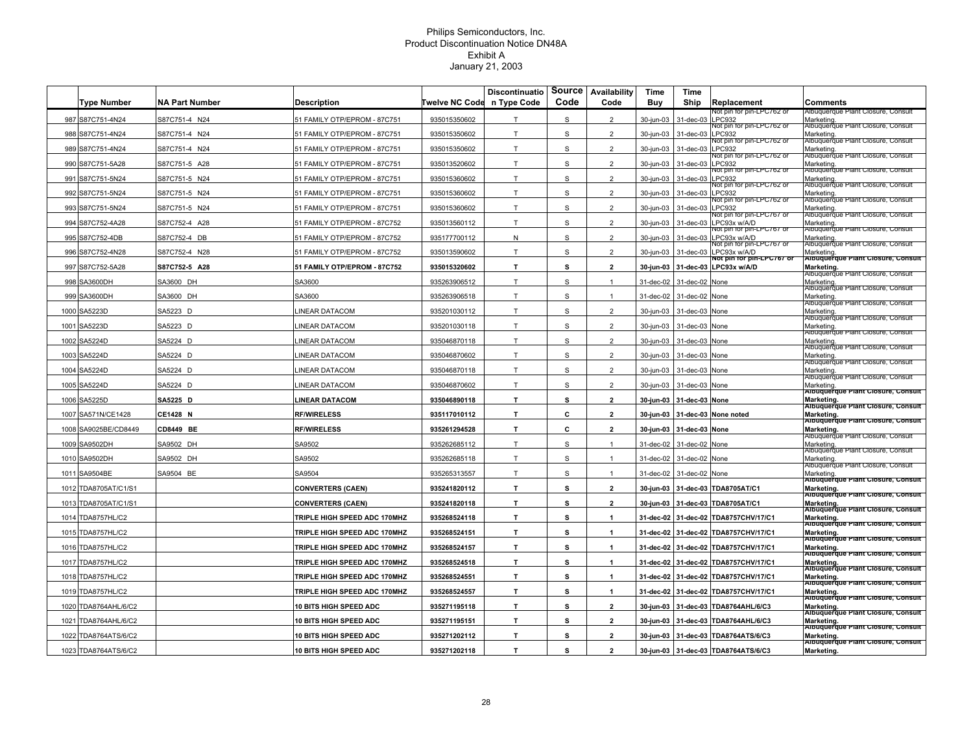|      |                      |                       |                               |                | Discontinuatio |             | Source Availability | Time      | Time                     |                                                     |                                                                |
|------|----------------------|-----------------------|-------------------------------|----------------|----------------|-------------|---------------------|-----------|--------------------------|-----------------------------------------------------|----------------------------------------------------------------|
|      | <b>Type Number</b>   | <b>NA Part Number</b> | <b>Description</b>            | Twelve NC Code | n Type Code    | Code        | Code                | Buy       | Ship                     | Replacement<br>iot pin for pin-LPC762 or            | Comments<br>Albuquerque Plant Closure, Consult                 |
|      | 987 S87C751-4N24     | S87C751-4 N24         | 51 FAMILY OTP/EPROM - 87C751  | 935015350602   | T              | S           | $\overline{2}$      | 30-jun-03 | 31-dec-03                | <b>LPC932</b>                                       | Marketing.                                                     |
|      | 988 S87C751-4N24     | S87C751-4 N24         | 1 FAMILY OTP/EPROM - 87C751   | 935015350602   | T.             | S           | $\overline{2}$      | 30-jun-03 | 31-dec-03                | vot pin for pin-LPC762 or<br>PC932                  | Albuquerque Plant Closure, Consul<br>Marketing                 |
|      | 989 S87C751-4N24     | S87C751-4 N24         | 51 FAMILY OTP/EPROM - 87C751  | 935015350602   | T              | S           | $\overline{2}$      | 30-jun-03 | 31-dec-03 LPC932         | vot pin for pin-LPC762 or                           | ubuquerque Plant Closure, Consul<br>Marketing                  |
|      | 990 S87C751-5A28     | S87C751-5 A28         | 1 FAMILY OTP/EPROM - 87C751   | 935013520602   | T              | S           | $\overline{2}$      | 30-jun-03 | 31-dec-03 LPC932         | ot pin for pin-LPC762 o                             | vibuquerque Plant Closure, Consul<br>Marketing.                |
|      | 991 S87C751-5N24     | S87C751-5 N24         | 1 FAMILY OTP/EPROM - 87C751   | 935015360602   | T.             | S           | $\overline{2}$      | 30-jun-03 | 31-dec-03 LPC932         | NOT pin for pin-LPC762 of                           | ubuquerque Plant Closure, Consu<br>Marketing.                  |
|      | 992 S87C751-5N24     | S87C751-5 N24         | 1 FAMILY OTP/EPROM - 87C751   | 935015360602   | T.             | S           | $\overline{2}$      | 30-jun-03 | 31-dec-03                | NOT pin for pin-LPC762.0<br><b>LPC932</b>           | Albuquerque Plant Closure, Cons<br>Marketing.                  |
|      | 993 S87C751-5N24     | S87C751-5 N24         | 51 FAMILY OTP/EPROM - 87C751  | 935015360602   | T              | $\mathbf S$ | $\overline{2}$      | 30-jun-03 | 31-dec-03 LPC932         | vot pin for pin-LPC762 or                           | Albuquerque Plant Closure, Consu<br><b>Marketing</b>           |
|      | 994 S87C752-4A28     | S87C752-4 A28         | 51 FAMILY OTP/EPROM - 87C752  | 935013560112   | T              | $\mathbb S$ | $\overline{2}$      | 30-jun-03 | 31-dec-03                | ot pin for pin-LPC767 o<br>LPC93x w/A/D             | Albuquerque Plant Closure, Consu<br>Marketing.                 |
|      | 995 S87C752-4DB      | S87C752-4 DB          | 51 FAMILY OTP/EPROM - 87C752  | 935177700112   | N              | $\mathbb S$ | $\overline{2}$      | 30-jun-03 | 31-dec-03                | vot pin for pin-LPC767 or<br>LPC93x w/A/D           | Albuquerque Plant Closure, Consu<br>Marketing                  |
|      | 996 S87C752-4N28     | S87C752-4 N28         | 51 FAMILY OTP/EPROM - 87C752  | 935013590602   | T.             | S           | $\overline{2}$      | 30-jun-03 | 31-dec-03                | vot pin for pin-LPC/67 or<br>LPC93x w/A/D           | Albuquerque Plant Closure, Consul<br>Marketing                 |
|      | 997 S87C752-5A28     | S87C752-5 A28         | 51 FAMILY OTP/EPROM - 87C752  | 935015320602   | T              | s           | $\overline{2}$      | 30-jun-03 |                          | NOt pin for pin-LPC767 or<br>31-dec-03 LPC93x w/A/D | Albuquerque Plant Closure, Consult<br>Marketing                |
|      | 998 SA3600DH         | SA3600 DH             | SA3600                        | 935263906512   | T.             | s           | $\mathbf{1}$        | 31-dec-02 | 31-dec-02 None           |                                                     | ubuquerque Plant Closure, Consul<br>Marketing.                 |
|      | 999 SA3600DH         | SA3600 DH             | SA3600                        | 935263906518   | T.             | $\mathbb S$ | $\mathbf{1}$        | 31-dec-02 | 31-dec-02 None           |                                                     | Albuquerque Plant Closure, Consul<br>Marketing.                |
|      | 1000 SA5223D         | SA5223 D              | <b>INEAR DATACOM</b>          | 935201030112   | T              | S           | $\overline{2}$      |           |                          |                                                     | Albuquerque Plant Closure, Consul<br>Marketing                 |
|      |                      |                       |                               |                |                |             |                     | 30-jun-03 | 31-dec-03 None           |                                                     | vibuquerque Plant Closure, Consult                             |
|      | 1001 SA5223D         | SA5223 D              | <b>INEAR DATACOM</b>          | 935201030118   | T              | S           | $\overline{2}$      | 30-jun-03 | 31-dec-03 None           |                                                     | Marketing<br>ubuquerque Plant Closure, Consul                  |
| 1002 | <b>SA5224D</b>       | SA5224 D              | <b>INEAR DATACOM</b>          | 935046870118   | T.             | $\mathbb S$ | $\overline{2}$      | 30-jun-03 | 31-dec-03                | None                                                | Marketing<br>Albuquerque Plant Closure, Consult                |
| 1003 | SA5224D              | SA5224 D              | <b>INEAR DATACOM</b>          | 935046870602   | $\top$         | ${\tt S}$   | $\overline{2}$      | 30-jun-03 | 31-dec-03                | None                                                | Marketing.<br>Nouquerque Plant Closure, Consult                |
|      | 1004 SA5224D         | SA5224 D              | <b>INEAR DATACOM</b>          | 935046870118   | T.             | $\mathbb S$ | $\overline{2}$      | 30-jun-03 | 31-dec-03 None           |                                                     | Marketing<br>Albuquerque Plant Closure, Consult                |
|      | 1005 SA5224D         | SA5224 D              | <b>INEAR DATACOM</b>          | 935046870602   | T              | S           | $\overline{2}$      | 30-jun-03 | 31-dec-03 None           |                                                     | Marketing<br>Albuquerque Plant Closure, Consult                |
|      | 1006 SA5225D         | SA5225 D              | <b>INEAR DATACOM</b>          | 935046890118   | T.             | s           | $\overline{2}$      |           | 30-jun-03 31-dec-03 None |                                                     | Marketing<br>Albuquerque Plant Closure, Consult                |
|      | 1007 SA571N/CE1428   | CE1428 N              | <b>RF/WIRELESS</b>            | 935117010112   | $\mathbf{T}$   | c           | $\overline{2}$      |           |                          | 30-jun-03 31-dec-03 None noted                      | Marketing.<br>Albuquerque Plant Closure, Consult               |
|      | 1008 SA9025BE/CD8449 | <b>CD8449 BE</b>      | <b>RF/WIRELESS</b>            | 935261294528   | T.             | c           | $\overline{2}$      |           | 30-jun-03 31-dec-03 None |                                                     | Marketing<br>aibuquerqu                                        |
|      | 1009 SA9502DH        | SA9502 DH             | SA9502                        | 935262685112   | T              | S           | $\mathbf{1}$        | 31-dec-02 | 31-dec-02 None           |                                                     | Marketing.                                                     |
|      | 1010 SA9502DH        | SA9502 DH             | SA9502                        | 935262685118   | T              | S           | $\mathbf{1}$        | 31-dec-02 | 31-dec-02 None           |                                                     | Albuquerque Plant Closure, Consul<br>Marketing                 |
| 1011 | SA9504BE             | SA9504 BE             | SA9504                        | 935265313557   | T              | S           | $\overline{1}$      | 31-dec-02 | 31-dec-02 None           |                                                     | ubuquerque Plant Closure, Consul<br>Marketing                  |
| 1012 | TDA8705AT/C1/S1      |                       | <b>CONVERTERS (CAEN)</b>      | 935241820112   | T              | s           | $\overline{2}$      | 30-jun-03 |                          | 31-dec-03 TDA8705AT/C1                              | Albuquerque Plant Closure, Consult<br>Marketing                |
| 1013 | TDA8705AT/C1/S1      |                       | <b>CONVERTERS (CAEN)</b>      | 935241820118   | T.             | s           | $\overline{2}$      | 30-jun-03 |                          | 31-dec-03 TDA8705AT/C1                              | Albuquerque Plant Closure, Consult<br>Marketing                |
| 1014 | <b>TDA8757HL/C2</b>  |                       | TRIPLE HIGH SPEED ADC 170MHZ  | 935268524118   | T.             | s           | $\mathbf{1}$        |           |                          | 31-dec-02 31-dec-02 TDA8757CHV/17/C1                | Albuquerque Plant Closure, Consult<br>Marketing.               |
|      | 1015 TDA8757HL/C2    |                       | TRIPLE HIGH SPEED ADC 170MHZ  | 935268524151   | T.             | s           | $\mathbf{1}$        |           |                          | 31-dec-02 31-dec-02 TDA8757CHV/17/C1                | Albuquerque Plant Closure, Consult<br>Marketing.               |
| 1016 | <b>TDA8757HL/C2</b>  |                       | TRIPLE HIGH SPEED ADC 170MHZ  | 935268524157   | T.             | s           | $\mathbf{1}$        |           |                          | 31-dec-02 31-dec-02 TDA8757CHV/17/C1                | Albuquerque Plant Closure, Consult<br>Marketing.               |
| 1017 | <b>TDA8757HL/C2</b>  |                       | TRIPLE HIGH SPEED ADC 170MHZ  | 935268524518   | T.             | s           | $\mathbf{1}$        | 31-dec-02 |                          | 31-dec-02 TDA8757CHV/17/C1                          | Albuquerque Plant Closure, Consult                             |
| 1018 | <b>TDA8757HL/C2</b>  |                       | TRIPLE HIGH SPEED ADC 170MHZ  | 935268524551   | $\mathbf{T}$   | s           | 1                   | 31-dec-02 |                          | 31-dec-02 TDA8757CHV/17/C1                          | Marketing.<br>Albuquerque Plant Closure, Consult               |
|      | 1019 TDA8757HL/C2    |                       | TRIPLE HIGH SPEED ADC 170MHZ  | 935268524557   | T              | s           | $\mathbf{1}$        |           |                          | 31-dec-02 31-dec-02 TDA8757CHV/17/C1                | Marketing.<br>Albuquerque Plant Closure, Consult               |
| 1020 | TDA8764AHL/6/C2      |                       | <b>10 BITS HIGH SPEED ADC</b> | 935271195118   | T.             | s           | $\overline{2}$      | 30-jun-03 |                          | 31-dec-03 TDA8764AHL/6/C3                           | Marketing.<br>Albuquerque Plant Closure, Consult<br>Marketing. |
| 1021 | TDA8764AHL/6/C2      |                       | 10 BITS HIGH SPEED ADC        | 935271195151   | T.             | s           | $\overline{2}$      |           |                          | 30-jun-03 31-dec-03 TDA8764AHL/6/C3                 | Albuquerque Plant Closure, Consult<br>Marketing.               |
|      | 1022 TDA8764ATS/6/C2 |                       | 10 BITS HIGH SPEED ADC        | 935271202112   | T              | s           | $\overline{2}$      |           |                          | 30-jun-03 31-dec-03 TDA8764ATS/6/C3                 | Albuquerque Plant Closure, Consult                             |
|      |                      |                       |                               |                |                |             |                     |           |                          |                                                     | Marketing.<br>Albuquerque Plant Closure, Consult               |
|      | 1023 TDA8764ATS/6/C2 |                       | <b>10 BITS HIGH SPEED ADC</b> | 935271202118   | T.             | s           | $\overline{2}$      |           |                          | 30-jun-03 31-dec-03 TDA8764ATS/6/C3                 | Marketing.                                                     |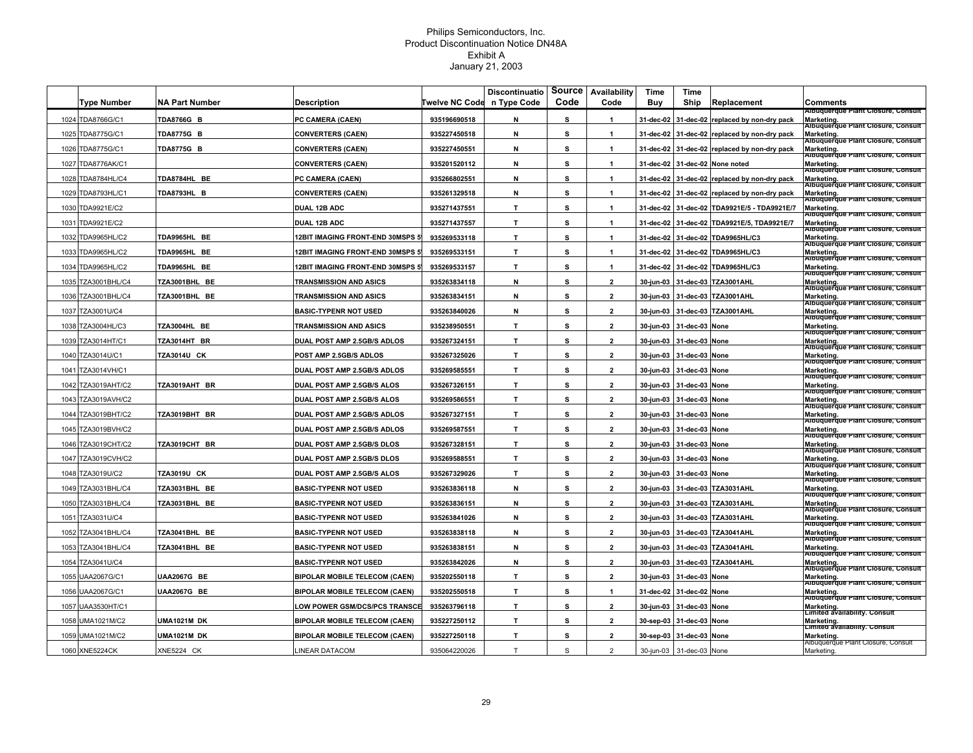| n Type Code<br>Code<br>Code<br><b>NA Part Number</b><br>Twelve NC Code<br>Buy<br>Ship<br>Replacement<br>Type Number<br><b>Description</b><br>Comments<br>Albuquerque Plant Closure, Consult<br>TDA8766G/C1<br><b>TDA8766G B</b><br>PC CAMERA (CAEN)<br>935196690518<br>s<br>1024<br>N<br>$\mathbf{1}$<br>31-dec-02<br>31-dec-02 replaced by non-dry pack<br>Marketing.<br>Albuquerque Plant Closure, Consult<br>s<br>TDA8775G/C1<br>935227450518<br>N<br>1025<br><b>TDA8775G B</b><br><b>CONVERTERS (CAEN)</b><br>$\mathbf{1}$<br>31-dec-02<br>31-dec-02 replaced by non-dry pack<br>Marketing.<br>Albuquerque Plant Closure, Consult<br>s<br>TDA8775G/C1<br>TDA8775G B<br>935227450551<br>N<br><b>CONVERTERS (CAEN)</b><br>$\mathbf{1}$<br>31-dec-02<br>31-dec-02 replaced by non-dry pack<br>Marketing.<br>Albuquerque Plant Closure, Consult<br>1026<br>s<br><b>TDA8776AK/C1</b><br>935201520112<br>N<br>31-dec-02<br>Marketing.<br> Albuquerque Plant Closure, Consult<br>1027<br><b>CONVERTERS (CAEN)</b><br>$\overline{1}$<br>31-dec-02 None noted<br>s<br><b>TDA8784HL/C4</b><br>TDA8784HL BE<br>935266802551<br>N<br>1028<br>PC CAMERA (CAEN)<br>$\overline{1}$<br>31-dec-02<br>31-dec-02 replaced by non-dry pack<br>Marketing.<br>Albuquerque Plant Closure, Consult<br>s<br>TDA8793HL B<br>N<br>Marketing.<br>1029<br>TDA8793HL/C1<br><b>CONVERTERS (CAEN)</b><br>935261329518<br>31-dec-02<br>31-dec-02 replaced by non-dry pack<br>$\mathbf{1}$<br>Albuquerque Plant Closure, Consult<br>T<br>s<br>1030 TDA9921E/C2<br>DUAL 12B ADC<br>935271437551<br>31-dec-02 TDA9921E/5 - TDA9921E/7<br>Marketing.<br>$\mathbf{1}$<br>31-dec-02<br>Albuquerque Plant Closure, Consult<br>935271437557<br>T.<br>s<br>TDA9921E/C2<br>DUAL 12B ADC<br>$\mathbf{1}$<br>31-dec-02<br>31-dec-02 TDA9921E/5, TDA9921E/7<br><b>Marketing</b><br>1031<br>Albuquerque Plant Closure, Consult<br>$\mathbf{T}$<br>s<br><b>TDA9965HL/C2</b><br>TDA9965HL BE<br><b>12BIT IMAGING FRONT-END 30MSPS 5</b><br>935269533118<br>$\mathbf{1}$<br>31-dec-02<br>31-dec-02 TDA9965HL/C3<br>Marketing.<br>1032<br>Albuquerque Plant Closure, Consult<br>$\mathbf{T}$<br>s<br>TDA9965HL/C2<br>TDA9965HL BE<br><b>12BIT IMAGING FRONT-END 30MSPS 5</b><br>935269533151<br>$\mathbf{1}$<br>31-dec-02<br>31-dec-02 TDA9965HL/C3<br>Marketing.<br>1033<br>Albuquerque Plant Closure, Consult<br>12BIT IMAGING FRONT-END 30MSPS 5<br>935269533157<br>$\mathbf{T}$<br>s<br><b>TDA9965HL/C2</b><br>TDA9965HL BE<br>$\mathbf{1}$<br>31-dec-02<br>31-dec-02 TDA9965HL/C3<br>Marketing.<br>1034<br>Albuquerque Plant Closure, Consult<br>N<br>s<br>1035 TZA3001BHL/C4<br>TZA3001BHL BE<br><b>TRANSMISSION AND ASICS</b><br>935263834118<br>$\mathbf{2}$<br>30-jun-03<br>31-dec-03 TZA3001AHL<br>Marketing.<br>Albuquerque Plant Closure, Consult<br>s<br><b>TZA3001BHL/C4</b><br>TZA3001BHL BE<br><b>TRANSMISSION AND ASICS</b><br>935263834151<br>Ν<br>$\overline{2}$<br>30-jun-03<br>31-dec-03 TZA3001AHL<br>Marketing.<br>1036<br>Albuquerque Plant Closure, Consult<br>s<br><b>BASIC-TYPENR NOT USED</b><br>935263840026<br>N<br>$\overline{2}$<br>31-dec-03 TZA3001AHL<br>TZA3001U/C4<br>30-jun-03<br>Marketing.<br>1037<br>Albuquerque Plant Closure, Consult<br>s<br><b>TZA3004HL/C3</b><br>TZA3004HL BE<br><b>TRANSMISSION AND ASICS</b><br>935238950551<br>T<br>$\overline{2}$<br>30-jun-03<br>31-dec-03 None<br><b>Marketing.</b><br>1038<br>Albuquerque Plant Closure, Consult<br>$\mathbf{r}$<br>s<br>TZA3014HT/C1<br>TZA3014HT BR<br>DUAL POST AMP 2.5GB/S ADLOS<br>935267324151<br>$\overline{2}$<br>30-jun-03<br>31-dec-03 None<br>Marketing.<br>Albuquerque Plant Closure, Consult<br>1039<br>T<br>s<br>TZA3014U/C1<br>TZA3014U CK<br>935267325026<br>$\overline{2}$<br>Marketing.<br>Albuquerque Plant Closure, Consult<br>1040<br>POST AMP 2.5GB/S ADLOS<br>30-jun-03<br>31-dec-03<br>None<br>T.<br>s<br>TZA3014VH/C1<br>DUAL POST AMP 2.5GB/S ADLOS<br>935269585551<br>$\overline{2}$<br>30-jun-03<br>31-dec-03 None<br>Marketing.<br>Albuquerque Plant Closure, Consult<br>1041<br>T.<br>s<br>$\overline{2}$<br><b>TZA3019AHT/C2</b><br>TZA3019AHT BR<br>DUAL POST AMP 2.5GB/S ALOS<br>935267326151<br>30-jun-03<br>31-dec-03 None<br>Marketing<br>1042<br>Albuquerque Plant Closure, Consult<br>T.<br>s<br>TZA3019AVH/C2<br>DUAL POST AMP 2.5GB/S ALOS<br>935269586551<br>$\overline{2}$<br>30-jun-03<br>31-dec-03 None<br>Marketing.<br>1043<br>Albuquerque Plant Closure, Consult<br>s<br>T<br>$\overline{2}$<br>1044 TZA3019BHT/C2<br>TZA3019BHT BR<br>DUAL POST AMP 2.5GB/S ADLOS<br>935267327151<br>30-jun-03<br>Marketing.<br>31-dec-03 None<br>Albuquerque Plant Closure, Consult<br>$\mathbf{T}$<br>s<br>1045 TZA3019BVH/C2<br>935269587551<br>$\overline{2}$<br>Marketing.<br>DUAL POST AMP 2.5GB/S ADLOS<br>30-jun-03<br>31-dec-03 None<br>Albuquerque Plant Closure, Consult<br>$\mathbf{T}$<br>s<br>1046 TZA3019CHT/C2<br>TZA3019CHT BR<br>935267328151<br>$\overline{2}$<br>Marketing.<br>DUAL POST AMP 2.5GB/S DLOS<br>30-jun-03<br>31-dec-03 None<br>Albuquerque Plant Closure, Consult<br>$\mathsf T$<br>s<br>935269588551<br>$\overline{2}$<br>Marketing.<br>1047 TZA3019CVH/C2<br>DUAL POST AMP 2.5GB/S DLOS<br>30-jun-03<br>31-dec-03 None<br><b>Albuquerque Plant Closure, Consult</b><br>$\mathsf T$<br>s<br>TZA3019U/C2<br><b>TZA3019U CK</b><br>935267329026<br>$\overline{2}$<br>30-jun-03<br>Marketing.<br>Albuquerque Plant Closure, Consult<br>DUAL POST AMP 2.5GB/S ALOS<br>31-dec-03 None<br>1048<br>s<br>1049 TZA3031BHL/C4<br>TZA3031BHL BE<br>935263836118<br>Ν<br>$\overline{2}$<br>30-jun-03<br>31-dec-03 TZA3031AHL<br>Marketing.<br><b>BASIC-TYPENR NOT USED</b><br>Albuquerque Plant Closure, Consult<br>TZA3031BHL/C4<br>TZA3031BHL BE<br><b>BASIC-TYPENR NOT USED</b><br>935263836151<br>Ν<br>s<br>$\overline{2}$<br>30-jun-03<br>31-dec-03 TZA3031AHL<br>Marketing.<br>1050<br>Albuquerque Plant Closure, Consult<br>N<br>s<br>$\overline{2}$<br>TZA3031U/C4<br><b>BASIC-TYPENR NOT USED</b><br>935263841026<br>30-jun-03<br>31-dec-03 TZA3031AHL<br>1051<br>Marketing.<br>Albuquerque Plant Closure, Consult<br>1052 TZA3041BHL/C4<br>TZA3041BHL BE<br>935263838118<br>N<br>s<br>$\overline{2}$<br>31-dec-03 TZA3041AHL<br><b>BASIC-TYPENR NOT USED</b><br>30-jun-03<br>Marketing.<br>Albuquerque Plant Closure, Consult<br>TZA3041BHL/C4<br>TZA3041BHL BE<br><b>BASIC-TYPENR NOT USED</b><br>935263838151<br>N<br>s<br>$\overline{2}$<br>31-dec-03 TZA3041AHL<br>1053<br>30-jun-03<br>Marketing.<br>Albuquerque Plant Closure, Consult<br>s<br>TZA3041U/C4<br>N<br>$\overline{2}$<br>1054<br><b>BASIC-TYPENR NOT USED</b><br>935263842026<br>30-jun-03<br>31-dec-03<br><b>TZA3041AHL</b><br>Marketing.<br>Albuquerque Plant Closure, Consult<br>$\mathbf{r}$<br>s<br>UAA2067G/C1<br>UAA2067G BE<br>$\overline{2}$<br>Marketing.<br>Albuquerque Plant Closure, Consult<br>1055<br><b>BIPOLAR MOBILE TELECOM (CAEN)</b><br>935202550118<br>30-jun-03<br>31-dec-03 None<br>$\mathbf{T}$<br>s<br>1056 UAA2067G/C1<br>UAA2067G BE<br>935202550518<br>31-dec-02<br>31-dec-02 None<br>Marketing.<br> Albuquerque Plant Closure, Consult<br><b>BIPOLAR MOBILE TELECOM (CAEN)</b><br>$\overline{1}$<br>s<br>1057 UAA3530HT/C1<br><b>LOW POWER GSM/DCS/PCS TRANSCE</b><br>935263796118<br>T.<br>$\overline{2}$<br>Marketing.<br>30-jun-03<br>31-dec-03 None<br>Limited availability. Consult<br>$\mathbf{r}$<br>s<br>UMA1021M DK<br>935227250112<br>$\overline{2}$<br>1058 UMA1021M/C2<br><b>BIPOLAR MOBILE TELECOM (CAEN)</b><br>30-sep-03<br>31-dec-03 None<br>Marketing.<br>Limited availability. Consult<br>T<br>s<br>1059 UMA1021M/C2<br>UMA1021M DK<br><b>BIPOLAR MOBILE TELECOM (CAEN)</b><br>935227250118<br>$\overline{2}$<br>Marketing.<br>30-sep-03<br>31-dec-03 None<br>Albuquerque Plant Closure, Consult<br>$\mathbb S$<br>1060 XNE5224CK<br>XNE5224 CK<br><b>LINEAR DATACOM</b><br>935064220026<br>T.<br>$\overline{2}$<br>30-jun-03<br>31-dec-03 None<br>Marketing. |  |  | <b>Discontinuatio</b> | Source | Availability | Time | Time |  |
|--------------------------------------------------------------------------------------------------------------------------------------------------------------------------------------------------------------------------------------------------------------------------------------------------------------------------------------------------------------------------------------------------------------------------------------------------------------------------------------------------------------------------------------------------------------------------------------------------------------------------------------------------------------------------------------------------------------------------------------------------------------------------------------------------------------------------------------------------------------------------------------------------------------------------------------------------------------------------------------------------------------------------------------------------------------------------------------------------------------------------------------------------------------------------------------------------------------------------------------------------------------------------------------------------------------------------------------------------------------------------------------------------------------------------------------------------------------------------------------------------------------------------------------------------------------------------------------------------------------------------------------------------------------------------------------------------------------------------------------------------------------------------------------------------------------------------------------------------------------------------------------------------------------------------------------------------------------------------------------------------------------------------------------------------------------------------------------------------------------------------------------------------------------------------------------------------------------------------------------------------------------------------------------------------------------------------------------------------------------------------------------------------------------------------------------------------------------------------------------------------------------------------------------------------------------------------------------------------------------------------------------------------------------------------------------------------------------------------------------------------------------------------------------------------------------------------------------------------------------------------------------------------------------------------------------------------------------------------------------------------------------------------------------------------------------------------------------------------------------------------------------------------------------------------------------------------------------------------------------------------------------------------------------------------------------------------------------------------------------------------------------------------------------------------------------------------------------------------------------------------------------------------------------------------------------------------------------------------------------------------------------------------------------------------------------------------------------------------------------------------------------------------------------------------------------------------------------------------------------------------------------------------------------------------------------------------------------------------------------------------------------------------------------------------------------------------------------------------------------------------------------------------------------------------------------------------------------------------------------------------------------------------------------------------------------------------------------------------------------------------------------------------------------------------------------------------------------------------------------------------------------------------------------------------------------------------------------------------------------------------------------------------------------------------------------------------------------------------------------------------------------------------------------------------------------------------------------------------------------------------------------------------------------------------------------------------------------------------------------------------------------------------------------------------------------------------------------------------------------------------------------------------------------------------------------------------------------------------------------------------------------------------------------------------------------------------------------------------------------------------------------------------------------------------------------------------------------------------------------------------------------------------------------------------------------------------------------------------------------------------------------------------------------------------------------------------------------------------------------------------------------------------------------------------------------------------------------------------------------------------------------------------------------------------------------------------------------------------------------------------------------------------------------------------------------------------------------------------------------------------------------------------------------------------------------------------------------------------------------------------------------------------------------------------------------------------------------------------------------------------------------------------------------------------------------------------------------------------------------------------------------------------------------------------------------------------------------------------------------------------------------------------------------------------------------------------------------------------------------------------------------------------------------------------------------------------------------------------------------------------------------------------------------------------------------------------------------------------------------------------------------------------------------------------------------------------------------------------------------------------------------------------------------------------------------------------------------------------------------------------------------------------------------------------------------------------------------------------------------------------------------------------------------------------------------------------------------------------------------------------------------------------------------------------------------------------------------------------------------------------------------------------------------------------------------------------------------------------------------------------------------------------------------------------------------------------------------------------------------------------------------------------------------------------------------------------------------------------------------------------------|--|--|-----------------------|--------|--------------|------|------|--|
|                                                                                                                                                                                                                                                                                                                                                                                                                                                                                                                                                                                                                                                                                                                                                                                                                                                                                                                                                                                                                                                                                                                                                                                                                                                                                                                                                                                                                                                                                                                                                                                                                                                                                                                                                                                                                                                                                                                                                                                                                                                                                                                                                                                                                                                                                                                                                                                                                                                                                                                                                                                                                                                                                                                                                                                                                                                                                                                                                                                                                                                                                                                                                                                                                                                                                                                                                                                                                                                                                                                                                                                                                                                                                                                                                                                                                                                                                                                                                                                                                                                                                                                                                                                                                                                                                                                                                                                                                                                                                                                                                                                                                                                                                                                                                                                                                                                                                                                                                                                                                                                                                                                                                                                                                                                                                                                                                                                                                                                                                                                                                                                                                                                                                                                                                                                                                                                                                                                                                                                                                                                                                                                                                                                                                                                                                                                                                                                                                                                                                                                                                                                                                                                                                                                                                                                                                                                                                                                                                                                                                                                                                                                                                                                                                                                                                                                                                                                                                                                                                                                                                                                                                                                                                                                                                                                                                                                                                                                                                                                                        |  |  |                       |        |              |      |      |  |
|                                                                                                                                                                                                                                                                                                                                                                                                                                                                                                                                                                                                                                                                                                                                                                                                                                                                                                                                                                                                                                                                                                                                                                                                                                                                                                                                                                                                                                                                                                                                                                                                                                                                                                                                                                                                                                                                                                                                                                                                                                                                                                                                                                                                                                                                                                                                                                                                                                                                                                                                                                                                                                                                                                                                                                                                                                                                                                                                                                                                                                                                                                                                                                                                                                                                                                                                                                                                                                                                                                                                                                                                                                                                                                                                                                                                                                                                                                                                                                                                                                                                                                                                                                                                                                                                                                                                                                                                                                                                                                                                                                                                                                                                                                                                                                                                                                                                                                                                                                                                                                                                                                                                                                                                                                                                                                                                                                                                                                                                                                                                                                                                                                                                                                                                                                                                                                                                                                                                                                                                                                                                                                                                                                                                                                                                                                                                                                                                                                                                                                                                                                                                                                                                                                                                                                                                                                                                                                                                                                                                                                                                                                                                                                                                                                                                                                                                                                                                                                                                                                                                                                                                                                                                                                                                                                                                                                                                                                                                                                                                        |  |  |                       |        |              |      |      |  |
|                                                                                                                                                                                                                                                                                                                                                                                                                                                                                                                                                                                                                                                                                                                                                                                                                                                                                                                                                                                                                                                                                                                                                                                                                                                                                                                                                                                                                                                                                                                                                                                                                                                                                                                                                                                                                                                                                                                                                                                                                                                                                                                                                                                                                                                                                                                                                                                                                                                                                                                                                                                                                                                                                                                                                                                                                                                                                                                                                                                                                                                                                                                                                                                                                                                                                                                                                                                                                                                                                                                                                                                                                                                                                                                                                                                                                                                                                                                                                                                                                                                                                                                                                                                                                                                                                                                                                                                                                                                                                                                                                                                                                                                                                                                                                                                                                                                                                                                                                                                                                                                                                                                                                                                                                                                                                                                                                                                                                                                                                                                                                                                                                                                                                                                                                                                                                                                                                                                                                                                                                                                                                                                                                                                                                                                                                                                                                                                                                                                                                                                                                                                                                                                                                                                                                                                                                                                                                                                                                                                                                                                                                                                                                                                                                                                                                                                                                                                                                                                                                                                                                                                                                                                                                                                                                                                                                                                                                                                                                                                                        |  |  |                       |        |              |      |      |  |
|                                                                                                                                                                                                                                                                                                                                                                                                                                                                                                                                                                                                                                                                                                                                                                                                                                                                                                                                                                                                                                                                                                                                                                                                                                                                                                                                                                                                                                                                                                                                                                                                                                                                                                                                                                                                                                                                                                                                                                                                                                                                                                                                                                                                                                                                                                                                                                                                                                                                                                                                                                                                                                                                                                                                                                                                                                                                                                                                                                                                                                                                                                                                                                                                                                                                                                                                                                                                                                                                                                                                                                                                                                                                                                                                                                                                                                                                                                                                                                                                                                                                                                                                                                                                                                                                                                                                                                                                                                                                                                                                                                                                                                                                                                                                                                                                                                                                                                                                                                                                                                                                                                                                                                                                                                                                                                                                                                                                                                                                                                                                                                                                                                                                                                                                                                                                                                                                                                                                                                                                                                                                                                                                                                                                                                                                                                                                                                                                                                                                                                                                                                                                                                                                                                                                                                                                                                                                                                                                                                                                                                                                                                                                                                                                                                                                                                                                                                                                                                                                                                                                                                                                                                                                                                                                                                                                                                                                                                                                                                                                        |  |  |                       |        |              |      |      |  |
|                                                                                                                                                                                                                                                                                                                                                                                                                                                                                                                                                                                                                                                                                                                                                                                                                                                                                                                                                                                                                                                                                                                                                                                                                                                                                                                                                                                                                                                                                                                                                                                                                                                                                                                                                                                                                                                                                                                                                                                                                                                                                                                                                                                                                                                                                                                                                                                                                                                                                                                                                                                                                                                                                                                                                                                                                                                                                                                                                                                                                                                                                                                                                                                                                                                                                                                                                                                                                                                                                                                                                                                                                                                                                                                                                                                                                                                                                                                                                                                                                                                                                                                                                                                                                                                                                                                                                                                                                                                                                                                                                                                                                                                                                                                                                                                                                                                                                                                                                                                                                                                                                                                                                                                                                                                                                                                                                                                                                                                                                                                                                                                                                                                                                                                                                                                                                                                                                                                                                                                                                                                                                                                                                                                                                                                                                                                                                                                                                                                                                                                                                                                                                                                                                                                                                                                                                                                                                                                                                                                                                                                                                                                                                                                                                                                                                                                                                                                                                                                                                                                                                                                                                                                                                                                                                                                                                                                                                                                                                                                                        |  |  |                       |        |              |      |      |  |
|                                                                                                                                                                                                                                                                                                                                                                                                                                                                                                                                                                                                                                                                                                                                                                                                                                                                                                                                                                                                                                                                                                                                                                                                                                                                                                                                                                                                                                                                                                                                                                                                                                                                                                                                                                                                                                                                                                                                                                                                                                                                                                                                                                                                                                                                                                                                                                                                                                                                                                                                                                                                                                                                                                                                                                                                                                                                                                                                                                                                                                                                                                                                                                                                                                                                                                                                                                                                                                                                                                                                                                                                                                                                                                                                                                                                                                                                                                                                                                                                                                                                                                                                                                                                                                                                                                                                                                                                                                                                                                                                                                                                                                                                                                                                                                                                                                                                                                                                                                                                                                                                                                                                                                                                                                                                                                                                                                                                                                                                                                                                                                                                                                                                                                                                                                                                                                                                                                                                                                                                                                                                                                                                                                                                                                                                                                                                                                                                                                                                                                                                                                                                                                                                                                                                                                                                                                                                                                                                                                                                                                                                                                                                                                                                                                                                                                                                                                                                                                                                                                                                                                                                                                                                                                                                                                                                                                                                                                                                                                                                        |  |  |                       |        |              |      |      |  |
|                                                                                                                                                                                                                                                                                                                                                                                                                                                                                                                                                                                                                                                                                                                                                                                                                                                                                                                                                                                                                                                                                                                                                                                                                                                                                                                                                                                                                                                                                                                                                                                                                                                                                                                                                                                                                                                                                                                                                                                                                                                                                                                                                                                                                                                                                                                                                                                                                                                                                                                                                                                                                                                                                                                                                                                                                                                                                                                                                                                                                                                                                                                                                                                                                                                                                                                                                                                                                                                                                                                                                                                                                                                                                                                                                                                                                                                                                                                                                                                                                                                                                                                                                                                                                                                                                                                                                                                                                                                                                                                                                                                                                                                                                                                                                                                                                                                                                                                                                                                                                                                                                                                                                                                                                                                                                                                                                                                                                                                                                                                                                                                                                                                                                                                                                                                                                                                                                                                                                                                                                                                                                                                                                                                                                                                                                                                                                                                                                                                                                                                                                                                                                                                                                                                                                                                                                                                                                                                                                                                                                                                                                                                                                                                                                                                                                                                                                                                                                                                                                                                                                                                                                                                                                                                                                                                                                                                                                                                                                                                                        |  |  |                       |        |              |      |      |  |
|                                                                                                                                                                                                                                                                                                                                                                                                                                                                                                                                                                                                                                                                                                                                                                                                                                                                                                                                                                                                                                                                                                                                                                                                                                                                                                                                                                                                                                                                                                                                                                                                                                                                                                                                                                                                                                                                                                                                                                                                                                                                                                                                                                                                                                                                                                                                                                                                                                                                                                                                                                                                                                                                                                                                                                                                                                                                                                                                                                                                                                                                                                                                                                                                                                                                                                                                                                                                                                                                                                                                                                                                                                                                                                                                                                                                                                                                                                                                                                                                                                                                                                                                                                                                                                                                                                                                                                                                                                                                                                                                                                                                                                                                                                                                                                                                                                                                                                                                                                                                                                                                                                                                                                                                                                                                                                                                                                                                                                                                                                                                                                                                                                                                                                                                                                                                                                                                                                                                                                                                                                                                                                                                                                                                                                                                                                                                                                                                                                                                                                                                                                                                                                                                                                                                                                                                                                                                                                                                                                                                                                                                                                                                                                                                                                                                                                                                                                                                                                                                                                                                                                                                                                                                                                                                                                                                                                                                                                                                                                                                        |  |  |                       |        |              |      |      |  |
|                                                                                                                                                                                                                                                                                                                                                                                                                                                                                                                                                                                                                                                                                                                                                                                                                                                                                                                                                                                                                                                                                                                                                                                                                                                                                                                                                                                                                                                                                                                                                                                                                                                                                                                                                                                                                                                                                                                                                                                                                                                                                                                                                                                                                                                                                                                                                                                                                                                                                                                                                                                                                                                                                                                                                                                                                                                                                                                                                                                                                                                                                                                                                                                                                                                                                                                                                                                                                                                                                                                                                                                                                                                                                                                                                                                                                                                                                                                                                                                                                                                                                                                                                                                                                                                                                                                                                                                                                                                                                                                                                                                                                                                                                                                                                                                                                                                                                                                                                                                                                                                                                                                                                                                                                                                                                                                                                                                                                                                                                                                                                                                                                                                                                                                                                                                                                                                                                                                                                                                                                                                                                                                                                                                                                                                                                                                                                                                                                                                                                                                                                                                                                                                                                                                                                                                                                                                                                                                                                                                                                                                                                                                                                                                                                                                                                                                                                                                                                                                                                                                                                                                                                                                                                                                                                                                                                                                                                                                                                                                                        |  |  |                       |        |              |      |      |  |
|                                                                                                                                                                                                                                                                                                                                                                                                                                                                                                                                                                                                                                                                                                                                                                                                                                                                                                                                                                                                                                                                                                                                                                                                                                                                                                                                                                                                                                                                                                                                                                                                                                                                                                                                                                                                                                                                                                                                                                                                                                                                                                                                                                                                                                                                                                                                                                                                                                                                                                                                                                                                                                                                                                                                                                                                                                                                                                                                                                                                                                                                                                                                                                                                                                                                                                                                                                                                                                                                                                                                                                                                                                                                                                                                                                                                                                                                                                                                                                                                                                                                                                                                                                                                                                                                                                                                                                                                                                                                                                                                                                                                                                                                                                                                                                                                                                                                                                                                                                                                                                                                                                                                                                                                                                                                                                                                                                                                                                                                                                                                                                                                                                                                                                                                                                                                                                                                                                                                                                                                                                                                                                                                                                                                                                                                                                                                                                                                                                                                                                                                                                                                                                                                                                                                                                                                                                                                                                                                                                                                                                                                                                                                                                                                                                                                                                                                                                                                                                                                                                                                                                                                                                                                                                                                                                                                                                                                                                                                                                                                        |  |  |                       |        |              |      |      |  |
|                                                                                                                                                                                                                                                                                                                                                                                                                                                                                                                                                                                                                                                                                                                                                                                                                                                                                                                                                                                                                                                                                                                                                                                                                                                                                                                                                                                                                                                                                                                                                                                                                                                                                                                                                                                                                                                                                                                                                                                                                                                                                                                                                                                                                                                                                                                                                                                                                                                                                                                                                                                                                                                                                                                                                                                                                                                                                                                                                                                                                                                                                                                                                                                                                                                                                                                                                                                                                                                                                                                                                                                                                                                                                                                                                                                                                                                                                                                                                                                                                                                                                                                                                                                                                                                                                                                                                                                                                                                                                                                                                                                                                                                                                                                                                                                                                                                                                                                                                                                                                                                                                                                                                                                                                                                                                                                                                                                                                                                                                                                                                                                                                                                                                                                                                                                                                                                                                                                                                                                                                                                                                                                                                                                                                                                                                                                                                                                                                                                                                                                                                                                                                                                                                                                                                                                                                                                                                                                                                                                                                                                                                                                                                                                                                                                                                                                                                                                                                                                                                                                                                                                                                                                                                                                                                                                                                                                                                                                                                                                                        |  |  |                       |        |              |      |      |  |
|                                                                                                                                                                                                                                                                                                                                                                                                                                                                                                                                                                                                                                                                                                                                                                                                                                                                                                                                                                                                                                                                                                                                                                                                                                                                                                                                                                                                                                                                                                                                                                                                                                                                                                                                                                                                                                                                                                                                                                                                                                                                                                                                                                                                                                                                                                                                                                                                                                                                                                                                                                                                                                                                                                                                                                                                                                                                                                                                                                                                                                                                                                                                                                                                                                                                                                                                                                                                                                                                                                                                                                                                                                                                                                                                                                                                                                                                                                                                                                                                                                                                                                                                                                                                                                                                                                                                                                                                                                                                                                                                                                                                                                                                                                                                                                                                                                                                                                                                                                                                                                                                                                                                                                                                                                                                                                                                                                                                                                                                                                                                                                                                                                                                                                                                                                                                                                                                                                                                                                                                                                                                                                                                                                                                                                                                                                                                                                                                                                                                                                                                                                                                                                                                                                                                                                                                                                                                                                                                                                                                                                                                                                                                                                                                                                                                                                                                                                                                                                                                                                                                                                                                                                                                                                                                                                                                                                                                                                                                                                                                        |  |  |                       |        |              |      |      |  |
|                                                                                                                                                                                                                                                                                                                                                                                                                                                                                                                                                                                                                                                                                                                                                                                                                                                                                                                                                                                                                                                                                                                                                                                                                                                                                                                                                                                                                                                                                                                                                                                                                                                                                                                                                                                                                                                                                                                                                                                                                                                                                                                                                                                                                                                                                                                                                                                                                                                                                                                                                                                                                                                                                                                                                                                                                                                                                                                                                                                                                                                                                                                                                                                                                                                                                                                                                                                                                                                                                                                                                                                                                                                                                                                                                                                                                                                                                                                                                                                                                                                                                                                                                                                                                                                                                                                                                                                                                                                                                                                                                                                                                                                                                                                                                                                                                                                                                                                                                                                                                                                                                                                                                                                                                                                                                                                                                                                                                                                                                                                                                                                                                                                                                                                                                                                                                                                                                                                                                                                                                                                                                                                                                                                                                                                                                                                                                                                                                                                                                                                                                                                                                                                                                                                                                                                                                                                                                                                                                                                                                                                                                                                                                                                                                                                                                                                                                                                                                                                                                                                                                                                                                                                                                                                                                                                                                                                                                                                                                                                                        |  |  |                       |        |              |      |      |  |
|                                                                                                                                                                                                                                                                                                                                                                                                                                                                                                                                                                                                                                                                                                                                                                                                                                                                                                                                                                                                                                                                                                                                                                                                                                                                                                                                                                                                                                                                                                                                                                                                                                                                                                                                                                                                                                                                                                                                                                                                                                                                                                                                                                                                                                                                                                                                                                                                                                                                                                                                                                                                                                                                                                                                                                                                                                                                                                                                                                                                                                                                                                                                                                                                                                                                                                                                                                                                                                                                                                                                                                                                                                                                                                                                                                                                                                                                                                                                                                                                                                                                                                                                                                                                                                                                                                                                                                                                                                                                                                                                                                                                                                                                                                                                                                                                                                                                                                                                                                                                                                                                                                                                                                                                                                                                                                                                                                                                                                                                                                                                                                                                                                                                                                                                                                                                                                                                                                                                                                                                                                                                                                                                                                                                                                                                                                                                                                                                                                                                                                                                                                                                                                                                                                                                                                                                                                                                                                                                                                                                                                                                                                                                                                                                                                                                                                                                                                                                                                                                                                                                                                                                                                                                                                                                                                                                                                                                                                                                                                                                        |  |  |                       |        |              |      |      |  |
|                                                                                                                                                                                                                                                                                                                                                                                                                                                                                                                                                                                                                                                                                                                                                                                                                                                                                                                                                                                                                                                                                                                                                                                                                                                                                                                                                                                                                                                                                                                                                                                                                                                                                                                                                                                                                                                                                                                                                                                                                                                                                                                                                                                                                                                                                                                                                                                                                                                                                                                                                                                                                                                                                                                                                                                                                                                                                                                                                                                                                                                                                                                                                                                                                                                                                                                                                                                                                                                                                                                                                                                                                                                                                                                                                                                                                                                                                                                                                                                                                                                                                                                                                                                                                                                                                                                                                                                                                                                                                                                                                                                                                                                                                                                                                                                                                                                                                                                                                                                                                                                                                                                                                                                                                                                                                                                                                                                                                                                                                                                                                                                                                                                                                                                                                                                                                                                                                                                                                                                                                                                                                                                                                                                                                                                                                                                                                                                                                                                                                                                                                                                                                                                                                                                                                                                                                                                                                                                                                                                                                                                                                                                                                                                                                                                                                                                                                                                                                                                                                                                                                                                                                                                                                                                                                                                                                                                                                                                                                                                                        |  |  |                       |        |              |      |      |  |
|                                                                                                                                                                                                                                                                                                                                                                                                                                                                                                                                                                                                                                                                                                                                                                                                                                                                                                                                                                                                                                                                                                                                                                                                                                                                                                                                                                                                                                                                                                                                                                                                                                                                                                                                                                                                                                                                                                                                                                                                                                                                                                                                                                                                                                                                                                                                                                                                                                                                                                                                                                                                                                                                                                                                                                                                                                                                                                                                                                                                                                                                                                                                                                                                                                                                                                                                                                                                                                                                                                                                                                                                                                                                                                                                                                                                                                                                                                                                                                                                                                                                                                                                                                                                                                                                                                                                                                                                                                                                                                                                                                                                                                                                                                                                                                                                                                                                                                                                                                                                                                                                                                                                                                                                                                                                                                                                                                                                                                                                                                                                                                                                                                                                                                                                                                                                                                                                                                                                                                                                                                                                                                                                                                                                                                                                                                                                                                                                                                                                                                                                                                                                                                                                                                                                                                                                                                                                                                                                                                                                                                                                                                                                                                                                                                                                                                                                                                                                                                                                                                                                                                                                                                                                                                                                                                                                                                                                                                                                                                                                        |  |  |                       |        |              |      |      |  |
|                                                                                                                                                                                                                                                                                                                                                                                                                                                                                                                                                                                                                                                                                                                                                                                                                                                                                                                                                                                                                                                                                                                                                                                                                                                                                                                                                                                                                                                                                                                                                                                                                                                                                                                                                                                                                                                                                                                                                                                                                                                                                                                                                                                                                                                                                                                                                                                                                                                                                                                                                                                                                                                                                                                                                                                                                                                                                                                                                                                                                                                                                                                                                                                                                                                                                                                                                                                                                                                                                                                                                                                                                                                                                                                                                                                                                                                                                                                                                                                                                                                                                                                                                                                                                                                                                                                                                                                                                                                                                                                                                                                                                                                                                                                                                                                                                                                                                                                                                                                                                                                                                                                                                                                                                                                                                                                                                                                                                                                                                                                                                                                                                                                                                                                                                                                                                                                                                                                                                                                                                                                                                                                                                                                                                                                                                                                                                                                                                                                                                                                                                                                                                                                                                                                                                                                                                                                                                                                                                                                                                                                                                                                                                                                                                                                                                                                                                                                                                                                                                                                                                                                                                                                                                                                                                                                                                                                                                                                                                                                                        |  |  |                       |        |              |      |      |  |
|                                                                                                                                                                                                                                                                                                                                                                                                                                                                                                                                                                                                                                                                                                                                                                                                                                                                                                                                                                                                                                                                                                                                                                                                                                                                                                                                                                                                                                                                                                                                                                                                                                                                                                                                                                                                                                                                                                                                                                                                                                                                                                                                                                                                                                                                                                                                                                                                                                                                                                                                                                                                                                                                                                                                                                                                                                                                                                                                                                                                                                                                                                                                                                                                                                                                                                                                                                                                                                                                                                                                                                                                                                                                                                                                                                                                                                                                                                                                                                                                                                                                                                                                                                                                                                                                                                                                                                                                                                                                                                                                                                                                                                                                                                                                                                                                                                                                                                                                                                                                                                                                                                                                                                                                                                                                                                                                                                                                                                                                                                                                                                                                                                                                                                                                                                                                                                                                                                                                                                                                                                                                                                                                                                                                                                                                                                                                                                                                                                                                                                                                                                                                                                                                                                                                                                                                                                                                                                                                                                                                                                                                                                                                                                                                                                                                                                                                                                                                                                                                                                                                                                                                                                                                                                                                                                                                                                                                                                                                                                                                        |  |  |                       |        |              |      |      |  |
|                                                                                                                                                                                                                                                                                                                                                                                                                                                                                                                                                                                                                                                                                                                                                                                                                                                                                                                                                                                                                                                                                                                                                                                                                                                                                                                                                                                                                                                                                                                                                                                                                                                                                                                                                                                                                                                                                                                                                                                                                                                                                                                                                                                                                                                                                                                                                                                                                                                                                                                                                                                                                                                                                                                                                                                                                                                                                                                                                                                                                                                                                                                                                                                                                                                                                                                                                                                                                                                                                                                                                                                                                                                                                                                                                                                                                                                                                                                                                                                                                                                                                                                                                                                                                                                                                                                                                                                                                                                                                                                                                                                                                                                                                                                                                                                                                                                                                                                                                                                                                                                                                                                                                                                                                                                                                                                                                                                                                                                                                                                                                                                                                                                                                                                                                                                                                                                                                                                                                                                                                                                                                                                                                                                                                                                                                                                                                                                                                                                                                                                                                                                                                                                                                                                                                                                                                                                                                                                                                                                                                                                                                                                                                                                                                                                                                                                                                                                                                                                                                                                                                                                                                                                                                                                                                                                                                                                                                                                                                                                                        |  |  |                       |        |              |      |      |  |
|                                                                                                                                                                                                                                                                                                                                                                                                                                                                                                                                                                                                                                                                                                                                                                                                                                                                                                                                                                                                                                                                                                                                                                                                                                                                                                                                                                                                                                                                                                                                                                                                                                                                                                                                                                                                                                                                                                                                                                                                                                                                                                                                                                                                                                                                                                                                                                                                                                                                                                                                                                                                                                                                                                                                                                                                                                                                                                                                                                                                                                                                                                                                                                                                                                                                                                                                                                                                                                                                                                                                                                                                                                                                                                                                                                                                                                                                                                                                                                                                                                                                                                                                                                                                                                                                                                                                                                                                                                                                                                                                                                                                                                                                                                                                                                                                                                                                                                                                                                                                                                                                                                                                                                                                                                                                                                                                                                                                                                                                                                                                                                                                                                                                                                                                                                                                                                                                                                                                                                                                                                                                                                                                                                                                                                                                                                                                                                                                                                                                                                                                                                                                                                                                                                                                                                                                                                                                                                                                                                                                                                                                                                                                                                                                                                                                                                                                                                                                                                                                                                                                                                                                                                                                                                                                                                                                                                                                                                                                                                                                        |  |  |                       |        |              |      |      |  |
|                                                                                                                                                                                                                                                                                                                                                                                                                                                                                                                                                                                                                                                                                                                                                                                                                                                                                                                                                                                                                                                                                                                                                                                                                                                                                                                                                                                                                                                                                                                                                                                                                                                                                                                                                                                                                                                                                                                                                                                                                                                                                                                                                                                                                                                                                                                                                                                                                                                                                                                                                                                                                                                                                                                                                                                                                                                                                                                                                                                                                                                                                                                                                                                                                                                                                                                                                                                                                                                                                                                                                                                                                                                                                                                                                                                                                                                                                                                                                                                                                                                                                                                                                                                                                                                                                                                                                                                                                                                                                                                                                                                                                                                                                                                                                                                                                                                                                                                                                                                                                                                                                                                                                                                                                                                                                                                                                                                                                                                                                                                                                                                                                                                                                                                                                                                                                                                                                                                                                                                                                                                                                                                                                                                                                                                                                                                                                                                                                                                                                                                                                                                                                                                                                                                                                                                                                                                                                                                                                                                                                                                                                                                                                                                                                                                                                                                                                                                                                                                                                                                                                                                                                                                                                                                                                                                                                                                                                                                                                                                                        |  |  |                       |        |              |      |      |  |
|                                                                                                                                                                                                                                                                                                                                                                                                                                                                                                                                                                                                                                                                                                                                                                                                                                                                                                                                                                                                                                                                                                                                                                                                                                                                                                                                                                                                                                                                                                                                                                                                                                                                                                                                                                                                                                                                                                                                                                                                                                                                                                                                                                                                                                                                                                                                                                                                                                                                                                                                                                                                                                                                                                                                                                                                                                                                                                                                                                                                                                                                                                                                                                                                                                                                                                                                                                                                                                                                                                                                                                                                                                                                                                                                                                                                                                                                                                                                                                                                                                                                                                                                                                                                                                                                                                                                                                                                                                                                                                                                                                                                                                                                                                                                                                                                                                                                                                                                                                                                                                                                                                                                                                                                                                                                                                                                                                                                                                                                                                                                                                                                                                                                                                                                                                                                                                                                                                                                                                                                                                                                                                                                                                                                                                                                                                                                                                                                                                                                                                                                                                                                                                                                                                                                                                                                                                                                                                                                                                                                                                                                                                                                                                                                                                                                                                                                                                                                                                                                                                                                                                                                                                                                                                                                                                                                                                                                                                                                                                                                        |  |  |                       |        |              |      |      |  |
|                                                                                                                                                                                                                                                                                                                                                                                                                                                                                                                                                                                                                                                                                                                                                                                                                                                                                                                                                                                                                                                                                                                                                                                                                                                                                                                                                                                                                                                                                                                                                                                                                                                                                                                                                                                                                                                                                                                                                                                                                                                                                                                                                                                                                                                                                                                                                                                                                                                                                                                                                                                                                                                                                                                                                                                                                                                                                                                                                                                                                                                                                                                                                                                                                                                                                                                                                                                                                                                                                                                                                                                                                                                                                                                                                                                                                                                                                                                                                                                                                                                                                                                                                                                                                                                                                                                                                                                                                                                                                                                                                                                                                                                                                                                                                                                                                                                                                                                                                                                                                                                                                                                                                                                                                                                                                                                                                                                                                                                                                                                                                                                                                                                                                                                                                                                                                                                                                                                                                                                                                                                                                                                                                                                                                                                                                                                                                                                                                                                                                                                                                                                                                                                                                                                                                                                                                                                                                                                                                                                                                                                                                                                                                                                                                                                                                                                                                                                                                                                                                                                                                                                                                                                                                                                                                                                                                                                                                                                                                                                                        |  |  |                       |        |              |      |      |  |
|                                                                                                                                                                                                                                                                                                                                                                                                                                                                                                                                                                                                                                                                                                                                                                                                                                                                                                                                                                                                                                                                                                                                                                                                                                                                                                                                                                                                                                                                                                                                                                                                                                                                                                                                                                                                                                                                                                                                                                                                                                                                                                                                                                                                                                                                                                                                                                                                                                                                                                                                                                                                                                                                                                                                                                                                                                                                                                                                                                                                                                                                                                                                                                                                                                                                                                                                                                                                                                                                                                                                                                                                                                                                                                                                                                                                                                                                                                                                                                                                                                                                                                                                                                                                                                                                                                                                                                                                                                                                                                                                                                                                                                                                                                                                                                                                                                                                                                                                                                                                                                                                                                                                                                                                                                                                                                                                                                                                                                                                                                                                                                                                                                                                                                                                                                                                                                                                                                                                                                                                                                                                                                                                                                                                                                                                                                                                                                                                                                                                                                                                                                                                                                                                                                                                                                                                                                                                                                                                                                                                                                                                                                                                                                                                                                                                                                                                                                                                                                                                                                                                                                                                                                                                                                                                                                                                                                                                                                                                                                                                        |  |  |                       |        |              |      |      |  |
|                                                                                                                                                                                                                                                                                                                                                                                                                                                                                                                                                                                                                                                                                                                                                                                                                                                                                                                                                                                                                                                                                                                                                                                                                                                                                                                                                                                                                                                                                                                                                                                                                                                                                                                                                                                                                                                                                                                                                                                                                                                                                                                                                                                                                                                                                                                                                                                                                                                                                                                                                                                                                                                                                                                                                                                                                                                                                                                                                                                                                                                                                                                                                                                                                                                                                                                                                                                                                                                                                                                                                                                                                                                                                                                                                                                                                                                                                                                                                                                                                                                                                                                                                                                                                                                                                                                                                                                                                                                                                                                                                                                                                                                                                                                                                                                                                                                                                                                                                                                                                                                                                                                                                                                                                                                                                                                                                                                                                                                                                                                                                                                                                                                                                                                                                                                                                                                                                                                                                                                                                                                                                                                                                                                                                                                                                                                                                                                                                                                                                                                                                                                                                                                                                                                                                                                                                                                                                                                                                                                                                                                                                                                                                                                                                                                                                                                                                                                                                                                                                                                                                                                                                                                                                                                                                                                                                                                                                                                                                                                                        |  |  |                       |        |              |      |      |  |
|                                                                                                                                                                                                                                                                                                                                                                                                                                                                                                                                                                                                                                                                                                                                                                                                                                                                                                                                                                                                                                                                                                                                                                                                                                                                                                                                                                                                                                                                                                                                                                                                                                                                                                                                                                                                                                                                                                                                                                                                                                                                                                                                                                                                                                                                                                                                                                                                                                                                                                                                                                                                                                                                                                                                                                                                                                                                                                                                                                                                                                                                                                                                                                                                                                                                                                                                                                                                                                                                                                                                                                                                                                                                                                                                                                                                                                                                                                                                                                                                                                                                                                                                                                                                                                                                                                                                                                                                                                                                                                                                                                                                                                                                                                                                                                                                                                                                                                                                                                                                                                                                                                                                                                                                                                                                                                                                                                                                                                                                                                                                                                                                                                                                                                                                                                                                                                                                                                                                                                                                                                                                                                                                                                                                                                                                                                                                                                                                                                                                                                                                                                                                                                                                                                                                                                                                                                                                                                                                                                                                                                                                                                                                                                                                                                                                                                                                                                                                                                                                                                                                                                                                                                                                                                                                                                                                                                                                                                                                                                                                        |  |  |                       |        |              |      |      |  |
|                                                                                                                                                                                                                                                                                                                                                                                                                                                                                                                                                                                                                                                                                                                                                                                                                                                                                                                                                                                                                                                                                                                                                                                                                                                                                                                                                                                                                                                                                                                                                                                                                                                                                                                                                                                                                                                                                                                                                                                                                                                                                                                                                                                                                                                                                                                                                                                                                                                                                                                                                                                                                                                                                                                                                                                                                                                                                                                                                                                                                                                                                                                                                                                                                                                                                                                                                                                                                                                                                                                                                                                                                                                                                                                                                                                                                                                                                                                                                                                                                                                                                                                                                                                                                                                                                                                                                                                                                                                                                                                                                                                                                                                                                                                                                                                                                                                                                                                                                                                                                                                                                                                                                                                                                                                                                                                                                                                                                                                                                                                                                                                                                                                                                                                                                                                                                                                                                                                                                                                                                                                                                                                                                                                                                                                                                                                                                                                                                                                                                                                                                                                                                                                                                                                                                                                                                                                                                                                                                                                                                                                                                                                                                                                                                                                                                                                                                                                                                                                                                                                                                                                                                                                                                                                                                                                                                                                                                                                                                                                                        |  |  |                       |        |              |      |      |  |
|                                                                                                                                                                                                                                                                                                                                                                                                                                                                                                                                                                                                                                                                                                                                                                                                                                                                                                                                                                                                                                                                                                                                                                                                                                                                                                                                                                                                                                                                                                                                                                                                                                                                                                                                                                                                                                                                                                                                                                                                                                                                                                                                                                                                                                                                                                                                                                                                                                                                                                                                                                                                                                                                                                                                                                                                                                                                                                                                                                                                                                                                                                                                                                                                                                                                                                                                                                                                                                                                                                                                                                                                                                                                                                                                                                                                                                                                                                                                                                                                                                                                                                                                                                                                                                                                                                                                                                                                                                                                                                                                                                                                                                                                                                                                                                                                                                                                                                                                                                                                                                                                                                                                                                                                                                                                                                                                                                                                                                                                                                                                                                                                                                                                                                                                                                                                                                                                                                                                                                                                                                                                                                                                                                                                                                                                                                                                                                                                                                                                                                                                                                                                                                                                                                                                                                                                                                                                                                                                                                                                                                                                                                                                                                                                                                                                                                                                                                                                                                                                                                                                                                                                                                                                                                                                                                                                                                                                                                                                                                                                        |  |  |                       |        |              |      |      |  |
|                                                                                                                                                                                                                                                                                                                                                                                                                                                                                                                                                                                                                                                                                                                                                                                                                                                                                                                                                                                                                                                                                                                                                                                                                                                                                                                                                                                                                                                                                                                                                                                                                                                                                                                                                                                                                                                                                                                                                                                                                                                                                                                                                                                                                                                                                                                                                                                                                                                                                                                                                                                                                                                                                                                                                                                                                                                                                                                                                                                                                                                                                                                                                                                                                                                                                                                                                                                                                                                                                                                                                                                                                                                                                                                                                                                                                                                                                                                                                                                                                                                                                                                                                                                                                                                                                                                                                                                                                                                                                                                                                                                                                                                                                                                                                                                                                                                                                                                                                                                                                                                                                                                                                                                                                                                                                                                                                                                                                                                                                                                                                                                                                                                                                                                                                                                                                                                                                                                                                                                                                                                                                                                                                                                                                                                                                                                                                                                                                                                                                                                                                                                                                                                                                                                                                                                                                                                                                                                                                                                                                                                                                                                                                                                                                                                                                                                                                                                                                                                                                                                                                                                                                                                                                                                                                                                                                                                                                                                                                                                                        |  |  |                       |        |              |      |      |  |
|                                                                                                                                                                                                                                                                                                                                                                                                                                                                                                                                                                                                                                                                                                                                                                                                                                                                                                                                                                                                                                                                                                                                                                                                                                                                                                                                                                                                                                                                                                                                                                                                                                                                                                                                                                                                                                                                                                                                                                                                                                                                                                                                                                                                                                                                                                                                                                                                                                                                                                                                                                                                                                                                                                                                                                                                                                                                                                                                                                                                                                                                                                                                                                                                                                                                                                                                                                                                                                                                                                                                                                                                                                                                                                                                                                                                                                                                                                                                                                                                                                                                                                                                                                                                                                                                                                                                                                                                                                                                                                                                                                                                                                                                                                                                                                                                                                                                                                                                                                                                                                                                                                                                                                                                                                                                                                                                                                                                                                                                                                                                                                                                                                                                                                                                                                                                                                                                                                                                                                                                                                                                                                                                                                                                                                                                                                                                                                                                                                                                                                                                                                                                                                                                                                                                                                                                                                                                                                                                                                                                                                                                                                                                                                                                                                                                                                                                                                                                                                                                                                                                                                                                                                                                                                                                                                                                                                                                                                                                                                                                        |  |  |                       |        |              |      |      |  |
|                                                                                                                                                                                                                                                                                                                                                                                                                                                                                                                                                                                                                                                                                                                                                                                                                                                                                                                                                                                                                                                                                                                                                                                                                                                                                                                                                                                                                                                                                                                                                                                                                                                                                                                                                                                                                                                                                                                                                                                                                                                                                                                                                                                                                                                                                                                                                                                                                                                                                                                                                                                                                                                                                                                                                                                                                                                                                                                                                                                                                                                                                                                                                                                                                                                                                                                                                                                                                                                                                                                                                                                                                                                                                                                                                                                                                                                                                                                                                                                                                                                                                                                                                                                                                                                                                                                                                                                                                                                                                                                                                                                                                                                                                                                                                                                                                                                                                                                                                                                                                                                                                                                                                                                                                                                                                                                                                                                                                                                                                                                                                                                                                                                                                                                                                                                                                                                                                                                                                                                                                                                                                                                                                                                                                                                                                                                                                                                                                                                                                                                                                                                                                                                                                                                                                                                                                                                                                                                                                                                                                                                                                                                                                                                                                                                                                                                                                                                                                                                                                                                                                                                                                                                                                                                                                                                                                                                                                                                                                                                                        |  |  |                       |        |              |      |      |  |
|                                                                                                                                                                                                                                                                                                                                                                                                                                                                                                                                                                                                                                                                                                                                                                                                                                                                                                                                                                                                                                                                                                                                                                                                                                                                                                                                                                                                                                                                                                                                                                                                                                                                                                                                                                                                                                                                                                                                                                                                                                                                                                                                                                                                                                                                                                                                                                                                                                                                                                                                                                                                                                                                                                                                                                                                                                                                                                                                                                                                                                                                                                                                                                                                                                                                                                                                                                                                                                                                                                                                                                                                                                                                                                                                                                                                                                                                                                                                                                                                                                                                                                                                                                                                                                                                                                                                                                                                                                                                                                                                                                                                                                                                                                                                                                                                                                                                                                                                                                                                                                                                                                                                                                                                                                                                                                                                                                                                                                                                                                                                                                                                                                                                                                                                                                                                                                                                                                                                                                                                                                                                                                                                                                                                                                                                                                                                                                                                                                                                                                                                                                                                                                                                                                                                                                                                                                                                                                                                                                                                                                                                                                                                                                                                                                                                                                                                                                                                                                                                                                                                                                                                                                                                                                                                                                                                                                                                                                                                                                                                        |  |  |                       |        |              |      |      |  |
|                                                                                                                                                                                                                                                                                                                                                                                                                                                                                                                                                                                                                                                                                                                                                                                                                                                                                                                                                                                                                                                                                                                                                                                                                                                                                                                                                                                                                                                                                                                                                                                                                                                                                                                                                                                                                                                                                                                                                                                                                                                                                                                                                                                                                                                                                                                                                                                                                                                                                                                                                                                                                                                                                                                                                                                                                                                                                                                                                                                                                                                                                                                                                                                                                                                                                                                                                                                                                                                                                                                                                                                                                                                                                                                                                                                                                                                                                                                                                                                                                                                                                                                                                                                                                                                                                                                                                                                                                                                                                                                                                                                                                                                                                                                                                                                                                                                                                                                                                                                                                                                                                                                                                                                                                                                                                                                                                                                                                                                                                                                                                                                                                                                                                                                                                                                                                                                                                                                                                                                                                                                                                                                                                                                                                                                                                                                                                                                                                                                                                                                                                                                                                                                                                                                                                                                                                                                                                                                                                                                                                                                                                                                                                                                                                                                                                                                                                                                                                                                                                                                                                                                                                                                                                                                                                                                                                                                                                                                                                                                                        |  |  |                       |        |              |      |      |  |
|                                                                                                                                                                                                                                                                                                                                                                                                                                                                                                                                                                                                                                                                                                                                                                                                                                                                                                                                                                                                                                                                                                                                                                                                                                                                                                                                                                                                                                                                                                                                                                                                                                                                                                                                                                                                                                                                                                                                                                                                                                                                                                                                                                                                                                                                                                                                                                                                                                                                                                                                                                                                                                                                                                                                                                                                                                                                                                                                                                                                                                                                                                                                                                                                                                                                                                                                                                                                                                                                                                                                                                                                                                                                                                                                                                                                                                                                                                                                                                                                                                                                                                                                                                                                                                                                                                                                                                                                                                                                                                                                                                                                                                                                                                                                                                                                                                                                                                                                                                                                                                                                                                                                                                                                                                                                                                                                                                                                                                                                                                                                                                                                                                                                                                                                                                                                                                                                                                                                                                                                                                                                                                                                                                                                                                                                                                                                                                                                                                                                                                                                                                                                                                                                                                                                                                                                                                                                                                                                                                                                                                                                                                                                                                                                                                                                                                                                                                                                                                                                                                                                                                                                                                                                                                                                                                                                                                                                                                                                                                                                        |  |  |                       |        |              |      |      |  |
|                                                                                                                                                                                                                                                                                                                                                                                                                                                                                                                                                                                                                                                                                                                                                                                                                                                                                                                                                                                                                                                                                                                                                                                                                                                                                                                                                                                                                                                                                                                                                                                                                                                                                                                                                                                                                                                                                                                                                                                                                                                                                                                                                                                                                                                                                                                                                                                                                                                                                                                                                                                                                                                                                                                                                                                                                                                                                                                                                                                                                                                                                                                                                                                                                                                                                                                                                                                                                                                                                                                                                                                                                                                                                                                                                                                                                                                                                                                                                                                                                                                                                                                                                                                                                                                                                                                                                                                                                                                                                                                                                                                                                                                                                                                                                                                                                                                                                                                                                                                                                                                                                                                                                                                                                                                                                                                                                                                                                                                                                                                                                                                                                                                                                                                                                                                                                                                                                                                                                                                                                                                                                                                                                                                                                                                                                                                                                                                                                                                                                                                                                                                                                                                                                                                                                                                                                                                                                                                                                                                                                                                                                                                                                                                                                                                                                                                                                                                                                                                                                                                                                                                                                                                                                                                                                                                                                                                                                                                                                                                                        |  |  |                       |        |              |      |      |  |
|                                                                                                                                                                                                                                                                                                                                                                                                                                                                                                                                                                                                                                                                                                                                                                                                                                                                                                                                                                                                                                                                                                                                                                                                                                                                                                                                                                                                                                                                                                                                                                                                                                                                                                                                                                                                                                                                                                                                                                                                                                                                                                                                                                                                                                                                                                                                                                                                                                                                                                                                                                                                                                                                                                                                                                                                                                                                                                                                                                                                                                                                                                                                                                                                                                                                                                                                                                                                                                                                                                                                                                                                                                                                                                                                                                                                                                                                                                                                                                                                                                                                                                                                                                                                                                                                                                                                                                                                                                                                                                                                                                                                                                                                                                                                                                                                                                                                                                                                                                                                                                                                                                                                                                                                                                                                                                                                                                                                                                                                                                                                                                                                                                                                                                                                                                                                                                                                                                                                                                                                                                                                                                                                                                                                                                                                                                                                                                                                                                                                                                                                                                                                                                                                                                                                                                                                                                                                                                                                                                                                                                                                                                                                                                                                                                                                                                                                                                                                                                                                                                                                                                                                                                                                                                                                                                                                                                                                                                                                                                                                        |  |  |                       |        |              |      |      |  |
|                                                                                                                                                                                                                                                                                                                                                                                                                                                                                                                                                                                                                                                                                                                                                                                                                                                                                                                                                                                                                                                                                                                                                                                                                                                                                                                                                                                                                                                                                                                                                                                                                                                                                                                                                                                                                                                                                                                                                                                                                                                                                                                                                                                                                                                                                                                                                                                                                                                                                                                                                                                                                                                                                                                                                                                                                                                                                                                                                                                                                                                                                                                                                                                                                                                                                                                                                                                                                                                                                                                                                                                                                                                                                                                                                                                                                                                                                                                                                                                                                                                                                                                                                                                                                                                                                                                                                                                                                                                                                                                                                                                                                                                                                                                                                                                                                                                                                                                                                                                                                                                                                                                                                                                                                                                                                                                                                                                                                                                                                                                                                                                                                                                                                                                                                                                                                                                                                                                                                                                                                                                                                                                                                                                                                                                                                                                                                                                                                                                                                                                                                                                                                                                                                                                                                                                                                                                                                                                                                                                                                                                                                                                                                                                                                                                                                                                                                                                                                                                                                                                                                                                                                                                                                                                                                                                                                                                                                                                                                                                                        |  |  |                       |        |              |      |      |  |
|                                                                                                                                                                                                                                                                                                                                                                                                                                                                                                                                                                                                                                                                                                                                                                                                                                                                                                                                                                                                                                                                                                                                                                                                                                                                                                                                                                                                                                                                                                                                                                                                                                                                                                                                                                                                                                                                                                                                                                                                                                                                                                                                                                                                                                                                                                                                                                                                                                                                                                                                                                                                                                                                                                                                                                                                                                                                                                                                                                                                                                                                                                                                                                                                                                                                                                                                                                                                                                                                                                                                                                                                                                                                                                                                                                                                                                                                                                                                                                                                                                                                                                                                                                                                                                                                                                                                                                                                                                                                                                                                                                                                                                                                                                                                                                                                                                                                                                                                                                                                                                                                                                                                                                                                                                                                                                                                                                                                                                                                                                                                                                                                                                                                                                                                                                                                                                                                                                                                                                                                                                                                                                                                                                                                                                                                                                                                                                                                                                                                                                                                                                                                                                                                                                                                                                                                                                                                                                                                                                                                                                                                                                                                                                                                                                                                                                                                                                                                                                                                                                                                                                                                                                                                                                                                                                                                                                                                                                                                                                                                        |  |  |                       |        |              |      |      |  |
|                                                                                                                                                                                                                                                                                                                                                                                                                                                                                                                                                                                                                                                                                                                                                                                                                                                                                                                                                                                                                                                                                                                                                                                                                                                                                                                                                                                                                                                                                                                                                                                                                                                                                                                                                                                                                                                                                                                                                                                                                                                                                                                                                                                                                                                                                                                                                                                                                                                                                                                                                                                                                                                                                                                                                                                                                                                                                                                                                                                                                                                                                                                                                                                                                                                                                                                                                                                                                                                                                                                                                                                                                                                                                                                                                                                                                                                                                                                                                                                                                                                                                                                                                                                                                                                                                                                                                                                                                                                                                                                                                                                                                                                                                                                                                                                                                                                                                                                                                                                                                                                                                                                                                                                                                                                                                                                                                                                                                                                                                                                                                                                                                                                                                                                                                                                                                                                                                                                                                                                                                                                                                                                                                                                                                                                                                                                                                                                                                                                                                                                                                                                                                                                                                                                                                                                                                                                                                                                                                                                                                                                                                                                                                                                                                                                                                                                                                                                                                                                                                                                                                                                                                                                                                                                                                                                                                                                                                                                                                                                                        |  |  |                       |        |              |      |      |  |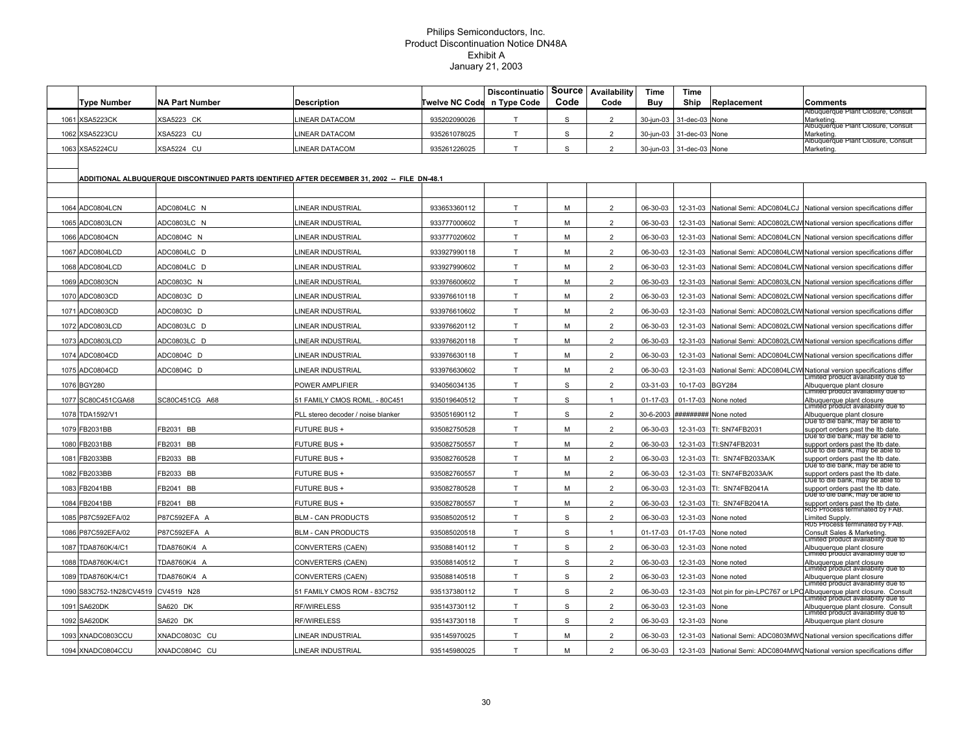| Type Number              | <b>NA Part Number</b>                                                                        | Description                        | Twelve NC Code | <b>Discontinuatio</b><br>n Type Code | Source<br>Code | Availability<br>Code | Time<br>Buy | Time<br>Ship    | Replacement                        | Comments                                                                                                |
|--------------------------|----------------------------------------------------------------------------------------------|------------------------------------|----------------|--------------------------------------|----------------|----------------------|-------------|-----------------|------------------------------------|---------------------------------------------------------------------------------------------------------|
| 1061 XSA5223CK           | XSA5223 CK                                                                                   | INEAR DATACOM                      | 935202090026   | T                                    | s              | 2                    | 30-jun-03   | 31-dec-03       | None                               | Albuquerque Plant Closure, Consult<br>Marketing                                                         |
| 1062 XSA5223CU           | <b>XSA5223 CU</b>                                                                            | <b>INEAR DATACOM</b>               | 935261078025   | T                                    | s              | 2                    | 30-jun-03   | 31-dec-03       | None                               | Albuquerque Plant Closure, Consult<br>Marketing                                                         |
| 1063 XSA5224CU           | <b>XSA5224 CU</b>                                                                            | INEAR DATACOM                      | 935261226025   | T                                    | S              | $\overline{2}$       | 30-jun-03   | 31-dec-03 None  |                                    | Albuquerque Plant Closure, Consul<br>Marketing                                                          |
|                          |                                                                                              |                                    |                |                                      |                |                      |             |                 |                                    |                                                                                                         |
|                          | ADDITIONAL ALBUQUERQUE DISCONTINUED PARTS IDENTIFIED AFTER DECEMBER 31, 2002 -- FILE DN-48.1 |                                    |                |                                      |                |                      |             |                 |                                    |                                                                                                         |
|                          |                                                                                              |                                    |                |                                      |                |                      |             |                 |                                    |                                                                                                         |
| 1064 ADC0804LCN          | ADC0804LC N                                                                                  | <b>INEAR INDUSTRIAL</b>            | 933653360112   | T.                                   | M              | $\overline{2}$       | 06-30-03    |                 | 12-31-03 National Semi: ADC0804LCJ | National version specifications differ                                                                  |
| 1065 ADC0803LCN          | ADC0803LC N                                                                                  | INEAR INDUSTRIAL                   | 933777000602   | $\mathsf{T}$                         | М              | $\overline{2}$       | 06-30-03    | 12-31-03        |                                    | National Semi: ADC0802LCW National version specifications differ                                        |
| 1066 ADC0804CN           | ADC0804C N                                                                                   | LINEAR INDUSTRIAL                  | 933777020602   | $\mathsf T$                          | М              | $\overline{2}$       | 06-30-03    | 12-31-03        |                                    | National Semi: ADC0804LCN National version specifications differ                                        |
| 1067 ADC0804LCD          | ADC0804LC D                                                                                  | INEAR INDUSTRIAL                   | 933927990118   | T                                    | M              | $\overline{2}$       | 06-30-03    | 12-31-03        |                                    | National Semi: ADC0804LCW National version specifications differ                                        |
| 1068 ADC0804LCD          | ADC0804LC D                                                                                  | LINEAR INDUSTRIAL                  | 933927990602   | T.                                   | M              | $\overline{2}$       | 06-30-03    | 12-31-03        |                                    | National Semi: ADC0804LCWI National version specifications differ                                       |
| 1069 ADC0803CN           | ADC0803C N                                                                                   | INEAR INDUSTRIAL                   | 933976600602   | T                                    | M              | $\overline{2}$       | 06-30-03    | 12-31-03        |                                    | National Semi: ADC0803LCN National version specifications differ                                        |
| 1070 ADC0803CD           | ADC0803C D                                                                                   | <b>INEAR INDUSTRIAL</b>            | 933976610118   | T.                                   | M              | $\overline{2}$       | 06-30-03    | 12-31-03        |                                    | National Semi: ADC0802LCW National version specifications differ                                        |
| 1071 ADC0803CD           | ADC0803C D                                                                                   | <b>INEAR INDUSTRIAL</b>            | 933976610602   | T.                                   | M              | $\overline{2}$       | 06-30-03    | 12-31-03        |                                    | National Semi: ADC0802LCW National version specifications differ                                        |
| 1072 ADC0803LCD          | ADC0803LC D                                                                                  | INEAR INDUSTRIAL                   | 933976620112   | T.                                   | M              | $\overline{2}$       | 06-30-03    | 12-31-03        |                                    | National Semi: ADC0802LCW National version specifications differ                                        |
| 1073 ADC0803LCD          | ADC0803LC D                                                                                  | INEAR INDUSTRIAL                   | 933976620118   | T                                    | м              | $\overline{2}$       | 06-30-03    | 12-31-03        |                                    | National Semi: ADC0802LCW National version specifications differ                                        |
| 1074 ADC0804CD           | ADC0804C D                                                                                   | INEAR INDUSTRIAL                   | 933976630118   | T                                    | M              | 2                    | 06-30-03    | 12-31-03        |                                    | National Semi: ADC0804LCW National version specifications differ                                        |
| 1075 ADC0804CD           | ADC0804C D                                                                                   | INEAR INDUSTRIAL                   | 933976630602   | T                                    | M              | $\overline{2}$       | 06-30-03    | 12-31-03        |                                    | National Semi: ADC0804LCW National version specifications differ<br>Limited product availability due to |
| 1076 BGY280              |                                                                                              | POWER AMPLIFIER                    | 934056034135   | T                                    | S              | $\overline{2}$       | 03-31-03    | 10-17-03 BGY284 |                                    | Albuquerque plant closure<br>Limited product availability due to                                        |
| 1077 SC80C451CGA68       | SC80C451CG A68                                                                               | 51 FAMILY CMOS ROML. - 80C451      | 935019640512   | T                                    | S              | $\mathbf{1}$         | 01-17-03    |                 | 01-17-03 None noted                | Albuquerque plant closure<br>Limitéd product availability que to                                        |
| 1078 TDA1592/V1          |                                                                                              | PLL stereo decoder / noise blanker | 935051690112   | T                                    | S              | $\overline{2}$       | 30-6-2003   |                 | ######## None noted                | Albuquerque plant closure<br>Due to die bahk, may be able to                                            |
| 1079 FB2031BB            | FB2031 BB                                                                                    | FUTURE BUS +                       | 935082750528   | T                                    | M              | $\overline{2}$       | 06-30-03    |                 | 12-31-03 TI: SN74FB2031            | support orders past the ltb date.<br>Due to die bank, may be able to                                    |
| 1080 FB2031BB            | FB2031 BB                                                                                    | <b>FUTURE BUS +</b>                | 935082750557   | T                                    | M              | $\overline{2}$       | 06-30-03    |                 | 12-31-03 TI:SN74FB2031             | support orders past the ltb date.<br>Due to die bank, may be able to                                    |
| 1081 FB2033BB            | FB2033 BB                                                                                    | <b>FUTURE BUS +</b>                | 935082760528   | T.                                   | M              | $\overline{2}$       | 06-30-03    |                 | 12-31-03 TI: SN74FB2033A/K         | support orders past the Itb date.<br>Due to die bank, may be able to                                    |
| 1082 FB2033BB            | FB2033 BB                                                                                    | <b>FUTURE BUS +</b>                | 935082760557   | T                                    | M              | $\overline{2}$       | 06-30-03    | 12-31-03        | TI: SN74FB2033A/K                  | support orders past the Itb date.<br>Due to die bank, may be able to                                    |
| 1083 FB2041BB            | FB2041 BB                                                                                    | <b>FUTURE BUS +</b>                | 935082780528   | T                                    | M              | $\overline{2}$       | 06-30-03    | 12-31-03        | TI: SN74FB2041A                    | support orders past the ltb date.<br>Due to die bank, may be able to                                    |
| 1084 FB2041BB            | FB2041 BB                                                                                    | <b>FUTURE BUS +</b>                | 935082780557   | T                                    | М              | $\overline{2}$       | 06-30-03    | 12-31-03        | TI: SN74FB2041A                    | support orders past the Itb date.<br><del>RUS Process terminated by FAB.</del>                          |
| 1085 P87C592EFA/02       | P87C592EFA A                                                                                 | <b>BLM - CAN PRODUCTS</b>          | 935085020512   | T.                                   | S              | $\overline{2}$       | 06-30-03    |                 | 12-31-03 None noted                | Limited Supply.<br><del>RU5 Process terminated by FAB.</del>                                            |
| 1086 P87C592EFA/02       | P87C592EFA A                                                                                 | <b>BLM - CAN PRODUCTS</b>          | 935085020518   | T                                    | S              | $\mathbf{1}$         | 01-17-03    |                 | 01-17-03 None noted                | Consult Sales & Marketing.<br>Limited product availability due to                                       |
| 1087 TDA8760K/4/C1       | TDA8760K/4 A                                                                                 | CONVERTERS (CAEN)                  | 935088140112   | T                                    | $\mathbb S$    | $\overline{2}$       | 06-30-03    | 12-31-03        | None noted                         | Albuquerque plant closure<br>Limited product availability due to                                        |
| 1088 TDA8760K/4/C1       | TDA8760K/4 A                                                                                 | CONVERTERS (CAEN)                  | 935088140512   | T                                    | $\mathbb S$    | $\overline{2}$       | 06-30-03    | 12-31-03        | None noted                         | Albuquerque plant closure<br>Limitéd product availability que to                                        |
| 1089 TDA8760K/4/C1       | TDA8760K/4 A                                                                                 | CONVERTERS (CAEN)                  | 935088140518   | T                                    | S              | $\overline{2}$       | 06-30-03    |                 | 12-31-03 None noted                | Albuquerque plant closure<br>-imitéd product availability que to                                        |
| 1090 S83C752-1N28/CV4519 | CV4519 N28                                                                                   | 51 FAMILY CMOS ROM - 83C752        | 935137380112   | T                                    | S              | $\mathcal{P}$        | 06-30-03    | 12-31-03        |                                    | Not pin for pin-LPC767 or LPC Albuquerque plant closure. Consult<br>Limited product availability due to |
| 1091 SA620DK             | SA620 DK                                                                                     | RF/WIRELESS                        | 935143730112   | T                                    | S              | $\overline{2}$       | 06-30-03    | 12-31-03 None   |                                    | Albuquerque plant closure. Consult<br>Limited product availability due to                               |
| 1092 SA620DK             | SA620 DK                                                                                     | RF/WIRELESS                        | 935143730118   | T                                    | S              | $\overline{2}$       | 06-30-03    | 12-31-03 None   |                                    | Albuquerque plant closure                                                                               |
| 1093 XNADC0803CCU        | XNADC0803C CU                                                                                | LINEAR INDUSTRIAL                  | 935145970025   | T                                    | M              | $\overline{2}$       | 06-30-03    |                 |                                    | 12-31-03 National Semi: ADC0803MWC National version specifications differ                               |
| 1094 XNADC0804CCU        | XNADC0804C CU                                                                                | LINEAR INDUSTRIAL                  | 935145980025   | T                                    | M              | $\overline{2}$       | 06-30-03    |                 |                                    | 12-31-03 National Semi: ADC0804MWC National version specifications differ                               |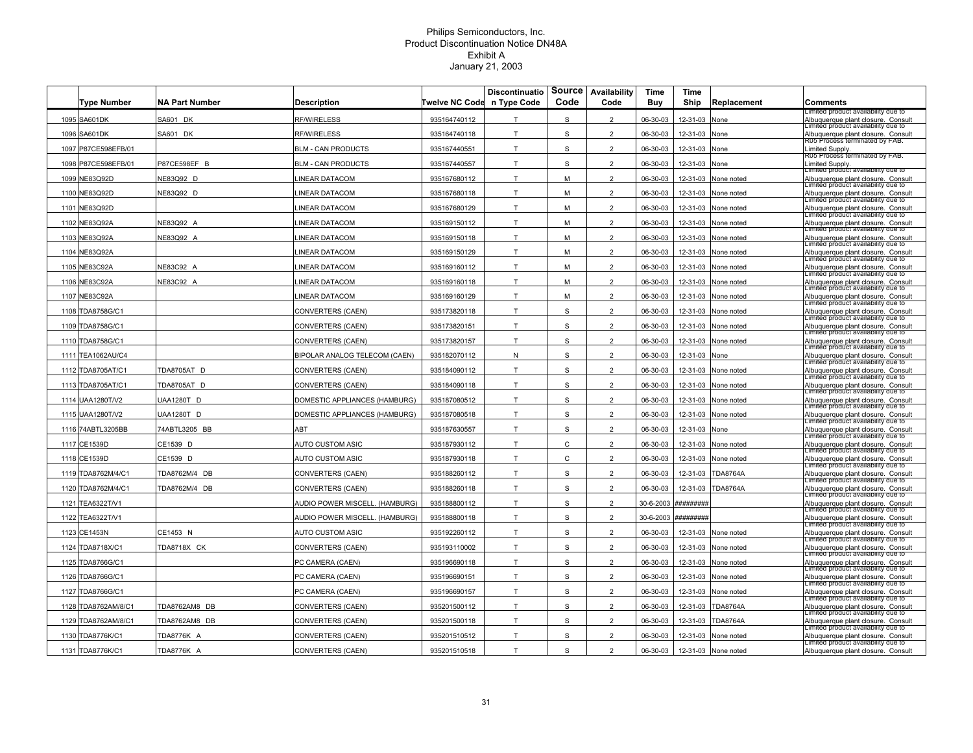|                     |                       |                                |                       | <b>Discontinuatio</b> | <b>Source</b><br>Code | Availability<br>Code | Time      | Time             |                     |                                                                                 |
|---------------------|-----------------------|--------------------------------|-----------------------|-----------------------|-----------------------|----------------------|-----------|------------------|---------------------|---------------------------------------------------------------------------------|
| <b>Type Number</b>  | <b>NA Part Number</b> | Description                    | <b>Twelve NC Code</b> | n Type Code           |                       |                      | Buy       | Ship             | Replacement         | Comments<br>imited product availability due to                                  |
| 1095 SA601DK        | SA601 DK              | <b>RF/WIRELESS</b>             | 935164740112          | T                     | S                     | $\overline{2}$       | 06-30-03  | 12-31-03         | None                | Albuquerque plant closure. Consult<br>Limitéd product availability que to       |
| 1096 SA601DK        | SA601 DK              | <b>RF/WIRELESS</b>             | 935164740118          | T                     | S                     | $\overline{2}$       | 06-30-03  | 12-31-03         | None                | Albuquerque plant closure. Consult<br><del>R05 Process terminated by FAB.</del> |
| 1097 P87CE598EFB/01 |                       | <b>BLM - CAN PRODUCTS</b>      | 935167440551          | T                     | S                     | $\overline{2}$       | 06-30-03  | 12-31-03         | <b>Jone</b>         | Limited Supply.<br>RUS Process terminated by FAB.                               |
| 1098 P87CE598EFB/01 | P87CE598EF B          | <b>BLM - CAN PRODUCTS</b>      | 935167440557          | T                     | $\mathbb S$           | $\overline{2}$       | 06-30-03  | 12-31-03         | None                | imited Supply.<br>Limited product availability que to                           |
| 1099 NE83Q92D       | NE83Q92 D             | <b>INEAR DATACOM</b>           | 935167680112          | T.                    | M                     | $\overline{2}$       | 06-30-03  | 12-31-03         | None noted          | Albuquerque plant closure. Consult<br>Limitéd product availability que to       |
| 1100 NE83Q92D       | NE83Q92 D             | <b>INEAR DATACOM</b>           | 935167680118          | T                     | M                     | $\overline{2}$       | 06-30-03  | 12-31-03         | None noted          | Albuquerque plant closure. Consult<br>Limited product availability due to       |
| 1101 NE83Q92D       |                       | <b>INEAR DATACOM</b>           | 935167680129          | T                     | м                     | $\overline{2}$       | 06-30-03  | 12-31-03         | None noted          | Albuquerque plant closure. Consult<br>Limited product availability due to       |
| 1102 NE83Q92A       | NE83Q92 A             | <b>INEAR DATACOM</b>           | 935169150112          | T                     | M                     | $\overline{2}$       | 06-30-03  | 12-31-03         | None noted          | Albuquerque plant closure. Consult                                              |
| 1103 NE83Q92A       | NE83Q92 A             | <b>INEAR DATACOM</b>           | 935169150118          | T                     | M                     | $\overline{2}$       | 06-30-03  | 12-31-03         | None noted          | Limitéd product availability que to<br>Albuquerque plant closure. Consult       |
| 1104 NE83Q92A       |                       | <b>INEAR DATACOM</b>           | 935169150129          | T                     | M                     | $\overline{2}$       | 06-30-03  | 12-31-03         | <b>None noted</b>   | Limitéd product availability que to<br>Albuquerque plant closure. Consult       |
| 1105 NE83C92A       | NE83C92 A             | <b>INEAR DATACOM</b>           | 935169160112          | T.                    | M                     | $\overline{2}$       | 06-30-03  | 12-31-03         | <b>None noted</b>   | Limited product availability due to<br>Albuquerque plant closure. Consult       |
| 1106 NE83C92A       | NE83C92 A             | INEAR DATACOM                  | 935169160118          | T                     | М                     | $\overline{2}$       | 06-30-03  | 12-31-03         | None noted          | Limitéd product availability que to<br>Albuquerque plant closure. Consult       |
| 1107 NE83C92A       |                       | <b>INEAR DATACOM</b>           | 935169160129          | T                     | M                     | $\overline{2}$       | 06-30-03  | 12-31-03         | None noted          | Limitéd product availability que to<br>Albuquerque plant closure. Consult       |
| 1108 TDA8758G/C1    |                       | CONVERTERS (CAEN)              | 935173820118          | T                     | S                     | $\overline{2}$       | 06-30-03  | 12-31-03         | None noted          | Limited product availability due to<br>Albuquerque plant closure. Consult       |
| 1109 TDA8758G/C1    |                       | CONVERTERS (CAEN)              | 935173820151          | T.                    | S                     | $\overline{2}$       | 06-30-03  | 12-31-03         | None noted          | Limited product availability due to<br>Albuquerque plant closure. Consult       |
| 1110 TDA8758G/C1    |                       | CONVERTERS (CAEN)              | 935173820157          | T                     | $\mathbb S$           | $\overline{2}$       | 06-30-03  | 12-31-03         | None noted          | Limitéd product availability que to<br>Albuquerque plant closure. Consult       |
| 1111 TEA1062AU/C4   |                       | BIPOLAR ANALOG TELECOM (CAEN)  | 935182070112          | N                     | S                     | $\overline{2}$       | 06-30-03  | 12-31-03         | None                | Limitéd product availability que to<br>Albuquerque plant closure. Consult       |
| 1112 TDA8705AT/C1   | TDA8705AT D           | CONVERTERS (CAEN)              | 935184090112          | T                     | S                     | $\overline{2}$       | 06-30-03  | 12-31-03         | <b>Jone noted</b>   | Limited product availability due to<br>Albuquerque plant closure. Consult       |
| 1113 TDA8705AT/C1   | TDA8705AT D           | CONVERTERS (CAEN)              | 935184090118          | T                     | S                     | $\overline{2}$       | 06-30-03  | 12-31-03         | None noted          | Limitéd product availability que to<br>Albuquerque plant closure. Consult       |
| 1114 UAA1280T/V2    | JAA1280T D            | OMESTIC APPLIANCES (HAMBURG)   | 935187080512          | T                     | S                     | $\overline{2}$       | 06-30-03  | 12-31-03         | None noted          | Limitéd product availability que to                                             |
|                     |                       |                                |                       | T                     | S                     | $\overline{2}$       |           |                  |                     | Albuquerque plant closure. Consult<br>Limited product availability due to       |
| 1115 UAA1280T/V2    | JAA1280T D            | OMESTIC APPLIANCES (HAMBURG)   | 935187080518          |                       |                       |                      | 06-30-03  | 12-31-03         | None noted          | Albuquerque plant closure. Consult<br>Limited product availability due to       |
| 1116 74ABTL3205BB   | 74ABTL3205 BB         | ABT                            | 935187630557          | T                     | S                     | $\overline{2}$       | 06-30-03  | 12-31-03         | None                | Albuquerque plant closure. Consult<br>Limitéd product availability que to       |
| 1117 CE1539D        | CE1539 D              | <b>AUTO CUSTOM ASIC</b>        | 935187930112          | T                     | $\mathtt{C}$          | $\overline{2}$       | 06-30-03  | 12-31-03         | None noted          | Albuquerque plant closure. Consult<br>Limitéd product availability que to       |
| 1118 CE1539D        | CE1539 D              | AUTO CUSTOM ASIC               | 935187930118          | T.                    | $\mathsf{C}$          | $\overline{2}$       | 06-30-03  | 12-31-03         | None noted          | Albuquerque plant closure. Consult<br>Limited product availability due to       |
| 1119 TDA8762M/4/C1  | TDA8762M/4 DB         | CONVERTERS (CAEN)              | 935188260112          | T                     | $\mathbb S$           | $\overline{2}$       | 06-30-03  | 12-31-03         | <b>DA8764A</b>      | Albuquerque plant closure. Consult<br>Limitéd product availability que to       |
| 1120 TDA8762M/4/C1  | TDA8762M/4 DB         | CONVERTERS (CAEN)              | 935188260118          | T                     | S                     | $\overline{2}$       | 06-30-03  | 12-31-03         | <b>TDA8764A</b>     | Albuquerque plant closure. Consult<br>Limitéd product availability que to       |
| 1121 TEA6322T/V1    |                       | AUDIO POWER MISCELL. (HAMBURG) | 935188800112          | T                     | S                     | $\overline{2}$       | 30-6-2003 | <i>*********</i> |                     | Albuquerque plant closure. Consult<br>Limitéd product availability que to       |
| 1122 TEA6322T/V1    |                       | AUDIO POWER MISCELL. (HAMBURG) | 935188800118          | T                     | S                     | $\overline{2}$       | 30-6-2003 | <i>*********</i> |                     | Albuquerque plant closure. Consult<br>Limited product availability due to       |
| 1123 CE1453N        | CE1453 N              | AUTO CUSTOM ASIC               | 935192260112          | $\mathsf{T}$          | S                     | $\overline{2}$       | 06-30-03  | 12-31-03         | None noted          | Albuquerque plant closure. Consult<br>Limitéd product availability que to       |
| 1124 TDA8718X/C1    | TDA8718X CK           | CONVERTERS (CAEN)              | 935193110002          | T                     | S                     | $\overline{2}$       | 06-30-03  | 12-31-03         | None noted          | Albuquerque plant closure. Consult<br>Limited product availability due to       |
| 1125 TDA8766G/C1    |                       | PC CAMERA (CAEN)               | 935196690118          | T                     | S                     | $\overline{2}$       | 06-30-03  | 12-31-03         | None noted          | Albuquerque plant closure. Consult                                              |
| 1126 TDA8766G/C1    |                       | PC CAMERA (CAEN)               | 935196690151          | T                     | S                     | $\overline{2}$       | 06-30-03  | 12-31-03         | <b>Jone noted</b>   | Limited product availability due to<br>Albuquerque plant closure. Consult       |
| 1127 TDA8766G/C1    |                       | PC CAMERA (CAEN)               | 935196690157          | T                     | S                     | $\overline{2}$       | 06-30-03  | 12-31-03         | None noted          | Limited product availability due to<br>Albuquerque plant closure. Consult       |
| 1128 TDA8762AM/8/C1 | TDA8762AM8 DB         | CONVERTERS (CAEN)              | 935201500112          | T                     | S                     | $\overline{2}$       | 06-30-03  | 12-31-03         | <b>TDA8764A</b>     | Limitéd product availability que to<br>Albuquerque plant closure. Consult       |
| 1129 TDA8762AM/8/C1 | TDA8762AM8 DB         | CONVERTERS (CAEN)              | 935201500118          | T                     | S                     | $\overline{2}$       | 06-30-03  | 12-31-03         | <b>TDA8764A</b>     | Limitéd product availability que to<br>Albuquerque plant closure. Consult       |
| 1130 TDA8776K/C1    | TDA8776K A            | CONVERTERS (CAEN)              | 935201510512          | T                     | S                     | $\overline{2}$       | 06-30-03  | 12-31-03         | None noted          | Limited product availability due to<br>Albuquerque plant closure. Consult       |
| 1131 TDA8776K/C1    | TDA8776K A            | CONVERTERS (CAEN)              | 935201510518          | T                     | S                     | $\overline{2}$       | 06-30-03  |                  | 12-31-03 None noted | Limited product availability due to<br>Albuquerque plant closure. Consult       |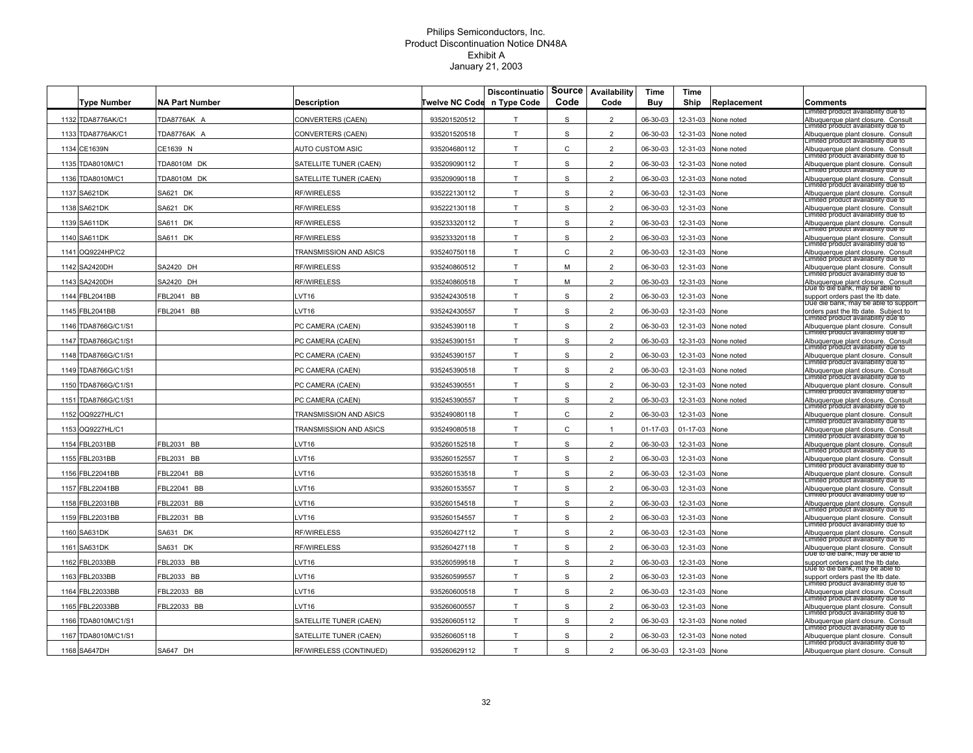|      | Type Number         | <b>NA Part Number</b> | <b>Description</b>      | Twelve NC Code | <b>Discontinuatio</b><br>n Type Code | <b>Source</b><br>Code | Availability<br>Code | Time<br>Buy | Time<br>Ship | Replacement       | <b>Comments</b>                                                              |
|------|---------------------|-----------------------|-------------------------|----------------|--------------------------------------|-----------------------|----------------------|-------------|--------------|-------------------|------------------------------------------------------------------------------|
|      | 1132 TDA8776AK/C1   | TDA8776AK A           | CONVERTERS (CAEN)       | 935201520512   | т                                    | S                     | $\overline{2}$       | 06-30-03    | 12-31-03     | <b>None noted</b> | Limited product availability due to<br>Albuquerque plant closure. Consult    |
|      | 1133 TDA8776AK/C1   | TDA8776AK A           | CONVERTERS (CAEN)       | 935201520518   | T                                    | S                     | $\overline{2}$       | 06-30-03    | 12-31-03     | <b>None noted</b> | Limitéd product availability que to<br>Albuquerque plant closure. Consult    |
|      | 1134 CE1639N        | CE1639 N              | AUTO CUSTOM ASIC        | 935204680112   | T                                    | $\mathsf{C}$          | $\overline{2}$       | 06-30-03    | 12-31-03     | <b>Jone noted</b> | Limited product availability due to<br>Albuquerque plant closure. Consult    |
|      | 1135 TDA8010M/C1    | TDA8010M DK           | SATELLITE TUNER (CAEN)  | 935209090112   | T.                                   | S                     | $\overline{2}$       | 06-30-03    | 12-31-03     | None noted        | Limitéd product availability que to<br>Albuquerque plant closure. Consult    |
|      | 1136 TDA8010M/C1    | TDA8010M DK           | SATELLITE TUNER (CAEN)  | 935209090118   | T                                    | S                     | $\overline{2}$       | 06-30-03    | 12-31-03     | None noted        | Limitéd product availability que to<br>Albuquerque plant closure. Consult    |
|      | 1137 SA621DK        | SA621 DK              | RF/WIRELESS             | 935222130112   | T                                    | S                     | $\overline{2}$       | 06-30-03    | 12-31-03     | None              | Limited product availability due to<br>Albuquerque plant closure. Consult    |
|      | 1138 SA621DK        | SA621 DK              | RF/WIRELESS             | 935222130118   | T                                    | S                     | $\overline{a}$       | 06-30-03    | 12-31-03     | None              | Limited product availability due to<br>Albuquerque plant closure. Consult    |
|      | 1139 SA611DK        | SA611 DK              | RF/WIRELESS             | 935233320112   | T.                                   | $\mathbf S$           | $\overline{2}$       | 06-30-03    | 12-31-03     | None              | Limitéd product availability que to<br>Albuquerque plant closure. Consult    |
|      | 1140 SA611DK        | SA611 DK              | <b>RF/WIRELESS</b>      | 935233320118   | T                                    | $\mathbf S$           | $\overline{2}$       | 06-30-03    | 12-31-03     | None              | imitéd product availability que to<br>Albuquerque plant closure. Consult     |
| 1141 | OQ9224HP/C2         |                       | TRANSMISSION AND ASICS  | 935240750118   | T                                    | C                     | $\overline{2}$       | 06-30-03    | 12-31-03     | Vone              | Limited product availability due to<br>Albuquerque plant closure. Consult    |
|      | 1142 SA2420DH       | SA2420 DH             | <b>RF/WIRELESS</b>      | 935240860512   | T                                    | M                     | $\overline{2}$       | 06-30-03    | 12-31-03     | None              | Limited product availability due to<br>Albuquerque plant closure. Consult    |
|      | 1143 SA2420DH       | SA2420 DH             | <b>RF/WIRELESS</b>      | 935240860518   | T                                    | M                     | $\overline{2}$       | 06-30-03    | 12-31-03     | None              | Limitéd product availability que to<br>Albuquerque plant closure. Consult    |
| 1144 | <b>FBL2041BB</b>    | FBL2041 BB            | $_V$ T16                | 935242430518   | T                                    | <sub>S</sub>          | $\overline{2}$       | 06-30-03    | 12-31-03     | None              | Due to die bahk, may be able to<br>support orders past the ltb date.         |
| 1145 | FBL2041BB           | BL2041 BB             | VT <sub>16</sub>        | 935242430557   | т                                    | S                     | $\overline{2}$       | 06-30-03    | 12-31-03     | None              | Due die bank, may be able to support<br>orders past the ltb date. Subject to |
|      | 1146 TDA8766G/C1/S1 |                       | PC CAMERA (CAEN)        | 935245390118   | T                                    | S                     | $\overline{2}$       | 06-30-03    | 12-31-03     | None noted        | Limited product availability due to<br>Albuquerque plant closure. Consult    |
| 1147 | TDA8766G/C1/S1      |                       | PC CAMERA (CAEN)        | 935245390151   | T                                    | S                     | $\overline{2}$       | 06-30-03    | 12-31-03     | <b>None noted</b> | Limitéd product availability que to<br>Albuquerque plant closure. Consult    |
| 1148 | TDA8766G/C1/S1      |                       | PC CAMERA (CAEN)        | 935245390157   | T                                    | S                     | $\overline{2}$       | 06-30-03    | 12-31-03     | <b>Jone noted</b> | Limited product availability due to<br>Albuquerque plant closure. Consult    |
| 1149 | TDA8766G/C1/S1      |                       | PC CAMERA (CAEN)        | 935245390518   | T                                    | $\mathsf S$           | $\overline{2}$       | 06-30-03    | 12-31-03     | <b>Jone noted</b> | Limitéd product availability que to<br>Albuquerque plant closure. Consult    |
|      | 1150 TDA8766G/C1/S1 |                       | PC CAMERA (CAEN)        | 935245390551   | T                                    | S                     | $\overline{2}$       | 06-30-03    | 12-31-03     | None noted        | Limited product availability due to<br>Albuquerque plant closure. Consult    |
| 1151 | TDA8766G/C1/S1      |                       | PC CAMERA (CAEN)        | 935245390557   | T                                    | <sub>S</sub>          | $\overline{2}$       | 06-30-03    | 12-31-03     | None noted        | Limitéd product availability que to<br>Albuquerque plant closure. Consult    |
|      | 1152 OQ9227HL/C1    |                       | TRANSMISSION AND ASICS  | 935249080118   | т                                    | C                     | $\overline{2}$       | 06-30-03    | 12-31-03     | None              | Limited product availability due to<br>Albuquerque plant closure. Consult    |
|      | 1153 OQ9227HL/C1    |                       | TRANSMISSION AND ASICS  | 935249080518   | $\mathsf{T}$                         | C                     | 1                    | 01-17-03    | 01-17-03     | None              | Limited product availability due to<br>Albuquerque plant closure. Consult    |
|      | 1154 FBL2031BB      | FBL2031 BB            | VT <sub>16</sub>        | 935260152518   | T                                    | S                     | $\overline{2}$       | 06-30-03    | 12-31-03     | None              | ∟imitéa proauct availability que to<br>Albuquerque plant closure. Consult    |
|      | 1155 FBL2031BB      | FBL2031 BB            | VT <sub>16</sub>        | 935260152557   | T                                    | S                     | $\overline{2}$       | 06-30-03    | 12-31-03     | None              | imitéd product availability que to<br>Albuquerque plant closure. Consult     |
| 1156 | FBL22041BB          | BL22041 BB            | VT <sub>16</sub>        | 935260153518   | T                                    | S                     | $\overline{2}$       | 06-30-03    | 12-31-03     | Vone              | Limited product availability due to<br>Albuquerque plant closure. Consult    |
| 1157 | FBL22041BB          | FBL22041 BB           | VT <sub>16</sub>        | 935260153557   | T                                    | S                     | $\overline{2}$       | 06-30-03    | 12-31-03     | None              | Limitéd product availability que to<br>Albuquerque plant closure. Consult    |
| 1158 | FBL22031BB          | FBL22031 BB           | VT <sub>16</sub>        | 935260154518   | T                                    | S                     | $\overline{2}$       | 06-30-03    | 12-31-03     | None              | Limitéd product availability que to<br>Albuquerque plant closure. Consult    |
| 1159 | FBL22031BB          | BL22031 BB            | VT <sub>16</sub>        | 935260154557   | T                                    | <sub>S</sub>          | $\overline{2}$       | 06-30-03    | 12-31-03     | None              | Limited product availability due to<br>Albuquerque plant closure. Consult    |
|      | 1160 SA631DK        | SA631 DK              | RF/WIRELESS             | 935260427112   | T                                    | S                     | $\overline{2}$       | 06-30-03    | 12-31-03     | None              | Limited product availability due to<br>Albuquerque plant closure. Consult    |
|      | 1161 SA631DK        | SA631 DK              | RF/WIRELESS             | 935260427118   | T                                    | S                     | $\overline{2}$       | 06-30-03    | 12-31-03     | None              | Limitéd product availability que to<br>Albuquerque plant closure. Consult    |
| 1162 | FBL2033BB           | BL2033 BB             | VT <sub>16</sub>        | 935260599518   | T                                    | S                     | $\overline{2}$       | 06-30-03    | 12-31-03     | Vone              | Due to die bahk, may be able to<br>support orders past the ltb date.         |
| 116  | <b>BL2033BB</b>     | BL2033 BB             | VT16                    | 935260599557   | T                                    | $\mathbf S$           | $\overline{2}$       | 06-30-03    | 12-31-03     | <b>Jone</b>       | Due to die bank, may be able to<br>support orders past the ltb date.         |
| 1164 | FBL22033BB          | BL22033 BB            | VT16                    | 935260600518   | T                                    | $\mathbf S$           | $\overline{2}$       | 06-30-03    | 12-31-03     | None              | Limited product availability due to<br>Albuquerque plant closure. Consult    |
| 1165 | FBL22033BB          | BL22033 BB            | VT16                    | 935260600557   | T                                    | S                     | $\overline{2}$       | 06-30-03    | 12-31-03     | None              | Limitéd product availability que to<br>Albuquerque plant closure. Consult    |
|      | 1166 TDA8010M/C1/S1 |                       | SATELLITE TUNER (CAEN)  | 935260605112   | т                                    | S                     | $\overline{2}$       | 06-30-03    | 12-31-03     | None noted        | Limitéd product availability que to<br>Albuquerque plant closure. Consult    |
|      | 1167 TDA8010M/C1/S1 |                       | SATELLITE TUNER (CAEN)  | 935260605118   | $\mathsf{T}$                         | S                     | $\overline{2}$       | 06-30-03    | 12-31-03     | None noted        | Limited product availability due to<br>Albuquerque plant closure. Consult    |
|      | 1168 SA647DH        | SA647 DH              | RF/WIRELESS (CONTINUED) | 935260629112   | T.                                   | S                     | $\overline{2}$       | 06-30-03    | 12-31-03     | None              | Limited product availability due to<br>Albuquerque plant closure. Consult    |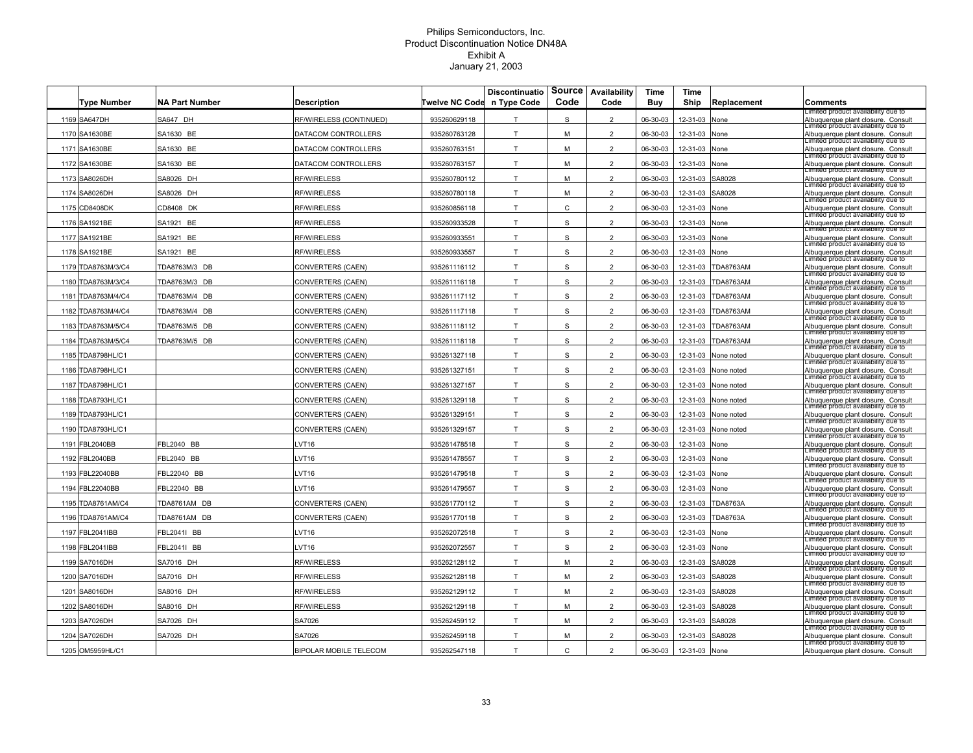|      | <b>Type Number</b> | <b>NA Part Number</b> | <b>Description</b>            | Twelve NC Code n Type Code | <b>Discontinuatio</b> | Source<br>Code | Availability<br>Code | Time<br>Buy | Time<br>Ship  | Replacement      | Comments                                                                                                         |
|------|--------------------|-----------------------|-------------------------------|----------------------------|-----------------------|----------------|----------------------|-------------|---------------|------------------|------------------------------------------------------------------------------------------------------------------|
|      | 1169 SA647DH       | SA647 DH              | RF/WIRELESS (CONTINUED)       | 935260629118               | T                     | S              | $\overline{2}$       | 06-30-03    | 12-31-03      | None             | imited product availability due to<br>Albuquerque plant closure. Consult                                         |
| 1170 | SA1630BE           | SA1630 BE             | DATACOM CONTROLLERS           | 935260763128               | T                     | M              | 2                    | 06-30-03    | 12-31-03      | <b>None</b>      | Limitéd product availability que to<br>Albuquerque plant closure. Consult                                        |
| 1171 | SA1630BE           | SA1630 BE             | DATACOM CONTROLLERS           | 935260763151               | T                     | M              | $\overline{2}$       | 06-30-03    | 12-31-03      | None             | Limited product availability due to<br>Albuquerque plant closure. Consult                                        |
|      | 1172 SA1630BE      | SA1630 BE             | DATACOM CONTROLLERS           | 935260763157               | T                     | M              | $\overline{2}$       | 06-30-03    | 12-31-03      | None             | Limitéd product availability que to<br>Albuquerque plant closure. Consult                                        |
| 1173 | SA8026DH           | SA8026 DH             | RF/WIRELESS                   | 935260780112               | T                     | M              | $\overline{2}$       | 06-30-03    | 12-31-03      | SA8028           | Limitéd product availability que to<br>Albuquerque plant closure. Consult                                        |
|      | 1174 SA8026DH      | SA8026 DH             | <b>RF/WIRELESS</b>            | 935260780118               | T                     | M              | $\overline{2}$       | 06-30-03    | 12-31-03      | SA8028           | Limited product availability due to<br>Albuquerque plant closure. Consult                                        |
|      | 1175 CD8408DK      | CD8408 DK             | <b>RF/WIRELESS</b>            | 935260856118               | T                     | $\mathsf{C}$   | $\overline{2}$       | 06-30-03    | 12-31-03      | None             | Limited product availability due to<br>Albuquerque plant closure. Consult                                        |
|      | 1176 SA1921BE      | SA1921 BE             | RF/WIRELESS                   | 935260933528               | T                     | S              | $\overline{2}$       | 06-30-03    | 12-31-03      | None             | imitéd product availability que to<br>Albuquerque plant closure. Consult                                         |
|      | 1177 SA1921BE      | SA1921 BE             | <b>RF/WIRELESS</b>            | 935260933551               | T                     | $\mathbb S$    | $\overline{2}$       | 06-30-03    | 12-31-03      | None             | imitéd product availability que to<br>Albuquerque plant closure. Consult                                         |
|      | 1178 SA1921BE      | SA1921 BE             | RF/WIRELESS                   | 935260933557               | T.                    | S              | $\overline{2}$       | 06-30-03    | 12-31-03      | Vone             | Limited product availability due to<br>Albuquerque plant closure. Consult                                        |
|      | 1179 TDA8763M/3/C4 | TDA8763M/3 DB         | CONVERTERS (CAEN)             | 935261116112               | T                     | S              | $\overline{2}$       | 06-30-03    | 12-31-03      | <b>TDA8763AM</b> | Limitéd product availability que to<br>Albuquerque plant closure. Consult<br>Limitéd product availability que to |
| 1180 | TDA8763M/3/C4      | TDA8763M/3 DB         | CONVERTERS (CAEN)             | 935261116118               | T                     | S              | $\overline{2}$       | 06-30-03    | 12-31-03      | TDA8763AM        | Albuquerque plant closure. Consult                                                                               |
| 1181 | TDA8763M/4/C4      | TDA8763M/4 DB         | CONVERTERS (CAEN)             | 935261117112               | T                     | S              | 2                    | 06-30-03    | 12-31-03      | <b>TDA8763AM</b> | Limitéd product availability que to<br>Albuquerque plant closure. Consult                                        |
| 1182 | TDA8763M/4/C4      | TDA8763M/4 DB         | CONVERTERS (CAEN)             | 935261117118               | T                     | S              | $\overline{2}$       | 06-30-03    | 12-31-03      | TDA8763AM        | Limited product availability due to<br>Albuquerque plant closure. Consult                                        |
| 1183 | TDA8763M/5/C4      | TDA8763M/5 DB         | CONVERTERS (CAEN)             | 935261118112               | T                     | S              | $\overline{2}$       | 06-30-03    | 12-31-03      | <b>TDA8763AM</b> | Limitéd product availability que to<br>Albuquerque plant closure. Consult                                        |
| 1184 | TDA8763M/5/C4      | TDA8763M/5 DB         | CONVERTERS (CAEN)             | 935261118118               | T                     | S              | $\overline{2}$       | 06-30-03    | 12-31-03      | TDA8763AM        | Limitéd product availability que to<br>Albuquerque plant closure. Consult                                        |
| 1185 | TDA8798HL/C1       |                       | CONVERTERS (CAEN)             | 935261327118               | T                     | S              | $\overline{2}$       | 06-30-03    | 12-31-03      | lone noted       | Limited product availability due to<br>Albuquerque plant closure. Consult                                        |
| 1186 | TDA8798HL/C1       |                       | CONVERTERS (CAEN)             | 935261327151               | T                     | $\mathbb S$    | $\overline{2}$       | 06-30-03    | 12-31-03      | None noted       | Limited product availability due to<br>Albuquerque plant closure. Consult                                        |
|      | 1187 TDA8798HL/C1  |                       | CONVERTERS (CAEN)             | 935261327157               | T                     | S              | $\overline{2}$       | 06-30-03    | 12-31-03      | None noted       | Limitéd product availability que to<br>Albuquerque plant closure. Consult<br>Limitéd product availability que to |
|      | 1188 TDA8793HL/C1  |                       | CONVERTERS (CAEN)             | 935261329118               | T                     | S              | $\overline{2}$       | 06-30-03    | 12-31-03      | None noted       | Albuquerque plant closure. Consult                                                                               |
|      | 1189 TDA8793HL/C1  |                       | CONVERTERS (CAEN)             | 935261329151               | т                     | S              | $\overline{a}$       | 06-30-03    | 12-31-03      | None noted       | Limited product availability due to<br>Albuquerque plant closure. Consult<br>Limitéd product availability que to |
|      | 1190 TDA8793HL/C1  |                       | CONVERTERS (CAEN)             | 935261329157               | T                     | S              | $\overline{2}$       | 06-30-03    | 12-31-03      | None noted       | Albuquerque plant closure. Consult<br>imitéd product availability que to                                         |
|      | 1191 FBL2040BB     | FBL2040 BB            | $_V$ T16                      | 935261478518               | T                     | S              | $\overline{2}$       | 06-30-03    | 12-31-03      | None             | Albuquerque plant closure. Consult<br>imitéd product availability que to                                         |
|      | 1192 FBL2040BB     | FBL2040 BB            | $V$ T <sub>16</sub>           | 935261478557               | T.                    | S              | $\overline{2}$       | 06-30-03    | 12-31-03      | None             | Albuquerque plant closure. Consult<br>Limitéd product availability due to                                        |
| 1193 | FBL22040BB         | FBL22040 BB           | $_V$ T <sub>16</sub>          | 935261479518               | T.                    | S              | 2                    | 06-30-03    | 12-31-03      | Vone             | Albuquerque plant closure. Consult<br>Limitéd product availability que to                                        |
|      | 1194 FBL22040BB    | FBL22040 BB           | $V$ T <sub>16</sub>           | 935261479557               | T                     | S              | $\overline{2}$       | 06-30-03    | 12-31-03      | None             | Albuquerque plant closure. Consult<br>Limitéd product availability que to                                        |
|      | 1195 TDA8761AM/C4  | TDA8761AM DB          | CONVERTERS (CAEN)             | 935261770112               | T                     | S              | 2                    | 06-30-03    | 12-31-03      | <b>TDA8763A</b>  | Albuquerque plant closure. Consult<br>Limited product availability due to                                        |
|      | 1196 TDA8761AM/C4  | TDA8761AM DB          | CONVERTERS (CAEN)             | 935261770118               | T                     | S              | $\overline{2}$       | 06-30-03    | 12-31-03      | <b>TDA8763A</b>  | Albuquerque plant closure. Consult<br>Limited product availability due to                                        |
|      | 1197 FBL2041IBB    | BL2041I BB            | VT <sub>16</sub>              | 935262072518               | T                     | S              | $\overline{2}$       | 06-30-03    | 12-31-03      | None             | Albuquerque plant closure. Consult<br>Limitéd product availability que to                                        |
|      | 1198 FBL2041IBB    | FBL2041I BB           | $_V$ T16                      | 935262072557               | T.                    | S              | $\overline{2}$       | 06-30-03    | 12-31-03      | None             | Albuquerque plant closure. Consult<br>Limitéd product availability que to                                        |
|      | 1199 SA7016DH      | SA7016 DH             | <b>RF/WIRELESS</b>            | 935262128112               | T                     | M              | $\overline{2}$       | 06-30-03    | 12-31-03      | SA8028           | Albuquerque plant closure. Consult<br>Limited product availability due to                                        |
| 1200 | <b>SA7016DH</b>    | SA7016 DH             | <b>RF/WIRELESS</b>            | 935262128118               | T                     | M              | $\overline{2}$       | 06-30-03    | 12-31-03      | A8028            | Albuquerque plant closure. Consult<br>Limitéd product availability que to                                        |
| 1201 | SA8016DH           | SA8016 DH             | RF/WIRELESS                   | 935262129112               | T                     | M              | $\overline{2}$       | 06-30-03    | 12-31-03      | SA8028           | Albuquerque plant closure. Consult<br>Limitéd product availability que to                                        |
|      | 1202 SA8016DH      | SA8016 DH             | RF/WIRELESS                   | 935262129118               | T                     | M              | 2                    | 06-30-03    | 12-31-03      | SA8028           | Albuquerque plant closure. Consult<br>Limitéd product availability que to                                        |
|      | 1203 SA7026DH      | SA7026 DH             | SA7026                        | 935262459112               | T                     | м              | $\overline{2}$       | 06-30-03    | 12-31-03      | SA8028           | Albuquerque plant closure. Consult                                                                               |
|      | 1204 SA7026DH      | SA7026 DH             | SA7026                        | 935262459118               | T                     | M              | $\overline{2}$       | 06-30-03    | 12-31-03      | SA8028           | Limited product availability due to<br>Albuquerque plant closure. Consult                                        |
|      | 1205 OM5959HL/C1   |                       | <b>BIPOLAR MOBILE TELECOM</b> | 935262547118               | T.                    | $\mathsf{C}$   | $\overline{a}$       | 06-30-03    | 12-31-03 None |                  | Limitéd product availability que to<br>Albuquerque plant closure. Consult                                        |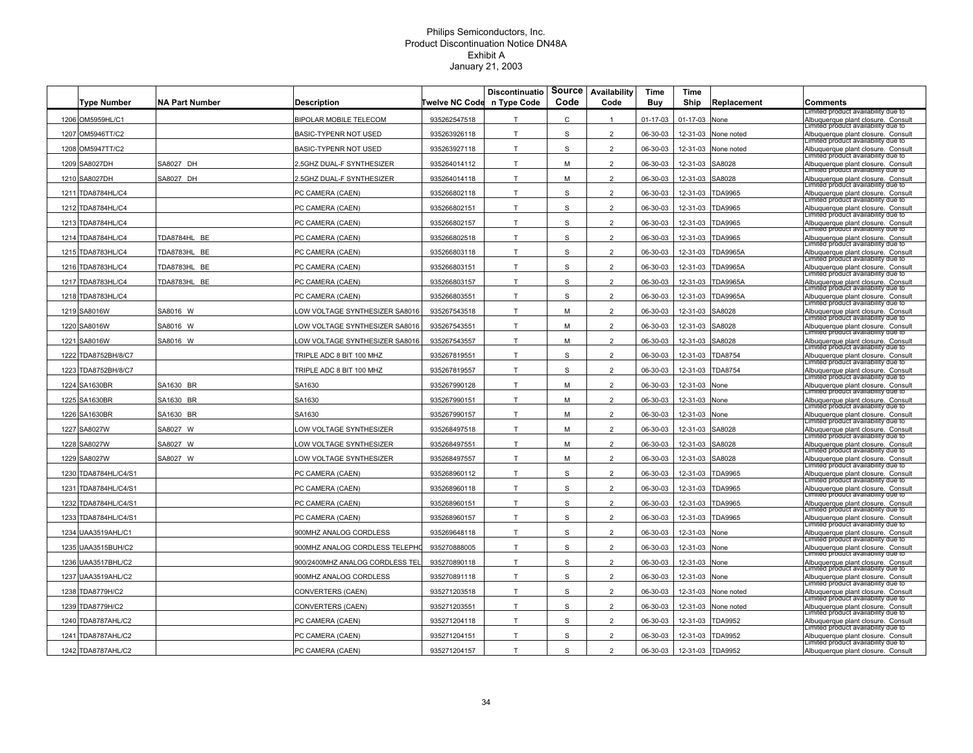| <b>Type Number</b>   | <b>NA Part Number</b> | <b>Description</b>              | Twelve NC Code | <b>Discontinuatio</b><br>n Type Code | Source<br>Code | Availability<br>Code | Time<br>Buy    | Time<br>Ship | Replacement       | Comments                                                                  |
|----------------------|-----------------------|---------------------------------|----------------|--------------------------------------|----------------|----------------------|----------------|--------------|-------------------|---------------------------------------------------------------------------|
| 1206 OM5959HL/C1     |                       | <b>BIPOLAR MOBILE TELECOM</b>   | 935262547518   | T                                    | $\mathtt{C}$   | $\mathbf{1}$         | $01 - 17 - 03$ | 01-17-03     | None              | imited product availability due to<br>Albuquerque plant closure. Consult  |
| 1207 OM5946TT/C2     |                       | BASIC-TYPENR NOT USED           | 935263926118   | T                                    | S              | $\overline{2}$       | 06-30-03       | 12-31-03     | None noted        | imitéd product availability que to<br>Albuquerque plant closure. Consult  |
| 1208 OM5947TT/C2     |                       | BASIC-TYPENR NOT USED           | 935263927118   | T                                    | S              | $\overline{2}$       | 06-30-03       | 12-31-03     | <b>None noted</b> | Limited product availability due to<br>Albuquerque plant closure. Consult |
| 1209 SA8027DH        | SA8027 DH             | .5GHZ DUAL-F SYNTHESIZER        | 935264014112   | T                                    | M              | $\overline{2}$       | 06-30-03       | 12-31-03     | SA8028            | Limited product availability due to<br>Albuquerque plant closure. Consult |
| 1210 SA8027DH        | SA8027 DH             | .5GHZ DUAL-F SYNTHESIZER        | 935264014118   | T.                                   | M              | $\overline{2}$       | 06-30-03       | 12-31-03     | SA8028            | mitéd product availability que to<br>Albuquerque plant closure. Consult   |
| 1211 TDA8784HL/C4    |                       | PC CAMERA (CAEN)                | 935266802118   | T                                    | S              | $\overline{2}$       | 06-30-03       | 12-31-03     | TDA9965           | Limitéd product availability que to<br>Albuquerque plant closure. Consult |
| 1212 TDA8784HL/C4    |                       | PC CAMERA (CAEN)                | 935266802151   | T                                    | S              | $\overline{2}$       | 06-30-03       | 12-31-03     | <b>TDA9965</b>    | Limited product availability due to<br>Albuquerque plant closure. Consult |
| 1213 TDA8784HL/C4    |                       | PC CAMERA (CAEN)                | 935266802157   | T                                    | S              | $\overline{2}$       | 06-30-03       | 12-31-03     | <b>TDA9965</b>    | Limited product availability due to<br>Albuquerque plant closure. Consult |
| 1214 TDA8784HL/C4    | TDA8784HL BE          | PC CAMERA (CAEN)                | 935266802518   | T                                    | S              | $\overline{2}$       | 06-30-03       | 12-31-03     | <b>TDA9965</b>    | imitéd product availability que to<br>Albuquerque plant closure. Consult  |
| 1215 TDA8783HL/C4    | TDA8783HL BE          | PC CAMERA (CAEN)                | 935266803118   | T                                    | S              | 2                    | 06-30-03       | 12-31-03     | <b>TDA9965A</b>   | imitéd product availability que to<br>Albuquerque plant closure. Consult  |
| 1216 TDA8783HL/C4    | TDA8783HL BE          | PC CAMERA (CAEN)                | 935266803151   | T                                    | S              | 2                    | 06-30-03       | 12-31-03     | <b>TDA9965A</b>   | Limited product availability due to<br>Albuquerque plant closure. Consult |
| 1217 TDA8783HL/C4    | TDA8783HL BE          | PC CAMERA (CAEN)                | 935266803157   | T.                                   | S              | $\overline{2}$       | 06-30-03       | 12-31-03     | <b>TDA9965A</b>   | imitéd product availability que to<br>Albuquerque plant closure. Consult  |
| 1218 TDA8783HL/C4    |                       | PC CAMERA (CAEN)                | 935266803551   | T.                                   | S              | $\overline{2}$       | 06-30-03       | 12-31-03     | <b>TDA9965A</b>   | imitéd product availability que to<br>Albuquerque plant closure. Consult  |
| 1219 SA8016W         | SA8016 W              | OW VOLTAGE SYNTHESIZER SA8016   | 935267543518   | T                                    | M              | $\overline{2}$       | 06-30-03       | 12-31-03     | SA8028            | Limited product availability due to<br>Albuquerque plant closure. Consult |
| 1220 SA8016W         | SA8016 W              | OW VOLTAGE SYNTHESIZER SA8016   | 935267543551   | T                                    | M              | $\overline{2}$       | 06-30-03       | 12-31-03     | SA8028            | Limitéd product availability que to<br>Albuquerque plant closure. Consult |
| 1221 SA8016W         | SA8016 W              | LOW VOLTAGE SYNTHESIZER SA8016  | 935267543557   | T                                    | м              | $\overline{2}$       | 06-30-03       | 12-31-03     | SA8028            | Limitéd product availability que to<br>Albuquerque plant closure. Consult |
| 1222 TDA8752BH/8/C7  |                       | TRIPLE ADC 8 BIT 100 MHZ        | 935267819551   | T                                    | S              | $\overline{2}$       | 06-30-03       | 12-31-03     | <b>TDA8754</b>    | Limitéd product availability que to<br>Albuquerque plant closure. Consult |
| 1223 TDA8752BH/8/C7  |                       | TRIPLE ADC 8 BIT 100 MHZ        | 935267819557   | T                                    | S              | $\overline{2}$       | 06-30-03       | 12-31-03     | <b>TDA8754</b>    | Limited product availability due to<br>Albuquerque plant closure. Consult |
| 1224 SA1630BR        | SA1630 BR             | SA1630                          | 935267990128   | T.                                   | M              | $\overline{2}$       | 06-30-03       | 12-31-03     | None              | Limited product availability due to<br>Albuquerque plant closure. Consult |
| 1225 SA1630BR        | SA1630 BR             | SA1630                          | 935267990151   | T.                                   | M              | $\overline{2}$       | 06-30-03       | 12-31-03     | None              | imitéd product availability que to<br>Albuquerque plant closure. Consult  |
| 1226 SA1630BR        | SA1630 BR             | SA1630                          | 935267990157   | T                                    | M              | $\overline{2}$       | 06-30-03       | 12-31-03     | None              | imited product availability due to<br>Albuquerque plant closure. Consult  |
| 1227 SA8027W         | SA8027 W              | OW VOLTAGE SYNTHESIZER          | 935268497518   | T                                    | M              | $\overline{2}$       | 06-30-03       | 12-31-03     | SA8028            | Limited product availability due to<br>Albuquerque plant closure. Consult |
| 1228 SA8027W         | SA8027 W              | OW VOLTAGE SYNTHESIZER          | 935268497551   | T                                    | M              | $\overline{2}$       | 06-30-03       | 12-31-03     | SA8028            | imitéd product availability que to<br>Albuquerque plant closure. Consult  |
| 1229 SA8027W         | SA8027 W              | OW VOLTAGE SYNTHESIZER          | 935268497557   | T                                    | M              | $\overline{2}$       | 06-30-03       | 12-31-03     | SA8028            | imitéd product availability que to<br>Albuquerque plant closure. Consult  |
| 1230 TDA8784HL/C4/S1 |                       | PC CAMERA (CAEN)                | 935268960112   | T                                    | $\mathsf S$    | $\overline{2}$       | 06-30-03       | 12-31-03     | <b>TDA9965</b>    | Limited product availability due to<br>Albuquerque plant closure. Consult |
| 1231 TDA8784HL/C4/S1 |                       | PC CAMERA (CAEN)                | 935268960118   | T                                    | S              | $\overline{2}$       | 06-30-03       | 12-31-03     | <b>TDA9965</b>    | Limitéd product availability que to<br>Albuquerque plant closure. Consult |
| 1232 TDA8784HL/C4/S1 |                       | PC CAMERA (CAEN)                | 935268960151   | T                                    | S              | $\overline{2}$       | 06-30-03       | 12-31-03     | TDA9965           | imitéd product availability que to<br>Albuquerque plant closure. Consult  |
| 1233 TDA8784HL/C4/S1 |                       | PC CAMERA (CAEN)                | 935268960157   | T                                    | <sub>S</sub>   | $\overline{2}$       | 06-30-03       | 12-31-03     | <b>TDA9965</b>    | imitéd product availability que to<br>Albuquerque plant closure. Consult  |
| 1234 UAA3519AHL/C1   |                       | 900MHZ ANALOG CORDLESS          | 935269648118   | T                                    | S              | $\overline{2}$       | 06-30-03       | 12-31-03     | None              | Limitéd product availability due to<br>Albuquerque plant closure. Consult |
| 1235 UAA3515BUH/C2   |                       | 900MHZ ANALOG CORDLESS TELEPHO  | 935270888005   | T                                    | S              | $\overline{2}$       | 06-30-03       | 12-31-03     | None              | Limitéd product availability que to<br>Albuquerque plant closure. Consult |
| 1236 UAA3517BHL/C2   |                       | 900/2400MHZ ANALOG CORDLESS TEI | 935270890118   | T                                    | S              | $\overline{2}$       | 06-30-03       | 12-31-03     | None              | Limitéd product availability que to<br>Albuquerque plant closure. Consult |
| 1237 UAA3519AHL/C2   |                       | 900MHZ ANALOG CORDLESS          | 935270891118   | T                                    | S              | $\overline{2}$       | 06-30-03       | 12-31-03     | Jone              | Limited product availability due to<br>Albuquerque plant closure. Consult |
| 1238 TDA8779H/C2     |                       | CONVERTERS (CAEN)               | 935271203518   | T                                    | $\mathsf S$    | $\overline{2}$       | 06-30-03       | 12-31-03     | None noted        | Limited product availability due to<br>Albuquerque plant closure. Consult |
| 1239 TDA8779H/C2     |                       | CONVERTERS (CAEN)               | 935271203551   | T.                                   | S              | $\overline{2}$       | 06-30-03       | 12-31-03     | None noted        | mitéd product availability que to<br>Albuquerque plant closure. Consult   |
| 1240 TDA8787AHL/C2   |                       | PC CAMERA (CAEN)                | 935271204118   | T                                    | S              | $\overline{2}$       | 06-30-03       | 12-31-03     | TDA9952           | Limitéd product availability que to<br>Albuquerque plant closure. Consult |
| 1241 TDA8787AHL/C2   |                       | PC CAMERA (CAEN)                | 935271204151   | T                                    | S              | $\overline{2}$       | 06-30-03       | 12-31-03     | <b>TDA9952</b>    | Limited product availability due to<br>Albuquerque plant closure. Consult |
| 1242 TDA8787AHL/C2   |                       | PC CAMERA (CAEN)                | 935271204157   | T                                    | S              | $\overline{2}$       | 06-30-03       | 12-31-03     | <b>TDA9952</b>    | Limited product availability due to<br>Albuquerque plant closure. Consult |